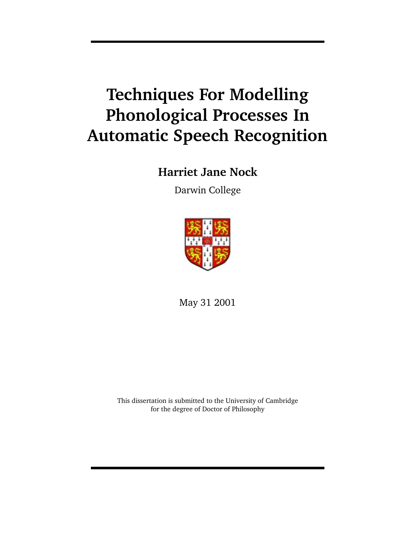# **Techniques For Modelling Phonological Processes In Automatic Speech Recognition**

## **Harriet Jane Nock**

Darwin College



May 31 2001

This dissertation is submitted to the University of Cambridge for the degree of Doctor of Philosophy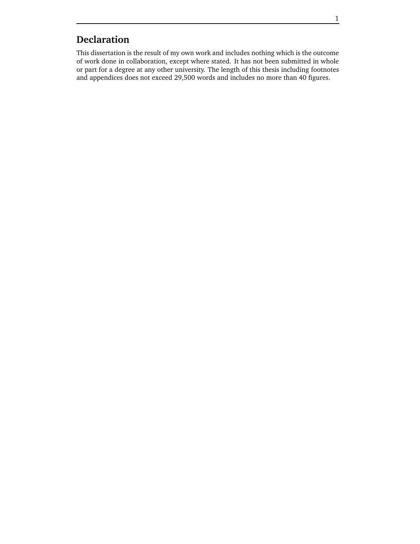## **Declaration**

This dissertation is the result of my own work and includes nothing which is the outcome of work done in collaboration, except where stated. It has not been submitted in whole or part for a degree at any other university. The length of this thesis including footnotes and appendices does not exceed 29,500 words and includes no more than 40 figures.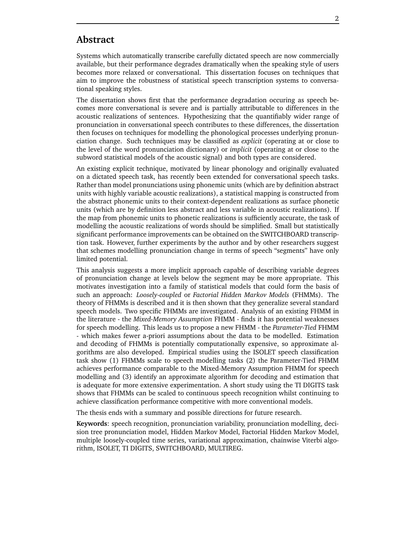#### **Abstract**

Systems which automatically transcribe carefully dictated speech are now commercially available, but their performance degrades dramatically when the speaking style of users becomes more relaxed or conversational. This dissertation focuses on techniques that aim to improve the robustness of statistical speech transcription systems to conversational speaking styles.

The dissertation shows first that the performance degradation occuring as speech becomes more conversational is severe and is partially attributable to differences in the acoustic realizations of sentences. Hypothesizing that the quantifiably wider range of pronunciation in conversational speech contributes to these differences, the dissertation then focuses on techniques for modelling the phonological processes underlying pronunciation change. Such techniques may be classified as *explicit* (operating at or close to the level of the word pronunciation dictionary) or *implicit* (operating at or close to the subword statistical models of the acoustic signal) and both types are considered.

An existing explicit technique, motivated by linear phonology and originally evaluated on a dictated speech task, has recently been extended for conversational speech tasks. Rather than model pronunciations using phonemic units (which are by definition abstract units with highly variable acoustic realizations), a statistical mapping is constructed from the abstract phonemic units to their context-dependent realizations as surface phonetic units (which are by definition less abstract and less variable in acoustic realizations). If the map from phonemic units to phonetic realizations is sufficiently accurate, the task of modelling the acoustic realizations of words should be simplified. Small but statistically significant performance improvements can be obtained on the SWITCHBOARD transcription task. However, further experiments by the author and by other researchers suggest that schemes modelling pronunciation change in terms of speech "segments" have only limited potential.

This analysis suggests a more implicit approach capable of describing variable degrees of pronunciation change at levels below the segment may be more appropriate. This motivates investigation into a family of statistical models that could form the basis of such an approach: *Loosely-coupled* or *Factorial Hidden Markov Models* (FHMMs). The theory of FHMMs is described and it is then shown that they generalize several standard speech models. Two specific FHMMs are investigated. Analysis of an existing FHMM in the literature - the *Mixed-Memory Assumption* FHMM - finds it has potential weaknesses for speech modelling. This leads us to propose a new FHMM - the *Parameter-Tied* FHMM - which makes fewer a-priori assumptions about the data to be modelled. Estimation and decoding of FHMMs is potentially computationally expensive, so approximate algorithms are also developed. Empirical studies using the ISOLET speech classification task show (1) FHMMs scale to speech modelling tasks (2) the Parameter-Tied FHMM achieves performance comparable to the Mixed-Memory Assumption FHMM for speech modelling and (3) identify an approximate algorithm for decoding and estimation that is adequate for more extensive experimentation. A short study using the TI DIGITS task shows that FHMMs can be scaled to continuous speech recognition whilst continuing to achieve classification performance competitive with more conventional models.

The thesis ends with a summary and possible directions for future research.

**Keywords**: speech recognition, pronunciation variability, pronunciation modelling, decision tree pronunciation model, Hidden Markov Model, Factorial Hidden Markov Model, multiple loosely-coupled time series, variational approximation, chainwise Viterbi algorithm, ISOLET, TI DIGITS, SWITCHBOARD, MULTIREG.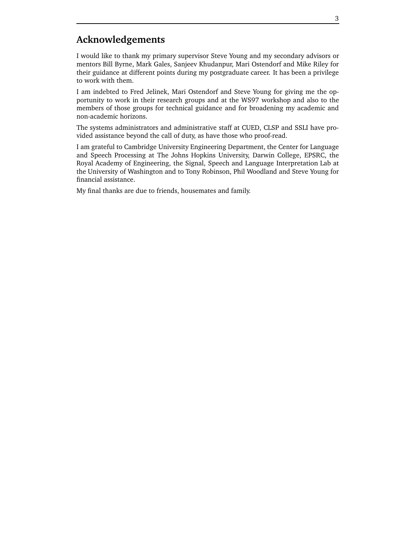## **Acknowledgements**

I would like to thank my primary supervisor Steve Young and my secondary advisors or mentors Bill Byrne, Mark Gales, Sanjeev Khudanpur, Mari Ostendorf and Mike Riley for their guidance at different points during my postgraduate career. It has been a privilege to work with them.

I am indebted to Fred Jelinek, Mari Ostendorf and Steve Young for giving me the opportunity to work in their research groups and at the WS97 workshop and also to the members of those groups for technical guidance and for broadening my academic and non-academic horizons.

The systems administrators and administrative staff at CUED, CLSP and SSLI have provided assistance beyond the call of duty, as have those who proof-read.

I am grateful to Cambridge University Engineering Department, the Center for Language and Speech Processing at The Johns Hopkins University, Darwin College, EPSRC, the Royal Academy of Engineering, the Signal, Speech and Language Interpretation Lab at the University of Washington and to Tony Robinson, Phil Woodland and Steve Young for financial assistance.

My final thanks are due to friends, housemates and family.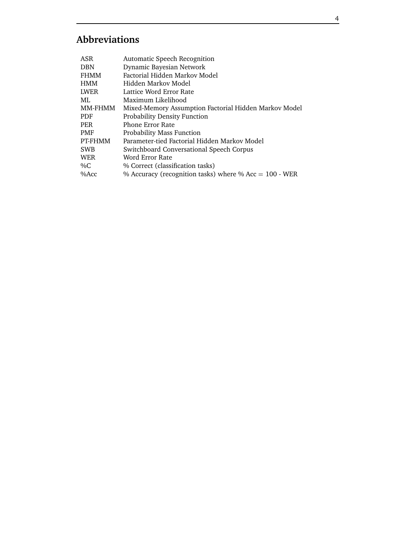## **Abbreviations**

| ASR         | <b>Automatic Speech Recognition</b>                      |
|-------------|----------------------------------------------------------|
| <b>DBN</b>  | Dynamic Bayesian Network                                 |
| <b>FHMM</b> | Factorial Hidden Markov Model                            |
| <b>HMM</b>  | Hidden Markov Model                                      |
| LWER        | Lattice Word Error Rate                                  |
| ML          | Maximum Likelihood                                       |
| MM-FHMM     | Mixed-Memory Assumption Factorial Hidden Markov Model    |
| <b>PDF</b>  | Probability Density Function                             |
| <b>PER</b>  | Phone Error Rate                                         |
| <b>PMF</b>  | <b>Probability Mass Function</b>                         |
| PT-FHMM     | Parameter-tied Factorial Hidden Markov Model             |
| <b>SWB</b>  | Switchboard Conversational Speech Corpus                 |
| WER         | Word Error Rate                                          |
| % $C$       | % Correct (classification tasks)                         |
| $%$ Acc     | % Accuracy (recognition tasks) where % Acc $= 100$ - WER |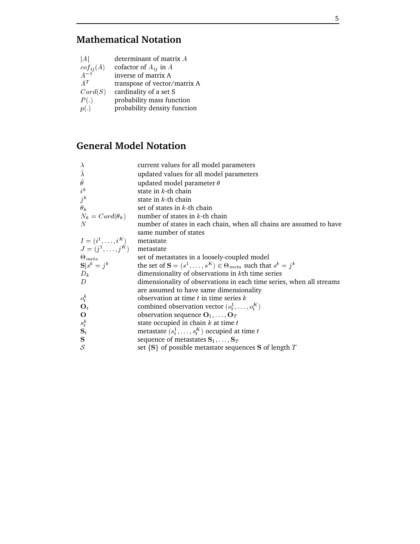## **Mathematical Notation**

| determinant of matrix A      |
|------------------------------|
| cofactor of $A_{ij}$ in A    |
| inverse of matrix A          |
| transpose of vector/matrix A |
| cardinality of a set S       |
| probability mass function    |
| probability density function |
|                              |

## **General Model Notation**

| $\lambda$                | current values for all model parameters                                     |
|--------------------------|-----------------------------------------------------------------------------|
| $\hat{\lambda}$          | updated values for all model parameters                                     |
| $\hat{\theta}$           | updated model parameter $\theta$                                            |
| $i^k$                    | state in $k$ -th chain                                                      |
| $j^k$                    | state in $k$ -th chain                                                      |
| $\theta_k$               | set of states in $k$ -th chain                                              |
|                          | $N_k = Card(\theta_k)$ number of states in k-th chain                       |
| N                        | number of states in each chain, when all chains are assumed to have         |
|                          | same number of states                                                       |
| $I = (i^1, \ldots, i^K)$ | metastate                                                                   |
| $J=(j^1,\ldots,j^K)$     | metastate                                                                   |
| $\Theta_{meta}$          | set of metastates in a loosely-coupled model                                |
| $S s^k = j^k$            | the set of $S = (s^1, \ldots, s^K) \in \Theta_{meta}$ such that $s^k = j^k$ |
| $D_k$                    | dimensionality of observations in $k$ th time series                        |
| D                        | dimensionality of observations in each time series, when all streams        |
|                          | are assumed to have same dimensionality                                     |
| $o_t^k$                  | observation at time $t$ in time series $k$                                  |
| $\mathbf{O}_t$           | combined observation vector $(o_t^1, \ldots, o_t^K)$                        |
| $\mathbf 0$              | observation sequence $O_1, \ldots, O_T$                                     |
| $s_t^k$                  | state occupied in chain $k$ at time $t$                                     |
| $\mathbf{S}_t$           | metastate $(s_t^1, \ldots, s_t^K)$ occupied at time t                       |
| S                        | sequence of metastates $S_1, \ldots, S_T$                                   |
| S                        | set $\{S\}$ of possible metastate sequences S of length T                   |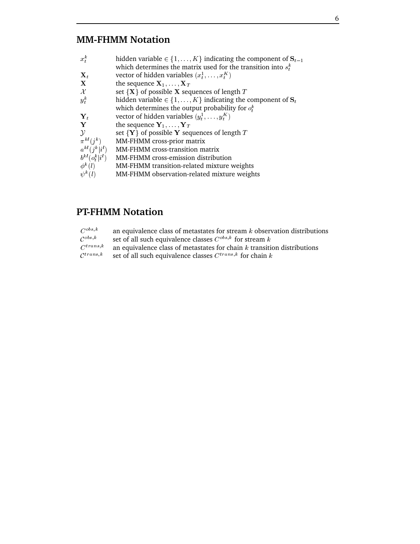## **MM-FHMM Notation**

| $x_i^k$         | hidden variable $\in \{1, \ldots, K\}$ indicating the component of $S_{t-1}$ |
|-----------------|------------------------------------------------------------------------------|
|                 | which determines the matrix used for the transition into $s_t^k$             |
| $\mathbf{X}_t$  | vector of hidden variables $(x_t^1, \ldots, x_t^K)$                          |
| $\mathbf x$     | the sequence $X_1, \ldots, X_T$                                              |
| X               | set $\{X\}$ of possible X sequences of length T                              |
| $y_t^k$         | hidden variable $\in \{1, \ldots, K\}$ indicating the component of $S_t$     |
|                 | which determines the output probability for $o_t^k$                          |
| $\mathbf{Y}_t$  | vector of hidden variables $(y_t^1, \ldots, y_t^K)$                          |
| Y               | the sequence $Y_1, \ldots, Y_T$                                              |
| $\mathcal{Y}$   | set ${Y}$ of possible Y sequences of length T                                |
| $\pi^{kl}(i^k)$ | MM-FHMM cross-prior matrix                                                   |
|                 | $a^{kl}(j^k i^l)$ MM-FHMM cross-transition matrix                            |
|                 | $b^{kl}(o_i^k i^l)$ MM-FHMM cross-emission distribution                      |
| $\phi^k(l)$     | MM-FHMM transition-related mixture weights                                   |
| $\psi^k(l)$     | MM-FHMM observation-related mixture weights                                  |
|                 |                                                                              |

## **PT-FHMM Notation**

| $C^{obs,k}$             | an equivalence class of metastates for stream $k$ observation distributions |
|-------------------------|-----------------------------------------------------------------------------|
| $\mathcal{C}^{obs,k}$   | set of all such equivalence classes $C^{obs,k}$ for stream k                |
| $C^{trans,k}$           | an equivalence class of metastates for chain $k$ transition distributions   |
| $\mathcal{C}^{trans,k}$ | set of all such equivalence classes $C^{trans,k}$ for chain k               |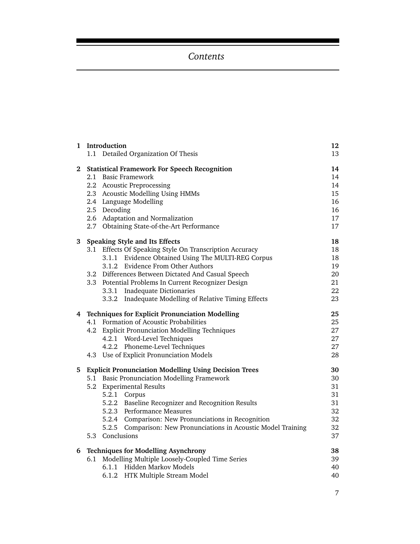## *Contents*

| 1            | Introduction |                                                                 | 12 |
|--------------|--------------|-----------------------------------------------------------------|----|
|              |              | 1.1 Detailed Organization Of Thesis                             | 13 |
| $\mathbf{2}$ |              | <b>Statistical Framework For Speech Recognition</b>             | 14 |
|              |              | 2.1 Basic Framework                                             | 14 |
|              |              | 2.2 Acoustic Preprocessing                                      | 14 |
|              |              | 2.3 Acoustic Modelling Using HMMs                               | 15 |
|              |              | 2.4 Language Modelling                                          | 16 |
|              | 2.5 Decoding |                                                                 | 16 |
|              |              | 2.6 Adaptation and Normalization                                | 17 |
|              |              | 2.7 Obtaining State-of-the-Art Performance                      | 17 |
| 3            |              | <b>Speaking Style and Its Effects</b>                           | 18 |
|              |              | 3.1 Effects Of Speaking Style On Transcription Accuracy         | 18 |
|              |              | 3.1.1 Evidence Obtained Using The MULTI-REG Corpus              | 18 |
|              |              | 3.1.2 Evidence From Other Authors                               | 19 |
|              | 3.2          | Differences Between Dictated And Casual Speech                  | 20 |
|              | 3.3          | Potential Problems In Current Recognizer Design                 | 21 |
|              |              | 3.3.1 Inadequate Dictionaries                                   | 22 |
|              |              | 3.3.2 Inadequate Modelling of Relative Timing Effects           | 23 |
|              |              | 4 Techniques for Explicit Pronunciation Modelling               | 25 |
|              |              | 4.1 Formation of Acoustic Probabilities                         | 25 |
|              |              | 4.2 Explicit Pronunciation Modelling Techniques                 | 27 |
|              |              | 4.2.1 Word-Level Techniques                                     | 27 |
|              |              | 4.2.2 Phoneme-Level Techniques                                  | 27 |
|              |              | 4.3 Use of Explicit Pronunciation Models                        | 28 |
| 5            |              | <b>Explicit Pronunciation Modelling Using Decision Trees</b>    | 30 |
|              |              | 5.1 Basic Pronunciation Modelling Framework                     | 30 |
|              |              | 5.2 Experimental Results                                        | 31 |
|              |              | 5.2.1 Corpus                                                    | 31 |
|              |              | 5.2.2 Baseline Recognizer and Recognition Results               | 31 |
|              |              | 5.2.3 Performance Measures                                      | 32 |
|              |              | 5.2.4 Comparison: New Pronunciations in Recognition             | 32 |
|              |              | 5.2.5 Comparison: New Pronunciations in Acoustic Model Training | 32 |
|              |              | 5.3 Conclusions                                                 | 37 |
| 6            |              | <b>Techniques for Modelling Asynchrony</b>                      | 38 |
|              |              | 6.1 Modelling Multiple Loosely-Coupled Time Series              | 39 |
|              |              | 6.1.1 Hidden Markov Models                                      | 40 |
|              |              | 6.1.2 HTK Multiple Stream Model                                 | 40 |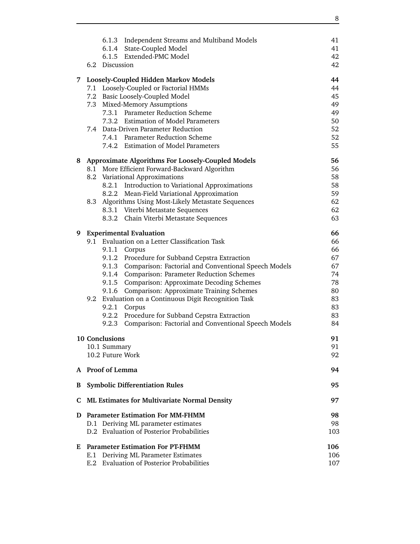|    |            | 6.2 Discussion                                            | 6.1.3 Independent Streams and Multiband Models<br>6.1.4 State-Coupled Model<br>6.1.5 Extended-PMC Model                                                                                                                                                                                                                                                                                                                                                                                                                                                        | 41<br>41<br>42<br>42                                                 |
|----|------------|-----------------------------------------------------------|----------------------------------------------------------------------------------------------------------------------------------------------------------------------------------------------------------------------------------------------------------------------------------------------------------------------------------------------------------------------------------------------------------------------------------------------------------------------------------------------------------------------------------------------------------------|----------------------------------------------------------------------|
| 7  | 7.4        |                                                           | Loosely-Coupled Hidden Markov Models<br>7.1 Loosely-Coupled or Factorial HMMs<br>7.2 Basic Loosely-Coupled Model<br>7.3 Mixed-Memory Assumptions<br>7.3.1 Parameter Reduction Scheme<br>7.3.2 Estimation of Model Parameters<br>Data-Driven Parameter Reduction<br>7.4.1 Parameter Reduction Scheme<br>7.4.2 Estimation of Model Parameters                                                                                                                                                                                                                    | 44<br>44<br>45<br>49<br>49<br>50<br>52<br>52<br>55                   |
|    | 8.3        |                                                           | 8 Approximate Algorithms For Loosely-Coupled Models<br>8.1 More Efficient Forward-Backward Algorithm<br>8.2 Variational Approximations<br>8.2.1 Introduction to Variational Approximations<br>8.2.2 Mean-Field Variational Approximation<br>Algorithms Using Most-Likely Metastate Sequences                                                                                                                                                                                                                                                                   | 56<br>56<br>58<br>58<br>59<br>62                                     |
|    |            |                                                           | 8.3.1 Viterbi Metastate Sequences<br>8.3.2 Chain Viterbi Metastate Sequences                                                                                                                                                                                                                                                                                                                                                                                                                                                                                   | 62<br>63                                                             |
| 9. |            |                                                           | <b>Experimental Evaluation</b><br>9.1 Evaluation on a Letter Classification Task<br>9.1.1 Corpus<br>9.1.2 Procedure for Subband Cepstra Extraction<br>9.1.3 Comparison: Factorial and Conventional Speech Models<br>9.1.4 Comparison: Parameter Reduction Schemes<br>9.1.5 Comparison: Approximate Decoding Schemes<br>9.1.6 Comparison: Approximate Training Schemes<br>9.2 Evaluation on a Continuous Digit Recognition Task<br>9.2.1 Corpus<br>9.2.2 Procedure for Subband Cepstra Extraction<br>9.2.3 Comparison: Factorial and Conventional Speech Models | 66<br>66<br>66<br>67<br>67<br>74<br>78<br>80<br>83<br>83<br>83<br>84 |
|    |            | <b>10 Conclusions</b><br>10.1 Summary<br>10.2 Future Work |                                                                                                                                                                                                                                                                                                                                                                                                                                                                                                                                                                | 91<br>91<br>92                                                       |
|    |            | A Proof of Lemma                                          |                                                                                                                                                                                                                                                                                                                                                                                                                                                                                                                                                                | 94                                                                   |
| B  |            |                                                           | <b>Symbolic Differentiation Rules</b>                                                                                                                                                                                                                                                                                                                                                                                                                                                                                                                          | 95                                                                   |
|    |            |                                                           | <b>C</b> ML Estimates for Multivariate Normal Density                                                                                                                                                                                                                                                                                                                                                                                                                                                                                                          | 97                                                                   |
|    |            |                                                           | D Parameter Estimation For MM-FHMM<br>D.1 Deriving ML parameter estimates<br>D.2 Evaluation of Posterior Probabilities                                                                                                                                                                                                                                                                                                                                                                                                                                         | 98<br>98<br>103                                                      |
|    | E.1<br>E.2 |                                                           | <b>E</b> Parameter Estimation For PT-FHMM<br>Deriving ML Parameter Estimates<br><b>Evaluation of Posterior Probabilities</b>                                                                                                                                                                                                                                                                                                                                                                                                                                   | 106<br>106<br>107                                                    |

8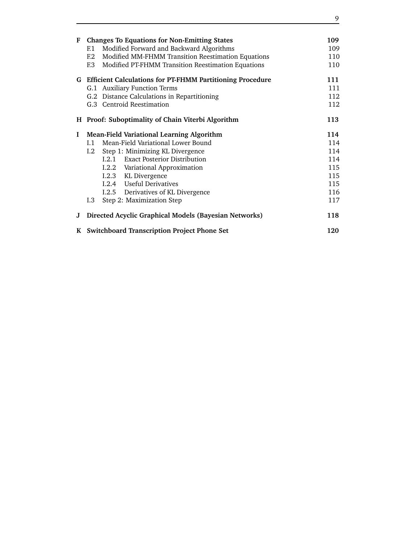| F. | <b>Changes To Equations for Non-Emitting States</b>                   | 109 |
|----|-----------------------------------------------------------------------|-----|
|    | Modified Forward and Backward Algorithms<br>F.1                       | 109 |
|    | Modified MM-FHMM Transition Reestimation Equations<br>F <sub>12</sub> | 110 |
|    | Modified PT-FHMM Transition Reestimation Equations<br>F <sub>13</sub> | 110 |
|    | <b>G</b> Efficient Calculations for PT-FHMM Partitioning Procedure    | 111 |
|    | G.1 Auxiliary Function Terms                                          | 111 |
|    | G.2 Distance Calculations in Repartitioning                           | 112 |
|    | G.3 Centroid Reestimation                                             | 112 |
|    | H Proof: Suboptimality of Chain Viterbi Algorithm                     | 113 |
| L  | <b>Mean-Field Variational Learning Algorithm</b>                      | 114 |
|    | Mean-Field Variational Lower Bound<br>L1                              | 114 |
|    | I.2 Step 1: Minimizing KL Divergence                                  | 114 |
|    | <b>I.2.1</b> Exact Posterior Distribution                             | 114 |
|    | I.2.2 Variational Approximation                                       | 115 |
|    | I.2.3 KL Divergence                                                   | 115 |
|    | I.2.4 Useful Derivatives                                              | 115 |
|    | I.2.5 Derivatives of KL Divergence                                    | 116 |
|    | Step 2: Maximization Step<br>1.3                                      | 117 |
| J  | Directed Acyclic Graphical Models (Bayesian Networks)                 | 118 |
|    | K Switchboard Transcription Project Phone Set                         | 120 |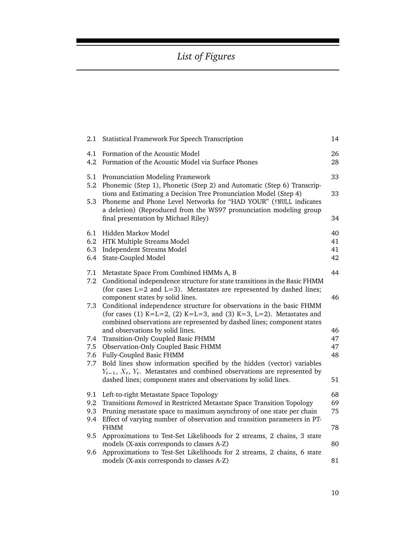## *List of Figures*

| 2.1        | Statistical Framework For Speech Transcription                                                                                                                                                                                                                                                                                | 14       |
|------------|-------------------------------------------------------------------------------------------------------------------------------------------------------------------------------------------------------------------------------------------------------------------------------------------------------------------------------|----------|
| 4.1<br>4.2 | Formation of the Acoustic Model<br>Formation of the Acoustic Model via Surface Phones                                                                                                                                                                                                                                         | 26<br>28 |
| 5.1        | Pronunciation Modeling Framework                                                                                                                                                                                                                                                                                              | 33       |
| 5.2<br>5.3 | Phonemic (Step 1), Phonetic (Step 2) and Automatic (Step 6) Transcrip-<br>tions and Estimating a Decision Tree Pronunciation Model (Step 4)<br>Phoneme and Phone Level Networks for "HAD YOUR" (!NULL indicates<br>a deletion) (Reproduced from the WS97 pronunciation modeling group<br>final presentation by Michael Riley) | 33<br>34 |
|            |                                                                                                                                                                                                                                                                                                                               |          |
| 6.1        | Hidden Markov Model                                                                                                                                                                                                                                                                                                           | 40       |
| 6.2        | HTK Multiple Streams Model                                                                                                                                                                                                                                                                                                    | 41       |
| 6.3        | Independent Streams Model                                                                                                                                                                                                                                                                                                     | 41       |
| 6.4        | State-Coupled Model                                                                                                                                                                                                                                                                                                           | 42       |
| 7.1        | Metastate Space From Combined HMMs A, B                                                                                                                                                                                                                                                                                       | 44       |
| 7.2        | Conditional independence structure for state transitions in the Basic FHMM<br>(for cases $L=2$ and $L=3$ ). Metastates are represented by dashed lines;<br>component states by solid lines.                                                                                                                                   | 46       |
| 7.3        | Conditional independence structure for observations in the basic FHMM<br>(for cases (1) $K=L=2$ , (2) $K=L=3$ , and (3) $K=3$ , $L=2$ ). Metastates and<br>combined observations are represented by dashed lines; component states                                                                                            |          |
|            | and observations by solid lines.                                                                                                                                                                                                                                                                                              | 46       |
| 7.4        | Transition-Only Coupled Basic FHMM                                                                                                                                                                                                                                                                                            | 47       |
| 7.5        | Observation-Only Coupled Basic FHMM                                                                                                                                                                                                                                                                                           | 47<br>48 |
| 7.6<br>7.7 | Fully-Coupled Basic FHMM<br>Bold lines show information specified by the hidden (vector) variables<br>$Y_{t-1}$ , $X_t$ , $Y_t$ . Metastates and combined observations are represented by                                                                                                                                     |          |
|            | dashed lines; component states and observations by solid lines.                                                                                                                                                                                                                                                               | 51       |
| 9.1        | Left-to-right Metastate Space Topology                                                                                                                                                                                                                                                                                        | 68       |
| 9.2        | Transitions Removed in Restricted Metastate Space Transition Topology                                                                                                                                                                                                                                                         | 69       |
| 9.3        | Pruning metastate space to maximum asynchrony of one state per chain                                                                                                                                                                                                                                                          | 75       |
| 9.4        | Effect of varying number of observation and transition parameters in PT-<br><b>FHMM</b>                                                                                                                                                                                                                                       | 78       |
| 9.5        | Approximations to Test-Set Likelihoods for 2 streams, 2 chains, 3 state                                                                                                                                                                                                                                                       |          |
| 9.6        | models (X-axis corresponds to classes A-Z)<br>Approximations to Test-Set Likelihoods for 2 streams, 2 chains, 6 state                                                                                                                                                                                                         | 80       |
|            | models (X-axis corresponds to classes A-Z)                                                                                                                                                                                                                                                                                    | 81       |

۰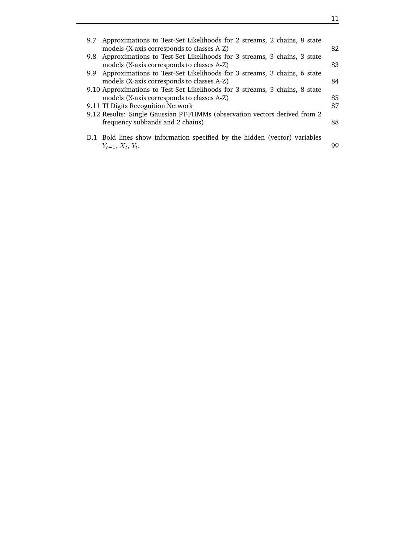| 9.7 Approximations to Test-Set Likelihoods for 2 streams, 2 chains, 8 state<br>models (X-axis corresponds to classes A-Z) | 82. |
|---------------------------------------------------------------------------------------------------------------------------|-----|
| 9.8 Approximations to Test-Set Likelihoods for 3 streams, 3 chains, 3 state                                               |     |
| models (X-axis corresponds to classes A-Z)                                                                                | 83  |
| 9.9 Approximations to Test-Set Likelihoods for 3 streams, 3 chains, 6 state                                               |     |
| models (X-axis corresponds to classes A-Z)                                                                                | 84  |
| 9.10 Approximations to Test-Set Likelihoods for 3 streams, 3 chains, 8 state                                              |     |
| models (X-axis corresponds to classes A-Z)                                                                                | 85  |
| 9.11 TI Digits Recognition Network                                                                                        | 87  |
| 9.12 Results: Single Gaussian PT-FHMMs (observation vectors derived from 2                                                |     |
| frequency subbands and 2 chains)                                                                                          | 88  |
| D.1 Bold lines show information specified by the hidden (vector) variables                                                |     |
| $Y_{t-1}, X_t, Y_t$                                                                                                       | gg  |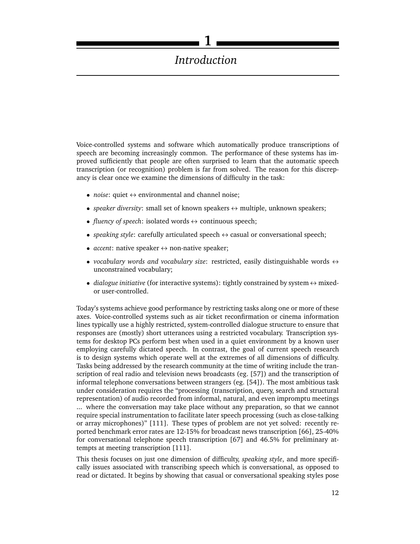## *Introduction*

**1**

Voice-controlled systems and software which automatically produce transcriptions of speech are becoming increasingly common. The performance of these systems has improved sufficiently that people are often surprised to learn that the automatic speech transcription (or recognition) problem is far from solved. The reason for this discrepancy is clear once we examine the dimensions of difficulty in the task:

- *noise*: quiet  $\leftrightarrow$  environmental and channel noise;
- *speaker diversity*: small set of known speakers  $\leftrightarrow$  multiple, unknown speakers;
- *fluency of speech*: isolated words  $\leftrightarrow$  continuous speech;
- speaking style: carefully articulated speech  $\leftrightarrow$  casual or conversational speech;
- $accept:$  native speaker  $\leftrightarrow$  non-native speaker;
- *vocabulary words and vocabulary size*: restricted, easily distinguishable words  $\leftrightarrow$ unconstrained vocabulary;
- dialogue initiative (for interactive systems): tightly constrained by system  $\leftrightarrow$  mixedor user-controlled.

Today's systems achieve good performance by restricting tasks along one or more of these axes. Voice-controlled systems such as air ticket reconfirmation or cinema information lines typically use a highly restricted, system-controlled dialogue structure to ensure that responses are (mostly) short utterances using a restricted vocabulary. Transcription systems for desktop PCs perform best when used in a quiet environment by a known user employing carefully dictated speech. In contrast, the goal of current speech research is to design systems which operate well at the extremes of all dimensions of difficulty. Tasks being addressed by the research community at the time of writing include the transcription of real radio and television news broadcasts (eg. [57]) and the transcription of informal telephone conversations between strangers (eg. [54]). The most ambitious task under consideration requires the "processing (transcription, query, search and structural representation) of audio recorded from informal, natural, and even impromptu meetings

... where the conversation may take place without any preparation, so that we cannot require special instrumentation to facilitate later speech processing (such as close-talking or array microphones)" [111]. These types of problem are not yet solved: recently reported benchmark error rates are 12-15% for broadcast news transcription [66], 25-40% for conversational telephone speech transcription [67] and 46.5% for preliminary attempts at meeting transcription [111].

This thesis focuses on just one dimension of difficulty, *speaking style*, and more specifically issues associated with transcribing speech which is conversational, as opposed to read or dictated. It begins by showing that casual or conversational speaking styles pose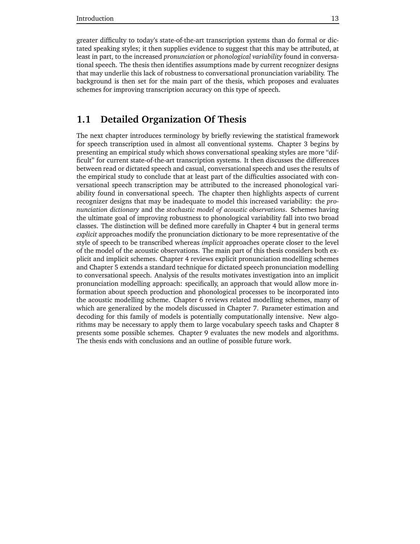greater difficulty to today's state-of-the-art transcription systems than do formal or dictated speaking styles; it then supplies evidence to suggest that this may be attributed, at least in part, to the increased *pronunciation* or *phonological variability* found in conversational speech. The thesis then identifies assumptions made by current recognizer designs that may underlie this lack of robustness to conversational pronunciation variability. The background is then set for the main part of the thesis, which proposes and evaluates schemes for improving transcription accuracy on this type of speech.

### **1.1 Detailed Organization Of Thesis**

The next chapter introduces terminology by briefly reviewing the statistical framework for speech transcription used in almost all conventional systems. Chapter 3 begins by presenting an empirical study which shows conversational speaking styles are more "difficult" for current state-of-the-art transcription systems. It then discusses the differences between read or dictated speech and casual, conversational speech and uses the results of the empirical study to conclude that at least part of the difficulties associated with conversational speech transcription may be attributed to the increased phonological variability found in conversational speech. The chapter then highlights aspects of current recognizer designs that may be inadequate to model this increased variability: the *pronunciation dictionary* and the *stochastic model of acoustic observations*. Schemes having the ultimate goal of improving robustness to phonological variability fall into two broad classes. The distinction will be defined more carefully in Chapter 4 but in general terms *explicit* approaches modify the pronunciation dictionary to be more representative of the style of speech to be transcribed whereas *implicit* approaches operate closer to the level of the model of the acoustic observations. The main part of this thesis considers both explicit and implicit schemes. Chapter 4 reviews explicit pronunciation modelling schemes and Chapter 5 extends a standard technique for dictated speech pronunciation modelling to conversational speech. Analysis of the results motivates investigation into an implicit pronunciation modelling approach: specifically, an approach that would allow more information about speech production and phonological processes to be incorporated into the acoustic modelling scheme. Chapter 6 reviews related modelling schemes, many of which are generalized by the models discussed in Chapter 7. Parameter estimation and decoding for this family of models is potentially computationally intensive. New algorithms may be necessary to apply them to large vocabulary speech tasks and Chapter 8 presents some possible schemes. Chapter 9 evaluates the new models and algorithms. The thesis ends with conclusions and an outline of possible future work.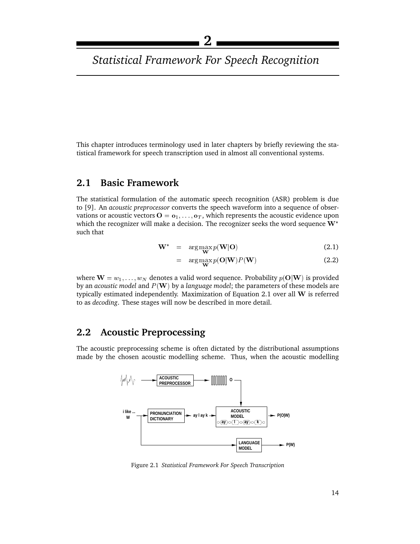## *Statistical Framework For Speech Recognition*

This chapter introduces terminology used in later chapters by briefly reviewing the statistical framework for speech transcription used in almost all conventional systems.

### **2.1 Basic Framework**

The statistical formulation of the automatic speech recognition (ASR) problem is due to [9]. An *acoustic preprocessor* converts the speech waveform into a sequence of observations or acoustic vectors  $\mathbf{O} = \mathbf{o}_1, \dots, \mathbf{o}_T$ , which represents the acoustic evidence upon which the recognizer will make a decision. The recognizer seeks the word sequence  $W^*$ such that

$$
\mathbf{W}^* = \arg \max_{\mathbf{W}} p(\mathbf{W}|\mathbf{O}) \tag{2.1}
$$

$$
= \arg \max_{\mathbf{W}} p(\mathbf{O}|\mathbf{W}) P(\mathbf{W}) \tag{2.2}
$$

where  $\mathbf{W} = w_1, \dots, w_N$  denotes a valid word sequence. Probability  $p(\mathbf{O}|\mathbf{W})$  is provided by an *acoustic model* and <sup>P</sup> (W) by a *language model*; the parameters of these models are typically estimated independently. Maximization of Equation 2.1 over all <sup>W</sup> is referred to as *decoding*. These stages will now be described in more detail.

#### **2.2 Acoustic Preprocessing**

The acoustic preprocessing scheme is often dictated by the distributional assumptions made by the chosen acoustic modelling scheme. Thus, when the acoustic modelling



Figure 2.1 *Statistical Framework For Speech Transcription*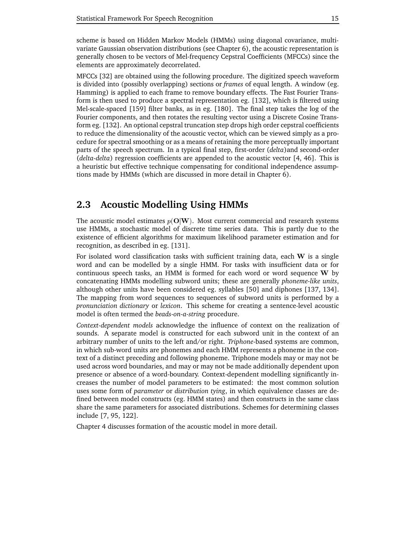scheme is based on Hidden Markov Models (HMMs) using diagonal covariance, multivariate Gaussian observation distributions (see Chapter 6), the acoustic representation is generally chosen to be vectors of Mel-frequency Cepstral Coefficients (MFCCs) since the elements are approximately decorrelated.

MFCCs [32] are obtained using the following procedure. The digitized speech waveform is divided into (possibly overlapping) sections or *frames* of equal length. A window (eg. Hamming) is applied to each frame to remove boundary effects. The Fast Fourier Transform is then used to produce a spectral representation eg. [132], which is filtered using Mel-scale-spaced [159] filter banks, as in eg. [180]. The final step takes the log of the Fourier components, and then rotates the resulting vector using a Discrete Cosine Transform eg. [132]. An optional cepstral truncation step drops high order cepstral coefficients to reduce the dimensionality of the acoustic vector, which can be viewed simply as a procedure for spectral smoothing or as a means of retaining the more perceptually important parts of the speech spectrum. In a typical final step, first-order (*delta*)and second-order (*delta-delta*) regression coefficients are appended to the acoustic vector [4, 46]. This is a heuristic but effective technique compensating for conditional independence assumptions made by HMMs (which are discussed in more detail in Chapter 6).

## **2.3 Acoustic Modelling Using HMMs**

The acoustic model estimates  $p(\mathbf{O}|\mathbf{W})$ . Most current commercial and research systems use HMMs, a stochastic model of discrete time series data. This is partly due to the existence of efficient algorithms for maximum likelihood parameter estimation and for recognition, as described in eg. [131].

For isolated word classification tasks with sufficient training data, each  $W$  is a single word and can be modelled by a single HMM. For tasks with insufficient data or for continuous speech tasks, an HMM is formed for each word or word sequence <sup>W</sup> by concatenating HMMs modelling subword units; these are generally *phoneme-like units*, although other units have been considered eg. syllables [50] and diphones [137, 134]. The mapping from word sequences to sequences of subword units is performed by a *pronunciation dictionary* or *lexicon*. This scheme for creating a sentence-level acoustic model is often termed the *beads-on-a-string* procedure.

*Context-dependent models* acknowledge the influence of context on the realization of sounds. A separate model is constructed for each subword unit in the context of an arbitrary number of units to the left and/or right. *Triphone*-based systems are common, in which sub-word units are phonemes and each HMM represents a phoneme in the context of a distinct preceding and following phoneme. Triphone models may or may not be used across word boundaries, and may or may not be made additionally dependent upon presence or absence of a word-boundary. Context-dependent modelling significantly increases the number of model parameters to be estimated: the most common solution uses some form of *parameter* or *distribution tying*, in which equivalence classes are defined between model constructs (eg. HMM states) and then constructs in the same class share the same parameters for associated distributions. Schemes for determining classes include [7, 95, 122].

Chapter 4 discusses formation of the acoustic model in more detail.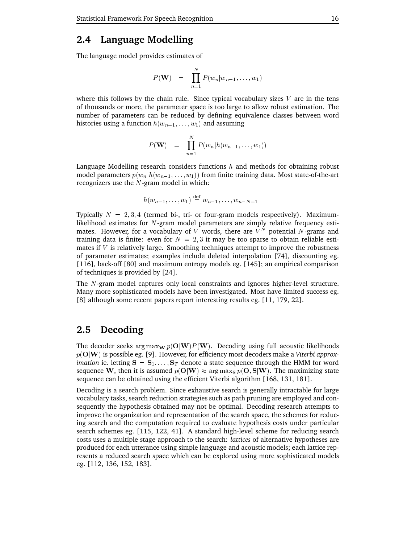#### **2.4 Language Modelling**

The language model provides estimates of

$$
P(\mathbf{W}) = \prod_{n=1}^{N} P(w_n | w_{n-1}, \dots, w_1)
$$

where this follows by the chain rule. Since typical vocabulary sizes  $V$  are in the tens of thousands or more, the parameter space is too large to allow robust estimation. The number of parameters can be reduced by defining equivalence classes between word histories using a function  $h(w_{n-1},...,w_1)$  and assuming

$$
P(\mathbf{W}) = \prod_{n=1}^{N} P(w_n | h(w_{n-1}, \ldots, w_1))
$$

Language Modelling research considers functions  $h$  and methods for obtaining robust model parameters  $p(w_n|h(w_{n-1},...,w_1))$  from finite training data. Most state-of-the-art recognizers use the  $N$ -gram model in which:

$$
h(w_{n-1},\ldots,w_1)\stackrel{\scriptscriptstyle\rm def}{=} w_{n-1},\ldots,w_{n-N+1}
$$

Typically  $N = 2, 3, 4$  (termed bi-, tri- or four-gram models respectively). Maximumlikelihood estimates for <sup>N</sup>-gram model parameters are simply relative frequency estimates. However, for a vocabulary of V words, there are  $V^N$  potential N-grams and training data is finite: even for  $N = 2, 3$  it may be too sparse to obtain reliable estimates if  $V$  is relatively large. Smoothing techniques attempt to improve the robustness of parameter estimates; examples include deleted interpolation [74], discounting eg. [116], back-off [80] and maximum entropy models eg. [145]; an empirical comparison of techniques is provided by [24].

The <sup>N</sup>-gram model captures only local constraints and ignores higher-level structure. Many more sophisticated models have been investigated. Most have limited success eg. [8] although some recent papers report interesting results eg. [11, 179, 22].

#### **2.5 Decoding**

The decoder seeks  $\arg \max_{\mathbf{W}} p(\mathbf{O}|\mathbf{W})P(\mathbf{W})$ . Decoding using full acoustic likelihoods p(OjW) is possible eg. [9]. However, for efficiency most decoders make a *Viterbi approximation* ie. letting  $S = S_1, \ldots, S_T$  denote a state sequence through the HMM for word sequence W, then it is assumed  $p(\mathbf{O}|\mathbf{W}) \approx \arg \max_{\mathbf{S}} p(\mathbf{O}, \mathbf{S}|\mathbf{W})$ . The maximizing state sequence can be obtained using the efficient Viterbi algorithm [168, 131, 181].

Decoding is a search problem. Since exhaustive search is generally intractable for large vocabulary tasks, search reduction strategies such as path pruning are employed and consequently the hypothesis obtained may not be optimal. Decoding research attempts to improve the organization and representation of the search space, the schemes for reducing search and the computation required to evaluate hypothesis costs under particular search schemes eg. [115, 122, 41]. A standard high-level scheme for reducing search costs uses a multiple stage approach to the search: *lattices* of alternative hypotheses are produced for each utterance using simple language and acoustic models; each lattice represents a reduced search space which can be explored using more sophisticated models eg. [112, 136, 152, 183].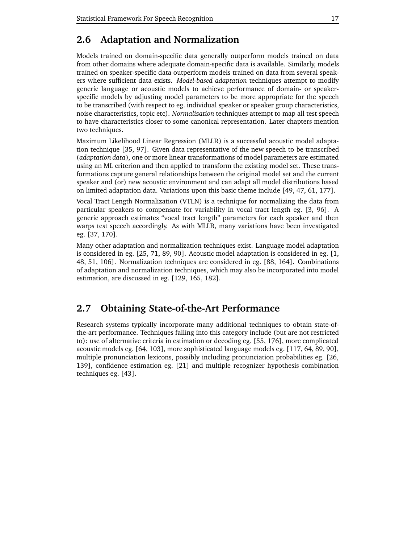## **2.6 Adaptation and Normalization**

Models trained on domain-specific data generally outperform models trained on data from other domains where adequate domain-specific data is available. Similarly, models trained on speaker-specific data outperform models trained on data from several speakers where sufficient data exists. *Model-based adaptation* techniques attempt to modify generic language or acoustic models to achieve performance of domain- or speakerspecific models by adjusting model parameters to be more appropriate for the speech to be transcribed (with respect to eg. individual speaker or speaker group characteristics, noise characteristics, topic etc). *Normalization* techniques attempt to map all test speech to have characteristics closer to some canonical representation. Later chapters mention two techniques.

Maximum Likelihood Linear Regression (MLLR) is a successful acoustic model adaptation technique [35, 97]. Given data representative of the new speech to be transcribed (*adaptation data*), one or more linear transformations of model parameters are estimated using an ML criterion and then applied to transform the existing model set. These transformations capture general relationships between the original model set and the current speaker and (or) new acoustic environment and can adapt all model distributions based on limited adaptation data. Variations upon this basic theme include [49, 47, 61, 177].

Vocal Tract Length Normalization (VTLN) is a technique for normalizing the data from particular speakers to compensate for variability in vocal tract length eg. [3, 96]. A generic approach estimates "vocal tract length" parameters for each speaker and then warps test speech accordingly. As with MLLR, many variations have been investigated eg. [37, 170].

Many other adaptation and normalization techniques exist. Language model adaptation is considered in eg. [25, 71, 89, 90]. Acoustic model adaptation is considered in eg. [1, 48, 51, 106]. Normalization techniques are considered in eg. [88, 164]. Combinations of adaptation and normalization techniques, which may also be incorporated into model estimation, are discussed in eg. [129, 165, 182].

## **2.7 Obtaining State-of-the-Art Performance**

Research systems typically incorporate many additional techniques to obtain state-ofthe-art performance. Techniques falling into this category include (but are not restricted to): use of alternative criteria in estimation or decoding eg. [55, 176], more complicated acoustic models eg. [64, 103], more sophisticated language models eg. [117, 64, 89, 90], multiple pronunciation lexicons, possibly including pronunciation probabilities eg. [26, 139], confidence estimation eg. [21] and multiple recognizer hypothesis combination techniques eg. [43].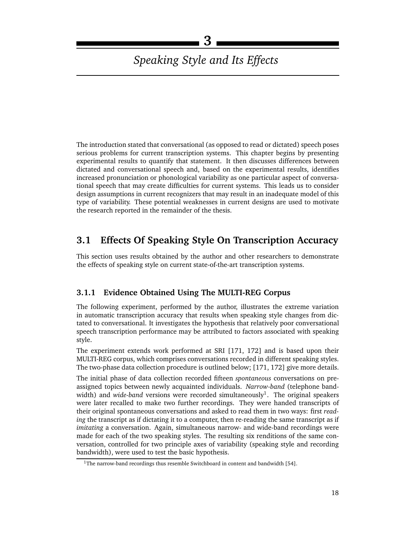## *Speaking Style and Its Effects*

The introduction stated that conversational (as opposed to read or dictated) speech poses serious problems for current transcription systems. This chapter begins by presenting experimental results to quantify that statement. It then discusses differences between dictated and conversational speech and, based on the experimental results, identifies increased pronunciation or phonological variability as one particular aspect of conversational speech that may create difficulties for current systems. This leads us to consider design assumptions in current recognizers that may result in an inadequate model of this type of variability. These potential weaknesses in current designs are used to motivate the research reported in the remainder of the thesis.

### **3.1 Effects Of Speaking Style On Transcription Accuracy**

This section uses results obtained by the author and other researchers to demonstrate the effects of speaking style on current state-of-the-art transcription systems.

#### **3.1.1 Evidence Obtained Using The MULTI-REG Corpus**

The following experiment, performed by the author, illustrates the extreme variation in automatic transcription accuracy that results when speaking style changes from dictated to conversational. It investigates the hypothesis that relatively poor conversational speech transcription performance may be attributed to factors associated with speaking style.

The experiment extends work performed at SRI [171, 172] and is based upon their MULTI-REG corpus, which comprises conversations recorded in different speaking styles. The two-phase data collection procedure is outlined below; [171, 172] give more details.

The initial phase of data collection recorded fifteen *spontaneous* conversations on preassigned topics between newly acquainted individuals. *Narrow-band* (telephone bandwidth) and *wide-band* versions were recorded simultaneously<sup>1</sup>. The original speakers were later recalled to make two further recordings. They were handed transcripts of their original spontaneous conversations and asked to read them in two ways: first *reading* the transcript as if dictating it to a computer, then re-reading the same transcript as if *imitating* a conversation. Again, simultaneous narrow- and wide-band recordings were made for each of the two speaking styles. The resulting six renditions of the same conversation, controlled for two principle axes of variability (speaking style and recording bandwidth), were used to test the basic hypothesis.

 $1$ The narrow-band recordings thus resemble Switchboard in content and bandwidth [54].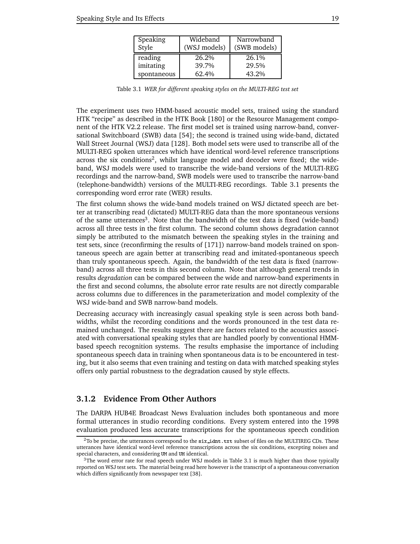| Speaking    | Wideband     | Narrowband   |
|-------------|--------------|--------------|
| Style       | (WSJ models) | (SWB models) |
| reading     | 26.2%        | 26.1%        |
| imitating   | 39.7%        | 29.5%        |
| spontaneous | 62.4%        | 43.2%        |

Table 3.1 *WER for different speaking styles on the MULTI-REG test set*

The experiment uses two HMM-based acoustic model sets, trained using the standard HTK "recipe" as described in the HTK Book [180] or the Resource Management component of the HTK V2.2 release. The first model set is trained using narrow-band, conversational Switchboard (SWB) data [54]; the second is trained using wide-band, dictated Wall Street Journal (WSJ) data [128]. Both model sets were used to transcribe all of the MULTI-REG spoken utterances which have identical word-level reference transcriptions across the six conditions<sup>2</sup>, whilst language model and decoder were fixed; the wideband, WSJ models were used to transcribe the wide-band versions of the MULTI-REG recordings and the narrow-band, SWB models were used to transcribe the narrow-band (telephone-bandwidth) versions of the MULTI-REG recordings. Table 3.1 presents the corresponding word error rate (WER) results.

The first column shows the wide-band models trained on WSJ dictated speech are better at transcribing read (dictated) MULTI-REG data than the more spontaneous versions of the same utterances<sup>3</sup>. Note that the bandwidth of the test data is fixed (wide-band) across all three tests in the first column. The second column shows degradation cannot simply be attributed to the mismatch between the speaking styles in the training and test sets, since (reconfirming the results of [171]) narrow-band models trained on spontaneous speech are again better at transcribing read and imitated-spontaneous speech than truly spontaneous speech. Again, the bandwidth of the test data is fixed (narrowband) across all three tests in this second column. Note that although general trends in results *degradation* can be compared between the wide and narrow-band experiments in the first and second columns, the absolute error rate results are not directly comparable across columns due to differences in the parameterization and model complexity of the WSJ wide-band and SWB narrow-band models.

Decreasing accuracy with increasingly casual speaking style is seen across both bandwidths, whilst the recording conditions and the words pronounced in the test data remained unchanged. The results suggest there are factors related to the acoustics associated with conversational speaking styles that are handled poorly by conventional HMMbased speech recognition systems. The results emphasise the importance of including spontaneous speech data in training when spontaneous data is to be encountered in testing, but it also seems that even training and testing on data with matched speaking styles offers only partial robustness to the degradation caused by style effects.

#### **3.1.2 Evidence From Other Authors**

The DARPA HUB4E Broadcast News Evaluation includes both spontaneous and more formal utterances in studio recording conditions. Every system entered into the 1998 evaluation produced less accurate transcriptions for the spontaneous speech condition

 $^{2}$ To be precise, the utterances correspond to the six-idnt.txt subset of files on the MULTIREG CDs. These utterances have identical word-level reference transcriptions across the six conditions, excepting noises and special characters, and considering UM and UH identical.

 $3$ The word error rate for read speech under WSJ models in Table 3.1 is much higher than those typically reported on WSJ test sets. The material being read here however is the transcript of a spontaneous conversation which differs significantly from newspaper text [38].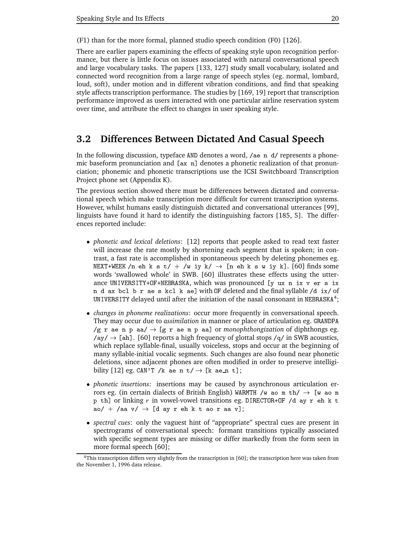(F1) than for the more formal, planned studio speech condition (F0) [126].

There are earlier papers examining the effects of speaking style upon recognition performance, but there is little focus on issues associated with natural conversational speech and large vocabulary tasks. The papers [133, 127] study small vocabulary, isolated and connected word recognition from a large range of speech styles (eg. normal, lombard, loud, soft), under motion and in different vibration conditions, and find that speaking style affects transcription performance. The studies by [169, 19] report that transcription performance improved as users interacted with one particular airline reservation system over time, and attribute the effect to changes in user speaking style.

### **3.2 Differences Between Dictated And Casual Speech**

In the following discussion, typeface AND denotes a word, /ae n d/ represents a phonemic baseform pronunciation and  $[a \times n]$  denotes a phonetic realization of that pronunciation; phonemic and phonetic transcriptions use the ICSI Switchboard Transcription Project phone set (Appendix K).

The previous section showed there must be differences between dictated and conversational speech which make transcription more difficult for current transcription systems. However, whilst humans easily distinguish dictated and conversational utterances [99], linguists have found it hard to identify the distinguishing factors [185, 5]. The differences reported include:

- *phonetic and lexical deletions*: [12] reports that people asked to read text faster will increase the rate mostly by shortening each segment that is spoken; in contrast, a fast rate is accomplished in spontaneous speech by deleting phonemes eg. NEXT+WEEK/n eh k s t/ + /w iy k/  $\rightarrow$  [n eh k s w iy k]. [60] finds some words 'swallowed whole' in SWB. [60] illustrates these effects using the utterance UNIVERSITY+OF+NEBRASKA, which was pronounced [y ux <sup>n</sup> ix <sup>v</sup> er <sup>s</sup> ix n d ax bcl b r ae s kcl k ae] with OF deleted and the final syllable /d ix/ of UNIVERSITY delayed until after the initiation of the nasal consonant in NEBRASKA<sup>4</sup>;
- *changes in phoneme realizations*: occur more frequently in conversational speech. They may occur due to *assimilation* in manner or place of articulation eg. GRANDPA /g r ae n p aa/  $\rightarrow$  [g r ae m p aa] or *monophthongization* of diphthongs eg.  $\langle$ ay $/ \rightarrow$  [ah]. [60] reports a high frequency of glottal stops  $\langle q \rangle$  in SWB acoustics, which replace syllable-final, usually voiceless, stops and occur at the beginning of many syllable-initial vocalic segments. Such changes are also found near phonetic deletions, since adjacent phones are often modified in order to preserve intelligibility [12] eg. CAN'T /k ae n  $t$  /  $\rightarrow$  [k ae n t];
- *phonetic insertions*: insertions may be caused by asynchronous articulation errors eg. (in certain dialects of British English) WARMTH /w ao m th/  $\rightarrow$  [w ao m p th] or linking r in vowel-vowel transitions eg. DIRECTOR+OF /d ay r eh k t ao/ + /aa v/  $\rightarrow$  [d ay r eh k t ao r aa v];
- *spectral cues*: only the vaguest hint of "appropriate" spectral cues are present in spectrograms of conversational speech: formant transitions typically associated with specific segment types are missing or differ markedly from the form seen in more formal speech [60];

<sup>&</sup>lt;sup>4</sup>This transcription differs very slightly from the transcription in [60]; the transcription here was taken from the November 1, 1996 data release.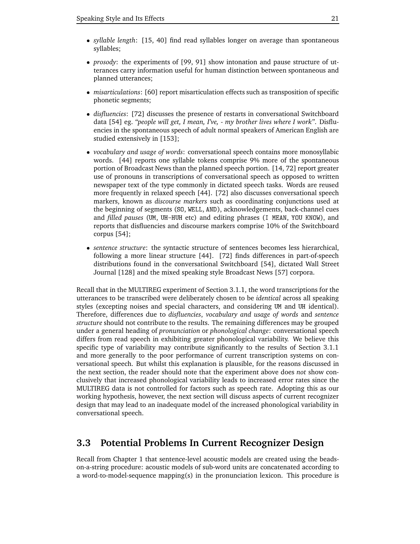- *syllable length*: [15, 40] find read syllables longer on average than spontaneous syllables;
- *prosody*: the experiments of [99, 91] show intonation and pause structure of utterances carry information useful for human distinction between spontaneous and planned utterances;
- *misarticulations*: [60] report misarticulation effects such as transposition of specific phonetic segments;
- *disfluencies*: [72] discusses the presence of restarts in conversational Switchboard data [54] eg. *"people will get, I mean, I've, - my brother lives where I work"*. Disfluencies in the spontaneous speech of adult normal speakers of American English are studied extensively in [153];
- *vocabulary and usage of words*: conversational speech contains more monosyllabic words. [44] reports one syllable tokens comprise 9% more of the spontaneous portion of Broadcast News than the planned speech portion. [14, 72] report greater use of pronouns in transcriptions of conversational speech as opposed to written newspaper text of the type commonly in dictated speech tasks. Words are reused more frequently in relaxed speech [44]. [72] also discusses conversational speech markers, known as *discourse markers* such as coordinating conjunctions used at the beginning of segments (SO, WELL, AND), acknowledgements, back-channel cues and *filled pauses* (UM, UH-HUH etc) and editing phrases (<sup>I</sup> MEAN, YOU KNOW), and reports that disfluencies and discourse markers comprise 10% of the Switchboard corpus [54];
- *sentence structure*: the syntactic structure of sentences becomes less hierarchical, following a more linear structure [44]. [72] finds differences in part-of-speech distributions found in the conversational Switchboard [54], dictated Wall Street Journal [128] and the mixed speaking style Broadcast News [57] corpora.

Recall that in the MULTIREG experiment of Section 3.1.1, the word transcriptions for the utterances to be transcribed were deliberately chosen to be *identical* across all speaking styles (excepting noises and special characters, and considering UM and UH identical). Therefore, differences due to *disfluencies*, *vocabulary and usage of words* and *sentence structure* should not contribute to the results. The remaining differences may be grouped under a general heading of *pronunciation* or *phonological change*: conversational speech differs from read speech in exhibiting greater phonological variability. We believe this specific type of variability may contribute significantly to the results of Section 3.1.1 and more generally to the poor performance of current transcription systems on conversational speech. But whilst this explanation is plausible, for the reasons discussed in the next section, the reader should note that the experiment above does *not* show conclusively that increased phonological variability leads to increased error rates since the MULTIREG data is not controlled for factors such as speech rate. Adopting this as our working hypothesis, however, the next section will discuss aspects of current recognizer design that may lead to an inadequate model of the increased phonological variability in conversational speech.

### **3.3 Potential Problems In Current Recognizer Design**

Recall from Chapter 1 that sentence-level acoustic models are created using the beadson-a-string procedure: acoustic models of sub-word units are concatenated according to a word-to-model-sequence mapping(s) in the pronunciation lexicon. This procedure is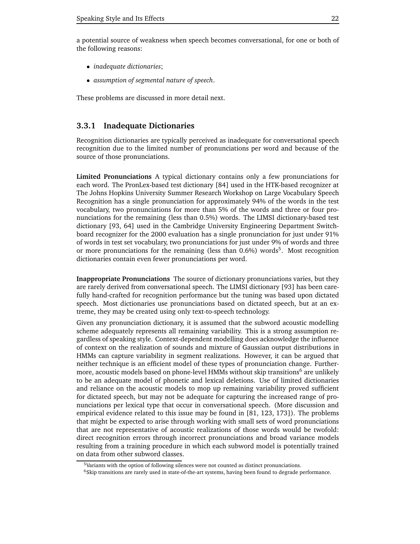a potential source of weakness when speech becomes conversational, for one or both of the following reasons:

- *inadequate dictionaries*;
- *assumption of segmental nature of speech*.

These problems are discussed in more detail next.

#### **3.3.1 Inadequate Dictionaries**

Recognition dictionaries are typically perceived as inadequate for conversational speech recognition due to the limited number of pronunciations per word and because of the source of those pronunciations.

**Limited Pronunciations** A typical dictionary contains only a few pronunciations for each word. The PronLex-based test dictionary [84] used in the HTK-based recognizer at The Johns Hopkins University Summer Research Workshop on Large Vocabulary Speech Recognition has a single pronunciation for approximately 94% of the words in the test vocabulary, two pronunciations for more than 5% of the words and three or four pronunciations for the remaining (less than 0.5%) words. The LIMSI dictionary-based test dictionary [93, 64] used in the Cambridge University Engineering Department Switchboard recognizer for the 2000 evaluation has a single pronunciation for just under 91% of words in test set vocabulary, two pronunciations for just under 9% of words and three or more pronunciations for the remaining (less than  $0.6\%$ ) words<sup>5</sup>. Most recognition dictionaries contain even fewer pronunciations per word.

**Inappropriate Pronunciations** The source of dictionary pronunciations varies, but they are rarely derived from conversational speech. The LIMSI dictionary [93] has been carefully hand-crafted for recognition performance but the tuning was based upon dictated speech. Most dictionaries use pronunciations based on dictated speech, but at an extreme, they may be created using only text-to-speech technology.

Given any pronunciation dictionary, it is assumed that the subword acoustic modelling scheme adequately represents all remaining variability. This is a strong assumption regardless of speaking style. Context-dependent modelling does acknowledge the influence of context on the realization of sounds and mixture of Gaussian output distributions in HMMs can capture variability in segment realizations. However, it can be argued that neither technique is an efficient model of these types of pronunciation change. Furthermore, acoustic models based on phone-level HMMs without skip transitions<sup>6</sup> are unlikely to be an adequate model of phonetic and lexical deletions. Use of limited dictionaries and reliance on the acoustic models to mop up remaining variability proved sufficient for dictated speech, but may not be adequate for capturing the increased range of pronunciations per lexical type that occur in conversational speech. (More discussion and empirical evidence related to this issue may be found in [81, 123, 173]). The problems that might be expected to arise through working with small sets of word pronunciations that are not representative of acoustic realizations of those words would be twofold: direct recognition errors through incorrect pronunciations and broad variance models resulting from a training procedure in which each subword model is potentially trained on data from other subword classes.

<sup>&</sup>lt;sup>5</sup>Variants with the option of following silences were not counted as distinct pronunciations.

<sup>&</sup>lt;sup>6</sup>Skip transitions are rarely used in state-of-the-art systems, having been found to degrade performance.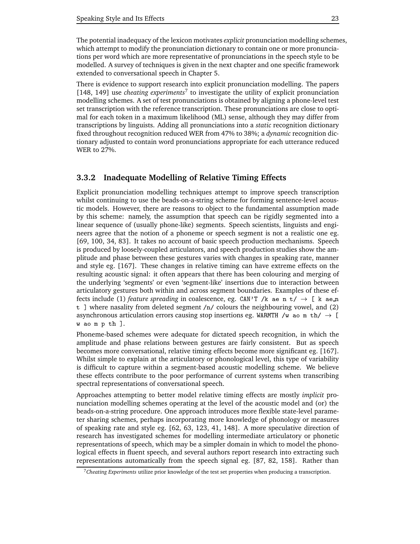The potential inadequacy of the lexicon motivates *explicit* pronunciation modelling schemes, which attempt to modify the pronunciation dictionary to contain one or more pronunciations per word which are more representative of pronunciations in the speech style to be modelled. A survey of techniques is given in the next chapter and one specific framework extended to conversational speech in Chapter 5.

There is evidence to support research into explicit pronunciation modelling. The papers [148, 149] use *cheating experiments*<sup>7</sup> to investigate the utility of explicit pronunciation modelling schemes. A set of test pronunciations is obtained by aligning a phone-level test set transcription with the reference transcription. These pronunciations are close to optimal for each token in a maximum likelihood (ML) sense, although they may differ from transcriptions by linguists. Adding all pronunciations into a *static* recognition dictionary fixed throughout recognition reduced WER from 47% to 38%; a *dynamic* recognition dictionary adjusted to contain word pronunciations appropriate for each utterance reduced WER to 27%.

#### **3.3.2 Inadequate Modelling of Relative Timing Effects**

Explicit pronunciation modelling techniques attempt to improve speech transcription whilst continuing to use the beads-on-a-string scheme for forming sentence-level acoustic models. However, there are reasons to object to the fundamental assumption made by this scheme: namely, the assumption that speech can be rigidly segmented into a linear sequence of (usually phone-like) segments. Speech scientists, linguists and engineers agree that the notion of a phoneme or speech segment is not a realistic one eg. [69, 100, 34, 83]. It takes no account of basic speech production mechanisms. Speech is produced by loosely-coupled articulators, and speech production studies show the amplitude and phase between these gestures varies with changes in speaking rate, manner and style eg. [167]. These changes in relative timing can have extreme effects on the resulting acoustic signal: it often appears that there has been colouring and merging of the underlying 'segments' or even 'segment-like' insertions due to interaction between articulatory gestures both within and across segment boundaries. Examples of these effects include (1) *feature spreading* in coalescence, eg. CAN'T /k ae n t/  $\rightarrow$  [k ae n  $t$  ] where nasality from deleted segment /n/ colours the neighbouring vowel, and (2) asynchronous articulation errors causing stop insertions eg. WARMTH /w ao m th/  $\rightarrow$  [ w ao m p th ].

Phoneme-based schemes were adequate for dictated speech recognition, in which the amplitude and phase relations between gestures are fairly consistent. But as speech becomes more conversational, relative timing effects become more significant eg. [167]. Whilst simple to explain at the articulatory or phonological level, this type of variability is difficult to capture within a segment-based acoustic modelling scheme. We believe these effects contribute to the poor performance of current systems when transcribing spectral representations of conversational speech.

Approaches attempting to better model relative timing effects are mostly *implicit* pronunciation modelling schemes operating at the level of the acoustic model and (or) the beads-on-a-string procedure. One approach introduces more flexible state-level parameter sharing schemes, perhaps incorporating more knowledge of phonology or measures of speaking rate and style eg. [62, 63, 123, 41, 148]. A more speculative direction of research has investigated schemes for modelling intermediate articulatory or phonetic representations of speech, which may be a simpler domain in which to model the phonological effects in fluent speech, and several authors report research into extracting such representations automatically from the speech signal eg. [87, 82, 158]. Rather than

<sup>7</sup>*Cheating Experiments* utilize prior knowledge of the test set properties when producing a transcription.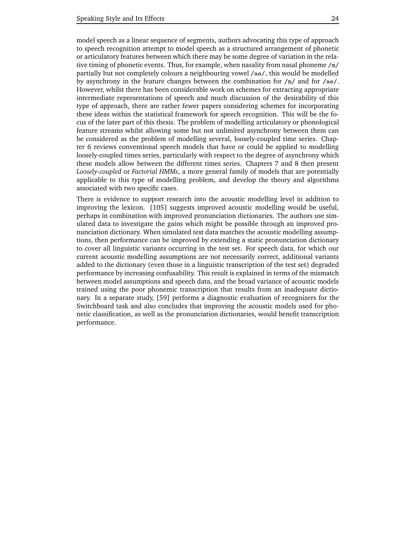model speech as a linear sequence of segments, authors advocating this type of approach to speech recognition attempt to model speech as a structured arrangement of phonetic or articulatory features between which there may be some degree of variation in the relative timing of phonetic events. Thus, for example, when nasality from nasal phoneme /m/ partially but not completely colours a neighbouring vowel /ae/, this would be modelled by asynchrony in the feature changes between the combination for  $/m/$  and for  $/ae/$ . However, whilst there has been considerable work on schemes for extracting appropriate intermediate representations of speech and much discussion of the desirability of this type of approach, there are rather fewer papers considering schemes for incorporating these ideas within the statistical framework for speech recognition. This will be the focus of the later part of this thesis. The problem of modelling articulatory or phonological feature streams whilst allowing some but not unlimited asynchrony between them can be considered as the problem of modelling several, loosely-coupled time series. Chapter 6 reviews conventional speech models that have or could be applied to modelling loosely-coupled times series, particularly with respect to the degree of asynchrony which these models allow between the different times series. Chapters 7 and 8 then present *Loosely-coupled* or *Factorial HMMs*, a more general family of models that are potentially applicable to this type of modelling problem, and develop the theory and algorithms associated with two specific cases.

There is evidence to support research into the acoustic modelling level in addition to improving the lexicon. [105] suggests improved acoustic modelling would be useful, perhaps in combination with improved pronunciation dictionaries. The authors use simulated data to investigate the gains which might be possible through an improved pronunciation dictionary. When simulated test data matches the acoustic modelling assumptions, then performance can be improved by extending a static pronunciation dictionary to cover all linguistic variants occurring in the test set. For speech data, for which our current acoustic modelling assumptions are not necessarily correct, additional variants added to the dictionary (even those in a linguistic transcription of the test set) degraded performance by increasing confusability. This result is explained in terms of the mismatch between model assumptions and speech data, and the broad variance of acoustic models trained using the poor phonemic transcription that results from an inadequate dictionary. In a separate study, [59] performs a diagnostic evaluation of recognizers for the Switchboard task and also concludes that improving the acoustic models used for phonetic classification, as well as the pronunciation dictionaries, would benefit transcription performance.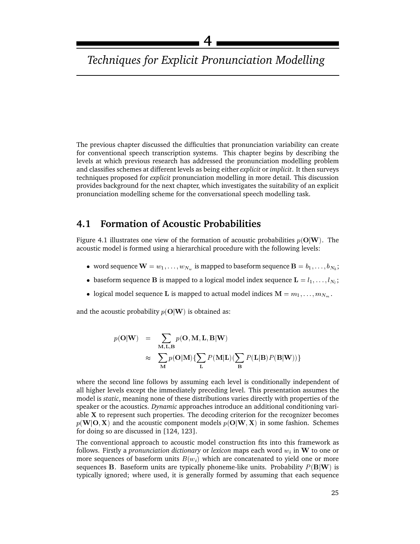**4**

The previous chapter discussed the difficulties that pronunciation variability can create for conventional speech transcription systems. This chapter begins by describing the levels at which previous research has addressed the pronunciation modelling problem and classifies schemes at different levels as being either *explicit* or *implicit*. It then surveys techniques proposed for *explicit* pronunciation modelling in more detail. This discussion provides background for the next chapter, which investigates the suitability of an explicit pronunciation modelling scheme for the conversational speech modelling task.

### **4.1 Formation of Acoustic Probabilities**

Figure 4.1 illustrates one view of the formation of acoustic probabilities  $p(\mathbf{O}|\mathbf{W})$ . The acoustic model is formed using a hierarchical procedure with the following levels:

- word sequence  $\mathbf{W} = w_1, \dots, w_{N_w}$  is mapped to baseform sequence  $\mathbf{B} = b_1, \dots, b_{N_b}$ ;
- baseform sequence **B** is mapped to a logical model index sequence  $\mathbf{L} = l_1, \ldots, l_{N_l}$ ;
- logical model sequence L is mapped to actual model indices  $\mathbf{M} = m_1, \dots, m_{N_m}$ .

and the acoustic probability  $p(\mathbf{O}|\mathbf{W})$  is obtained as:

$$
\begin{array}{rcl} p(\mathbf{O}|\mathbf{W}) & = & \displaystyle \sum_{\mathbf{M},\mathbf{L},\mathbf{B}} p(\mathbf{O},\mathbf{M},\mathbf{L},\mathbf{B}|\mathbf{W}) \\ & \approx & \displaystyle \sum_{\mathbf{M}} p(\mathbf{O}|\mathbf{M}) \{ \displaystyle \sum_{\mathbf{L}} P(\mathbf{M}|\mathbf{L}) ( \displaystyle \sum_{\mathbf{B}} P(\mathbf{L}|\mathbf{B}) P(\mathbf{B}|\mathbf{W})) \} \end{array}
$$

where the second line follows by assuming each level is conditionally independent of all higher levels except the immediately preceding level. This presentation assumes the model is *static*, meaning none of these distributions varies directly with properties of the speaker or the acoustics. *Dynamic* approaches introduce an additional conditioning variable <sup>X</sup> to represent such properties. The decoding criterion for the recognizer becomes  $p(\mathbf{W}|\mathbf{O}, \mathbf{X})$  and the acoustic component models  $p(\mathbf{O}|\mathbf{W}, \mathbf{X})$  in some fashion. Schemes for doing so are discussed in [124, 123].

The conventional approach to acoustic model construction fits into this framework as follows. Firstly a *pronunciation dictionary* or *lexicon* maps each word  $w_i$  in W to one or more sequences of baseform units  $B(w_i)$  which are concatenated to yield one or more sequences B. Baseform units are typically phoneme-like units. Probability  $P(\mathbf{B}|\mathbf{W})$  is typically ignored; where used, it is generally formed by assuming that each sequence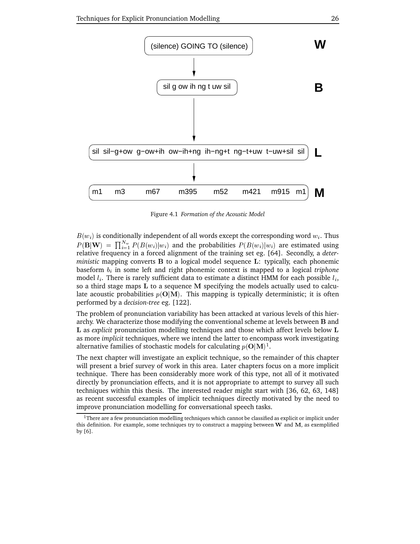

Figure 4.1 *Formation of the Acoustic Model*

 $B(w_i)$  is conditionally independent of all words except the corresponding word  $w_i$ . Thus  $P(B|W) = \prod_{i=1}^{N_w} P(B(w_i)|w_i)$  and the probabilities  $P(B(w_i)|w_i)$  are estimated using relative frequency in a forced alignment of the training set eg. [64]. Secondly, a *deterministic* mapping converts <sup>B</sup> to a logical model sequence <sup>L</sup>: typically, each phonemic baseform bi in some left and right phonemic context is mapped to a logical *triphone* model  $l_i$ . There is rarely sufficient data to estimate a distinct HMM for each possible  $l_i$ , so a third stage maps <sup>L</sup> to a sequence <sup>M</sup> specifying the models actually used to calculate acoustic probabilities  $p(\mathbf{O}|\mathbf{M})$ . This mapping is typically deterministic; it is often performed by a *decision-tree* eg. [122].

The problem of pronunciation variability has been attacked at various levels of this hierarchy. We characterize those modifying the conventional scheme at levels between <sup>B</sup> and <sup>L</sup> as *explicit* pronunciation modelling techniques and those which affect levels below <sup>L</sup> as more *implicit* techniques, where we intend the latter to encompass work investigating alternative families of stochastic models for calculating  $p(\mathbf{O}|\mathbf{M})^1.$ 

The next chapter will investigate an explicit technique, so the remainder of this chapter will present a brief survey of work in this area. Later chapters focus on a more implicit technique. There has been considerably more work of this type, not all of it motivated directly by pronunciation effects, and it is not appropriate to attempt to survey all such techniques within this thesis. The interested reader might start with [36, 62, 63, 148] as recent successful examples of implicit techniques directly motivated by the need to improve pronunciation modelling for conversational speech tasks.

 $1$ There are a few pronunciation modelling techniques which cannot be classified as explicit or implicit under this definition. For example, some techniques try to construct a mapping between  $W$  and  $M$ , as exemplified by [6].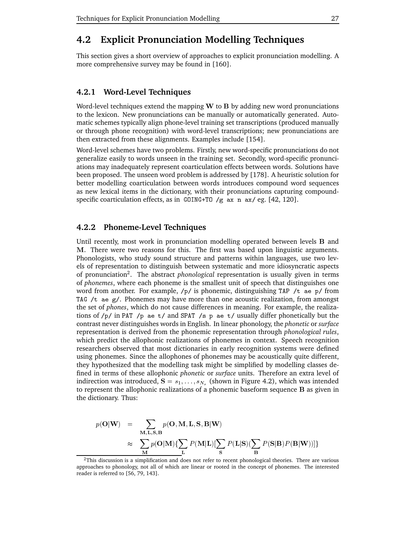### **4.2 Explicit Pronunciation Modelling Techniques**

This section gives a short overview of approaches to explicit pronunciation modelling. A more comprehensive survey may be found in [160].

#### **4.2.1 Word-Level Techniques**

Word-level techniques extend the mapping  $W$  to  $B$  by adding new word pronunciations to the lexicon. New pronunciations can be manually or automatically generated. Automatic schemes typically align phone-level training set transcriptions (produced manually or through phone recognition) with word-level transcriptions; new pronunciations are then extracted from these alignments. Examples include [154].

Word-level schemes have two problems. Firstly, new word-specific pronunciations do not generalize easily to words unseen in the training set. Secondly, word-specific pronunciations may inadequately represent coarticulation effects between words. Solutions have been proposed. The unseen word problem is addressed by [178]. A heuristic solution for better modelling coarticulation between words introduces compound word sequences as new lexical items in the dictionary, with their pronunciations capturing compoundspecific coarticulation effects, as in GOING+TO /g ax <sup>n</sup> ax/ eg. [42, 120].

#### **4.2.2 Phoneme-Level Techniques**

Until recently, most work in pronunciation modelling operated between levels <sup>B</sup> and <sup>M</sup>. There were two reasons for this. The first was based upon linguistic arguments. Phonologists, who study sound structure and patterns within languages, use two levels of representation to distinguish between systematic and more idiosyncratic aspects of pronunciation2. The abstract *phonological* representation is usually given in terms of *phonemes*, where each phoneme is the smallest unit of speech that distinguishes one word from another. For example, /p/ is phonemic, distinguishing TAP /t ae p/ from TAG /t ae  $g/$ . Phonemes may have more than one acoustic realization, from amongst the set of *phones*, which do not cause differences in meaning. For example, the realizations of  $/p/$  in PAT  $/p$  ae t/ and SPAT /s p ae t/ usually differ phonetically but the contrast never distinguishes words in English. In linear phonology, the *phonetic* or *surface* representation is derived from the phonemic representation through *phonological rules*, which predict the allophonic realizations of phonemes in context. Speech recognition researchers observed that most dictionaries in early recognition systems were defined using phonemes. Since the allophones of phonemes may be acoustically quite different, they hypothesized that the modelling task might be simplified by modelling classes defined in terms of these allophonic *phonetic* or *surface* units. Therefore an extra level of indirection was introduced,  $S = s_1, \ldots, s_{N_s}$  (shown in Figure 4.2), which was intended to represent the allophonic realizations of a phonemic baseform sequence <sup>B</sup> as given in the dictionary. Thus:

$$
p(\mathbf{O}|\mathbf{W}) = \sum_{\substack{\mathbf{M}, \mathbf{L}, \mathbf{S}, \mathbf{B} \\ \mathbf{M}}} p(\mathbf{O}, \mathbf{M}, \mathbf{L}, \mathbf{S}, \mathbf{B}|\mathbf{W})
$$
  
\n
$$
\approx \sum_{\substack{\mathbf{M} \\ \mathbf{M}}} p(\mathbf{O}|\mathbf{M}) \{ \sum_{\substack{\mathbf{L}}} P(\mathbf{M}|\mathbf{L}) [\sum_{\mathbf{S}} P(\mathbf{L}|\mathbf{S}) (\sum_{\mathbf{B}} P(\mathbf{S}|\mathbf{B}) P(\mathbf{B}|\mathbf{W}))] \}
$$

 $2$ This discussion is a simplification and does not refer to recent phonological theories. There are various approaches to phonology, not all of which are linear or rooted in the concept of phonemes. The interested reader is referred to [56, 79, 143].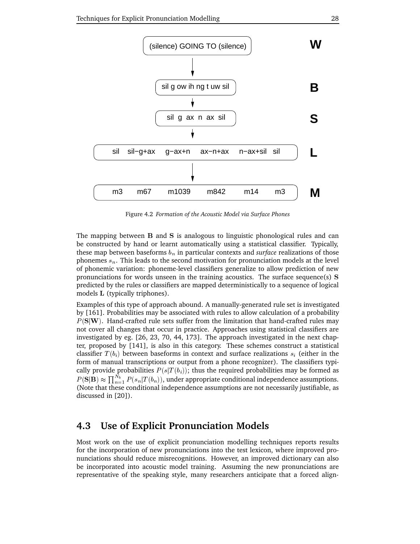

Figure 4.2 *Formation of the Acoustic Model via Surface Phones*

The mapping between <sup>B</sup> and <sup>S</sup> is analogous to linguistic phonological rules and can be constructed by hand or learnt automatically using a statistical classifier. Typically, these map between baseforms  $b_n$  in particular contexts and *surface* realizations of those phonemes  $s_n$ . This leads to the second motivation for pronunciation models at the level of phonemic variation: phoneme-level classifiers generalize to allow prediction of new pronunciations for words unseen in the training acoustics. The surface sequence(s) <sup>S</sup> predicted by the rules or classifiers are mapped deterministically to a sequence of logical models <sup>L</sup> (typically triphones).

Examples of this type of approach abound. A manually-generated rule set is investigated by [161]. Probabilities may be associated with rules to allow calculation of a probability  $P(S|W)$ . Hand-crafted rule sets suffer from the limitation that hand-crafted rules may not cover all changes that occur in practice. Approaches using statistical classifiers are investigated by eg. [26, 23, 70, 44, 173]. The approach investigated in the next chapter, proposed by [141], is also in this category. These schemes construct a statistical classifier  $T(b_i)$  between baseforms in context and surface realizations  $s_i$  (either in the form of manual transcriptions or output from a phone recognizer). The classifiers typically provide probabilities  $P(s|T(b_i))$ ; thus the required probabilities may be formed as  $P(S|B) \approx \prod_{n=1}^{N_b} P(s_n|T(b_n))$ , under appropriate conditional independence assumptions. (Note that these conditional independence assumptions are not necessarily justifiable, as discussed in [20]).

### **4.3 Use of Explicit Pronunciation Models**

Most work on the use of explicit pronunciation modelling techniques reports results for the incorporation of new pronunciations into the test lexicon, where improved pronunciations should reduce misrecognitions. However, an improved dictionary can also be incorporated into acoustic model training. Assuming the new pronunciations are representative of the speaking style, many researchers anticipate that a forced align-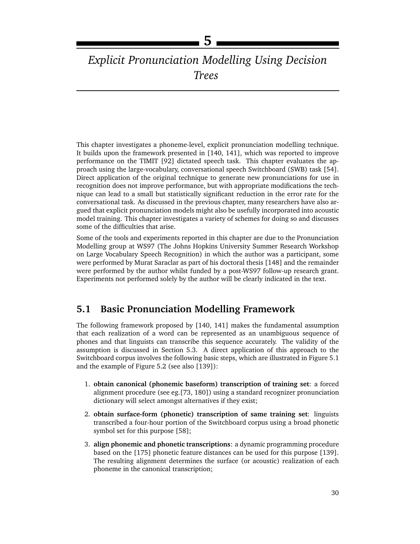## *Explicit Pronunciation Modelling Using Decision Trees*

This chapter investigates a phoneme-level, explicit pronunciation modelling technique. It builds upon the framework presented in [140, 141], which was reported to improve performance on the TIMIT [92] dictated speech task. This chapter evaluates the approach using the large-vocabulary, conversational speech Switchboard (SWB) task [54]. Direct application of the original technique to generate new pronunciations for use in recognition does not improve performance, but with appropriate modifications the technique can lead to a small but statistically significant reduction in the error rate for the conversational task. As discussed in the previous chapter, many researchers have also argued that explicit pronunciation models might also be usefully incorporated into acoustic model training. This chapter investigates a variety of schemes for doing so and discusses some of the difficulties that arise.

Some of the tools and experiments reported in this chapter are due to the Pronunciation Modelling group at WS97 (The Johns Hopkins University Summer Research Workshop on Large Vocabulary Speech Recognition) in which the author was a participant, some were performed by Murat Saraclar as part of his doctoral thesis [148] and the remainder were performed by the author whilst funded by a post-WS97 follow-up research grant. Experiments not performed solely by the author will be clearly indicated in the text.

## **5.1 Basic Pronunciation Modelling Framework**

The following framework proposed by [140, 141] makes the fundamental assumption that each realization of a word can be represented as an unambiguous sequence of phones and that linguists can transcribe this sequence accurately. The validity of the assumption is discussed in Section 5.3. A direct application of this approach to the Switchboard corpus involves the following basic steps, which are illustrated in Figure 5.1 and the example of Figure 5.2 (see also [139]):

- 1. **obtain canonical (phonemic baseform) transcription of training set**: a forced alignment procedure (see eg.[73, 180]) using a standard recognizer pronunciation dictionary will select amongst alternatives if they exist;
- 2. **obtain surface-form (phonetic) transcription of same training set**: linguists transcribed a four-hour portion of the Switchboard corpus using a broad phonetic symbol set for this purpose [58];
- 3. **align phonemic and phonetic transcriptions**: a dynamic programming procedure based on the [175] phonetic feature distances can be used for this purpose [139]. The resulting alignment determines the surface (or acoustic) realization of each phoneme in the canonical transcription;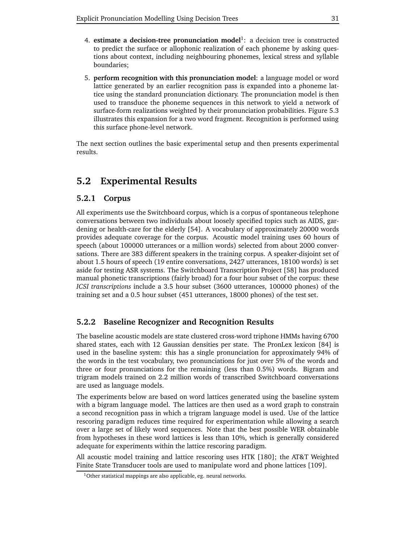- 4. **estimate a decision-tree pronunciation model**1: a decision tree is constructed to predict the surface or allophonic realization of each phoneme by asking questions about context, including neighbouring phonemes, lexical stress and syllable boundaries;
- 5. **perform recognition with this pronunciation model**: a language model or word lattice generated by an earlier recognition pass is expanded into a phoneme lattice using the standard pronunciation dictionary. The pronunciation model is then used to transduce the phoneme sequences in this network to yield a network of surface-form realizations weighted by their pronunciation probabilities. Figure 5.3 illustrates this expansion for a two word fragment. Recognition is performed using this surface phone-level network.

The next section outlines the basic experimental setup and then presents experimental results.

### **5.2 Experimental Results**

#### **5.2.1 Corpus**

All experiments use the Switchboard corpus, which is a corpus of spontaneous telephone conversations between two individuals about loosely specified topics such as AIDS, gardening or health-care for the elderly [54]. A vocabulary of approximately 20000 words provides adequate coverage for the corpus. Acoustic model training uses 60 hours of speech (about 100000 utterances or a million words) selected from about 2000 conversations. There are 383 different speakers in the training corpus. A speaker-disjoint set of about 1.5 hours of speech (19 entire conversations, 2427 utterances, 18100 words) is set aside for testing ASR systems. The Switchboard Transcription Project [58] has produced manual phonetic transcriptions (fairly broad) for a four hour subset of the corpus: these *ICSI transcriptions* include a 3.5 hour subset (3600 utterances, 100000 phones) of the training set and a 0.5 hour subset (451 utterances, 18000 phones) of the test set.

#### **5.2.2 Baseline Recognizer and Recognition Results**

The baseline acoustic models are state clustered cross-word triphone HMMs having 6700 shared states, each with 12 Gaussian densities per state. The PronLex lexicon [84] is used in the baseline system: this has a single pronunciation for approximately 94% of the words in the test vocabulary, two pronunciations for just over 5% of the words and three or four pronunciations for the remaining (less than 0.5%) words. Bigram and trigram models trained on 2.2 million words of transcribed Switchboard conversations are used as language models.

The experiments below are based on word lattices generated using the baseline system with a bigram language model. The lattices are then used as a word graph to constrain a second recognition pass in which a trigram language model is used. Use of the lattice rescoring paradigm reduces time required for experimentation while allowing a search over a large set of likely word sequences. Note that the best possible WER obtainable from hypotheses in these word lattices is less than 10%, which is generally considered adequate for experiments within the lattice rescoring paradigm.

All acoustic model training and lattice rescoring uses HTK [180]; the AT&T Weighted Finite State Transducer tools are used to manipulate word and phone lattices [109].

<sup>&</sup>lt;sup>1</sup>Other statistical mappings are also applicable, eg. neural networks.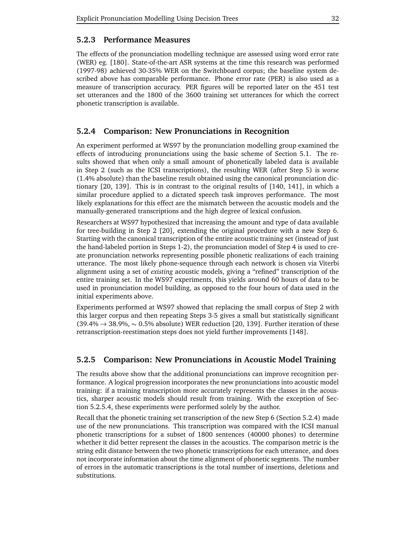#### **5.2.3 Performance Measures**

The effects of the pronunciation modelling technique are assessed using word error rate (WER) eg. [180]. State-of-the-art ASR systems at the time this research was performed (1997-98) achieved 30-35% WER on the Switchboard corpus; the baseline system described above has comparable performance. Phone error rate (PER) is also used as a measure of transcription accuracy. PER figures will be reported later on the 451 test set utterances and the 1800 of the 3600 training set utterances for which the correct phonetic transcription is available.

#### **5.2.4 Comparison: New Pronunciations in Recognition**

An experiment performed at WS97 by the pronunciation modelling group examined the effects of introducing pronunciations using the basic scheme of Section 5.1. The results showed that when only a small amount of phonetically labeled data is available in Step 2 (such as the ICSI transcriptions), the resulting WER (after Step 5) is *worse* (1.4% absolute) than the baseline result obtained using the canonical pronunciation dictionary [20, 139]. This is in contrast to the original results of [140, 141], in which a similar procedure applied to a dictated speech task improves performance. The most likely explanations for this effect are the mismatch between the acoustic models and the manually-generated transcriptions and the high degree of lexical confusion.

Researchers at WS97 hypothesized that increasing the amount and type of data available for tree-building in Step 2 [20], extending the original procedure with a new Step 6. Starting with the canonical transcription of the entire acoustic training set (instead of just the hand-labeled portion in Steps 1-2), the pronunciation model of Step 4 is used to create pronunciation networks representing possible phonetic realizations of each training utterance. The most likely phone-sequence through each network is chosen via Viterbi alignment using a set of *existing* acoustic models, giving a "refined" transcription of the entire training set. In the WS97 experiments, this yields around 60 hours of data to be used in pronunciation model building, as opposed to the four hours of data used in the initial experiments above.

Experiments performed at WS97 showed that replacing the small corpus of Step 2 with this larger corpus and then repeating Steps 3-5 gives a small but statistically significant  $(39.4\% \rightarrow 38.9\%, \sim 0.5\%$  absolute) WER reduction [20, 139]. Further iteration of these retranscription-reestimation steps does not yield further improvements [148].

#### **5.2.5 Comparison: New Pronunciations in Acoustic Model Training**

The results above show that the additional pronunciations can improve recognition performance. A logical progression incorporates the new pronunciations into acoustic model training: if a training transcription more accurately represents the classes in the acoustics, sharper acoustic models should result from training. With the exception of Section 5.2.5.4, these experiments were performed solely by the author.

Recall that the phonetic training set transcription of the new Step 6 (Section 5.2.4) made use of the new pronunciations. This transcription was compared with the ICSI manual phonetic transcriptions for a subset of 1800 sentences (40000 phones) to determine whether it did better represent the classes in the acoustics. The comparison metric is the string edit distance between the two phonetic transcriptions for each utterance, and does not incorporate information about the time alignment of phonetic segments. The number of errors in the automatic transcriptions is the total number of insertions, deletions and substitutions.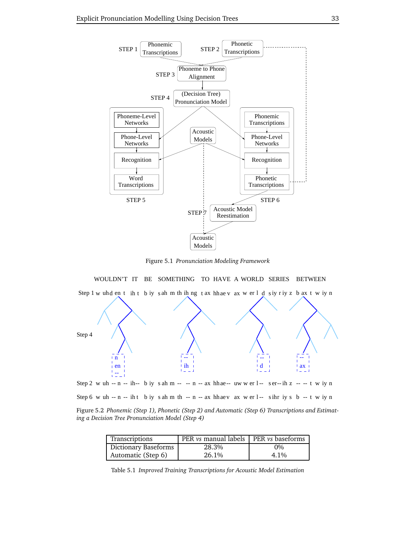

Figure 5.1 *Pronunciation Modeling Framework*



Step 2 w uh -- n -- ih-- b iy s ah m -- -- n -- ax hhae-- uw w er l -- ser--ih z -- -- t w iy n

```
Step 6 w uh -- n -- iht biy s ah m th -- n -- ax hhaev ax wer l -- sihriys b -- t wiyn
```
Figure 5.2 *Phonemic (Step 1), Phonetic (Step 2) and Automatic (Step 6) Transcriptions and Estimating a Decision Tree Pronunciation Model (Step 4)*

| Transcriptions       | PER vs manual labels PER vs baseforms |      |
|----------------------|---------------------------------------|------|
| Dictionary Baseforms | 28.3%                                 | 0%   |
| Automatic (Step 6)   | 26.1%                                 | 4.1% |

Table 5.1 *Improved Training Transcriptions for Acoustic Model Estimation*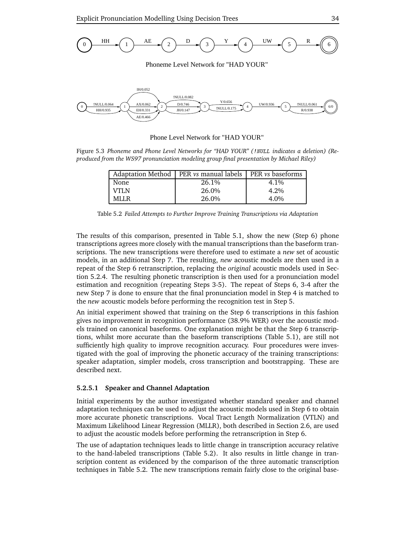

Phoneme Level Network for "HAD YOUR"



Phone Level Network for "HAD YOUR"

Figure 5.3 *Phoneme and Phone Level Networks for "HAD YOUR" (*!NULL *indicates a deletion) (Reproduced from the WS97 pronunciation modeling group final presentation by Michael Riley)*

| <b>Adaptation Method</b> | PER vs manual labels   PER vs baseforms |         |
|--------------------------|-----------------------------------------|---------|
| None                     | 26.1%                                   | 4.1%    |
| VTLN                     | 26.0%                                   | $4.2\%$ |
| MIIR                     | 26.0%                                   | $4.0\%$ |

Table 5.2 *Failed Attempts to Further Improve Training Transcriptions via Adaptation*

The results of this comparison, presented in Table 5.1, show the new (Step 6) phone transcriptions agrees more closely with the manual transcriptions than the baseform transcriptions. The new transcriptions were therefore used to estimate a *new* set of acoustic models, in an additional Step 7. The resulting, *new* acoustic models are then used in a repeat of the Step 6 retranscription, replacing the *original* acoustic models used in Section 5.2.4. The resulting phonetic transcription is then used for a pronunciation model estimation and recognition (repeating Steps 3-5). The repeat of Steps 6, 3-4 after the new Step 7 is done to ensure that the final pronunciation model in Step 4 is matched to the *new* acoustic models before performing the recognition test in Step 5.

An initial experiment showed that training on the Step 6 transcriptions in this fashion gives no improvement in recognition performance (38.9% WER) over the acoustic models trained on canonical baseforms. One explanation might be that the Step 6 transcriptions, whilst more accurate than the baseform transcriptions (Table 5.1), are still not sufficiently high quality to improve recognition accuracy. Four procedures were investigated with the goal of improving the phonetic accuracy of the training transcriptions: speaker adaptation, simpler models, cross transcription and bootstrapping. These are described next.

#### **5.2.5.1 Speaker and Channel Adaptation**

Initial experiments by the author investigated whether standard speaker and channel adaptation techniques can be used to adjust the acoustic models used in Step 6 to obtain more accurate phonetic transcriptions. Vocal Tract Length Normalization (VTLN) and Maximum Likelihood Linear Regression (MLLR), both described in Section 2.6, are used to adjust the acoustic models before performing the retranscription in Step 6.

The use of adaptation techniques leads to little change in transcription accuracy relative to the hand-labeled transcriptions (Table 5.2). It also results in little change in transcription content as evidenced by the comparison of the three automatic transcription techniques in Table 5.2. The new transcriptions remain fairly close to the original base-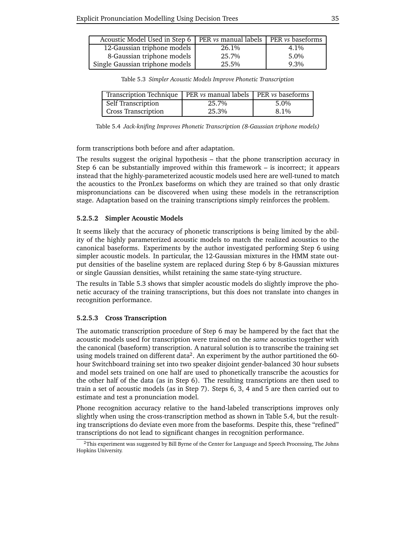| Acoustic Model Used in Step 6   PER vs manual labels   PER vs baseforms |       |         |
|-------------------------------------------------------------------------|-------|---------|
| 12-Gaussian triphone models                                             | 26.1% | $4.1\%$ |
| 8-Gaussian triphone models                                              | 25.7% | $5.0\%$ |
| Single Gaussian triphone models                                         | 25.5% | 9.3%    |

| Transcription Technique   PER vs manual labels   PER vs baseforms |       |         |
|-------------------------------------------------------------------|-------|---------|
| <b>Self Transcription</b>                                         | 25.7% | $5.0\%$ |
| <b>Cross Transcription</b>                                        | 25.3% | 8.1%    |

Table 5.3 *Simpler Acoustic Models Improve Phonetic Transcription*

Table 5.4 *Jack-knifing Improves Phonetic Transcription (8-Gaussian triphone models)*

form transcriptions both before and after adaptation.

The results suggest the original hypothesis – that the phone transcription accuracy in Step 6 can be substantially improved within this framework – is incorrect; it appears instead that the highly-parameterized acoustic models used here are well-tuned to match the acoustics to the PronLex baseforms on which they are trained so that only drastic mispronunciations can be discovered when using these models in the retranscription stage. Adaptation based on the training transcriptions simply reinforces the problem.

#### **5.2.5.2 Simpler Acoustic Models**

It seems likely that the accuracy of phonetic transcriptions is being limited by the ability of the highly parameterized acoustic models to match the realized acoustics to the canonical baseforms. Experiments by the author investigated performing Step 6 using simpler acoustic models. In particular, the 12-Gaussian mixtures in the HMM state output densities of the baseline system are replaced during Step 6 by 8-Gaussian mixtures or single Gaussian densities, whilst retaining the same state-tying structure.

The results in Table 5.3 shows that simpler acoustic models do slightly improve the phonetic accuracy of the training transcriptions, but this does not translate into changes in recognition performance.

#### **5.2.5.3 Cross Transcription**

The automatic transcription procedure of Step 6 may be hampered by the fact that the acoustic models used for transcription were trained on the *same* acoustics together with the canonical (baseform) transcription. A natural solution is to transcribe the training set using models trained on different data<sup>2</sup>. An experiment by the author partitioned the 60hour Switchboard training set into two speaker disjoint gender-balanced 30 hour subsets and model sets trained on one half are used to phonetically transcribe the acoustics for the other half of the data (as in Step 6). The resulting transcriptions are then used to train a set of acoustic models (as in Step 7). Steps 6, 3, 4 and 5 are then carried out to estimate and test a pronunciation model.

Phone recognition accuracy relative to the hand-labeled transcriptions improves only slightly when using the cross-transcription method as shown in Table 5.4, but the resulting transcriptions do deviate even more from the baseforms. Despite this, these "refined" transcriptions do not lead to significant changes in recognition performance.

<sup>2</sup>This experiment was suggested by Bill Byrne of the Center for Language and Speech Processing, The Johns Hopkins University.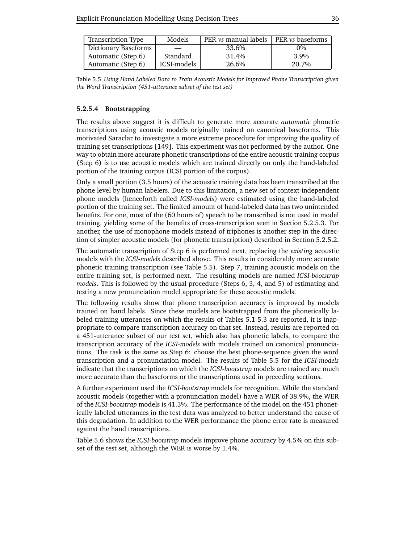| <b>Transcription Type</b>   | Models      | PER <i>vs</i> manual labels | $\mid$ PER <i>vs</i> baseforms |
|-----------------------------|-------------|-----------------------------|--------------------------------|
| <b>Dictionary Baseforms</b> |             | 33.6%                       | $0\%$                          |
| Automatic (Step 6)          | Standard    | 31.4%                       | 3.9%                           |
| Automatic (Step 6)          | ICSI-models | 26.6%                       | 20.7%                          |

Table 5.5 *Using Hand Labeled Data to Train Acoustic Models for Improved Phone Transcription given the Word Transcription (451-utterance subset of the test set)*

#### **5.2.5.4 Bootstrapping**

The results above suggest it is difficult to generate more accurate *automatic* phonetic transcriptions using acoustic models originally trained on canonical baseforms. This motivated Saraclar to investigate a more extreme procedure for improving the quality of training set transcriptions [149]. This experiment was not performed by the author. One way to obtain more accurate phonetic transcriptions of the entire acoustic training corpus (Step 6) is to use acoustic models which are trained directly on only the hand-labeled portion of the training corpus (ICSI portion of the corpus).

Only a small portion (3.5 hours) of the acoustic training data has been transcribed at the phone level by human labelers. Due to this limitation, a new set of context-independent phone models (henceforth called *ICSI-models*) were estimated using the hand-labeled portion of the training set. The limited amount of hand-labeled data has two unintended benefits. For one, most of the (60 hours of) speech to be transcribed is not used in model training, yielding some of the benefits of cross-transcription seen in Section 5.2.5.3. For another, the use of monophone models instead of triphones is another step in the direction of simpler acoustic models (for phonetic transcription) described in Section 5.2.5.2.

The automatic transcription of Step 6 is performed next, replacing the *existing* acoustic models with the *ICSI-models* described above. This results in considerably more accurate phonetic training transcription (see Table 5.5). Step 7, training acoustic models on the entire training set, is performed next. The resulting models are named *ICSI-bootstrap models*. This is followed by the usual procedure (Steps 6, 3, 4, and 5) of estimating and testing a new pronunciation model appropriate for these acoustic models.

The following results show that phone transcription accuracy is improved by models trained on hand labels. Since these models are bootstrapped from the phonetically labeled training utterances on which the results of Tables 5.1-5.3 are reported, it is inappropriate to compare transcription accuracy on that set. Instead, results are reported on a 451-utterance subset of our test set, which also has phonetic labels, to compare the transcription accuracy of the *ICSI-models* with models trained on canonical pronunciations. The task is the same as Step 6: choose the best phone-sequence given the word transcription and a pronunciation model. The results of Table 5.5 for the *ICSI-models* indicate that the transcriptions on which the *ICSI-bootstrap* models are trained are much more accurate than the baseforms or the transcriptions used in preceding sections.

A further experiment used the *ICSI-bootstrap* models for recognition. While the standard acoustic models (together with a pronunciation model) have a WER of 38.9%, the WER of the *ICSI-bootstrap* models is 41.3%. The performance of the model on the 451 phonetically labeled utterances in the test data was analyzed to better understand the cause of this degradation. In addition to the WER performance the phone error rate is measured against the hand transcriptions.

Table 5.6 shows the *ICSI-bootstrap* models improve phone accuracy by 4.5% on this subset of the test set, although the WER is worse by 1.4%.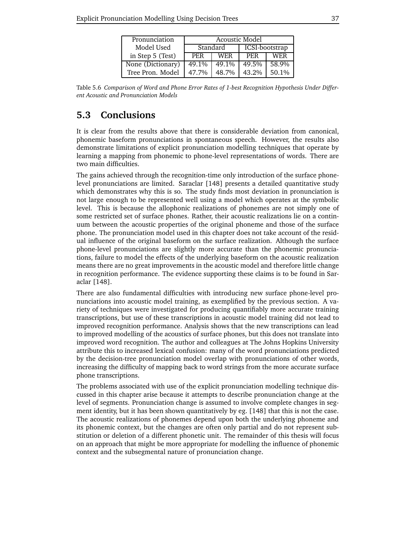| Pronunciation     |            |          | <b>Acoustic Model</b> |          |
|-------------------|------------|----------|-----------------------|----------|
| Model Used        |            | Standard | ICSI-bootstrap        |          |
| in Step 5 (Test)  | <b>PER</b> | WER.     | <b>PER</b>            | WER      |
| None (Dictionary) | 49.1%      | 49.1%    | 49.5%                 | 58.9%    |
| Tree Pron. Model  | 47.7%      | 48.7%    | 43.2%                 | $50.1\%$ |

Table 5.6 *Comparison of Word and Phone Error Rates of 1-best Recognition Hypothesis Under Different Acoustic and Pronunciation Models*

# **5.3 Conclusions**

It is clear from the results above that there is considerable deviation from canonical, phonemic baseform pronunciations in spontaneous speech. However, the results also demonstrate limitations of explicit pronunciation modelling techniques that operate by learning a mapping from phonemic to phone-level representations of words. There are two main difficulties.

The gains achieved through the recognition-time only introduction of the surface phonelevel pronunciations are limited. Saraclar [148] presents a detailed quantitative study which demonstrates why this is so. The study finds most deviation in pronunciation is not large enough to be represented well using a model which operates at the symbolic level. This is because the allophonic realizations of phonemes are not simply one of some restricted set of surface phones. Rather, their acoustic realizations lie on a continuum between the acoustic properties of the original phoneme and those of the surface phone. The pronunciation model used in this chapter does not take account of the residual influence of the original baseform on the surface realization. Although the surface phone-level pronunciations are slightly more accurate than the phonemic pronunciations, failure to model the effects of the underlying baseform on the acoustic realization means there are no great improvements in the acoustic model and therefore little change in recognition performance. The evidence supporting these claims is to be found in Saraclar [148].

There are also fundamental difficulties with introducing new surface phone-level pronunciations into acoustic model training, as exemplified by the previous section. A variety of techniques were investigated for producing quantifiably more accurate training transcriptions, but use of these transcriptions in acoustic model training did not lead to improved recognition performance. Analysis shows that the new transcriptions can lead to improved modelling of the acoustics of surface phones, but this does not translate into improved word recognition. The author and colleagues at The Johns Hopkins University attribute this to increased lexical confusion: many of the word pronunciations predicted by the decision-tree pronunciation model overlap with pronunciations of other words, increasing the difficulty of mapping back to word strings from the more accurate surface phone transcriptions.

The problems associated with use of the explicit pronunciation modelling technique discussed in this chapter arise because it attempts to describe pronunciation change at the level of segments. Pronunciation change is assumed to involve complete changes in segment identity, but it has been shown quantitatively by eg. [148] that this is not the case. The acoustic realizations of phonemes depend upon both the underlying phoneme and its phonemic context, but the changes are often only partial and do not represent substitution or deletion of a different phonetic unit. The remainder of this thesis will focus on an approach that might be more appropriate for modelling the influence of phonemic context and the subsegmental nature of pronunciation change.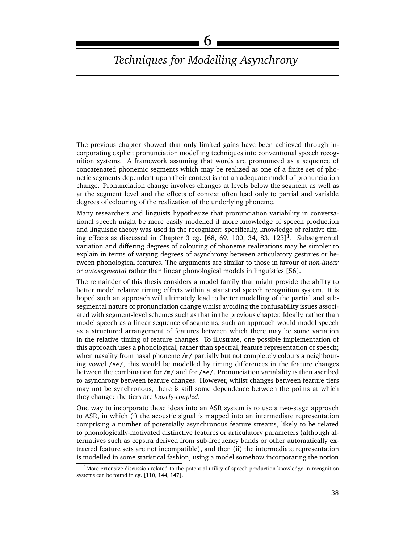# *Techniques for Modelling Asynchrony*

**6**

The previous chapter showed that only limited gains have been achieved through incorporating explicit pronunciation modelling techniques into conventional speech recognition systems. A framework assuming that words are pronounced as a sequence of concatenated phonemic segments which may be realized as one of a finite set of phonetic segments dependent upon their context is not an adequate model of pronunciation change. Pronunciation change involves changes at levels below the segment as well as at the segment level and the effects of context often lead only to partial and variable degrees of colouring of the realization of the underlying phoneme.

Many researchers and linguists hypothesize that pronunciation variability in conversational speech might be more easily modelled if more knowledge of speech production and linguistic theory was used in the recognizer: specifically, knowledge of relative timing effects as discussed in Chapter 3 eg.  $[68, 69, 100, 34, 83, 123]$ <sup>1</sup>. Subsegmental variation and differing degrees of colouring of phoneme realizations may be simpler to explain in terms of varying degrees of asynchrony between articulatory gestures or between phonological features. The arguments are similar to those in favour of *non-linear* or *autosegmental* rather than linear phonological models in linguistics [56].

The remainder of this thesis considers a model family that might provide the ability to better model relative timing effects within a statistical speech recognition system. It is hoped such an approach will ultimately lead to better modelling of the partial and subsegmental nature of pronunciation change whilst avoiding the confusability issues associated with segment-level schemes such as that in the previous chapter. Ideally, rather than model speech as a linear sequence of segments, such an approach would model speech as a structured arrangement of features between which there may be some variation in the relative timing of feature changes. To illustrate, one possible implementation of this approach uses a phonological, rather than spectral, feature representation of speech; when nasality from nasal phoneme  $/m/$  partially but not completely colours a neighbouring vowel /ae/, this would be modelled by timing differences in the feature changes between the combination for  $/m/$  and for  $/ae/$ . Pronunciation variability is then ascribed to asynchrony between feature changes. However, whilst changes between feature tiers may not be synchronous, there is still some dependence between the points at which they change: the tiers are *loosely-coupled*.

One way to incorporate these ideas into an ASR system is to use a two-stage approach to ASR, in which (i) the acoustic signal is mapped into an intermediate representation comprising a number of potentially asynchronous feature streams, likely to be related to phonologically-motivated distinctive features or articulatory parameters (although alternatives such as cepstra derived from sub-frequency bands or other automatically extracted feature sets are not incompatible), and then (ii) the intermediate representation is modelled in some statistical fashion, using a model somehow incorporating the notion

 $1$ More extensive discussion related to the potential utility of speech production knowledge in recognition systems can be found in eg. [110, 144, 147].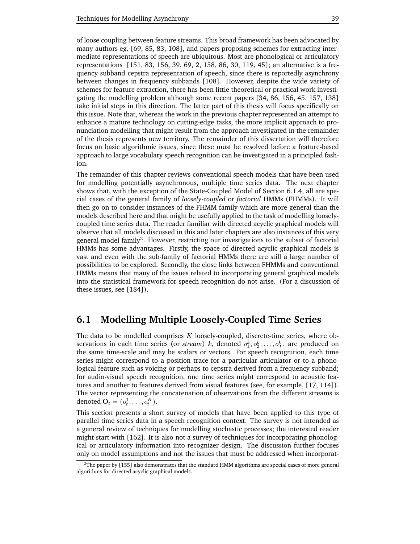of loose coupling between feature streams. This broad framework has been advocated by many authors eg. [69, 85, 83, 108], and papers proposing schemes for extracting intermediate representations of speech are ubiquitous. Most are phonological or articulatory representations [151, 83, 156, 39, 69, 2, 158, 86, 30, 119, 45]; an alternative is a frequency subband cepstra representation of speech, since there is reportedly asynchrony between changes in frequency subbands [108]. However, despite the wide variety of schemes for feature extraction, there has been little theoretical or practical work investigating the modelling problem although some recent papers [34, 86, 156, 45, 157, 138] take initial steps in this direction. The latter part of this thesis will focus specifically on this issue. Note that, whereas the work in the previous chapter represented an attempt to enhance a mature technology on cutting-edge tasks, the more implicit approach to pronunciation modelling that might result from the approach investigated in the remainder of the thesis represents new territory. The remainder of this dissertation will therefore focus on basic algorithmic issues, since these must be resolved before a feature-based approach to large vocabulary speech recognition can be investigated in a principled fashion.

The remainder of this chapter reviews conventional speech models that have been used for modelling potentially asynchronous, multiple time series data. The next chapter shows that, with the exception of the State-Coupled Model of Section 6.1.4, all are special cases of the general family of *loosely-coupled* or *factorial* HMMs (FHMMs). It will then go on to consider instances of the FHMM family which are more general than the models described here and that might be usefully applied to the task of modelling looselycoupled time series data. The reader familiar with directed acyclic graphical models will observe that all models discussed in this and later chapters are also instances of this very general model family<sup>2</sup>. However, restricting our investigations to the subset of factorial HMMs has some advantages. Firstly, the space of directed acyclic graphical models is vast and even with the sub-family of factorial HMMs there are still a large number of possibilities to be explored. Secondly, the close links between FHMMs and conventional HMMs means that many of the issues related to incorporating general graphical models into the statistical framework for speech recognition do not arise. (For a discussion of these issues, see [184]).

# **6.1 Modelling Multiple Loosely-Coupled Time Series**

The data to be modelled comprises K loosely-coupled, discrete-time series, where observations in each time series (or *stream*)  $k$ , denoted  $o_1^k, o_2^k, \ldots, o_T^k,$  are produced on the same time-scale and may be scalars or vectors. For speech recognition, each time series might correspond to a position trace for a particular articulator or to a phonological feature such as voicing or perhaps to cepstra derived from a frequency subband; for audio-visual speech recognition, one time series might correspond to acoustic features and another to features derived from visual features (see, for example, [17, 114]). The vector representing the concatenation of observations from the different streams is denoted  $\mathbf{O}_t = (o_t^1, \dots, o_t^K)$ .

This section presents a short survey of models that have been applied to this type of parallel time series data in a speech recognition context. The survey is not intended as a general review of techniques for modelling stochastic processes; the interested reader might start with [162]. It is also not a survey of techniques for incorporating phonological or articulatory information into recognizer design. The discussion further focuses only on model assumptions and not the issues that must be addressed when incorporat-

<sup>&</sup>lt;sup>2</sup>The paper by [155] also demonstrates that the standard HMM algorithms are special cases of more general algorithms for directed acyclic graphical models.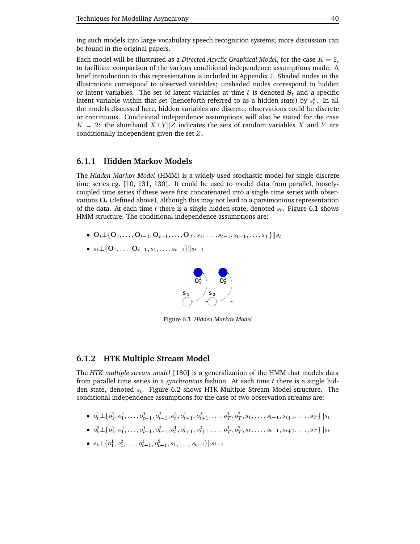ing such models into large vocabulary speech recognition systems; more discussion can be found in the original papers.

Each model will be illustrated as a *Directed Acyclic Graphical Model*, for the case  $K = 2$ , to facilitate comparison of the various conditional independence assumptions made. A brief introduction to this representation is included in Appendix J. Shaded nodes in the illustrations correspond to observed variables; unshaded nodes correspond to hidden or latent variables. The set of latent variables at time t is denoted  $S_t$  and a specific latent variable within that set (henceforth referred to as a hidden *state*) by <sup>s</sup> k . In all t the models discussed here, hidden variables are discrete; observations could be discrete or continuous. Conditional independence assumptions will also be stated for the case  $K = 2$ : the shorthand  $X \perp Y \parallel Z$  indicates the sets of random variables X and Y are conditionally independent given the set <sup>Z</sup>.

### **6.1.1 Hidden Markov Models**

The *Hidden Markov Model* (HMM) is a widely-used stochastic model for single discrete time series eg. [10, 131, 130]. It could be used to model data from parallel, looselycoupled time series if these were first concatenated into a single time series with observations  $O_t$  (defined above), although this may not lead to a parsimonious representation of the data. At each time t there is a single hidden state, denoted  $s_t$ . Figure 6.1 shows HMM structure. The conditional independence assumptions are:

- $\bullet$   $\bullet$   $\bullet$   $\bullet$   $\downarrow$   $\circ$   $\downarrow$ ,  $\circ$   $\downarrow$   $\downarrow$ ,  $\circ$   $\downarrow$   $\downarrow$ ,  $\circ$   $\downarrow$ ,  $\circ$   $\downarrow$ ,  $\circ$   $\downarrow$ ,  $\downarrow$ ,  $\downarrow$ ,  $\downarrow$ ,  $\downarrow$ ,  $\downarrow$ ,  $\downarrow$ ,  $\downarrow$ ,  $\downarrow$ ,  $\downarrow$ ,  $\downarrow$ ,  $\downarrow$ ,  $\downarrow$ ,  $\downarrow$ ,  $\downarrow$ ,  $\downarrow$ ,  $\downarrow$ ,
- st?fO1;:::; Ot1; s1;:::;st2gkst1



Figure 6.1 *Hidden Markov Model*

### **6.1.2 HTK Multiple Stream Model**

The *HTK multiple stream model* [180] is a generalization of the HMM that models data from parallel time series in a *synchronous* fashion. At each time <sup>t</sup> there is a single hidden state, denoted  $s_t$ . Figure 6.2 shows HTK Multiple Stream Model structure. The conditional independence assumptions for the case of two observation streams are:

- $\bullet$   $o_t^* \perp \{o_1^*, o_1^*, \ldots, o_{t-1}^*, o_{t-1}^*, o_t^*, o_{t+1}^*, o_{t+1}^*, \ldots, o_T^*, o_T^*, s_1, \ldots, s_{t-1}, s_{t+1}, \ldots, s_T\}$ ||st the contract of the contract of the contract of the contract of the contract of the contract of the contract of
- $\bullet \quad o_t^* \perp \{o_1^*, o_1^*, \ldots, o_{t-1}^*, o_{t-1}^*, o_t^*, o_{t+1}^*, o_{t+1}^*, \ldots, o_T^*, o_T^*, s_1, \ldots, s_{t-1}, s_{t+1}, \ldots, s_T\}$ the contract of the contract of the con-

• 
$$
s_t \perp \{o_1^1, o_1^2, \ldots, o_{t-1}^1, o_{t-1}^2, s_1, \ldots, s_{t-2}\}\|s_{t-1}
$$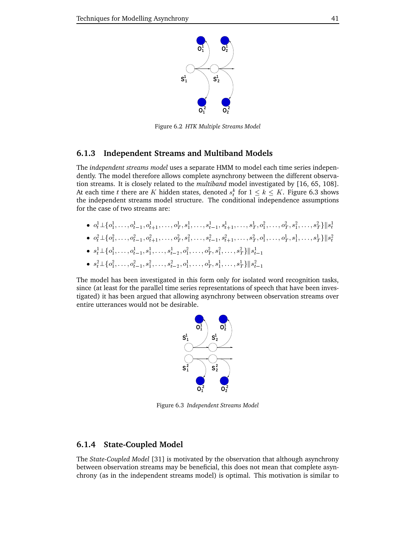

Figure 6.2 *HTK Multiple Streams Model*

## **6.1.3 Independent Streams and Multiband Models**

The *independent streams model* uses a separate HMM to model each time series independently. The model therefore allows complete asynchrony between the different observation streams. It is closely related to the *multiband* model investigated by [16, 65, 108]. At each time t there are K hidden states, denoted  $s_t^k$  for  $1 \leq k \leq K$ . Figure 6.3 shows t the independent streams model structure. The conditional independence assumptions for the case of two streams are:

- $\bullet \; o_t^1 \perp \{o_1^1, \ldots, o_{t-1}^1, o_{t+1}^1, \ldots, o_T^T, s_1^1, \ldots, s_{t-1}^1, s_{t+1}^1, \ldots, s_T^T, o_1^1, \ldots, o_T^T, s_1^1, \ldots, s_T^T\}|s_t^1$
- $\bullet \quad o_t \perp \{o_1, \ldots, o_{t-1}, o_{t+1}, \ldots, o_T, s_1, \ldots, s_{t-1}, s_{t+1}, \ldots, s_T, o_1, \ldots, o_T, s_1, \ldots, s_T\}$
- $s_{\bar{t}} \perp \{o_1^*, \ldots, o_{\bar{t}-1}^*, s_1^*, \ldots, s_{\bar{t}-2}^*, o_1^*, \ldots, o_{\bar{T}}^*, s_1^*, \ldots, s_{\bar{T}}^*\}$ || $s_{\bar{t}-1}$
- $s_{\bar{t}} \perp \{o_1^{\bar{t}}, \ldots, o_{\bar{t}-1}^{\bar{t}}, s_1^{\bar{t}}, \ldots, s_{\bar{t}-2}^{\bar{t}}, o_1^{\bar{t}}, \ldots, o_T^{\bar{t}}, s_1^{\bar{t}}, \ldots, s_T^{\bar{t}}\}| |s_{\bar{t}-1}^{\bar{t}}\rangle$  $t = 1$

The model has been investigated in this form only for isolated word recognition tasks, since (at least for the parallel time series representations of speech that have been investigated) it has been argued that allowing asynchrony between observation streams over entire utterances would not be desirable.



Figure 6.3 *Independent Streams Model*

### **6.1.4 State-Coupled Model**

The *State-Coupled Model* [31] is motivated by the observation that although asynchrony between observation streams may be beneficial, this does not mean that complete asynchrony (as in the independent streams model) is optimal. This motivation is similar to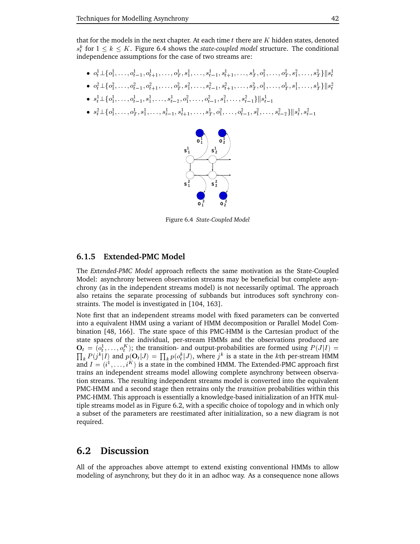that for the models in the next chapter. At each time  $t$  there are  $K$  hidden states, denoted  $s<sub>k</sub><sup>k</sup>$  for  $1 \leq k \leq K$ . Figure 6.4 shows the *state-coupled model* structure. The conditional t independence assumptions for the case of two streams are:

• 
$$
o_t^1 \perp \{o_1^1, \ldots, o_{t-1}^1, o_{t+1}^1, \ldots, o_T^1, s_1^1, \ldots, s_{t-1}^1, s_{t+1}^1, \ldots, s_T^1, o_1^2, \ldots, o_T^2, s_1^2, \ldots, s_T^2\} \|s_t^1
$$

- $\bullet$   $o_t$   $\perp$  { $o_1$ , ...,  $o_{t-1}$ ,  $o_{t+1}$ , ...,  $o_T$ ,  $s_1$ , ...,  $s_{t-1}$ ,  $s_{t+1}$ , ...,  $s_T$ ,  $o_1$ , ...,  $o_T$ ,  $s_1$ , ...,  $s_T$ }|| $s_t$
- $\bullet$   $s_t \perp \{o_1^*, \ldots, o_{t-1}^*, s_1^*, \ldots, s_{t-2}^*, o_1^*, \ldots, o_{t-1}^*, s_1^*, \ldots, s_{t-1}^*\}$ || $s_{t-1}$
- $\bullet$   $s_t \perp \{o_1^r, \ldots, o_T^r, s_1^r, \ldots, s_{t-1}^r, s_{t+1}^r, \ldots, s_T^r, o_1^r, \ldots, o_{t-1}^r, s_1^r, \ldots, s_{t-2}^r\}$ || $s_t^r, s_{t-1}^r$ t<sub>1</sub>



Figure 6.4 *State-Coupled Model*

# **6.1.5 Extended-PMC Model**

The *Extended-PMC Model* approach reflects the same motivation as the State-Coupled Model: asynchrony between observation streams may be beneficial but complete asynchrony (as in the independent streams model) is not necessarily optimal. The approach also retains the separate processing of subbands but introduces soft synchrony constraints. The model is investigated in [104, 163].

Note first that an independent streams model with fixed parameters can be converted into a equivalent HMM using a variant of HMM decomposition or Parallel Model Combination [48, 166]. The state space of this PMC-HMM is the Cartesian product of the state spaces of the individual, per-stream HMMs and the observations produced are  $\mathbf{O}_t = (o_t^1, \ldots, o_t^K)$ ; the transition- and output-probabilities are formed using  $P(J|I)$  =  $\prod_k P(j^k|I)$  and  $p(\mathbf{O}_t|J) = \prod_k p(o_t^k|J)$ , where  $j^k$  is a state in the kth per-stream HMM and  $I = (i^1, \ldots, i^K)$  is a state in the combined HMM. The Extended-PMC approach first trains an independent streams model allowing complete asynchrony between observation streams. The resulting independent streams model is converted into the equivalent PMC-HMM and a second stage then retrains only the *transition* probabilities within this PMC-HMM. This approach is essentially a knowledge-based initialization of an HTK multiple streams model as in Figure 6.2, with a specific choice of topology and in which only a subset of the parameters are reestimated after initialization, so a new diagram is not required.

# **6.2 Discussion**

All of the approaches above attempt to extend existing conventional HMMs to allow modeling of asynchrony, but they do it in an adhoc way. As a consequence none allows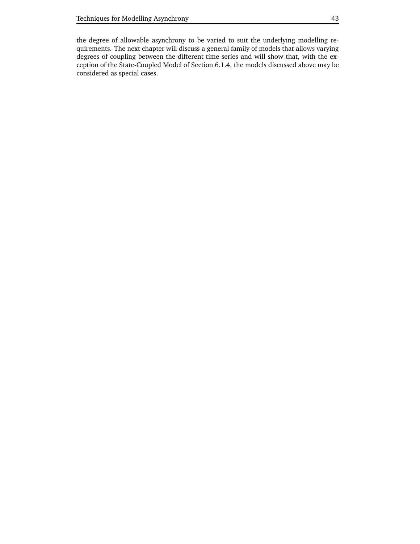the degree of allowable asynchrony to be varied to suit the underlying modelling requirements. The next chapter will discuss a general family of models that allows varying degrees of coupling between the different time series and will show that, with the exception of the State-Coupled Model of Section 6.1.4, the models discussed above may be considered as special cases.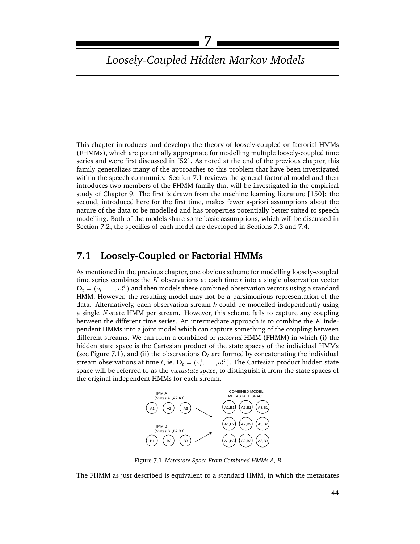**7**

This chapter introduces and develops the theory of loosely-coupled or factorial HMMs (FHMMs), which are potentially appropriate for modelling multiple loosely-coupled time series and were first discussed in [52]. As noted at the end of the previous chapter, this family generalizes many of the approaches to this problem that have been investigated within the speech community. Section 7.1 reviews the general factorial model and then introduces two members of the FHMM family that will be investigated in the empirical study of Chapter 9. The first is drawn from the machine learning literature [150]; the second, introduced here for the first time, makes fewer a-priori assumptions about the nature of the data to be modelled and has properties potentially better suited to speech modelling. Both of the models share some basic assumptions, which will be discussed in Section 7.2; the specifics of each model are developed in Sections 7.3 and 7.4.

# **7.1 Loosely-Coupled or Factorial HMMs**

As mentioned in the previous chapter, one obvious scheme for modelling loosely-coupled time series combines the  $K$  observations at each time  $t$  into a single observation vector  $\mathbf{O}_t = (o_t^1, \dots, o_t^K)$  and then models these combined observation vectors using a standard HMM. However, the resulting model may not be a parsimonious representation of the data. Alternatively, each observation stream  $k$  could be modelled independently using a single <sup>N</sup>-state HMM per stream. However, this scheme fails to capture any coupling between the different time series. An intermediate approach is to combine the  $K$  independent HMMs into a joint model which can capture something of the coupling between different streams. We can form a combined or *factorial* HMM (FHMM) in which (i) the hidden state space is the Cartesian product of the state spaces of the individual HMMs (see Figure 7.1), and (ii) the observations  $O_t$  are formed by concatenating the individual stream observations at time t, ie.  $\mathbf{O}_t = (o_t^1, \dots, o_t^K)$ . The Cartesian product hidden state space will be referred to as the *metastate space*, to distinguish it from the state spaces of the original independent HMMs for each stream.



Figure 7.1 *Metastate Space From Combined HMMs A, B*

The FHMM as just described is equivalent to a standard HMM, in which the metastates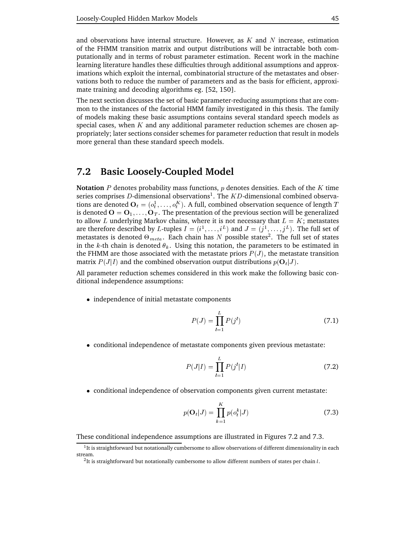and observations have internal structure. However, as  $K$  and  $N$  increase, estimation of the FHMM transition matrix and output distributions will be intractable both computationally and in terms of robust parameter estimation. Recent work in the machine learning literature handles these difficulties through additional assumptions and approximations which exploit the internal, combinatorial structure of the metastates and observations both to reduce the number of parameters and as the basis for efficient, approximate training and decoding algorithms eg. [52, 150].

The next section discusses the set of basic parameter-reducing assumptions that are common to the instances of the factorial HMM family investigated in this thesis. The family of models making these basic assumptions contains several standard speech models as special cases, when  $K$  and any additional parameter reduction schemes are chosen appropriately; later sections consider schemes for parameter reduction that result in models more general than these standard speech models.

# **7.2 Basic Loosely-Coupled Model**

**Notation** P denotes probability mass functions, p denotes densities. Each of the K time series comprises  $D$ -dimensional observations<sup>1</sup>. The  $KD$ -dimensional combined observations are denoted  $\mathbf{O}_t = (o_t^1, \dots, o_t^K)$ . A full, combined observation sequence of length  $T$ is denoted  $\mathbf{O} = \mathbf{O}_1, \ldots, \mathbf{O}_T$ . The presentation of the previous section will be generalized to allow L underlying Markov chains, where it is not necessary that  $L = K$ ; metastates are therefore described by L-tuples  $I = (i^1, \dots, i^L)$  and  $J = (j^1, \dots, j^L)$ . The full set of metastates is denoted  $\Theta_{meta}$ . Each chain has  $N$  possible states<sup>2</sup>. The full set of states in the k-th chain is denoted  $\theta_k$ . Using this notation, the parameters to be estimated in the FHMM are those associated with the metastate priors  $P(J)$ , the metastate transition matrix  $P(J|I)$  and the combined observation output distributions  $p(\mathbf{O}_t|J)$ .

All parameter reduction schemes considered in this work make the following basic conditional independence assumptions:

• independence of initial metastate components

$$
P(J) = \prod_{l=1}^{L} P(j^l)
$$
 (7.1)

conditional independence of metastate components given previous metastate:

$$
P(J|I) = \prod_{l=1}^{L} P(j^l|I)
$$
 (7.2)

conditional independence of observation components given current metastate:

$$
p(\mathbf{O}_t|J) = \prod_{k=1}^{K} p(o_t^k|J)
$$
 (7.3)

These conditional independence assumptions are illustrated in Figures 7.2 and 7.3.

 $1$ It is straightforward but notationally cumbersome to allow observations of different dimensionality in each stream.

 ${}^{2}$ It is straightforward but notationally cumbersome to allow different numbers of states per chain  $l$ .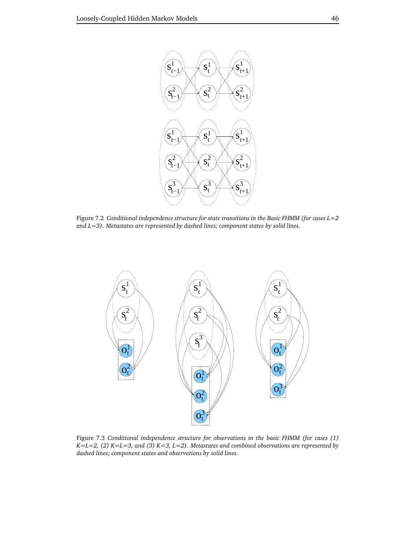

Figure 7.2 *Conditional independence structure for state transitions in the Basic FHMM (for cases L=2 and L=3). Metastates are represented by dashed lines; component states by solid lines.*



Figure 7.3 *Conditional independence structure for observations in the basic FHMM (for cases (1) K=L=2, (2) K=L=3, and (3) K=3, L=2). Metastates and combined observations are represented by dashed lines; component states and observations by solid lines.*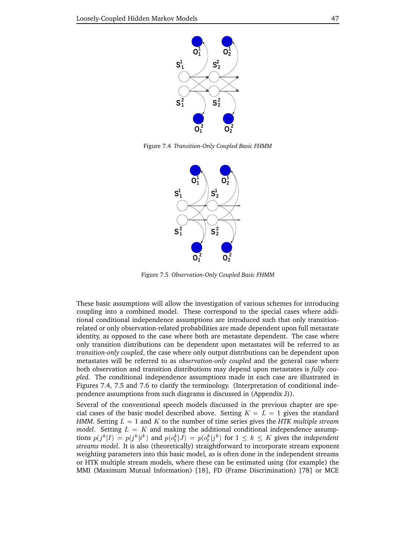

Figure 7.4 *Transition-Only Coupled Basic FHMM*



Figure 7.5 *Observation-Only Coupled Basic FHMM*

These basic assumptions will allow the investigation of various schemes for introducing coupling into a combined model. These correspond to the special cases where additional conditional independence assumptions are introduced such that only transitionrelated or only observation-related probabilities are made dependent upon full metastate identity, as opposed to the case where both are metastate dependent. The case where only transition distributions can be dependent upon metastates will be referred to as *transition-only coupled*, the case where only output distributions can be dependent upon metastates will be referred to as *observation-only coupled* and the general case where both observation and transition distributions may depend upon metastates is *fully coupled*. The conditional independence assumptions made in each case are illustrated in Figures 7.4, 7.5 and 7.6 to clarify the terminology. (Interpretation of conditional independence assumptions from such diagrams is discussed in (Appendix J)).

Several of the conventional speech models discussed in the previous chapter are special cases of the basic model described above. Setting  $K = L = 1$  gives the standard *HMM*. Setting  $L = 1$  and K to the number of time series gives the *HTK multiple stream model.* Setting  $L = K$  and making the additional conditional independence assumptions  $p(j^k|I) = p(j^k|i^k)$  and  $p(o_k^k|J) = p(o_k^k|j^k)$  for  $1 \leq k \leq K$  gives the *independent* t t *streams model*. It is also (theoretically) straightforward to incorporate stream exponent weighting parameters into this basic model, as is often done in the independent streams or HTK multiple stream models, where these can be estimated using (for example) the MMI (Maximum Mutual Information) [18], FD (Frame Discrimination) [78] or MCE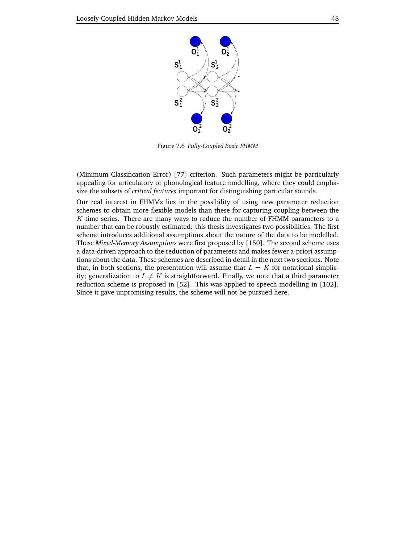

Figure 7.6 *Fully-Coupled Basic FHMM*

(Minimum Classification Error) [77] criterion. Such parameters might be particularly appealing for articulatory or phonological feature modelling, where they could emphasize the subsets of *critical features* important for distinguishing particular sounds.

Our real interest in FHMMs lies in the possibility of using new parameter reduction schemes to obtain more flexible models than these for capturing coupling between the  $K$  time series. There are many ways to reduce the number of FHMM parameters to a number that can be robustly estimated: this thesis investigates two possibilities. The first scheme introduces additional assumptions about the nature of the data to be modelled. These *Mixed-Memory Assumptions* were first proposed by [150]. The second scheme uses a data-driven approach to the reduction of parameters and makes fewer a-priori assumptions about the data. These schemes are described in detail in the next two sections. Note that, in both sections, the presentation will assume that  $L = K$  for notational simplicity; generalization to  $L \neq K$  is straightforward. Finally, we note that a third parameter reduction scheme is proposed in [52]. This was applied to speech modelling in [102]. Since it gave unpromising results, the scheme will not be pursued here.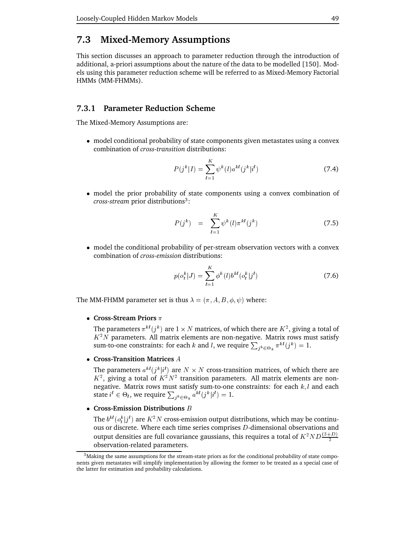# **7.3 Mixed-Memory Assumptions**

This section discusses an approach to parameter reduction through the introduction of additional, a-priori assumptions about the nature of the data to be modelled [150]. Models using this parameter reduction scheme will be referred to as Mixed-Memory Factorial HMMs (MM-FHMMs).

# **7.3.1 Parameter Reduction Scheme**

The Mixed-Memory Assumptions are:

 model conditional probability of state components given metastates using a convex combination of *cross-transition* distributions:

$$
P(j^k|I) = \sum_{l=1}^{K} \psi^k(l) a^{kl} (j^k | i^l)
$$
 (7.4)

 model the prior probability of state components using a convex combination of *cross-stream* prior distributions<sup>3</sup>:

$$
P(j^{k}) = \sum_{l=1}^{K} \psi^{k}(l) \pi^{kl}(j^{k})
$$
\n(7.5)

 model the conditional probability of per-stream observation vectors with a convex combination of *cross-emission* distributions:

$$
p(o_t^k|J) = \sum_{l=1}^K \phi^k(l)b^{kl}(o_t^k|j^l)
$$
\n(7.6)

The MM-FHMM parameter set is thus  $\lambda = (\pi, A, B, \phi, \psi)$  where:

#### • Cross-Stream Priors  $\pi$

The parameters  $\pi^{kt}(j^k)$  are  $1\times N$  matrices, of which there are  $K^2$ , giving a total of  $K^2N$  parameters. All matrix elements are non-negative. Matrix rows must satisfy sum-to-one constraints: for each  $k$  and  $l$ , we require  $\sum_{j^k \in \Theta_k} \pi^{kl}(j^k) = 1$ .

#### **Cross-Transition Matrices** A

The parameters  $a^{kt}(j^k|i^l)$  are  $N \times N$  cross-transition matrices, of which there are  $K^2$ , giving a total of  $K^2N^2$  transition parameters. All matrix elements are nonnegative. Matrix rows must satisfy sum-to-one constraints: for each  $k, l$  and each state  $i^t \in \Theta_l,$  we require  $\sum_{j^k \in \Theta_k} a^{kl}(j^k|i^l) = 1.$ 

#### **Cross-Emission Distributions** B

The  $b^{k\ell}(o^k_t|j^l)$  are  $K^2N$  cross-emission output distributions, which may be continuous or discrete. Where each time series comprises  $D$ -dimensional observations and output densities are full covariance gaussians, this requires a total of  $K^2ND\frac{(3+D)}{2}$ observation-related parameters.

 $3$ Making the same assumptions for the stream-state priors as for the conditional probability of state components given metastates will simplify implementation by allowing the former to be treated as a special case of the latter for estimation and probability calculations.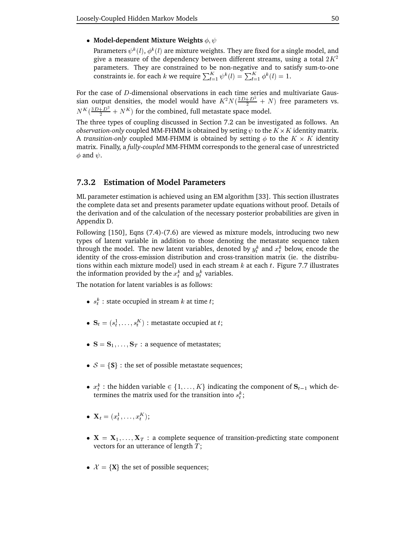• Model-dependent Mixture Weights  $\phi$ ,

Parameters  $\psi^k\left(l\right),$   $\phi^k\left(l\right)$  are mixture weights. They are fixed for a single model, and give a measure of the dependency between different streams, using a total  $2K^2$ parameters. They are constrained to be non-negative and to satisfy sum-to-one constraints ie. for each k we require  $\sum_{l=1}^{K} \psi^k(l) = \sum_{l=1}^{K} \phi^k(l) = 1$ .

For the case of <sup>D</sup>-dimensional observations in each time series and multivariate Gaussian output densities, the model would have  $K^2N(\frac{3D+D^2}{2} + N)$  free parameters vs.  $N^{K}(\frac{3D+D^{2}}{2}+N^{K})$  for the combined, full metastate space model.

The three types of coupling discussed in Section 7.2 can be investigated as follows. An  $observation-only \,coupled\; MM\mbox{-}FHMM\; is\; obtained \; by\; setting \; \psi \; to \; the \; K \times K \; identity \; matrix.$ A *transition-only* coupled MM-FHMM is obtained by setting  $\phi$  to the  $K \times K$  identity matrix. Finally, a *fully-coupled* MM-FHMM corresponds to the general case of unrestricted  $\phi$  and  $\psi$ .

## **7.3.2 Estimation of Model Parameters**

ML parameter estimation is achieved using an EM algorithm [33]. This section illustrates the complete data set and presents parameter update equations without proof. Details of the derivation and of the calculation of the necessary posterior probabilities are given in Appendix D.

Following [150], Eqns (7.4)-(7.6) are viewed as mixture models, introducing two new types of latent variable in addition to those denoting the metastate sequence taken through the model. The new latent variables, denoted by  $y_t^k$  and  $x_t^k$  below, encode the identity of the cross-emission distribution and cross-transition matrix (ie. the distributions within each mixture model) used in each stream k at each t. Figure 7.7 illustrates the information provided by the  $x_t^k$  and  $y_t^k$  variables.

The notation for latent variables is as follows:

- $s_t^k$  : state occupied in stream  $k$  at time  $t$ ;
- $S_t = (s_t^1, \ldots, s_t^K)$  : metastate occupied at t;
- $S = S_1, \ldots, S_T$ : a sequence of metastates;
- $\mathcal{S} = \{S\}$ : the set of possible metastate sequences;
- $x_t^k$ : the hidden variable  $\in \{1,\ldots,K\}$  indicating the component of  $\mathbf{S}_{t-1}$  which determines the matrix used for the transition into  $s_t^k$ ;
- $X_t = (x_t^1, \ldots, x_t^K);$
- $X = X_1, \ldots, X_T$ : a complete sequence of transition-predicting state component vectors for an utterance of length  $T$ ;
- $\mathcal{X} = \{X\}$  the set of possible sequences;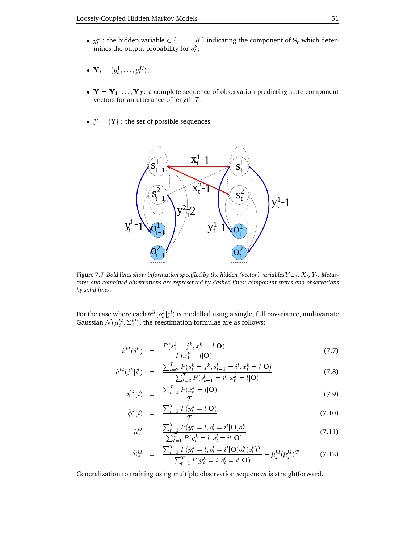- $y_t^k$ : the hidden variable  $\in \{1, \ldots, K\}$  indicating the component of  $\mathbf{S}_t$  which determines the output probability for  $o_t^k;$
- $Y_t = (y_t^1, \ldots, y_t^K);$
- $Y = Y_1, \ldots, Y_T$ : a complete sequence of observation-predicting state component vectors for an utterance of length  $T$ ;
- $\mathcal{Y} = \{Y\}$ : the set of possible sequences



Figure 7.7 *Bold lines show information specified by the hidden (vector) variables*  $Y_{t-1}$ ,  $X_t$ ,  $Y_t$ *. Metastates and combined observations are represented by dashed lines; component states and observations by solid lines.*

For the case where each  $b^{kt}(o_t^k|j^l)$  is modelled using a single, full covariance, multivariate Gaussian  $\mathcal{N}(\mu_j^{kl}, \Sigma_j^{kl}),$  the reestimation formulae are as follows:

$$
\hat{\pi}^{kl}(j^k) = \frac{P(s_1^k = j^k, x_1^k = l | \mathbf{O})}{P(x_1^k = l | \mathbf{O})}
$$
\n(7.7)

$$
\hat{a}^{kl}(j^k|i^l) = \frac{\sum_{t=2}^T P(s_t^k = j^k, s_{t-1}^l = i^l, x_t^k = l | \mathbf{O})}{\sum_{t=2}^T P(s_{t-1}^l = i^l, x_t^k = l | \mathbf{O})}
$$
(7.8)

$$
\hat{\psi}^{k}(l) = \frac{\sum_{t=1}^{T} P(x_{t}^{k} = l | \mathbf{O})}{T}
$$
\n(7.9)

$$
\hat{\phi}^k(l) = \frac{\sum_{t=1}^T P(y_t^k = l | \mathbf{O})}{T}
$$
\n(7.10)

$$
\hat{\mu}_j^{kl} = \frac{\sum_{t=1}^T P(y_t^k = l, s_t^l = i^l | \mathbf{O}) o_t^k}{\sum_{t=1}^T P(y_t^k = l, s_t^l = i^l | \mathbf{O})}
$$
\n(7.11)

$$
\hat{\Sigma}_j^{kl} = \frac{\sum_{t=1}^T P(y_t^k = l, s_t^l = i^l | \mathbf{O}) o_t^k (o_t^k)^T}{\sum_{t=1}^T P(y_t^k = l, s_t^l = i^l | \mathbf{O})} - \hat{\mu}_j^{kl} (\hat{\mu}_j^{kl})^T
$$
(7.12)

Generalization to training using multiple observation sequences is straightforward.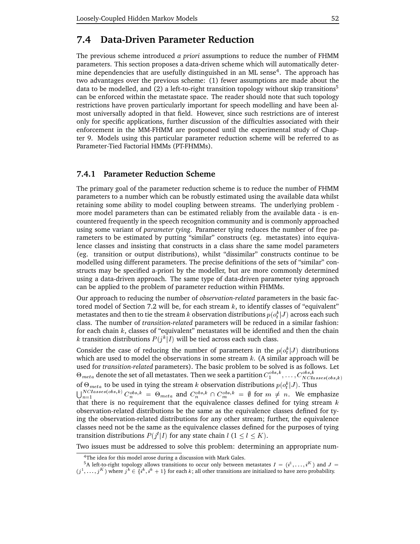# **7.4 Data-Driven Parameter Reduction**

The previous scheme introduced *a priori* assumptions to reduce the number of FHMM parameters. This section proposes a data-driven scheme which will automatically determine dependencies that are usefully distinguished in an ML sense<sup>4</sup>. The approach has two advantages over the previous scheme: (1) fewer assumptions are made about the data to be modelled, and (2) a left-to-right transition topology without skip transitions<sup>5</sup> can be enforced within the metastate space. The reader should note that such topology restrictions have proven particularly important for speech modelling and have been almost universally adopted in that field. However, since such restrictions are of interest only for specific applications, further discussion of the difficulties associated with their enforcement in the MM-FHMM are postponed until the experimental study of Chapter 9. Models using this particular parameter reduction scheme will be referred to as Parameter-Tied Factorial HMMs (PT-FHMMs).

## **7.4.1 Parameter Reduction Scheme**

The primary goal of the parameter reduction scheme is to reduce the number of FHMM parameters to a number which can be robustly estimated using the available data whilst retaining some ability to model coupling between streams. The underlying problem more model parameters than can be estimated reliably from the available data - is encountered frequently in the speech recognition community and is commonly approached using some variant of *parameter tying*. Parameter tying reduces the number of free parameters to be estimated by putting "similar" constructs (eg. metastates) into equivalence classes and insisting that constructs in a class share the same model parameters (eg. transition or output distributions), whilst "dissimilar" constructs continue to be modelled using different parameters. The precise definitions of the sets of "similar" constructs may be specified a-priori by the modeller, but are more commonly determined using a data-driven approach. The same type of data-driven parameter tying approach can be applied to the problem of parameter reduction within FHMMs.

Our approach to reducing the number of *observation-related* parameters in the basic factored model of Section 7.2 will be, for each stream  $k$ , to identify classes of "equivalent" metastates and then to tie the stream  $k$  observation distributions  $p(o_t^k|J)$  across each such the contract of the contract of the contract of the contract of the contract of the contract of the contract of class. The number of *transition-related* parameters will be reduced in a similar fashion: for each chain  $k$ , classes of "equivalent" metastates will be identified and then the chain k transition distributions  $P(j^k|I)$  will be tied across each such class.

Consider the case of reducing the number of parameters in the  $p(o_t^k|J)$  distributions the contract of the contract of the contract of the contract of the contract of the contract of the contract of which are used to model the observations in some stream  $k$ . (A similar approach will be used for *transition-related* parameters). The basic problem to be solved is as follows. Let  $\Theta_{meta}$  denote the set of all metastates. Then we seek a partition  $C_1^{obs,k}, \ldots, C_{NClasses(obs,k)}^{obs,k}$ of  $\Theta_{meta}$  to be used in tying the stream k observation distributions  $p(o_t^k|J)$ . Thus  $\bigcup_{n=1}^{NClasses(obs,k)} C_n^{obs,k} = \Theta_{meta}$  and  $C_n^{obs,k} \cap C_m^{obs,k} = \emptyset$  for  $m \neq n$ . We emphasize that there is no requirement that the equivalence classes defined for tying stream  $k$ observation-related distributions be the same as the equivalence classes defined for tying the observation-related distributions for any other stream; further, the equivalence classes need not be the same as the equivalence classes defined for the purposes of tying transition distributions  $P(j^t|I)$  for any state chain  $l$   $(1 \leq l \leq K)$ .

Two issues must be addressed to solve this problem: determining an appropriate num-

<sup>&</sup>lt;sup>4</sup>The idea for this model arose during a discussion with Mark Gales.

<sup>&</sup>lt;sup>5</sup>A left-to-right topology allows transitions to occur only between metastates  $I = (i^1, \ldots, i^K)$  and  $J = (j^1, \ldots, j^K)$  where  $j^k \in \{i^k, i^k + 1\}$  for each k; all other transitions are initialized to have zero probability.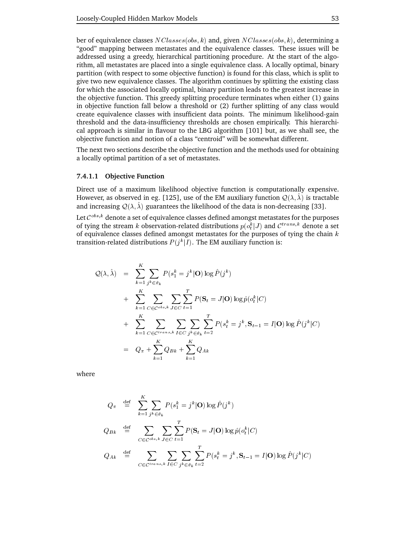ber of equivalence classes  $NClasses(obs, k)$  and, given  $NClasses(obs, k)$ , determining a "good" mapping between metastates and the equivalence classes. These issues will be addressed using a greedy, hierarchical partitioning procedure. At the start of the algorithm, all metastates are placed into a single equivalence class. A locally optimal, binary partition (with respect to some objective function) is found for this class, which is split to give two new equivalence classes. The algorithm continues by splitting the existing class for which the associated locally optimal, binary partition leads to the greatest increase in the objective function. This greedy splitting procedure terminates when either (1) gains in objective function fall below a threshold or (2) further splitting of any class would create equivalence classes with insufficient data points. The minimum likelihood-gain threshold and the data-insufficiency thresholds are chosen empirically. This hierarchical approach is similar in flavour to the LBG algorithm [101] but, as we shall see, the objective function and notion of a class "centroid" will be somewhat different.

The next two sections describe the objective function and the methods used for obtaining a locally optimal partition of a set of metastates.

#### **7.4.1.1 Objective Function**

Direct use of a maximum likelihood objective function is computationally expensive. However, as observed in eg. [125], use of the EM auxiliary function  $\mathcal{Q}(\lambda,\lambda)$  is tractable and increasing  $\mathcal{Q}(\lambda, \lambda)$  guarantees the likelihood of the data is non-decreasing [33].

Let  $C^{obs,k}$  denote a set of equivalence classes defined amongst metastates for the purposes of tying the stream k observation-related distributions  $p(o_t^k|J)$  and  $\mathcal{C}^{trans,k}$  denote a set of equivalence classes defined amongst metastates for the purposes of tying the chain  $k$ transition-related distributions  $P(j^k|I)$ . The EM auxiliary function is:

$$
Q(\lambda, \hat{\lambda}) = \sum_{k=1}^{K} \sum_{j^{k} \in \theta_{k}} P(s_{1}^{k} = j^{k} | \mathbf{O}) \log \hat{P}(j^{k})
$$
  
+ 
$$
\sum_{k=1}^{K} \sum_{C \in \mathcal{C}^{obs,k}} \sum_{J \in C} \sum_{t=1}^{T} P(\mathbf{S}_{t} = J | \mathbf{O}) \log \hat{p}(o_{t}^{k} | C)
$$
  
+ 
$$
\sum_{k=1}^{K} \sum_{C \in \mathcal{C}^{trans,k}} \sum_{I \in C} \sum_{j^{k} \in \theta_{k}} \sum_{t=2}^{T} P(s_{t}^{k} = j^{k}, \mathbf{S}_{t-1} = I | \mathbf{O}) \log \hat{P}(j^{k} | C)
$$
  
= 
$$
Q_{\pi} + \sum_{k=1}^{K} Q_{Bk} + \sum_{k=1}^{K} Q_{Ak}
$$

where

$$
Q_{\pi} \stackrel{\text{def}}{=} \sum_{k=1}^{K} \sum_{j^{k} \in \theta_{k}} P(s_{1}^{k} = j^{k} | \mathbf{O}) \log \hat{P}(j^{k})
$$
  
\n
$$
Q_{Bk} \stackrel{\text{def}}{=} \sum_{C \in \mathcal{C}^{obs,k}} \sum_{J \in C} \sum_{t=1}^{T} P(\mathbf{S}_{t} = J | \mathbf{O}) \log \hat{p}(o_{t}^{k} | C)
$$
  
\n
$$
Q_{Ak} \stackrel{\text{def}}{=} \sum_{C \in \mathcal{C}^{trans,k}} \sum_{I \in C} \sum_{j^{k} \in \theta_{k}} \sum_{t=2}^{T} P(s_{t}^{k} = j^{k}, \mathbf{S}_{t-1} = I | \mathbf{O}) \log \hat{P}(j^{k} | C)
$$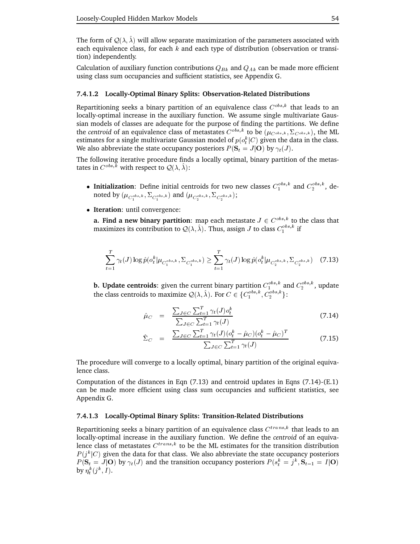The form of  $\mathcal{Q}(\lambda, \lambda)$  will allow separate maximization of the parameters associated with each equivalence class, for each  $k$  and each type of distribution (observation or transition) independently.

Calculation of auxiliary function contributions  $Q_{Bk}$  and  $Q_{Ak}$  can be made more efficient using class sum occupancies and sufficient statistics, see Appendix G.

#### **7.4.1.2 Locally-Optimal Binary Splits: Observation-Related Distributions**

Repartitioning seeks a binary partition of an equivalence class  $C^{obs,k}$  that leads to an locally-optimal increase in the auxiliary function. We assume single multivariate Gaussian models of classes are adequate for the purpose of finding the partitions. We define the *centroid* of an equivalence class of metastates  $C^{obs,k}$  to be  $(\mu_{C^{obs,k}}, \Sigma_{C^{obs,k}})$ , the ML estimates for a single multivariate Gaussian model of  $p(o_i^k|C)$  given the data in the class. We also abbreviate the state occupancy posteriors  $P(\mathbf{S}_t = J | \mathbf{O})$  by  $\gamma_t(J)$ .

The following iterative procedure finds a locally optimal, binary partition of the metastates in  $C^{obs,k}$  with respect to  $\mathcal{Q}(\lambda, \hat{\lambda})$ :

- Initialization: Define initial centroids for two new classes  $C_1^{\text{obs},k}$  and  $C_2^{\text{obs},k}$ , denoted by  $(\mu_{C_1^{obs,k}}, \Sigma_{C_1^{obs,k}})$  and  $(\mu_{C_2^{obs,k}}, \Sigma_{C_2^{obs,k}});$
- **Iteration**: until convergence:

**a. Find a new binary partition:** map each metastate  $J \in C^{obs,k}$  to the class that maximizes its contribution to  $\mathcal{Q}(\lambda, \lambda)$ . Thus, assign  $J$  to class  $C_1^{\text{oos}, \kappa}$  if

$$
\sum_{t=1}^{T} \gamma_t(J) \log \hat{p}(o_t^k | \mu_{C_1^{obs,k}}, \Sigma_{C_1^{obs,k}}) \ge \sum_{t=1}^{T} \gamma_t(J) \log \hat{p}(o_t^k | \mu_{C_2^{obs,k}}, \Sigma_{C_2^{obs,k}}) \quad (7.13)
$$

**b. Update centroids**: given the current binary partition  $C_1^{obs,k}$  and  $C_2^{obs,k}$ , update the class centroids to maximize  $Q(\lambda, \hat{\lambda})$ . For  $C \in \{C_1^{obs,k}, C_2^{obs,k}\}$ :

$$
\hat{\mu}_C = \frac{\sum_{J \in C} \sum_{t=1}^T \gamma_t(J) o_t^k}{\sum_{J \in C} \sum_{t=1}^T \gamma_t(J)} \tag{7.14}
$$

$$
\hat{\Sigma}_C = \frac{\sum_{J \in C} \sum_{t=1}^T \gamma_t(J) (o_t^k - \hat{\mu}_C) (o_t^k - \hat{\mu}_C)^T}{\sum_{J \in C} \sum_{t=1}^T \gamma_t(J)}
$$
(7.15)

The procedure will converge to a locally optimal, binary partition of the original equivalence class.

Computation of the distances in Eqn (7.13) and centroid updates in Eqns (7.14)-(E.1) can be made more efficient using class sum occupancies and sufficient statistics, see Appendix G.

### **7.4.1.3 Locally-Optimal Binary Splits: Transition-Related Distributions**

Repartitioning seeks a binary partition of an equivalence class  $C^{trans,k}$  that leads to an locally-optimal increase in the auxiliary function. We define the *centroid* of an equivalence class of metastates  $C^{trans,k}$  to be the ML estimates for the transition distribution  $P(j^k|C)$  given the data for that class. We also abbreviate the state occupancy posteriors  $P(S_t = J|O)$  by  $\gamma_t(J)$  and the transition occupancy posteriors  $P(s_t^k = j^k, S_{t-1} = I|O)$ by  $\eta_t^k(j^k,I)$ .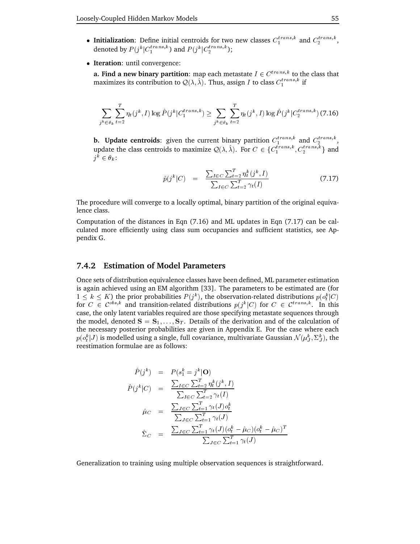- Initialization: Define initial centroids for two new classes  $C_1^{trains,k}$  and  $C_2^{trains,k}$ , denoted by  $P(j^k|C_1^{trans,k})$  and  $P(j^k|C_2^{trans,k})$ ;
- **Iteration**: until convergence:

**a. Find a new binary partition:** map each metastate  $I \in \mathbb{C}^{trans,k}$  to the class that maximizes its contribution to  $\mathcal{Q}(\lambda, \lambda)$ . Thus, assign I to class  $C_1^{trans, k}$  if

$$
\sum_{j^k \in \theta_k} \sum_{t=2}^T \eta_t(j^k, I) \log \hat{P}(j^k | C_1^{trans, k}) \ge \sum_{j^k \in \theta_k} \sum_{t=2}^T \eta_t(j^k, I) \log \hat{P}(j^k | C_2^{trans, k})(7.16)
$$

**b.** Update centroids: given the current binary partition  $C_1^{trans,k}$  and  $C_2^{trans,k}$ , **b.** Update centroids: given the current binary partition  $C_1^{trans,k}$  and  $C_2^{trans,k}$ , update the class centroids to maximize  $Q(\lambda, \hat{\lambda})$ . For  $C \in \{C_1^{trans,k}, C_2^{trans,k}\}$  and  $j^k \in \theta_k$ :

$$
\hat{p}(j^{k}|C) = \frac{\sum_{I \in C} \sum_{t=2}^{T} \eta_{t}^{k}(j^{k}, I)}{\sum_{I \in C} \sum_{t=2}^{T} \gamma_{t}(I)}
$$
\n(7.17)

The procedure will converge to a locally optimal, binary partition of the original equivalence class.

Computation of the distances in Eqn (7.16) and ML updates in Eqn (7.17) can be calculated more efficiently using class sum occupancies and sufficient statistics, see Appendix G.

# **7.4.2 Estimation of Model Parameters**

Once sets of distribution equivalence classes have been defined, ML parameter estimation is again achieved using an EM algorithm [33]. The parameters to be estimated are (for  $1 \leq k \leq K$ ) the prior probabilities  $P(j^k)$ , the observation-related distributions  $p(o_i^k|C)$ for  $C \in \mathcal{C}^{obs,k}$  and transition-related distributions  $p(j^k|C)$  for  $C \in \mathcal{C}^{trans,k}$ . In this case, the only latent variables required are those specifying metastate sequences through the model, denoted  $S = S_1, \ldots, S_T$ . Details of the derivation and of the calculation of the necessary posterior probabilities are given in Appendix E. For the case where each  $p(o_t^k | J)$  is modelled using a single, full covariance, multivariate Gaussian  $\mathcal{N}(\mu_j^k, \Sigma_j^k)$ , the the contract of the contract of the contract of the contract of the contract of the contract of the contract of reestimation formulae are as follows:

$$
\hat{P}(j^k) = P(s_1^k = j^k | \mathbf{O})
$$
\n
$$
\hat{P}(j^k | C) = \frac{\sum_{I \in C} \sum_{t=2}^T \eta_t^k (j^k, I)}{\sum_{I \in C} \sum_{t=2}^T \gamma_t(I)}
$$
\n
$$
\hat{\mu}_C = \frac{\sum_{J \in C} \sum_{t=1}^T \gamma_t(J) o_t^k}{\sum_{J \in C} \sum_{t=1}^T \gamma_t(J)}
$$
\n
$$
\hat{\Sigma}_C = \frac{\sum_{J \in C} \sum_{t=1}^T \gamma_t(J) (o_t^k - \hat{\mu}_C) (o_t^k - \hat{\mu}_C)^T}{\sum_{J \in C} \sum_{t=1}^T \gamma_t(J)}
$$

Generalization to training using multiple observation sequences is straightforward.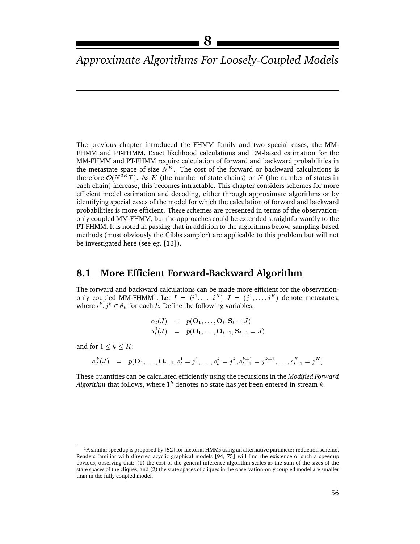# *Approximate Algorithms For Loosely-Coupled Models*

The previous chapter introduced the FHMM family and two special cases, the MM-FHMM and PT-FHMM. Exact likelihood calculations and EM-based estimation for the MM-FHMM and PT-FHMM require calculation of forward and backward probabilities in the metastate space of size  $N<sup>K</sup>$ . The cost of the forward or backward calculations is therefore  $\mathcal{O}(N^{2K}T)$ . As K (the number of state chains) or N (the number of states in each chain) increase, this becomes intractable. This chapter considers schemes for more efficient model estimation and decoding, either through approximate algorithms or by identifying special cases of the model for which the calculation of forward and backward probabilities is more efficient. These schemes are presented in terms of the observationonly coupled MM-FHMM, but the approaches could be extended straightforwardly to the PT-FHMM. It is noted in passing that in addition to the algorithms below, sampling-based methods (most obviously the Gibbs sampler) are applicable to this problem but will not be investigated here (see eg. [13]).

# **8.1 More Efficient Forward-Backward Algorithm**

The forward and backward calculations can be made more efficient for the observationonly coupled MM-FHMM<sup>1</sup>. Let  $I = (i^1, \ldots, i^K), J = (j^1, \ldots, j^K)$  denote metastates, where  $i^k, j^k \in \theta_k$  for each k. Define the following variables:

$$
\alpha_t(J) = p(\mathbf{O}_1, \dots, \mathbf{O}_t, \mathbf{S}_t = J)
$$
  
\n
$$
\alpha_t^0(J) = p(\mathbf{O}_1, \dots, \mathbf{O}_{t-1}, \mathbf{S}_{t-1} = J)
$$

and for  $1 \leq k \leq K$ :

$$
\alpha_{t}^k(J) \quad = \quad p(\mathbf{O}_1, \dots, \mathbf{O}_{t-1}, s_t^1 = j^1, \dots, s_t^k = j^k, s_{t-1}^{k+1} = j^{k+1}, \dots, s_{t-1}^K = j^K)
$$

These quantities can be calculated efficiently using the recursions in the *Modified Forward Algorithm* that follows, where  $1^k$  denotes no state has yet been entered in stream  $k$ .

 $1_A$  similar speedup is proposed by [52] for factorial HMMs using an alternative parameter reduction scheme. Readers familiar with directed acyclic graphical models [94, 75] will find the existence of such a speedup obvious, observing that: (1) the cost of the general inference algorithm scales as the sum of the sizes of the state spaces of the cliques, and (2) the state spaces of cliques in the observation-only coupled model are smaller than in the fully coupled model.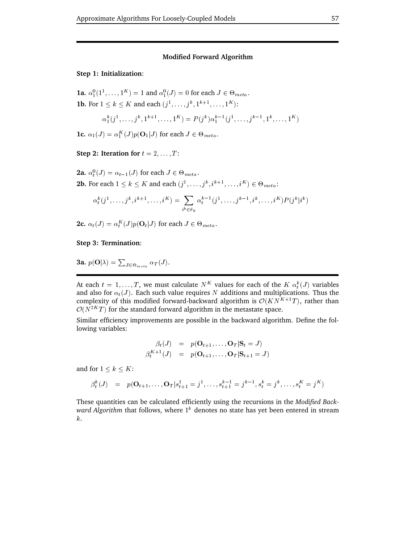#### **Modified Forward Algorithm**

#### **Step 1: Initialization**:

**1a.**  $\alpha_1^0(1^1, \ldots, 1^K) = 1$  and  $\alpha_1^0(J) = 0$  for each  $J \in \Theta_{meta}$ . **1b.** For  $1 \leq k \leq K$  and each  $(j^1, \ldots, j^k, 1^{k+1}, \ldots, 1^K)$ :

$$
\alpha_1^k(j^1,\ldots,j^k,1^{k+1},\ldots,1^K) = P(j^k)\alpha_1^{k-1}(j^1,\ldots,j^{k-1},1^k,\ldots,1^K)
$$

**1c.**  $\alpha_1(J) = \alpha_1^K(J) p(\mathbf{O}_1|J)$  for each  $J \in \Theta_{meta}$ .

## **Step 2: Iteration for**  $t = 2, \ldots, T$ :

**2a.**  $\alpha_t^0(J) = \alpha_{t-1}(J)$  for each  $J \in \Theta_{meta}$ . **2b.** For each  $1 \leq k \leq K$  and each  $(j^1, \ldots, j^k, i^{k+1}, \ldots, i^K) \in \Theta_{meta}$ :

$$
\alpha_t^k(j^1, \ldots, j^k, i^{k+1}, \ldots, i^K) = \sum_{i^k \in \theta_k} \alpha_t^{k-1}(j^1, \ldots, j^{k-1}, i^k, \ldots, i^K) P(j^k | i^k)
$$

**2c.**  $\alpha_t(J) = \alpha_t^K(J) p(\mathbf{O}_t | J)$  for each  $J \in \Theta_{meta}$ .

#### **Step 3: Termination**:

**3a.**  $p(\mathbf{O}|\lambda) = \sum_{J \in \Theta_{meta}} \alpha_T(J)$ .

At each  $t = 1, \ldots, T$ , we must calculate  $N^K$  values for each of the  $K$   $\alpha_t^k(J)$  variables and also for  $\alpha_t(J)$ . Each such value requires N additions and multiplications. Thus the complexity of this modified forward-backward algorithm is  $\mathcal{O}(KN^{K+1}T)$ , rather than  $O(N^{2K}T)$  for the standard forward algorithm in the metastate space.

Similar efficiency improvements are possible in the backward algorithm. Define the following variables:

$$
\beta_t(J) = p(\mathbf{O}_{t+1}, \dots, \mathbf{O}_T | \mathbf{S}_t = J)
$$
  

$$
\beta_t^{K+1}(J) = p(\mathbf{O}_{t+1}, \dots, \mathbf{O}_T | \mathbf{S}_{t+1} = J)
$$

and for  $1 \leq k \leq K$ :

$$
\beta_t^k(J) = p(\mathbf{O}_{t+1}, \dots, \mathbf{O}_T | s_{t+1}^1 = j^1, \dots, s_{t+1}^{k-1} = j^{k-1}, s_t^k = j^k, \dots, s_t^K = j^K)
$$

These quantities can be calculated efficiently using the recursions in the *Modified Backward Algorithm* that follows, where  $1^k$  denotes no state has yet been entered in stream k.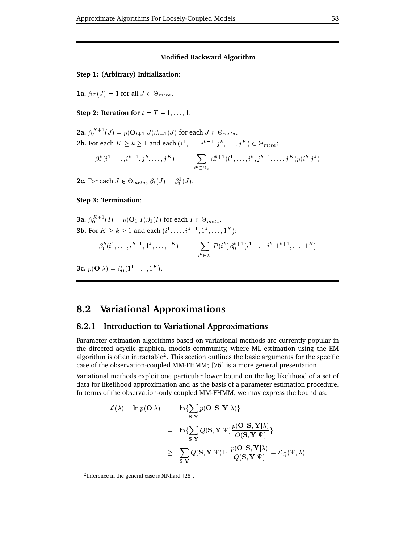#### **Modified Backward Algorithm**

#### **Step 1: (Arbitrary) Initialization**:

**1a.**  $\beta_T(J) = 1$  for all  $J \in \Theta_{meta}$ .

**Step 2: Iteration for**  $t = T - 1, \ldots, 1$ :

**2a.**  $\beta_t^{K+1}(J) = p(\mathbf{O}_{t+1} | J) \beta_{t+1}(J)$  for each  $J \in \Theta_{meta}$ . **2b.** For each  $K \ge k \ge 1$  and each  $(i^1, \ldots, i^{k-1}, j^k, \ldots, j^K) \in \Theta_{meta}$ :

$$
\beta_t^k(i^1,\ldots,i^{k-1},j^k,\ldots,j^K) \quad = \quad \sum_{i^k \in \Theta_k} \beta_t^{k+1}(i^1,\ldots,i^k,j^{k+1},\ldots,j^K)p(i^k|j^k)
$$

**2c.** For each  $J \in \Theta_{meta}$ ,  $\beta_t(J) = \beta_t^1(J)$ .

# **Step 3: Termination**:

**3a.**  $\beta_0^{K+1}(I) = p(\mathbf{O}_1 | I) \beta_1(I)$  for each  $I \in \Theta_{meta}$ . **3b.** For  $K \ge k \ge 1$  and each  $(i^1, \ldots, i^{k-1}, 1^k, \ldots, 1^K)$ :

$$
\beta_0^k(i^1,\ldots,i^{k-1},1^k,\ldots,1^K) \quad = \quad \sum_{i^k \in \theta_k} P(i^k) \beta_0^{k+1}(i^1,\ldots,i^k,1^{k+1},\ldots,1^K)
$$

**3c.**  $p(\mathbf{O}|\lambda) = \beta_0^1(1^1, \dots, 1^K)$ .

# **8.2 Variational Approximations**

### **8.2.1 Introduction to Variational Approximations**

Parameter estimation algorithms based on variational methods are currently popular in the directed acyclic graphical models community, where ML estimation using the EM algorithm is often intractable<sup>2</sup>. This section outlines the basic arguments for the specific case of the observation-coupled MM-FHMM; [76] is a more general presentation.

Variational methods exploit one particular lower bound on the log likelihood of a set of data for likelihood approximation and as the basis of a parameter estimation procedure. In terms of the observation-only coupled MM-FHMM, we may express the bound as:

$$
\mathcal{L}(\lambda) = \ln p(\mathbf{O}|\lambda) = \ln \{ \sum_{\mathbf{S}, \mathbf{Y}} p(\mathbf{O}, \mathbf{S}, \mathbf{Y}|\lambda) \}
$$
  
=  $\ln \{ \sum_{\mathbf{S}, \mathbf{Y}} Q(\mathbf{S}, \mathbf{Y}|\Psi) \frac{p(\mathbf{O}, \mathbf{S}, \mathbf{Y}|\lambda)}{Q(\mathbf{S}, \mathbf{Y}|\Psi)} \}$   

$$
\geq \sum_{\mathbf{S}, \mathbf{Y}} Q(\mathbf{S}, \mathbf{Y}|\Psi) \ln \frac{p(\mathbf{O}, \mathbf{S}, \mathbf{Y}|\lambda)}{Q(\mathbf{S}, \mathbf{Y}|\Psi)} = \mathcal{L}_Q(\Psi, \lambda)
$$

<sup>2</sup>Inference in the general case is NP-hard [28].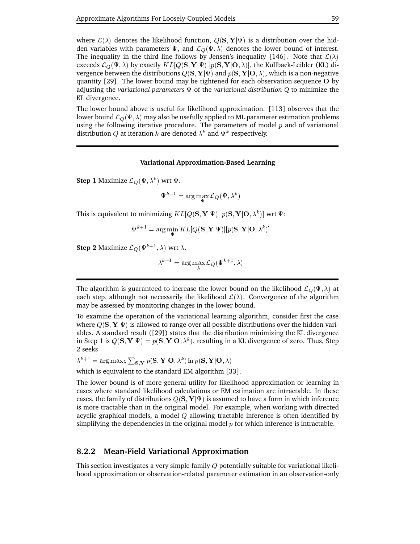where  $\mathcal{L}(\lambda)$  denotes the likelihood function,  $Q(S, Y | \Psi)$  is a distribution over the hidden variables with parameters  $\Psi$ , and  $\mathcal{L}_Q(\Psi,\lambda)$  denotes the lower bound of interest. The inequality in the third line follows by Jensen's inequality [146]. Note that  $\mathcal{L}(\lambda)$ exceeds  $\mathcal{L}_Q(\Psi, \lambda)$  by exactly  $KL[Q(\mathbf{S}, \mathbf{Y}|\Psi)||p(\mathbf{S}, \mathbf{Y}|\mathbf{O}, \lambda)]$ , the Kullback-Leibler (KL) divergence between the distributions  $Q(S, Y | \Psi)$  and  $p(S, Y | O, \lambda)$ , which is a non-negative quantity [29]. The lower bound may be tightened for each observation sequence <sup>O</sup> by adjusting the *variational parameters*  $\Psi$  of the *variational distribution Q* to minimize the KL divergence.

The lower bound above is useful for likelihood approximation. [113] observes that the lower bound  $\mathcal{L}_O(\Psi, \lambda)$  may also be usefully applied to ML parameter estimation problems using the following iterative procedure. The parameters of model  $p$  and of variational distribution Q at iteration k are denoted  $\lambda^k$  and  $\Psi^k$  respectively.

#### **Variational Approximation-Based Learning**

**Step 1** Maximize  $\mathcal{L}_Q(\Psi, \lambda^k)$  wrt  $\Psi$ .

$$
\Psi^{k+1} = \arg \max \mathcal{L}_Q(\Psi, \lambda^k)
$$

This is equivalent to minimizing  $KL[Q({\bf S},{\bf Y}|\Psi)||p({\bf S},{\bf Y}|{\bf O},\lambda^k)]$  wrt  $\Psi$ :

$$
\Psi^{k+1} = \arg\min_{\Psi} KL[Q(\mathbf{S}, \mathbf{Y}|\Psi)||p(\mathbf{S}, \mathbf{Y}|\mathbf{O}, \lambda^k)]
$$

**Step 2** Maximize  $\mathcal{L}_Q(\Psi^{k+1}, \lambda)$  wrt  $\lambda$ .

 $\lambda$  = arg max  $\mathcal{L}_Q(\Psi^+, \lambda)$ 

The algorithm is guaranteed to increase the lower bound on the likelihood  $\mathcal{L}_Q(\Psi,\lambda)$  at each step, although not necessarily the likelihood  $\mathcal{L}(\lambda)$ . Convergence of the algorithm may be assessed by monitoring changes in the lower bound.

To examine the operation of the variational learning algorithm, consider first the case where  $Q(S, Y | \Psi)$  is allowed to range over all possible distributions over the hidden variables. A standard result ([29]) states that the distribution minimizing the KL divergence in Step 1 is  $Q(S, Y | \Psi) = p(S, Y | \mathbf{O}, \lambda^k)$ , resulting in a KL divergence of zero. Thus, Step 2 seeks

 $\lambda^{k+1} = \argmax_{\lambda} \sum_{\mathbf{S},\mathbf{Y}} p(\mathbf{S},\mathbf{Y}|\mathbf{O},\lambda^k) \ln p(\mathbf{S},\mathbf{Y}|\mathbf{O},\lambda)$ 

which is equivalent to the standard EM algorithm [33].

The lower bound is of more general utility for likelihood approximation or learning in cases where standard likelihood calculations or EM estimation are intractable. In these cases, the family of distributions  $Q(S, Y | \Psi)$  is assumed to have a form in which inference is more tractable than in the original model. For example, when working with directed acyclic graphical models, a model  $Q$  allowing tractable inference is often identified by simplifying the dependencies in the original model  $p$  for which inference is intractable.

### **8.2.2 Mean-Field Variational Approximation**

This section investigates a very simple family Q potentially suitable for variational likelihood approximation or observation-related parameter estimation in an observation-only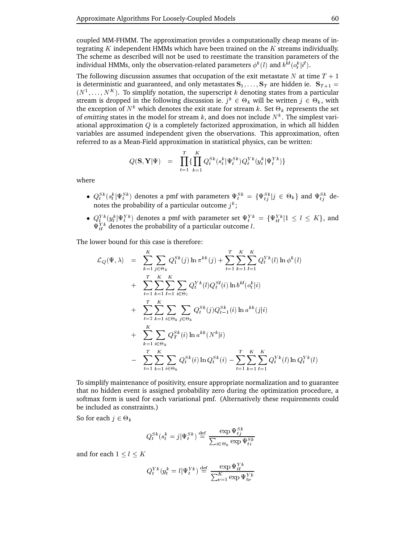coupled MM-FHMM. The approximation provides a computationally cheap means of integrating  $K$  independent HMMs which have been trained on the  $K$  streams individually. The scheme as described will not be used to reestimate the transition parameters of the individual HMMs, only the observation-related parameters  $\phi^k(l)$  and  $b^{kl}(o^k_t|i^l)$ .

The following discussion assumes that occupation of the exit metastate N at time  $T + 1$ is deterministic and guaranteed, and only metastates  $S_1$ , ...,  $S_T$  are hidden ie.  $S_{T+1}$  =  $(N^1, \ldots, N^K)$ . To simplify notation, the superscript k denoting states from a particular stream is dropped in the following discussion ie.  $j^k \in \Theta_k$  will be written  $j \in \Theta_k$ , with the exception of  $N^k$  which denotes the exit state for stream k. Set  $\Theta_k$  represents the set of *emitting* states in the model for stream  $k$ , and does not include  $N^k$ . The simplest variational approximation  $Q$  is a completely factorized approximation, in which all hidden variables are assumed independent given the observations. This approximation, often referred to as a Mean-Field approximation in statistical physics, can be written:

$$
Q(\mathbf{S}, \mathbf{Y} | \Psi) = \prod_{t=1}^{T} \{ \prod_{k=1}^{K} Q_t^{Sk} (s_t^k | \Psi_t^{Sk}) Q_t^{Yk} (y_t^k | \Psi_t^{Yk}) \}
$$

where

- $Q_t^{Sk}(s_t^k | \Psi_t^{Sk})$  denotes a pmf with parameters  $\Psi_t^{Sk} = {\Psi_{tj}^{Sk} | j \in \Theta_k}$  and  $\Psi_{tj}^{Sk}$  denotes the probability of a particular outcome  $j^k;$
- $Q_t^{Yk}(y_t^k | \Psi_t^{Yk})$  denotes a pmf with parameter set  $\Psi_t^{Yk} = {\Psi_t^{Yk}} | 1 \leq l \leq K$ , and  $\Psi_{tl}^{Yk}$  denotes the probability of a particular outcome l.

The lower bound for this case is therefore:

$$
\mathcal{L}_{Q}(\Psi,\lambda) = \sum_{k=1}^{K} \sum_{j \in \Theta_{k}} Q_{1}^{Sk}(j) \ln \pi^{kk}(j) + \sum_{t=1}^{T} \sum_{k=1}^{K} \sum_{l=1}^{K} Q_{t}^{Yk}(l) \ln \phi^{k}(l) \n+ \sum_{t=1}^{T} \sum_{k=1}^{K} \sum_{l=1}^{K} \sum_{i \in \Theta_{l}} Q_{t}^{Yk}(l) Q_{t}^{SI}(i) \ln b^{kl}(o_{t}^{k}|i) \n+ \sum_{t=2}^{T} \sum_{k=1}^{K} \sum_{i \in \Theta_{k}} \sum_{j \in \Theta_{k}} Q_{t}^{Sk}(j) Q_{t-1}^{Sk}(i) \ln a^{kk}(j|i) \n+ \sum_{k=1}^{K} \sum_{i \in \Theta_{k}} Q_{T}^{Sk}(i) \ln a^{kk}(N^{k}|i) \n- \sum_{t=1}^{T} \sum_{k=1}^{K} \sum_{i \in \Theta_{k}} Q_{t}^{Sk}(i) \ln Q_{t}^{Sk}(i) - \sum_{t=1}^{T} \sum_{k=1}^{K} \sum_{l=1}^{K} Q_{t}^{Yk}(l) \ln Q_{t}^{Yk}(l)
$$

To simplify maintenance of positivity, ensure appropriate normalization and to guarantee that no hidden event is assigned probability zero during the optimization procedure, a softmax form is used for each variational pmf. (Alternatively these requirements could be included as constraints.)

So for each  $j \in \Theta_k$ 

$$
Q_t^{Sk}(s_t^k=j|\Psi_t^{Sk}) \stackrel{\text{def}}{=} \frac{\exp{\Psi_{tj}^{Sk}}}{\sum_{i\in\Theta_k}\exp{\Psi_{ti}^{Sk}}}
$$

and for each  $1 \le l \le K$ 

$$
Q_t^{Yk} (y_t^k = l | \Psi_t^{Yk}) \stackrel{\text{def}}{=} \frac{\exp \Psi_{tt}^{Yk}}{\sum_{\nu=1}^K \exp \Psi_{t\nu}^{Yk}}
$$

the contract of the contract of the contract of the contract of the contract of the contract of the contract of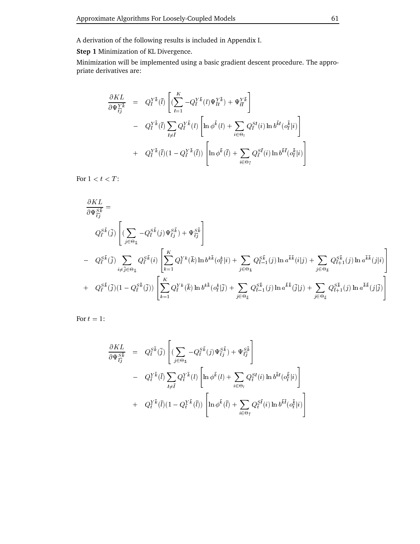A derivation of the following results is included in Appendix I.

**Step 1** Minimization of KL Divergence.

Minimization will be implemented using a basic gradient descent procedure. The appropriate derivatives are:

$$
\frac{\partial KL}{\partial \Psi_{\bar{t}j}^{Y\bar{k}}} = Q_{\bar{t}}^{Y\bar{k}}(\bar{l}) \left[ (\sum_{l=1}^{K} -Q_{\bar{t}}^{Y\bar{k}}(l) \Psi_{\bar{t}l}^{Y\bar{k}}) + \Psi_{\bar{t}l}^{Y\bar{k}} \right] \n- Q_{\bar{t}}^{Y\bar{k}}(\bar{l}) \sum_{l \neq \bar{l}} Q_{\bar{t}}^{Y\bar{k}}(l) \left[ \ln \phi^{\bar{k}}(l) + \sum_{i \in \Theta_{l}} Q_{\bar{t}}^{SI}(i) \ln b^{\bar{k}l}(o_{\bar{t}}^{\bar{k}}|i) \right] \n+ Q_{\bar{t}}^{Y\bar{k}}(\bar{l}) (1 - Q_{\bar{t}}^{Y\bar{k}}(\bar{l})) \left[ \ln \phi^{\bar{k}}(\bar{l}) + \sum_{i \in \Theta_{\bar{t}}} Q_{\bar{t}}^{SI}(i) \ln b^{\bar{k}l}(o_{\bar{t}}^{\bar{k}}|i) \right]
$$

For  $1 < t < T$  :

$$
\frac{\partial KL}{\partial \Psi_{t\bar{j}}^{S\bar{k}}} =
$$
\n
$$
Q_{\bar{t}}^{S\bar{k}}(\bar{j}) \left[ (\sum_{j \in \Theta_{\bar{k}}} -Q_{\bar{t}}^{S\bar{k}}(j) \Psi_{t\bar{j}}^{S\bar{k}}) + \Psi_{t\bar{j}}^{S\bar{k}} \right]
$$
\n
$$
- Q_{\bar{t}}^{S\bar{k}}(\bar{j}) \sum_{i \neq \bar{j} \in \Theta_{\bar{k}}} Q_{\bar{t}}^{S\bar{k}}(i) \left[ \sum_{k=1}^{K} Q_{\bar{t}}^{Yk}(\bar{k}) \ln b^{k\bar{k}}(o_{\bar{t}}^{k}|i) + \sum_{j \in \Theta_{\bar{k}}} Q_{\bar{t}-1}^{S\bar{k}}(j) \ln a^{\bar{k}\bar{k}}(i|j) + \sum_{j \in \Theta_{\bar{k}}} Q_{\bar{t}+1}^{S\bar{k}}(j) \ln a^{\bar{k}\bar{k}}(j|i) \right]
$$
\n
$$
+ Q_{\bar{t}}^{S\bar{k}}(\bar{j}) (1 - Q_{\bar{t}}^{S\bar{k}}(\bar{j})) \left[ \sum_{k=1}^{K} Q_{\bar{t}}^{Yk}(\bar{k}) \ln b^{k\bar{k}}(o_{\bar{t}}^{k}|\bar{j}) + \sum_{j \in \Theta_{\bar{k}}} Q_{\bar{t}-1}^{S\bar{k}}(j) \ln a^{\bar{k}\bar{k}}(\bar{j}|j) + \sum_{j \in \Theta_{\bar{k}}} Q_{\bar{t}+1}^{S\bar{k}}(j) \ln a^{\bar{k}\bar{k}}(j|\bar{j}) \right]
$$

For  $t = 1$ :

$$
\frac{\partial KL}{\partial \Psi_{\bar{t}j}^{S\bar{k}}} = Q_{\bar{t}}^{S\bar{k}}(\bar{j}) \left[ (\sum_{j \in \Theta_{\bar{k}}} -Q_{\bar{t}}^{S\bar{k}}(j) \Psi_{\bar{t}j}^{S\bar{k}}) + \Psi_{\bar{t}j}^{S\bar{k}} \right] \n- Q_{\bar{t}}^{Y\bar{k}}(\bar{l}) \sum_{l \neq \bar{l}} Q_{\bar{t}}^{Y\bar{k}}(l) \left[ \ln \phi^{\bar{k}}(l) + \sum_{i \in \Theta_{l}} Q_{\bar{t}}^{S\bar{l}}(i) \ln b^{\bar{k}l}(o_{\bar{t}}^{\bar{k}}|i) \right] \n+ Q_{\bar{t}}^{Y\bar{k}}(\bar{l})(1 - Q_{\bar{t}}^{Y\bar{k}}(\bar{l})) \left[ \ln \phi^{\bar{k}}(\bar{l}) + \sum_{i \in \Theta_{\bar{t}}} Q_{\bar{t}}^{S\bar{l}}(i) \ln b^{\bar{k}\bar{l}}(o_{\bar{t}}^{\bar{k}}|i) \right]
$$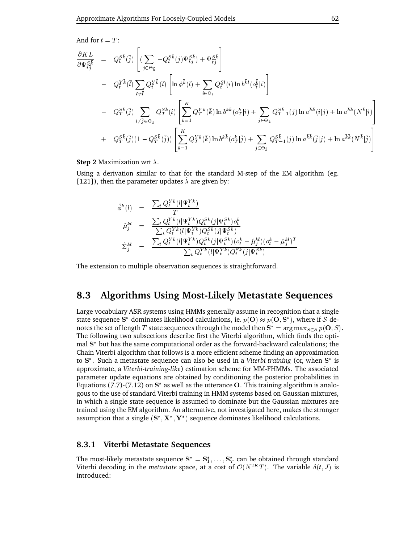And for  $t = T$ :

$$
\frac{\partial KL}{\partial \Psi_{\bar{t}\bar{j}}}\n= Q_{\bar{t}}^{S\bar{k}}(\bar{j}) \left[ (\sum_{j \in \Theta_{\bar{k}}} -Q_{\bar{t}}^{S\bar{k}}(j) \Psi_{\bar{t}j}^{S\bar{k}}) + \Psi_{\bar{t}j}^{S\bar{k}} \right] \n- Q_{\bar{t}}^{Y\bar{k}}(\bar{l}) \sum_{l \neq \bar{l}} Q_{\bar{t}}^{Y\bar{k}}(l) \left[ \ln \phi^{\bar{k}}(l) + \sum_{i \in \Theta_{l}} Q_{\bar{t}}^{Sl}(i) \ln b^{\bar{k}l} (o_{\bar{t}}^{\bar{k}}|i) \right] \n- Q_{\bar{T}}^{S\bar{k}}(\bar{j}) \sum_{i \neq \bar{j} \in \Theta_{\bar{k}}} Q_{\bar{T}}^{S\bar{k}}(i) \left[ \sum_{k=1}^{K} Q_{\bar{T}}^{Yk}(\bar{k}) \ln b^{k\bar{k}} (o_{\bar{T}}^{k}|i) + \sum_{j \in \Theta_{\bar{k}}} Q_{\bar{T}-1}^{S\bar{k}}(j) \ln a^{\bar{k}\bar{k}}(i|j) + \ln a^{\bar{k}\bar{k}} (N^{\bar{k}}|i) \right] \n+ Q_{\bar{T}}^{S\bar{k}}(\bar{j}) (1 - Q_{\bar{T}}^{S\bar{k}}(\bar{j})) \left[ \sum_{k=1}^{K} Q_{\bar{T}}^{Yk}(\bar{k}) \ln b^{k\bar{k}} (o_{\bar{T}}^{k}| \bar{j}) + \sum_{j \in \Theta_{\bar{k}}} Q_{\bar{T}-1}^{S\bar{k}}(j) \ln a^{\bar{k}\bar{k}}(\bar{j}|j) + \ln a^{\bar{k}\bar{k}} (N^{\bar{k}}| \bar{j}) \right]
$$

#### **Step 2** Maximization wrt  $\lambda$ .

Using a derivation similar to that for the standard M-step of the EM algorithm (eg. [121]), then the parameter updates  $\lambda$  are given by:

$$
\begin{array}{rcl}\n\hat{\phi}^{k}(l) & = & \frac{\sum_{t} Q_{t}^{Yk}(l|\Psi_{t}^{Yk})}{T} \\
\hat{\mu}_{j}^{kl} & = & \frac{\sum_{t} Q_{t}^{Yk}(l|\Psi_{t}^{Yk})Q_{t}^{Sk}(j|\Psi_{t}^{Sk})o_{t}^{k}}{\sum_{t} Q_{t}^{Yk}(l|\Psi_{t}^{Yk})Q_{t}^{Sk}(j|\Psi_{t}^{Sk})} \\
\hat{\Sigma}_{j}^{kl} & = & \frac{\sum_{t} Q_{t}^{Yk}(l|\Psi_{t}^{Yk})Q_{t}^{Sk}(j|\Psi_{t}^{Sk}) (o_{t}^{k} - \hat{\mu}_{j}^{kl}) (o_{t}^{k} - \hat{\mu}_{j}^{kl})^{T}}{\sum_{t} Q_{t}^{Yk}(l|\Psi_{t}^{Yk})Q_{t}^{Sk}(j|\Psi_{t}^{Sk})}\n\end{array}
$$

The extension to multiple observation sequences is straightforward.

# **8.3 Algorithms Using Most-Likely Metastate Sequences**

Large vocabulary ASR systems using HMMs generally assume in recognition that a single state sequence S\* dominates likelihood calculations, ie.  $p(\mathbf{O}) \approx p(\mathbf{O}, \mathbf{S}^*),$  where if  $\mathcal S$  denotes the set of length T state sequences through the model then  $S^* = \arg \max_{S \in S} p(O, S)$ . The following two subsections describe first the Viterbi algorithm, which finds the optimal S but has the same computational order as the forward-backward calculations; the Chain Viterbi algorithm that follows is a more efficient scheme finding an approximation to S . Such a metastate sequence can also be used in a *Viterbi training* (or, when S is approximate, a *Viterbi-training-like*) estimation scheme for MM-FHMMs. The associated parameter update equations are obtained by conditioning the posterior probabilities in Equations (7.7)-(7.12) on  $\mathbf{S}^*$  as well as the utterance  $\mathbf{O}.$  This training algorithm is analogous to the use of standard Viterbi training in HMM systems based on Gaussian mixtures, in which a single state sequence is assumed to dominate but the Gaussian mixtures are trained using the EM algorithm. An alternative, not investigated here, makes the stronger assumption that a single  $(S^*, X^*, Y^*)$  sequence dominates likelihood calculations.

#### **8.3.1 Viterbi Metastate Sequences**

The most-likely metastate sequence  $\mathbf{S}^* = \mathbf{S}^*_1, \ldots, \mathbf{S}^*_T$  can be obtained through standard Viterbi decoding in the *metastate* space, at a cost of  $\mathcal{O}(N^{2K}T)$ . The variable  $\delta(t, J)$  is introduced: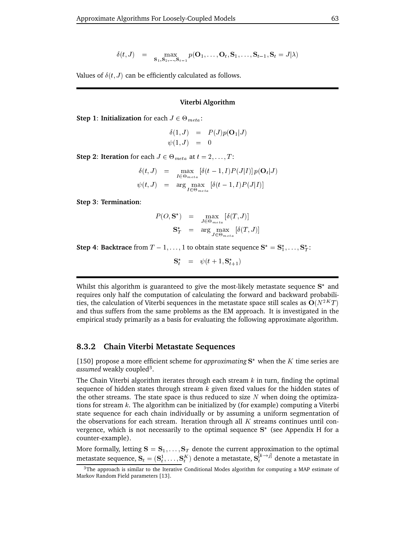$$
\delta(t, J) = \max_{\mathbf{S}_1, \mathbf{S}_2, \dots, \mathbf{S}_{t-1}} p(\mathbf{O}_1, \dots, \mathbf{O}_t, \mathbf{S}_1, \dots, \mathbf{S}_{t-1}, \mathbf{S}_t = J | \lambda)
$$

Values of  $\delta(t, J)$  can be efficiently calculated as follows.

#### **Viterbi Algorithm**

**Step 1: Initialization** for each  $J \in \Theta_{meta}\colon$ 

$$
\begin{array}{rcl}\n\delta(1,J) & = & P(J)p(\mathbf{O}_1|J) \\
\psi(1,J) & = & 0\n\end{array}
$$

**Step 2: Iteration** for each  $J \in \Theta_{meta}$  at  $t = 2, \ldots, T$ :

$$
\begin{array}{rcl}\n\delta(t,J) & = & \max_{I \in \Theta_{meta}} \left[ \delta(t-1,I)P(J|I) \right] p(\mathbf{O}_t|J) \\
\psi(t,J) & = & \arg \max_{I \in \Theta_{meta}} \left[ \delta(t-1,I)P(J|I) \right]\n\end{array}
$$

**Step 3**: **Termination**:

$$
P(O, \mathbf{S}^*) = \max_{J \in \Theta_{meta}} [\delta(T, J)]
$$
  

$$
\mathbf{S}^*_T = \arg \max_{J \in \Theta_{meta}} [\delta(T, J)]
$$

- -

**Step 4: Backtrace** from  $T-1,\ldots,1$  to obtain state sequence  $\mathbf{S}^* = \mathbf{S}_1^*,\ldots,\mathbf{S}_T^*$ :

$$
\mathbf{S}_t^* = \psi(t+1, \mathbf{S}_{t+1}^*)
$$

Whilst this algorithm is guaranteed to give the most-likely metastate sequence  $S^*$  and requires only half the computation of calculating the forward and backward probabilities, the calculation of Viterbi sequences in the metastate space still scales as  $O(N^{2K}T)$ and thus suffers from the same problems as the EM approach. It is investigated in the empirical study primarily as a basis for evaluating the following approximate algorithm.

### **8.3.2 Chain Viterbi Metastate Sequences**

[150] propose a more efficient scheme for *approximating* S when the K time series are *assumed* weakly coupled3.

The Chain Viterbi algorithm iterates through each stream  $k$  in turn, finding the optimal sequence of hidden states through stream  $k$  given fixed values for the hidden states of the other streams. The state space is thus reduced to size  $N$  when doing the optimizations for stream  $k$ . The algorithm can be initialized by (for example) computing a Viterbi state sequence for each chain individually or by assuming a uniform segmentation of the observations for each stream. Iteration through all  $K$  streams continues until convergence, which is not necessarily to the optimal sequence S (see Appendix H for a counter-example).

More formally, letting  $S = S_1, \ldots, S_T$  denote the current approximation to the optimal metastate sequence,  $\mathbf{S}_t = (\mathbf{S}_t^1, \dots, \mathbf{S}_t^K)$  denote a metastate,  $\mathbf{S}_t^{[\kappa \to \jmath]}$  denote a metastate in

 $3$ The approach is similar to the Iterative Conditional Modes algorithm for computing a MAP estimate of Markov Random Field parameters [13].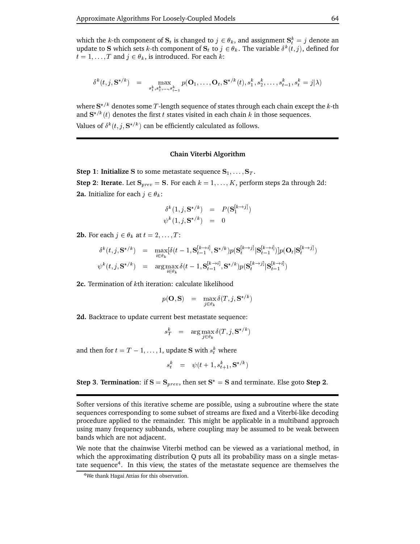which the k-th component of  $S_t$  is changed to  $j \in \theta_k$ , and assignment  $S_t^k = j$  denote an update to S which sets k-th component of  $S_t$  to  $j \in \theta_k$ . The variable  $\delta^k(t, j)$ , defined for  $t = 1, \ldots, T$  and  $j \in \theta_k$ , is introduced. For each k:

$$
\delta^k(t,j,\mathbf{S}^{*/k})\quad = \quad \max_{s_1^k,s_2^k,\ldots,s_{t-1}^k} \, p(\mathbf{O}_1,\ldots,\mathbf{O}_t,\mathbf{S}^{*/k}(t),s_1^k,s_2^k,\ldots,s_{t-1}^k,s_t^k = j | \lambda)
$$

where  $\mathbf{S}^{*/k}$  denotes some  $T$ -length sequence of states through each chain except the  $k$ -th and  ${\bf S}^{*/k}(t)$  denotes the first t states visited in each chain k in those sequences.

Values of  $\delta^k(t,j,\mathbf{S}^{*/k})$  can be efficiently calculated as follows.

#### **Chain Viterbi Algorithm**

**Step 1: Initialize** S to some metastate sequence  $S_1, \ldots, S_T$ . **Step 2: Iterate.** Let  $\mathbf{S}_{tree} = \mathbf{S}$ . For each  $k = 1, \ldots, K$ , perform steps 2a through 2d: **2a.** Initialize for each  $j \in \theta_k$ :

$$
\delta^{k}(1, j, \mathbf{S}^{*/k}) = P(\mathbf{S}_{1}^{[k \to j]})
$$
  

$$
\psi^{k}(1, j, \mathbf{S}^{*/k}) = 0
$$

**2b.** For each  $j \in \theta_k$  at  $t = 2, \ldots, T$ :

$$
\begin{array}{rcl}\n\delta^{k}(t,j,\mathbf{S}^{*/k}) & = & \max_{i \in \theta_k} [\delta(t-1,\mathbf{S}_{t-1}^{[k \to i]},\mathbf{S}^{*/k}) p(\mathbf{S}_{t}^{[k \to j]}|\mathbf{S}_{t-1}^{[k \to i]})] p(\mathbf{O}_t|\mathbf{S}_{t}^{[k \to j]}) \\
\psi^{k}(t,j,\mathbf{S}^{*/k}) & = & \arg\max_{i \in \theta_k} \delta(t-1,\mathbf{S}_{t-1}^{[k \to i]},\mathbf{S}^{*/k}) p(\mathbf{S}_{t}^{[k \to j]}|\mathbf{S}_{t-1}^{[k \to i]})\n\end{array}
$$

**2c.** Termination of kth iteration: calculate likelihood

$$
p(\mathbf{O}, \mathbf{S}) = \max_{j \in \theta_k} \delta(T, j, \mathbf{S}^{*/k})
$$

**2d.** Backtrace to update current best metastate sequence:

$$
s^k_T \quad = \quad \arg\max_{j \in \theta_k} \delta(T, j, \mathbf{S}^{*/k})
$$

and then for  $t = T - 1, \ldots, 1$ , update S with  $s_t^k$  where

$$
s_t^k = \psi(t+1, s_{t+1}^k, \mathbf{S}^{*/k})
$$

**Step 3. Termination:** if  $S = S_{prev}$ , then set  $S^* = S$  and terminate. Else goto **Step 2.** 

Softer versions of this iterative scheme are possible, using a subroutine where the state sequences corresponding to some subset of streams are fixed and a Viterbi-like decoding procedure applied to the remainder. This might be applicable in a multiband approach using many frequency subbands, where coupling may be assumed to be weak between bands which are not adjacent.

We note that the chainwise Viterbi method can be viewed as a variational method, in which the approximating distribution Q puts all its probability mass on a single metastate sequence<sup>4</sup>. In this view, the states of the metastate sequence are themselves the

<sup>4</sup>We thank Hagai Attias for this observation.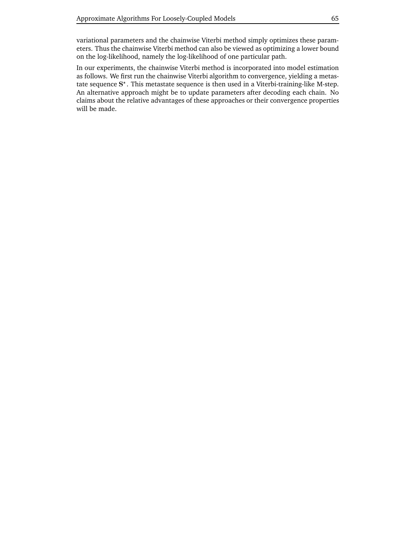variational parameters and the chainwise Viterbi method simply optimizes these parameters. Thus the chainwise Viterbi method can also be viewed as optimizing a lower bound on the log-likelihood, namely the log-likelihood of one particular path.

In our experiments, the chainwise Viterbi method is incorporated into model estimation as follows. We first run the chainwise Viterbi algorithm to convergence, yielding a metastate sequence S . This metastate sequence is then used in a Viterbi-training-like M-step. An alternative approach might be to update parameters after decoding each chain. No claims about the relative advantages of these approaches or their convergence properties will be made.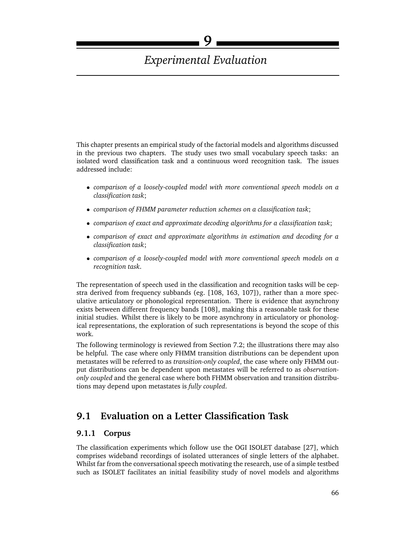# *Experimental Evaluation*

**9**

This chapter presents an empirical study of the factorial models and algorithms discussed in the previous two chapters. The study uses two small vocabulary speech tasks: an isolated word classification task and a continuous word recognition task. The issues addressed include:

- *comparison of a loosely-coupled model with more conventional speech models on a classification task*;
- *comparison of FHMM parameter reduction schemes on a classification task*;
- *comparison of exact and approximate decoding algorithms for a classification task*;
- *comparison of exact and approximate algorithms in estimation and decoding for a classification task*;
- *comparison of a loosely-coupled model with more conventional speech models on a recognition task*.

The representation of speech used in the classification and recognition tasks will be cepstra derived from frequency subbands (eg. [108, 163, 107]), rather than a more speculative articulatory or phonological representation. There is evidence that asynchrony exists between different frequency bands [108], making this a reasonable task for these initial studies. Whilst there is likely to be more asynchrony in articulatory or phonological representations, the exploration of such representations is beyond the scope of this work.

The following terminology is reviewed from Section 7.2; the illustrations there may also be helpful. The case where only FHMM transition distributions can be dependent upon metastates will be referred to as *transition-only coupled*, the case where only FHMM output distributions can be dependent upon metastates will be referred to as *observationonly coupled* and the general case where both FHMM observation and transition distributions may depend upon metastates is *fully coupled*.

# **9.1 Evaluation on a Letter Classification Task**

# **9.1.1 Corpus**

The classification experiments which follow use the OGI ISOLET database [27], which comprises wideband recordings of isolated utterances of single letters of the alphabet. Whilst far from the conversational speech motivating the research, use of a simple testbed such as ISOLET facilitates an initial feasibility study of novel models and algorithms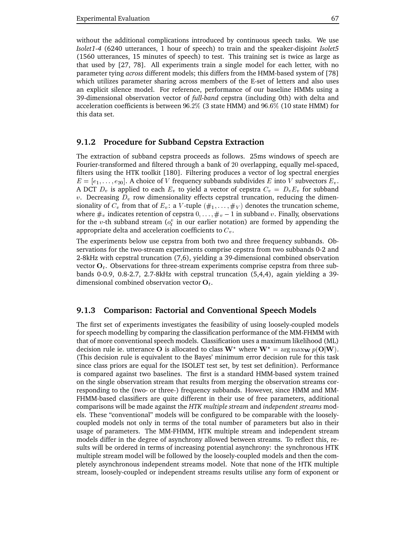without the additional complications introduced by continuous speech tasks. We use *Isolet1-4* (6240 utterances, 1 hour of speech) to train and the speaker-disjoint *Isolet5* (1560 utterances, 15 minutes of speech) to test. This training set is twice as large as that used by [27, 78]. All experiments train a single model for each letter, with no parameter tying *across* different models; this differs from the HMM-based system of [78] which utilizes parameter sharing across members of the E-set of letters and also uses an explicit silence model. For reference, performance of our baseline HMMs using a 39-dimensional observation vector of *full-band* cepstra (including 0th) with delta and acceleration coefficients is between  $96.2\%$  (3 state HMM) and  $96.6\%$  (10 state HMM) for this data set.

## **9.1.2 Procedure for Subband Cepstra Extraction**

The extraction of subband cepstra proceeds as follows. 25ms windows of speech are Fourier-transformed and filtered through a bank of <sup>20</sup> overlapping, equally mel-spaced, filters using the HTK toolkit [180]. Filtering produces a vector of log spectral energies  $E = [e_1, \ldots, e_{20}]$ . A choice of V frequency subbands subdivides E into V subvectors  $E_v$ . A DCT  $D_v$  is applied to each  $E_v$  to yield a vector of cepstra  $C_v = D_v E_v$  for subband  $v$ . Decreasing  $D_v$  row dimensionality effects cepstral truncation, reducing the dimensionality of  $C_v$  from that of  $E_v$ : a V-tuple  $(\#_1, \ldots, \#_V)$  denotes the truncation scheme, where  $\#_v$  indicates retention of cepstra  $0,\ldots,\#_v-1$  in subband  $v$ . Finally, observations for the v-th subband stream ( $o_t^v$  in our earlier notation) are formed by appending the appropriate delta and acceleration coefficients to  $C_v$  .

The experiments below use cepstra from both two and three frequency subbands. Observations for the two-stream experiments comprise cepstra from two subbands 0-2 and 2-8kHz with cepstral truncation (7,6), yielding a 39-dimensional combined observation vector  $\mathbf{O}_t$ . Observations for three-stream experiments comprise cepstra from three subbands 0-0.9, 0.8-2.7, 2.7-8kHz with cepstral truncation (5,4,4), again yielding a 39 dimensional combined observation vector  $O_t$ .

### **9.1.3 Comparison: Factorial and Conventional Speech Models**

The first set of experiments investigates the feasibility of using loosely-coupled models for speech modelling by comparing the classification performance of the MM-FHMM with that of more conventional speech models. Classification uses a maximum likelihood (ML) decision rule ie. utterance O is allocated to class  $W^*$  where  $W^* = \argmax_{\mathbf{W}} p(\mathbf{O}|\mathbf{W})$ . (This decision rule is equivalent to the Bayes' minimum error decision rule for this task since class priors are equal for the ISOLET test set, by test set definition). Performance is compared against two baselines. The first is a standard HMM-based system trained on the single observation stream that results from merging the observation streams corresponding to the (two- or three-) frequency subbands. However, since HMM and MM-FHMM-based classifiers are quite different in their use of free parameters, additional comparisons will be made against the *HTK multiple stream* and *independent streams* models. These "conventional" models will be configured to be comparable with the looselycoupled models not only in terms of the total number of parameters but also in their usage of parameters. The MM-FHMM, HTK multiple stream and independent stream models differ in the degree of asynchrony allowed between streams. To reflect this, results will be ordered in terms of increasing potential asynchrony: the synchronous HTK multiple stream model will be followed by the loosely-coupled models and then the completely asynchronous independent streams model. Note that none of the HTK multiple stream, loosely-coupled or independent streams results utilise any form of exponent or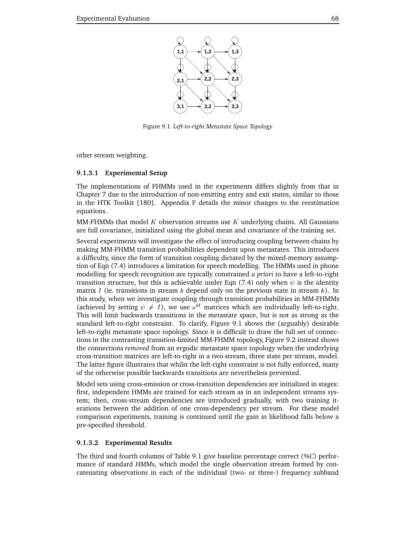

Figure 9.1 *Left-to-right Metastate Space Topology*

other stream weighting.

#### **9.1.3.1 Experimental Setup**

The implementations of FHMMs used in the experiments differs slightly from that in Chapter 7 due to the introduction of non-emitting entry and exit states, similar to those in the HTK Toolkit [180]. Appendix F details the minor changes to the reestimation equations.

MM-FHMMs that model  $K$  observation streams use  $K$  underlying chains. All Gaussians are full covariance, initialized using the global mean and covariance of the training set.

Several experiments will investigate the effect of introducing coupling between chains by making MM-FHMM transition probabilities dependent upon metastates. This introduces a difficulty, since the form of transition coupling dictated by the mixed-memory assumption of Eqn (7.4) introduces a limitation for speech modelling. The HMMs used in phone modelling for speech recognition are typically constrained *a priori* to have a left-to-right transition structure, but this is achievable under Eqn (7.4) only when  $\psi$  is the identity matrix *I* (ie. transitions in stream  $k$  depend only on the previous state in stream  $k$ ). In this study, when we investigate coupling through transition probabilities in MM-FHMMs (achieved by setting  $\psi \neq I$ ), we use  $a^{kl}$  matrices which are individually left-to-right. This will limit backwards transitions in the metastate space, but is not as strong as the standard left-to-right constraint. To clarify, Figure 9.1 shows the (arguably) desirable left-to-right metastate space topology. Since it is difficult to draw the full set of connections in the contrasting transition-limited MM-FHMM topology, Figure 9.2 instead shows the connections *removed* from an ergodic metastate space topology when the underlying cross-transition matrices are left-to-right in a two-stream, three state per stream, model. The latter figure illustrates that whilst the left-right constraint is not fully enforced, many of the otherwise possible backwards transitions are nevertheless prevented.

Model sets using cross-emission or cross-transition dependencies are initialized in stages: first, independent HMMs are trained for each stream as in an independent streams system; then, cross-stream dependencies are introduced gradually, with two training iterations between the addition of one cross-dependency per stream. For these model comparison experiments, training is continued until the gain in likelihood falls below a pre-specified threshold.

#### **9.1.3.2 Experimental Results**

The third and fourth columns of Table 9.1 give baseline percentage correct (*%C*) performance of standard *HMM*s, which model the single observation stream formed by concatenating observations in each of the individual (two- or three-) frequency subband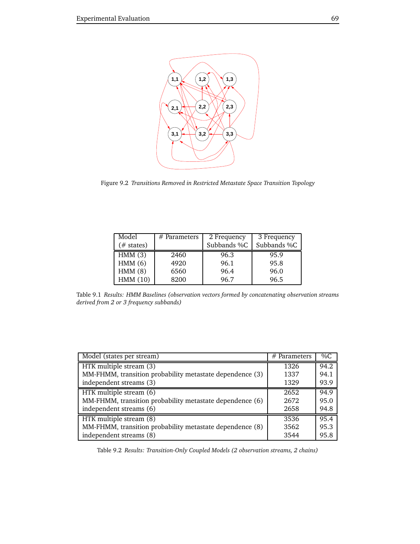

Figure 9.2 *Transitions Removed in Restricted Metastate Space Transition Topology*

| Model      | $#$ Parameters | 2 Frequency | 3 Frequency |
|------------|----------------|-------------|-------------|
| (# states) |                | Subbands %C | Subbands %C |
| HMM(3)     | 2460           | 96.3        | 95.9        |
| HMM(6)     | 4920           | 96.1        | 95.8        |
| HMM(8)     | 6560           | 96.4        | 96.0        |
| HMM (10)   | 8200           | 96.7        | 96.5        |

Table 9.1 *Results: HMM Baselines (observation vectors formed by concatenating observation streams derived from 2 or 3 frequency subbands)*

| Model (states per stream)                                | $#$ Parameters | %C   |
|----------------------------------------------------------|----------------|------|
| HTK multiple stream (3)                                  | 1326           | 94.2 |
| MM-FHMM, transition probability metastate dependence (3) | 1337           | 94.1 |
| independent streams (3)                                  | 1329           | 93.9 |
| HTK multiple stream (6)                                  | 2652           | 94.9 |
| MM-FHMM, transition probability metastate dependence (6) | 2672           | 95.0 |
| independent streams (6)                                  | 2658           | 94.8 |
| HTK multiple stream (8)                                  | 3536           | 95.4 |
| MM-FHMM, transition probability metastate dependence (8) | 3562           | 95.3 |
| independent streams (8)                                  | 3544           | 95.8 |

Table 9.2 *Results: Transition-Only Coupled Models (2 observation streams, 2 chains)*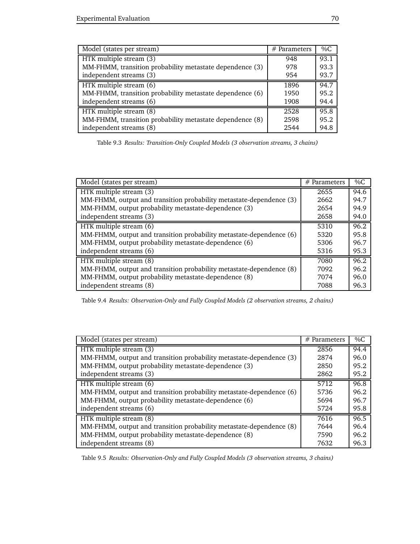| Model (states per stream)                                | $#$ Parameters | $\%C$ |
|----------------------------------------------------------|----------------|-------|
| HTK multiple stream (3)                                  | 948            | 93.1  |
| MM-FHMM, transition probability metastate dependence (3) | 978            | 93.3  |
| independent streams (3)                                  | 954            | 93.7  |
| HTK multiple stream (6)                                  | 1896           | 94.7  |
| MM-FHMM, transition probability metastate dependence (6) | 1950           | 95.2  |
| independent streams (6)                                  | 1908           | 94.4  |
| HTK multiple stream (8)                                  | 2528           | 95.8  |
| MM-FHMM, transition probability metastate dependence (8) | 2598           | 95.2  |
| independent streams (8)                                  | 2544           | 94.8  |

Table 9.3 *Results: Transition-Only Coupled Models (3 observation streams, 3 chains)*

| Model (states per stream)                                           | $#$ Parameters | %C   |
|---------------------------------------------------------------------|----------------|------|
| HTK multiple stream (3)                                             | 2655           | 94.6 |
| MM-FHMM, output and transition probability metastate-dependence (3) | 2662           | 94.7 |
| MM-FHMM, output probability metastate-dependence (3)                | 2654           | 94.9 |
| independent streams (3)                                             | 2658           | 94.0 |
| $\overline{HTK}$ multiple stream (6)                                | 5310           | 96.2 |
| MM-FHMM, output and transition probability metastate-dependence (6) | 5320           | 95.8 |
| MM-FHMM, output probability metastate-dependence (6)                | 5306           | 96.7 |
| independent streams (6)                                             | 5316           | 95.3 |
| HTK multiple stream (8)                                             | 7080           | 96.2 |
| MM-FHMM, output and transition probability metastate-dependence (8) | 7092           | 96.2 |
| MM-FHMM, output probability metastate-dependence (8)                | 7074           | 96.0 |
| independent streams (8)                                             | 7088           | 96.3 |

Table 9.4 *Results: Observation-Only and Fully Coupled Models (2 observation streams, 2 chains)*

| Model (states per stream)                                           | $#$ Parameters | $\%C$ |
|---------------------------------------------------------------------|----------------|-------|
| HTK multiple stream (3)                                             | 2856           | 94.4  |
| MM-FHMM, output and transition probability metastate-dependence (3) | 2874           | 96.0  |
| MM-FHMM, output probability metastate-dependence (3)                | 2850           | 95.2  |
| independent streams (3)                                             | 2862           | 95.2  |
| HTK multiple stream (6)                                             | 5712           | 96.8  |
| MM-FHMM, output and transition probability metastate-dependence (6) | 5736           | 96.2  |
| MM-FHMM, output probability metastate-dependence (6)                | 5694           | 96.7  |
| independent streams (6)                                             | 5724           | 95.8  |
| HTK multiple stream (8)                                             | 7616           | 96.5  |
| MM-FHMM, output and transition probability metastate-dependence (8) | 7644           | 96.4  |
| MM-FHMM, output probability metastate-dependence (8)                | 7590           | 96.2  |
| independent streams (8)                                             | 7632           | 96.3  |

Table 9.5 *Results: Observation-Only and Fully Coupled Models (3 observation streams, 3 chains)*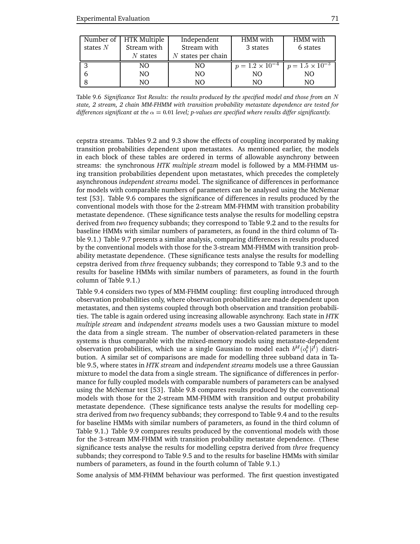|            | Number of   HTK Multiple | Independent          | HMM with | HMM with                                          |
|------------|--------------------------|----------------------|----------|---------------------------------------------------|
| states $N$ | Stream with              | Stream with          | 3 states | 6 states                                          |
|            | $N$ states               | $N$ states per chain |          |                                                   |
|            |                          |                      |          |                                                   |
| റ          | NO                       | NO                   |          | $p = 1.2 \times 10^{-4}$ $p = 1.5 \times 10^{-3}$ |
| b          | NO.                      | NO.                  | NO.      | NO                                                |

Table 9.6 *Significance Test Results: the results produced by the specified model and those from an* <sup>N</sup> *state, 2 stream, 2 chain MM-FHMM with transition probability metastate dependence are tested for differences significant at the*  $\alpha = 0.01$  *level; p-values are specified where results differ significantly.* 

cepstra streams. Tables 9.2 and 9.3 show the effects of coupling incorporated by making transition probabilities dependent upon metastates. As mentioned earlier, the models in each block of these tables are ordered in terms of allowable asynchrony between streams: the synchronous *HTK multiple stream* model is followed by a MM-FHMM using transition probabilities dependent upon metastates, which precedes the completely asynchronous *independent streams* model. The significance of differences in performance for models with comparable numbers of parameters can be analysed using the McNemar test [53]. Table 9.6 compares the significance of differences in results produced by the conventional models with those for the 2-stream MM-FHMM with transition probability metastate dependence. (These significance tests analyse the results for modelling cepstra derived from *two* frequency subbands; they correspond to Table 9.2 and to the results for baseline HMMs with similar numbers of parameters, as found in the third column of Table 9.1.) Table 9.7 presents a similar analysis, comparing differences in results produced by the conventional models with those for the 3-stream MM-FHMM with transition probability metastate dependence. (These significance tests analyse the results for modelling cepstra derived from *three* frequency subbands; they correspond to Table 9.3 and to the results for baseline HMMs with similar numbers of parameters, as found in the fourth column of Table 9.1.)

Table 9.4 considers two types of MM-FHMM coupling: first coupling introduced through observation probabilities only, where observation probabilities are made dependent upon metastates, and then systems coupled through both observation and transition probabilities. The table is again ordered using increasing allowable asynchrony. Each state in *HTK multiple stream* and *independent streams* models uses a two Gaussian mixture to model the data from a single stream. The number of observation-related parameters in these systems is thus comparable with the mixed-memory models using metastate-dependent observation probabilities, which use a single Gaussian to model each  $b^{kl}(o_l^k|i^l)$  distrithe contract of the contract of the contract of the contract of the contract of bution. A similar set of comparisons are made for modelling three subband data in Table 9.5, where states in *HTK stream* and *independent streams* models use a three Gaussian mixture to model the data from a single stream. The significance of differences in performance for fully coupled models with comparable numbers of parameters can be analysed using the McNemar test [53]. Table 9.8 compares results produced by the conventional models with those for the 2-stream MM-FHMM with transition and output probability metastate dependence. (These significance tests analyse the results for modelling cepstra derived from *two* frequency subbands; they correspond to Table 9.4 and to the results for baseline HMMs with similar numbers of parameters, as found in the third column of Table 9.1.) Table 9.9 compares results produced by the conventional models with those for the 3-stream MM-FHMM with transition probability metastate dependence. (These significance tests analyse the results for modelling cepstra derived from *three* frequency subbands; they correspond to Table 9.5 and to the results for baseline HMMs with similar numbers of parameters, as found in the fourth column of Table 9.1.)

Some analysis of MM-FHMM behaviour was performed. The first question investigated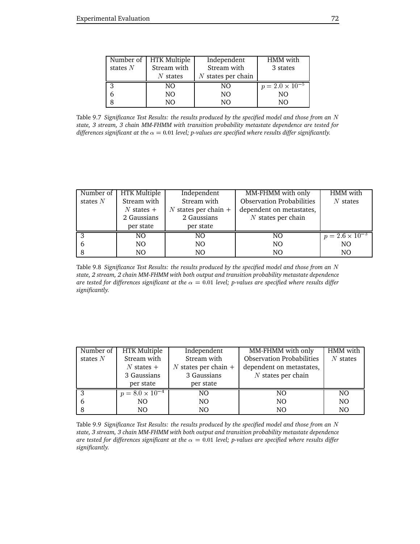| Number of  | <b>HTK Multiple</b> | Independent          | HMM with                 |
|------------|---------------------|----------------------|--------------------------|
| states $N$ | Stream with         | Stream with          | 3 states                 |
|            | $N$ states          | $N$ states per chain |                          |
| ൗ          | NO                  | NO                   | $p = 2.0 \times 10^{-5}$ |
|            | NO                  | NO.                  | NO                       |
|            |                     |                      |                          |

Table 9.7 *Significance Test Results: the results produced by the specified model and those from an* <sup>N</sup> *state, 3 stream, 3 chain MM-FHMM with transition probability metastate dependence are tested for differences significant at the*  $\alpha = 0.01$  *level; p-values are specified where results differ significantly.* 

|            | Number of   HTK Multiple | Independent            | MM-FHMM with only                | HMM with                            |
|------------|--------------------------|------------------------|----------------------------------|-------------------------------------|
| states $N$ | Stream with              | Stream with            | <b>Observation Probabilities</b> | $N$ states                          |
|            | $N$ states $+$           | $N$ states per chain + | dependent on metastates,         |                                     |
|            | 2 Gaussians              | 2 Gaussians            | $N$ states per chain             |                                     |
|            | per state                | per state              |                                  |                                     |
|            | NO.                      | NO.                    | NO.                              | $p = 2.6 \times \overline{10^{-3}}$ |
|            | NO.                      | NO.                    | NO.                              | NO.                                 |
|            | NO.                      | NO.                    | NO.                              | NO.                                 |

Table 9.8 *Significance Test Results: the results produced by the specified model and those from an* <sup>N</sup> *state, 2 stream, 2 chain MM-FHMM with both output and transition probability metastate dependence are tested for differences significant at the*  $\alpha = 0.01$  *level; p-values are specified where results differ significantly.*

| Number of  | HTK Multiple             | Independent            | MM-FHMM with only                | HMM with       |
|------------|--------------------------|------------------------|----------------------------------|----------------|
| states $N$ | Stream with              | Stream with            | <b>Observation Probabilities</b> | $N$ states     |
|            | N states $+$             | $N$ states per chain + | dependent on metastates,         |                |
|            | 3 Gaussians              | 3 Gaussians            | $N$ states per chain             |                |
|            | per state                | per state              |                                  |                |
| 0          | $p = 8.0 \times 10^{-4}$ | NO.                    | NO                               | NO             |
| b          | NO.                      | NO.                    | NO                               | N <sub>O</sub> |
|            | NO.                      | NO.                    | NO                               | NO             |

Table 9.9 *Significance Test Results: the results produced by the specified model and those from an* <sup>N</sup> *state, 3 stream, 3 chain MM-FHMM with both output and transition probability metastate dependence are tested for differences significant at the*  $\alpha = 0.01$  *level; p-values are specified where results differ significantly.*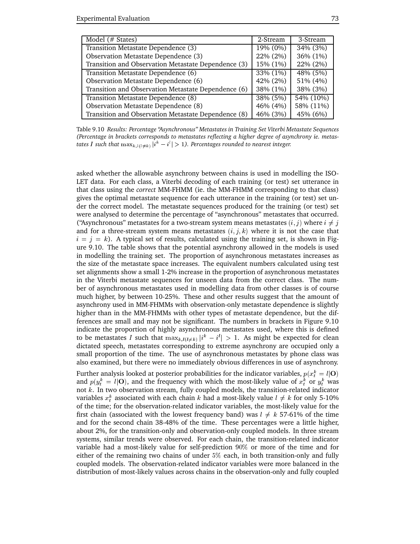| Model (# States)                                    | 2-Stream    | 3-Stream  |
|-----------------------------------------------------|-------------|-----------|
| Transition Metastate Dependence (3)                 | 19% (0%)    | 34% (3%)  |
| Observation Metastate Dependence (3)                | 22% (2%)    | 36% (1%)  |
| Transition and Observation Metastate Dependence (3) | 15% (1%)    | 22% (2%)  |
| Transition Metastate Dependence (6)                 | 33% (1%)    | 48% (5%)  |
| Observation Metastate Dependence (6)                | 42% (2%)    | 51% (4%)  |
| Transition and Observation Metastate Dependence (6) | 38% (1%)    | 38% (3%)  |
| Transition Metastate Dependence (8)                 | $38\%$ (5%) | 54% (10%) |
| Observation Metastate Dependence (8)                | 46% (4%)    | 58% (11%) |
| Transition and Observation Metastate Dependence (8) | 46% (3%)    | 45% (6%)  |

Table 9.10 *Results: Percentage "Asynchronous" Metastates in Training Set Viterbi Metastate Sequences (Percentage in brackets corresponds to metastates reflecting a higher degree of asynchrony ie. metas*tates I such that  $\max_{k,l(l\neq k)} |i^k - i^l| > 1$ ). Percentages rounded to nearest integer.

asked whether the allowable asynchrony between chains is used in modelling the ISO-LET data. For each class, a Viterbi decoding of each training (or test) set utterance in that class using the *correct* MM-FHMM (ie. the MM-FHMM corresponding to that class) gives the optimal metastate sequence for each utterance in the training (or test) set under the correct model. The metastate sequences produced for the training (or test) set were analysed to determine the percentage of "asynchronous" metastates that occurred. ("Asynchronous" metastates for a two-stream system means metastates  $(i, j)$  where  $i \neq j$ and for a three-stream system means metastates  $(i, j, k)$  where it is not the case that  $i = j = k$ ). A typical set of results, calculated using the training set, is shown in Figure 9.10. The table shows that the potential asynchrony allowed in the models is used in modelling the training set. The proportion of asynchronous metastates increases as the size of the metastate space increases. The equivalent numbers calculated using test set alignments show a small 1-2% increase in the proportion of asynchronous metastates in the Viterbi metastate sequences for unseen data from the correct class. The number of asynchronous metastates used in modelling data from other classes is of course much higher, by between 10-25%. These and other results suggest that the amount of asynchrony used in MM-FHMMs with observation-only metastate dependence is slightly higher than in the MM-FHMMs with other types of metastate dependence, but the differences are small and may not be significant. The numbers in brackets in Figure 9.10 indicate the proportion of highly asynchronous metastates used, where this is defined to be metastates I such that  $\max_{k,l(|t+k)|} |i^k - i^l| > 1$ . As might be expected for clean dictated speech, metastates corresponding to extreme asynchrony are occupied only a small proportion of the time. The use of asynchronous metastates by phone class was also examined, but there were no immediately obvious differences in use of asynchrony.

Further analysis looked at posterior probabilities for the indicator variables,  $p(x_t^k = l | \mathbf{O})$ and  $p(y_t^k = l | \mathbf{O})$ , and the frequency with which the most-likely value of  $x_t^k$  or  $y_t^k$  was not <sup>k</sup>. In two observation stream, fully coupled models, the transition-related indicator variables  $x_t^k$  associated with each chain  $k$  had a most-likely value  $l \neq k$  for only 5-10% of the time; for the observation-related indicator variables, the most-likely value for the first chain (associated with the lowest frequency band) was  $l \neq k$  57-61% of the time and for the second chain 38-48% of the time. These percentages were a little higher, about 2%, for the transition-only and observation-only coupled models. In three stream systems, similar trends were observed. For each chain, the transition-related indicator variable had a most-likely value for self-prediction 90% or more of the time and for either of the remaining two chains of under 5% each, in both transition-only and fully coupled models. The observation-related indicator variables were more balanced in the distribution of most-likely values across chains in the observation-only and fully coupled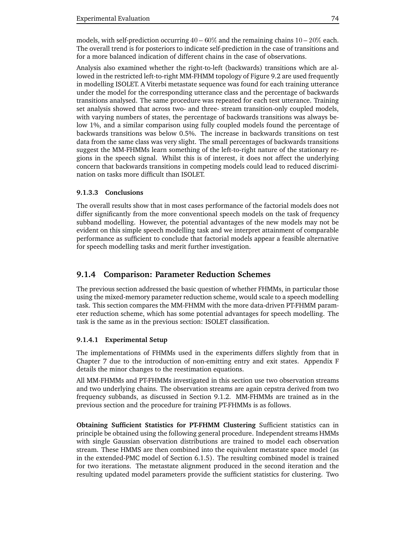models, with self-prediction occurring  $40-60\%$  and the remaining chains  $10-20\%$  each. The overall trend is for posteriors to indicate self-prediction in the case of transitions and for a more balanced indication of different chains in the case of observations.

Analysis also examined whether the right-to-left (backwards) transitions which are allowed in the restricted left-to-right MM-FHMM topology of Figure 9.2 are used frequently in modelling ISOLET. A Viterbi metastate sequence was found for each training utterance under the model for the corresponding utterance class and the percentage of backwards transitions analysed. The same procedure was repeated for each test utterance. Training set analysis showed that across two- and three- stream transition-only coupled models, with varying numbers of states, the percentage of backwards transitions was always below 1%, and a similar comparison using fully coupled models found the percentage of backwards transitions was below 0.5%. The increase in backwards transitions on test data from the same class was very slight. The small percentages of backwards transitions suggest the MM-FHMMs learn something of the left-to-right nature of the stationary regions in the speech signal. Whilst this is of interest, it does not affect the underlying concern that backwards transitions in competing models could lead to reduced discrimination on tasks more difficult than ISOLET.

### **9.1.3.3 Conclusions**

The overall results show that in most cases performance of the factorial models does not differ significantly from the more conventional speech models on the task of frequency subband modelling. However, the potential advantages of the new models may not be evident on this simple speech modelling task and we interpret attainment of comparable performance as sufficient to conclude that factorial models appear a feasible alternative for speech modelling tasks and merit further investigation.

## **9.1.4 Comparison: Parameter Reduction Schemes**

The previous section addressed the basic question of whether FHMMs, in particular those using the mixed-memory parameter reduction scheme, would scale to a speech modelling task. This section compares the MM-FHMM with the more data-driven PT-FHMM parameter reduction scheme, which has some potential advantages for speech modelling. The task is the same as in the previous section: ISOLET classification.

### **9.1.4.1 Experimental Setup**

The implementations of FHMMs used in the experiments differs slightly from that in Chapter 7 due to the introduction of non-emitting entry and exit states. Appendix F details the minor changes to the reestimation equations.

All MM-FHMMs and PT-FHMMs investigated in this section use two observation streams and two underlying chains. The observation streams are again cepstra derived from two frequency subbands, as discussed in Section 9.1.2. MM-FHMMs are trained as in the previous section and the procedure for training PT-FHMMs is as follows.

**Obtaining Sufficient Statistics for PT-FHMM Clustering** Sufficient statistics can in principle be obtained using the following general procedure. Independent streams HMMs with single Gaussian observation distributions are trained to model each observation stream. These HMMS are then combined into the equivalent metastate space model (as in the extended-PMC model of Section 6.1.5). The resulting combined model is trained for two iterations. The metastate alignment produced in the second iteration and the resulting updated model parameters provide the sufficient statistics for clustering. Two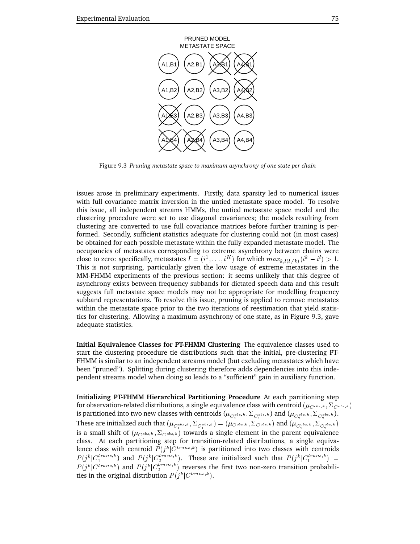

Figure 9.3 *Pruning metastate space to maximum asynchrony of one state per chain*

issues arose in preliminary experiments. Firstly, data sparsity led to numerical issues with full covariance matrix inversion in the untied metastate space model. To resolve this issue, all independent streams HMMs, the untied metastate space model and the clustering procedure were set to use diagonal covariances; the models resulting from clustering are converted to use full covariance matrices before further training is performed. Secondly, sufficient statistics adequate for clustering could not (in most cases) be obtained for each possible metastate within the fully expanded metastate model. The occupancies of metastates corresponding to extreme asynchrony between chains were close to zero: specifically, metastates  $I = (i^1, \ldots, i^K)$  for which  $max_{k,l(l \neq k)} (i^k - i^l) > 1$ . This is not surprising, particularly given the low usage of extreme metastates in the MM-FHMM experiments of the previous section: it seems unlikely that this degree of asynchrony exists between frequency subbands for dictated speech data and this result suggests full metastate space models may not be appropriate for modelling frequency subband representations. To resolve this issue, pruning is applied to remove metastates within the metastate space prior to the two iterations of reestimation that yield statistics for clustering. Allowing a maximum asynchrony of one state, as in Figure 9.3, gave adequate statistics.

**Initial Equivalence Classes for PT-FHMM Clustering** The equivalence classes used to start the clustering procedure tie distributions such that the initial, pre-clustering PT-FHMM is similar to an independent streams model (but excluding metastates which have been "pruned"). Splitting during clustering therefore adds dependencies into this independent streams model when doing so leads to a "sufficient" gain in auxiliary function.

**Initializing PT-FHMM Hierarchical Partitioning Procedure** At each partitioning step for observation-related distributions, a single equivalence class with centroid  $(\mu_{C^{obs,k}}, \Sigma_{C^{obs,k}})$ is partitioned into two new classes with centroids  $(\mu_{C_*^{obs,k}},\Sigma_{C_*^{obs,k}})$  and  $(\mu_{C_*^{obs,k}},\Sigma_{C_*^{obs,k}})$ . These are initialized such that  $(\mu_{C_1^{obs,k}},\Sigma_{C_1^{obs,k}})=(\mu_{C^{obs,k}},\Sigma_{C^{obs,k}})$  and  $(\mu_{C_2^{obs,k}},\Sigma_{C_2^{obs,k}})$ is a small shift of  $(\mu_{C^{obs,k}}, \Sigma_{C^{obs,k}})$  towards a single element in the parent equivalence class. At each partitioning step for transition-related distributions, a single equivalence class with centroid  $P(j^k|C^{trans,k})$  is partitioned into two classes with centroids  $P(j^k|C_1^{trans,k})$  and  $P(j^k|C_2^{trans,k})$ . These are initialized such that  $P(j^k|C_1^{trans,k})$  =  $P(j^k|C^{trans,k})$  and  $P(j^k|C_2^{trans,k})$  reverses the first two non-zero transition probabilities in the original distribution  $P(j^k|C^{trans,k}).$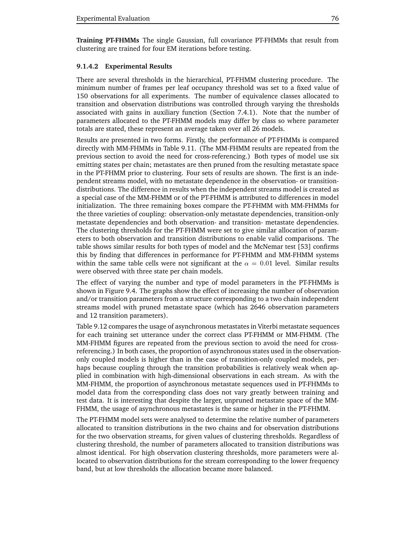**Training PT-FHMMs** The single Gaussian, full covariance PT-FHMMs that result from clustering are trained for four EM iterations before testing.

#### **9.1.4.2 Experimental Results**

There are several thresholds in the hierarchical, PT-FHMM clustering procedure. The minimum number of frames per leaf occupancy threshold was set to a fixed value of 150 observations for all experiments. The number of equivalence classes allocated to transition and observation distributions was controlled through varying the thresholds associated with gains in auxiliary function (Section 7.4.1). Note that the number of parameters allocated to the PT-FHMM models may differ by class so where parameter totals are stated, these represent an average taken over all 26 models.

Results are presented in two forms. Firstly, the performance of PT-FHMMs is compared directly with MM-FHMMs in Table 9.11. (The MM-FHMM results are repeated from the previous section to avoid the need for cross-referencing.) Both types of model use six emitting states per chain; metastates are then pruned from the resulting metastate space in the PT-FHMM prior to clustering. Four sets of results are shown. The first is an independent streams model, with no metastate dependence in the observation- or transitiondistributions. The difference in results when the independent streams model is created as a special case of the MM-FHMM or of the PT-FHMM is attributed to differences in model initialization. The three remaining boxes compare the PT-FHMM with MM-FHMMs for the three varieties of coupling: observation-only metastate dependencies, transition-only metastate dependencies and both observation- and transition- metastate dependencies. The clustering thresholds for the PT-FHMM were set to give similar allocation of parameters to both observation and transition distributions to enable valid comparisons. The table shows similar results for both types of model and the McNemar test [53] confirms this by finding that differences in performance for PT-FHMM and MM-FHMM systems within the same table cells were not significant at the  $\alpha = 0.01$  level. Similar results were observed with three state per chain models.

The effect of varying the number and type of model parameters in the PT-FHMMs is shown in Figure 9.4. The graphs show the effect of increasing the number of observation and/or transition parameters from a structure corresponding to a two chain independent streams model with pruned metastate space (which has 2646 observation parameters and 12 transition parameters).

Table 9.12 compares the usage of asynchronous metastates in Viterbi metastate sequences for each training set utterance under the correct class PT-FHMM or MM-FHMM. (The MM-FHMM figures are repeated from the previous section to avoid the need for crossreferencing.) In both cases, the proportion of asynchronous states used in the observationonly coupled models is higher than in the case of transition-only coupled models, perhaps because coupling through the transition probabilities is relatively weak when applied in combination with high-dimensional observations in each stream. As with the MM-FHMM, the proportion of asynchronous metastate sequences used in PT-FHMMs to model data from the corresponding class does not vary greatly between training and test data. It is interesting that despite the larger, unpruned metastate space of the MM-FHMM, the usage of asynchronous metastates is the same or higher in the PT-FHMM.

The PT-FHMM model sets were analysed to determine the relative number of parameters allocated to transition distributions in the two chains and for observation distributions for the two observation streams, for given values of clustering thresholds. Regardless of clustering threshold, the number of parameters allocated to transition distributions was almost identical. For high observation clustering thresholds, more parameters were allocated to observation distributions for the stream corresponding to the lower frequency band, but at low thresholds the allocation became more balanced.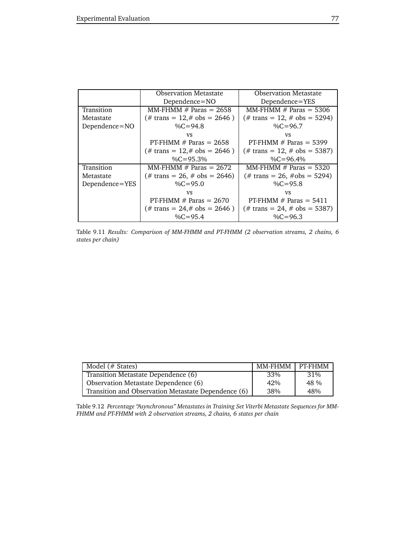|                   | <b>Observation Metastate</b>                     | <b>Observation Metastate</b>                     |
|-------------------|--------------------------------------------------|--------------------------------------------------|
|                   | Dependence=NO                                    | Dependence=YES                                   |
| Transition        | MM-FHMM $#$ Paras = 2658                         | $\overline{\text{MM-FHMM}}$ # Paras = 5306       |
| Metastate         | $(\# \text{ trans} = 12, \# \text{ obs} = 2646)$ | $(\# \text{ trans} = 12, \# \text{ obs} = 5294)$ |
| $Dependence = NO$ | $\%C = 94.8$                                     | $\%C = 96.7$                                     |
|                   | VS                                               | VS                                               |
|                   | PT-FHMM $#$ Paras = 2658                         | PT-FHMM $#$ Paras = 5399                         |
|                   | $(\# \text{ trans} = 12, \# \text{ obs} = 2646)$ | $(\# \text{ trans} = 12, \# \text{ obs} = 5387)$ |
|                   | $\%C = 95.3\%$                                   | $\%C = 96.4\%$                                   |
| Transition        | MM-FHMM $#$ Paras = 2672                         | MM-FHMM $#$ Paras = 5320                         |
| Metastate         | $(\# \text{ trans} = 26, \# \text{ obs} = 2646)$ | $(\# \text{ trans} = 26, \# obs = 5294)$         |
| Dependence=YES    | $\%C = 95.0$                                     | $\%C = 95.8$                                     |
|                   | VS.                                              | VS.                                              |
|                   | PT-FHMM $#$ Paras = 2670                         | PT-FHMM $#$ Paras = 5411                         |
|                   | $(\# \text{ trans} = 24, \# \text{ obs} = 2646)$ | $(\# \text{ trans} = 24, \# \text{ obs} = 5387)$ |
|                   | $\%C = 95.4$                                     | $\%C = 96.3$                                     |

Table 9.11 *Results: Comparison of MM-FHMM and PT-FHMM (2 observation streams, 2 chains, 6 states per chain)*

| Model $(\# \text{ States})$                         | MM-FHMM | PT-FHMM |
|-----------------------------------------------------|---------|---------|
| Transition Metastate Dependence (6)                 | 33%     | 31%     |
| Observation Metastate Dependence (6)                | 42%     | 48 %    |
| Transition and Observation Metastate Dependence (6) | 38%     | 48%     |

Table 9.12 *Percentage "Asynchronous" Metastates in Training Set Viterbi Metastate Sequences for MM-FHMM and PT-FHMM with 2 observation streams, 2 chains, 6 states per chain*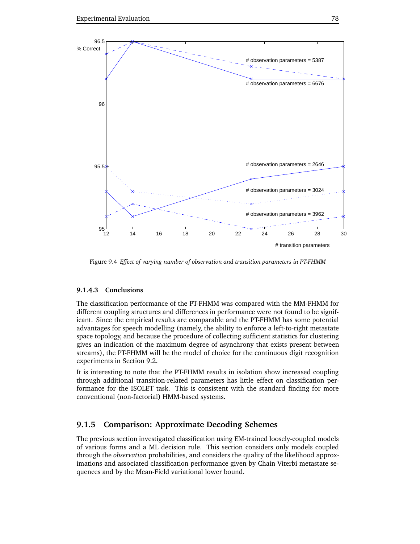

Figure 9.4 *Effect of varying number of observation and transition parameters in PT-FHMM*

### **9.1.4.3 Conclusions**

The classification performance of the PT-FHMM was compared with the MM-FHMM for different coupling structures and differences in performance were not found to be significant. Since the empirical results are comparable and the PT-FHMM has some potential advantages for speech modelling (namely, the ability to enforce a left-to-right metastate space topology, and because the procedure of collecting sufficient statistics for clustering gives an indication of the maximum degree of asynchrony that exists present between streams), the PT-FHMM will be the model of choice for the continuous digit recognition experiments in Section 9.2.

It is interesting to note that the PT-FHMM results in isolation show increased coupling through additional transition-related parameters has little effect on classification performance for the ISOLET task. This is consistent with the standard finding for more conventional (non-factorial) HMM-based systems.

## **9.1.5 Comparison: Approximate Decoding Schemes**

The previous section investigated classification using EM-trained loosely-coupled models of various forms and a ML decision rule. This section considers only models coupled through the *observation* probabilities, and considers the quality of the likelihood approximations and associated classification performance given by Chain Viterbi metastate sequences and by the Mean-Field variational lower bound.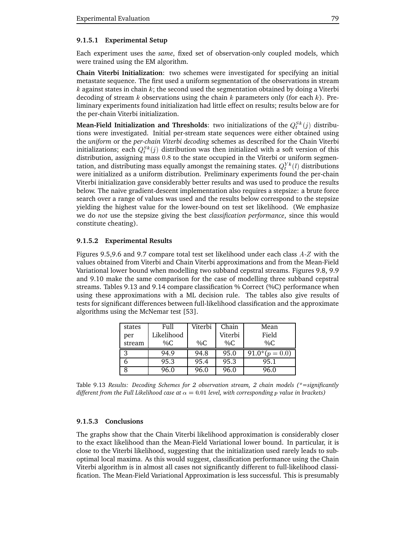#### **9.1.5.1 Experimental Setup**

Each experiment uses the *same*, fixed set of observation-only coupled models, which were trained using the EM algorithm.

**Chain Viterbi Initialization**: two schemes were investigated for specifying an initial metastate sequence. The first used a uniform segmentation of the observations in stream  $k$  against states in chain  $k$ ; the second used the segmentation obtained by doing a Viterbi decoding of stream k observations using the chain k parameters only (for each k). Preliminary experiments found initialization had little effect on results; results below are for the per-chain Viterbi initialization.

**Mean-Field Initialization and Thresholds**: two initializations of the  $Q_t^{Sk}(j)$  distributions were investigated. Initial per-stream state sequences were either obtained using the *uniform* or the *per-chain Viterbi decoding* schemes as described for the Chain Viterbi initializations; each  $Q_t^{sk}(j)$  distribution was then initialized with a soft version of this distribution, assigning mass 0:8 to the state occupied in the Viterbi or uniform segmentation, and distributing mass equally amongst the remaining states.  $Q_t^{Y\,k}(l)$  distributions were initialized as a uniform distribution. Preliminary experiments found the per-chain Viterbi initialization gave considerably better results and was used to produce the results below. The naive gradient-descent implementation also requires a stepsize: a brute force search over a range of values was used and the results below correspond to the stepsize yielding the highest value for the lower-bound on test set likelihood. (We emphasize we do *not* use the stepsize giving the best *classification performance*, since this would constitute cheating).

#### **9.1.5.2 Experimental Results**

Figures 9.5,9.6 and 9.7 compare total test set likelihood under each class <sup>A</sup>-<sup>Z</sup> with the values obtained from Viterbi and Chain Viterbi approximations and from the Mean-Field Variational lower bound when modelling two subband cepstral streams. Figures 9.8, 9.9 and 9.10 make the same comparison for the case of modelling three subband cepstral streams. Tables 9.13 and 9.14 compare classification % Correct (%C) performance when using these approximations with a ML decision rule. The tables also give results of tests for significant differences between full-likelihood classification and the approximate algorithms using the McNemar test [53].

| states | Full       | Viterbi | Chain   | Mean           |
|--------|------------|---------|---------|----------------|
| per    | Likelihood |         | Viterbi | Field          |
| stream | %C         | % $C$   | $\%C$   | % $C$          |
| ર      | 94.9       | 94.8    | 95.0    | $91.0*(p=0.0)$ |
|        | 95.3       | 95.4    | 95.3    | 95.1           |
| 8      | 96.0       | 96.0    | 96.0    | 96.0           |

Table 9.13 *Results: Decoding Schemes for 2 observation stream, 2 chain models (\*=significantly different from the Full Likelihood case at*  $\alpha = 0.01$  *level, with corresponding* p value in brackets)

#### **9.1.5.3 Conclusions**

The graphs show that the Chain Viterbi likelihood approximation is considerably closer to the exact likelihood than the Mean-Field Variational lower bound. In particular, it is close to the Viterbi likelihood, suggesting that the initialization used rarely leads to suboptimal local maxima. As this would suggest, classification performance using the Chain Viterbi algorithm is in almost all cases not significantly different to full-likelihood classification. The Mean-Field Variational Approximation is less successful. This is presumably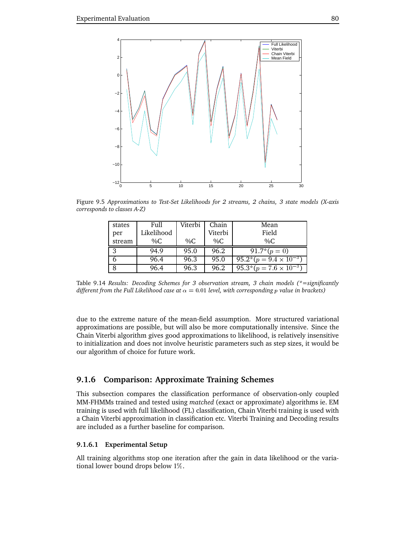

Figure 9.5 *Approximations to Test-Set Likelihoods for 2 streams, 2 chains, 3 state models (X-axis corresponds to classes A-Z)*

| states | Full       | Viterbi | Chain   | Mean                                      |
|--------|------------|---------|---------|-------------------------------------------|
| per    | Likelihood |         | Viterbi | Field                                     |
| stream | %C         | $\%C$   | $\%C$   | $\%C$                                     |
| -3     | 94.9       | 95.0    | 96.2    | $91.7^{*}(p=0)$                           |
|        | 96.4       | 96.3    | 95.0    | $95.2^{*}(p=9.4\times10^{-3})$            |
|        |            | 96.3    | 96.2    | $\overline{95.3^{*}(p=7.6\times10^{-3})}$ |

Table 9.14 *Results: Decoding Schemes for 3 observation stream, 3 chain models (\*=significantly different from the Full Likelihood case at*  $\alpha = 0.01$  *level, with corresponding* p value in brackets)

due to the extreme nature of the mean-field assumption. More structured variational approximations are possible, but will also be more computationally intensive. Since the Chain Viterbi algorithm gives good approximations to likelihood, is relatively insensitive to initialization and does not involve heuristic parameters such as step sizes, it would be our algorithm of choice for future work.

## **9.1.6 Comparison: Approximate Training Schemes**

This subsection compares the classification performance of observation-only coupled MM-FHMMs trained and tested using *matched* (exact or approximate) algorithms ie. EM training is used with full likelihood (FL) classification, Chain Viterbi training is used with a Chain Viterbi approximation in classification etc. Viterbi Training and Decoding results are included as a further baseline for comparison.

#### **9.1.6.1 Experimental Setup**

All training algorithms stop one iteration after the gain in data likelihood or the variational lower bound drops below 1%.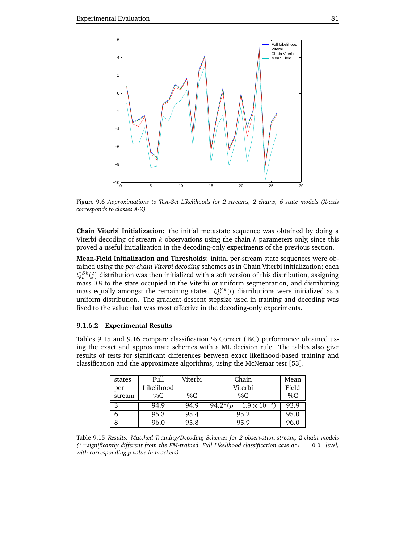

Figure 9.6 *Approximations to Test-Set Likelihoods for 2 streams, 2 chains, 6 state models (X-axis corresponds to classes A-Z)*

**Chain Viterbi Initialization**: the initial metastate sequence was obtained by doing a Viterbi decoding of stream  $k$  observations using the chain  $k$  parameters only, since this proved a useful initialization in the decoding-only experiments of the previous section.

**Mean-Field Initialization and Thresholds**: initial per-stream state sequences were obtained using the *per-chain Viterbi decoding* schemes as in Chain Viterbi initialization; each  $Q_t^{Sk}(j)$  distribution was then initialized with a soft version of this distribution, assigning mass 0:8 to the state occupied in the Viterbi or uniform segmentation, and distributing mass equally amongst the remaining states.  $Q_t^{\chi_k}(l)$  distributions were initialized as a uniform distribution. The gradient-descent stepsize used in training and decoding was fixed to the value that was most effective in the decoding-only experiments.

#### **9.1.6.2 Experimental Results**

Tables 9.15 and 9.16 compare classification % Correct (%C) performance obtained using the exact and approximate schemes with a ML decision rule. The tables also give results of tests for significant differences between exact likelihood-based training and classification and the approximate algorithms, using the McNemar test [53].

| states | Full       | Viterbi | Chain                              | Mean  |
|--------|------------|---------|------------------------------------|-------|
| per    | Likelihood |         | Viterbi                            | Field |
| stream | %C         | $\%C$   | $\%C$                              | $\%C$ |
|        |            |         |                                    |       |
| 3      | 94.9       | 94.9    | $94.2^{*}(p = 1.9 \times 10^{-2})$ | 93.9  |
| h      | 95.3       | 95.4    | 95.2                               | 95.0  |

Table 9.15 *Results: Matched Training/Decoding Schemes for 2 observation stream, 2 chain models*  $(*=$ significantly different from the EM-trained, Full Likelihood classification case at  $\alpha = 0.01$  level, *with corresponding* <sup>p</sup> *value in brackets)*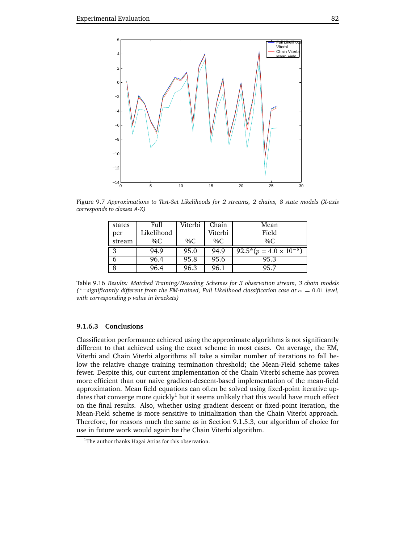

Figure 9.7 *Approximations to Test-Set Likelihoods for 2 streams, 2 chains, 8 state models (X-axis corresponds to classes A-Z)*

| states | Full       | Viterbi | Chain   | Mean                               |
|--------|------------|---------|---------|------------------------------------|
| per    | Likelihood |         | Viterbi | Field                              |
| stream | $\%C$      | $\%C$   | $\%C$   | $\%C$                              |
| 3      | 94.9       | 95.0    | 94.9    | $92.5^{*}(p = 4.0 \times 10^{-6})$ |
|        | 96.4       | 95.8    | 95.6    | 95.3                               |
|        |            | 96.3    | 96.1    | 95.7                               |

Table 9.16 *Results: Matched Training/Decoding Schemes for 3 observation stream, 3 chain models*  $(*=$ significantly different from the EM-trained, Full Likelihood classification case at  $\alpha = 0.01$  level, *with corresponding* <sup>p</sup> *value in brackets)*

#### **9.1.6.3 Conclusions**

Classification performance achieved using the approximate algorithms is not significantly different to that achieved using the exact scheme in most cases. On average, the EM, Viterbi and Chain Viterbi algorithms all take a similar number of iterations to fall below the relative change training termination threshold; the Mean-Field scheme takes fewer. Despite this, our current implementation of the Chain Viterbi scheme has proven more efficient than our naive gradient-descent-based implementation of the mean-field approximation. Mean field equations can often be solved using fixed-point iterative updates that converge more quickly<sup>1</sup> but it seems unlikely that this would have much effect on the final results. Also, whether using gradient descent or fixed-point iteration, the Mean-Field scheme is more sensitive to initialization than the Chain Viterbi approach. Therefore, for reasons much the same as in Section 9.1.5.3, our algorithm of choice for use in future work would again be the Chain Viterbi algorithm.

<sup>&</sup>lt;sup>1</sup>The author thanks Hagai Attias for this observation.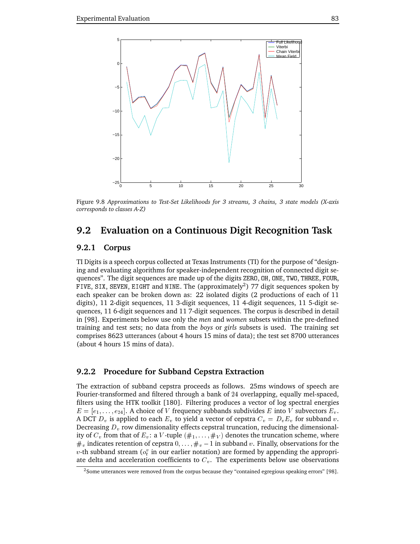

Figure 9.8 *Approximations to Test-Set Likelihoods for 3 streams, 3 chains, 3 state models (X-axis corresponds to classes A-Z)*

# **9.2 Evaluation on a Continuous Digit Recognition Task**

## **9.2.1 Corpus**

TI Digits is a speech corpus collected at Texas Instruments (TI) for the purpose of "designing and evaluating algorithms for speaker-independent recognition of connected digit sequences". The digit sequences are made up of the digits ZERO, OH, ONE, TWO, THREE, FOUR, FIVE, SIX, SEVEN, EIGHT and NINE. The (approximately<sup>2</sup>) 77 digit sequences spoken by each speaker can be broken down as: 22 isolated digits (2 productions of each of 11 digits), 11 2-digit sequences, 11 3-digit sequences, 11 4-digit sequences, 11 5-digit sequences, 11 6-digit sequences and 11 7-digit sequences. The corpus is described in detail in [98]. Experiments below use only the *men* and *women* subsets within the pre-defined training and test sets; no data from the *boys* or *girls* subsets is used. The training set comprises 8623 utterances (about 4 hours 15 mins of data); the test set 8700 utterances (about 4 hours 15 mins of data).

### **9.2.2 Procedure for Subband Cepstra Extraction**

The extraction of subband cepstra proceeds as follows. 25ms windows of speech are Fourier-transformed and filtered through a bank of <sup>24</sup> overlapping, equally mel-spaced, filters using the HTK toolkit [180]. Filtering produces a vector of log spectral energies  $E = [e_1, \ldots, e_{24}]$ . A choice of V frequency subbands subdivides E into V subvectors  $E_v$ . A DCT  $D_v$  is applied to each  $E_v$  to yield a vector of cepstra  $C_v = D_v E_v$  for subband v. Decreasing  $D_v$  row dimensionality effects cepstral truncation, reducing the dimensionality of  $C_v$  from that of  $E_v$ : a V-tuple  $(\#_1,\ldots,\#_V)$  denotes the truncation scheme, where  $\#_v$  indicates retention of cepstra  $0, \ldots, \#_v - 1$  in subband v. Finally, observations for the v-th subband stream ( $o_t^v$  in our earlier notation) are formed by appending the appropriate delta and acceleration coefficients to  $C_v$ . The experiments below use observations

 $<sup>2</sup>$  Some utterances were removed from the corpus because they "contained egregious speaking errors" [98].</sup>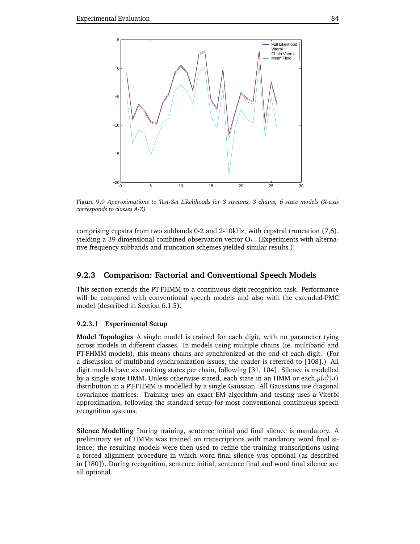

Figure 9.9 *Approximations to Test-Set Likelihoods for 3 streams, 3 chains, 6 state models (X-axis corresponds to classes A-Z)*

comprising cepstra from two subbands 0-2 and 2-10kHz, with cepstral truncation (7,6), yielding a 39-dimensional combined observation vector  $O_t$ . (Experiments with alternative frequency subbands and truncation schemes yielded similar results.)

## **9.2.3 Comparison: Factorial and Conventional Speech Models**

This section extends the PT-FHMM to a continuous digit recognition task. Performance will be compared with conventional speech models and also with the extended-PMC model (described in Section 6.1.5).

#### **9.2.3.1 Experimental Setup**

**Model Topologies** A single model is trained for each digit, with no parameter tying across models in different classes. In models using multiple chains (ie. multiband and PT-FHMM models), this means chains are synchronized at the end of each digit. (For a discussion of multiband synchronization issues, the reader is referred to [108].) All digit models have six emitting states per chain, following [31, 104]. Silence is modelled by a single state HMM. Unless otherwise stated, each state in an HMM or each  $p(o_t^t|J)$ t distribution in a PT-FHMM is modelled by a single Gaussian. All Gaussians use diagonal covariance matrices. Training uses an exact EM algorithm and testing uses a Viterbi approximation, following the standard setup for most conventional continuous speech recognition systems.

**Silence Modelling** During training, sentence initial and final silence is mandatory. A preliminary set of HMMs was trained on transcriptions with mandatory word final silence; the resulting models were then used to refine the training transcriptions using a forced alignment procedure in which word final silence was optional (as described in [180]). During recognition, sentence initial, sentence final and word final silence are all optional.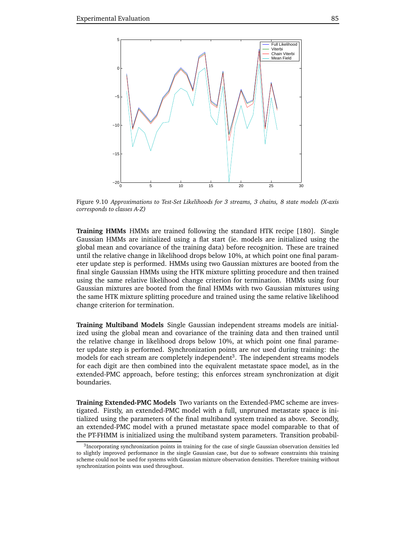

Figure 9.10 *Approximations to Test-Set Likelihoods for 3 streams, 3 chains, 8 state models (X-axis corresponds to classes A-Z)*

**Training HMMs** HMMs are trained following the standard HTK recipe [180]. Single Gaussian HMMs are initialized using a flat start (ie. models are initialized using the global mean and covariance of the training data) before recognition. These are trained until the relative change in likelihood drops below 10%, at which point one final parameter update step is performed. HMMs using two Gaussian mixtures are booted from the final single Gaussian HMMs using the HTK mixture splitting procedure and then trained using the same relative likelihood change criterion for termination. HMMs using four Gaussian mixtures are booted from the final HMMs with two Gaussian mixtures using the same HTK mixture splitting procedure and trained using the same relative likelihood change criterion for termination.

**Training Multiband Models** Single Gaussian independent streams models are initialized using the global mean and covariance of the training data and then trained until the relative change in likelihood drops below 10%, at which point one final parameter update step is performed. Synchronization points are *not* used during training: the models for each stream are completely independent $3$ . The independent streams models for each digit are then combined into the equivalent metastate space model, as in the extended-PMC approach, before testing; this enforces stream synchronization at digit boundaries.

**Training Extended-PMC Models** Two variants on the Extended-PMC scheme are investigated. Firstly, an extended-PMC model with a full, unpruned metastate space is initialized using the parameters of the final multiband system trained as above. Secondly, an extended-PMC model with a pruned metastate space model comparable to that of the PT-FHMM is initialized using the multiband system parameters. Transition probabil-

<sup>&</sup>lt;sup>3</sup>Incorporating synchronization points in training for the case of single Gaussian observation densities led to slightly improved performance in the single Gaussian case, but due to software constraints this training scheme could not be used for systems with Gaussian mixture observation densities. Therefore training without synchronization points was used throughout.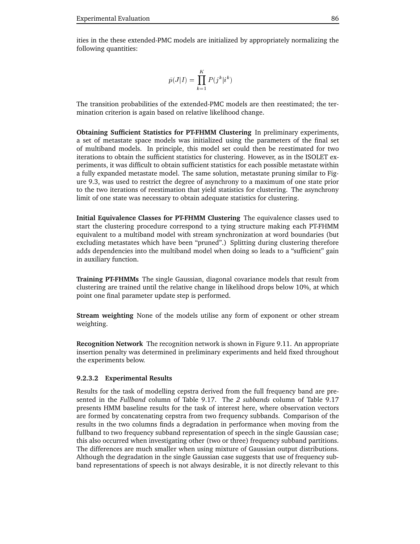ities in the these extended-PMC models are initialized by appropriately normalizing the following quantities:

$$
\tilde{p}(J|I) = \prod_{k=1}^K P(j^k|i^k)
$$

The transition probabilities of the extended-PMC models are then reestimated; the termination criterion is again based on relative likelihood change.

**Obtaining Sufficient Statistics for PT-FHMM Clustering** In preliminary experiments, a set of metastate space models was initialized using the parameters of the final set of multiband models. In principle, this model set could then be reestimated for two iterations to obtain the sufficient statistics for clustering. However, as in the ISOLET experiments, it was difficult to obtain sufficient statistics for each possible metastate within a fully expanded metastate model. The same solution, metastate pruning similar to Figure 9.3, was used to restrict the degree of asynchrony to a maximum of one state prior to the two iterations of reestimation that yield statistics for clustering. The asynchrony limit of one state was necessary to obtain adequate statistics for clustering.

**Initial Equivalence Classes for PT-FHMM Clustering** The equivalence classes used to start the clustering procedure correspond to a tying structure making each PT-FHMM equivalent to a multiband model with stream synchronization at word boundaries (but excluding metastates which have been "pruned".) Splitting during clustering therefore adds dependencies into the multiband model when doing so leads to a "sufficient" gain in auxiliary function.

**Training PT-FHMMs** The single Gaussian, diagonal covariance models that result from clustering are trained until the relative change in likelihood drops below 10%, at which point one final parameter update step is performed.

**Stream weighting** None of the models utilise any form of exponent or other stream weighting.

**Recognition Network** The recognition network is shown in Figure 9.11. An appropriate insertion penalty was determined in preliminary experiments and held fixed throughout the experiments below.

#### **9.2.3.2 Experimental Results**

Results for the task of modelling cepstra derived from the full frequency band are presented in the *Fullband* column of Table 9.17. The *2 subbands* column of Table 9.17 presents HMM baseline results for the task of interest here, where observation vectors are formed by concatenating cepstra from two frequency subbands. Comparison of the results in the two columns finds a degradation in performance when moving from the fullband to two frequency subband representation of speech in the single Gaussian case; this also occurred when investigating other (two or three) frequency subband partitions. The differences are much smaller when using mixture of Gaussian output distributions. Although the degradation in the single Gaussian case suggests that use of frequency subband representations of speech is not always desirable, it is not directly relevant to this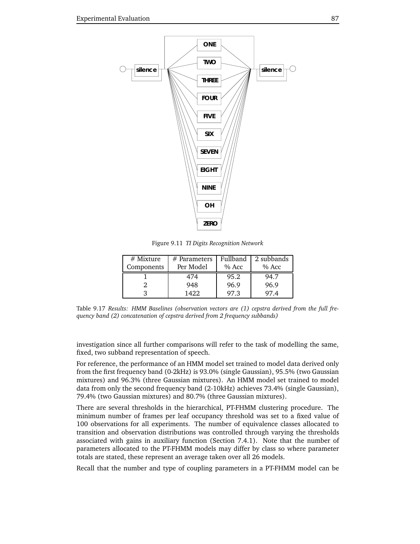

Figure 9.11 *TI Digits Recognition Network*

| $#$ Mixture | $#$ Parameters | Fullband | 2 subbands |
|-------------|----------------|----------|------------|
| Components  | Per Model      | $%$ Acc  | $%$ Acc    |
|             | 474            | 95.2     | 94.7       |
|             | 948            | 96.9     | 96.9       |
|             | 1422           | 97.3     | I7 4       |

Table 9.17 *Results: HMM Baselines (observation vectors are (1) cepstra derived from the full frequency band (2) concatenation of cepstra derived from 2 frequency subbands)*

investigation since all further comparisons will refer to the task of modelling the same, fixed, two subband representation of speech.

For reference, the performance of an HMM model set trained to model data derived only from the first frequency band (0-2kHz) is 93.0% (single Gaussian), 95.5% (two Gaussian mixtures) and 96.3% (three Gaussian mixtures). An HMM model set trained to model data from only the second frequency band (2-10kHz) achieves 73.4% (single Gaussian), 79.4% (two Gaussian mixtures) and 80.7% (three Gaussian mixtures).

There are several thresholds in the hierarchical, PT-FHMM clustering procedure. The minimum number of frames per leaf occupancy threshold was set to a fixed value of 100 observations for all experiments. The number of equivalence classes allocated to transition and observation distributions was controlled through varying the thresholds associated with gains in auxiliary function (Section 7.4.1). Note that the number of parameters allocated to the PT-FHMM models may differ by class so where parameter totals are stated, these represent an average taken over all 26 models.

Recall that the number and type of coupling parameters in a PT-FHMM model can be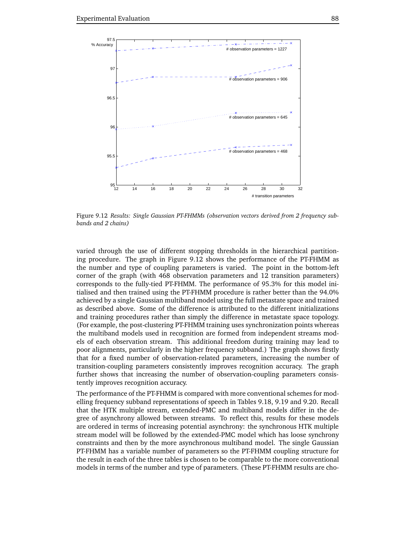

Figure 9.12 *Results: Single Gaussian PT-FHMMs (observation vectors derived from 2 frequency subbands and 2 chains)*

varied through the use of different stopping thresholds in the hierarchical partitioning procedure. The graph in Figure 9.12 shows the performance of the PT-FHMM as the number and type of coupling parameters is varied. The point in the bottom-left corner of the graph (with 468 observation parameters and 12 transition parameters) corresponds to the fully-tied PT-FHMM. The performance of 95.3% for this model initialised and then trained using the PT-FHMM procedure is rather better than the 94.0% achieved by a single Gaussian multiband model using the full metastate space and trained as described above. Some of the difference is attributed to the different initializations and training procedures rather than simply the difference in metastate space topology. (For example, the post-clustering PT-FHMM training uses synchronization points whereas the multiband models used in recognition are formed from independent streams models of each observation stream. This additional freedom during training may lead to poor alignments, particularly in the higher frequency subband.) The graph shows firstly that for a fixed number of observation-related parameters, increasing the number of transition-coupling parameters consistently improves recognition accuracy. The graph further shows that increasing the number of observation-coupling parameters consistently improves recognition accuracy.

The performance of the PT-FHMM is compared with more conventional schemes for modelling frequency subband representations of speech in Tables 9.18, 9.19 and 9.20. Recall that the HTK multiple stream, extended-PMC and multiband models differ in the degree of asynchrony allowed between streams. To reflect this, results for these models are ordered in terms of increasing potential asynchrony: the synchronous HTK multiple stream model will be followed by the extended-PMC model which has loose synchrony constraints and then by the more asynchronous multiband model. The single Gaussian PT-FHMM has a variable number of parameters so the PT-FHMM coupling structure for the result in each of the three tables is chosen to be comparable to the more conventional models in terms of the number and type of parameters. (These PT-FHMM results are cho-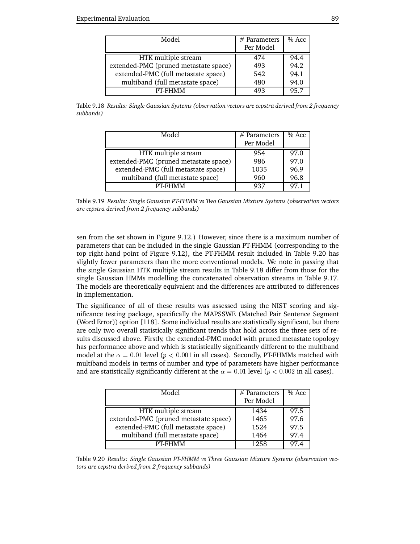| Model                                 | $#$ Parameters | $%$ Acc |
|---------------------------------------|----------------|---------|
|                                       | Per Model      |         |
| HTK multiple stream                   | 474            | 94.4    |
| extended-PMC (pruned metastate space) | 493            | 94.2    |
| extended-PMC (full metastate space)   | 542            | 94.1    |
| multiband (full metastate space)      | 480            | 94.0    |
| PT-FHMM                               | 493            | 95.7    |

Table 9.18 *Results: Single Gaussian Systems (observation vectors are cepstra derived from 2 frequency subbands)*

| Model                                 | $#$ Parameters | $%$ Acc |
|---------------------------------------|----------------|---------|
|                                       | Per Model      |         |
| HTK multiple stream                   | 954            | 97.0    |
| extended-PMC (pruned metastate space) | 986            | 97.0    |
| extended-PMC (full metastate space)   | 1035           | 96.9    |
| multiband (full metastate space)      | 960            | 96.8    |
| PT-FHMM                               | 937            | 97.1    |

Table 9.19 *Results: Single Gaussian PT-FHMM vs Two Gaussian Mixture Systems (observation vectors are cepstra derived from 2 frequency subbands)*

sen from the set shown in Figure 9.12.) However, since there is a maximum number of parameters that can be included in the single Gaussian PT-FHMM (corresponding to the top right-hand point of Figure 9.12), the PT-FHMM result included in Table 9.20 has slightly fewer parameters than the more conventional models. We note in passing that the single Gaussian HTK multiple stream results in Table 9.18 differ from those for the single Gaussian HMMs modelling the concatenated observation streams in Table 9.17. The models are theoretically equivalent and the differences are attributed to differences in implementation.

The significance of all of these results was assessed using the NIST scoring and significance testing package, specifically the MAPSSWE (Matched Pair Sentence Segment (Word Error)) option [118]. Some individual results are statistically significant, but there are only two overall statistically significant trends that hold across the three sets of results discussed above. Firstly, the extended-PMC model with pruned metastate topology has performance above and which is statistically significantly different to the multiband model at the  $\alpha = 0.01$  level ( $p < 0.001$  in all cases). Secondly, PT-FHMMs matched with multiband models in terms of number and type of parameters have higher performance and are statistically significantly different at the  $\alpha = 0.01$  level ( $p < 0.002$  in all cases).

| Model                                 | $#$ Parameters | $%$ Acc |
|---------------------------------------|----------------|---------|
|                                       | Per Model      |         |
| HTK multiple stream                   | 1434           | 97.5    |
| extended-PMC (pruned metastate space) | 1465           | 97.6    |
| extended-PMC (full metastate space)   | 1524           | 97.5    |
| multiband (full metastate space)      | 1464           | 97.4    |
| PT-FHMM                               | 1258           | 97.4    |

Table 9.20 *Results: Single Gaussian PT-FHMM vs Three Gaussian Mixture Systems (observation vectors are cepstra derived from 2 frequency subbands)*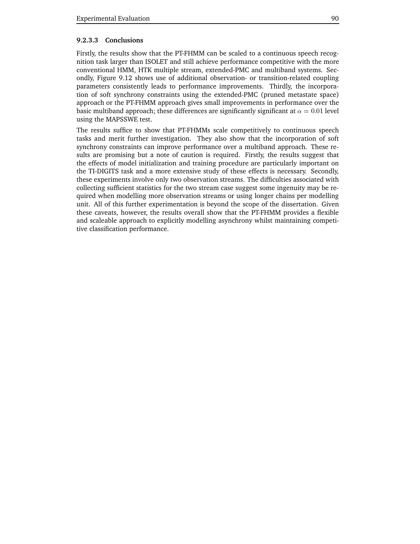### **9.2.3.3 Conclusions**

Firstly, the results show that the PT-FHMM can be scaled to a continuous speech recognition task larger than ISOLET and still achieve performance competitive with the more conventional HMM, HTK multiple stream, extended-PMC and multiband systems. Secondly, Figure 9.12 shows use of additional observation- or transition-related coupling parameters consistently leads to performance improvements. Thirdly, the incorporation of soft synchrony constraints using the extended-PMC (pruned metastate space) approach or the PT-FHMM approach gives small improvements in performance over the basic multiband approach; these differences are significantly significant at  $\alpha = 0.01$  level using the MAPSSWE test.

The results suffice to show that PT-FHMMs scale competitively to continuous speech tasks and merit further investigation. They also show that the incorporation of soft synchrony constraints can improve performance over a multiband approach. These results are promising but a note of caution is required. Firstly, the results suggest that the effects of model initialization and training procedure are particularly important on the TI-DIGITS task and a more extensive study of these effects is necessary. Secondly, these experiments involve only two observation streams. The difficulties associated with collecting sufficient statistics for the two stream case suggest some ingenuity may be required when modelling more observation streams or using longer chains per modelling unit. All of this further experimentation is beyond the scope of the dissertation. Given these caveats, however, the results overall show that the PT-FHMM provides a flexible and scaleable approach to explicitly modelling asynchrony whilst maintaining competitive classification performance.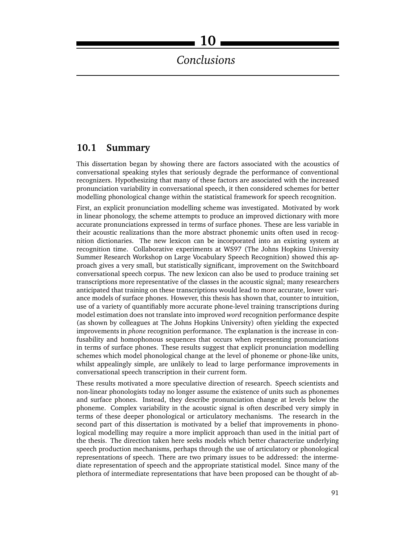# *Conclusions*

## **10.1 Summary**

This dissertation began by showing there are factors associated with the acoustics of conversational speaking styles that seriously degrade the performance of conventional recognizers. Hypothesizing that many of these factors are associated with the increased pronunciation variability in conversational speech, it then considered schemes for better modelling phonological change within the statistical framework for speech recognition.

First, an explicit pronunciation modelling scheme was investigated. Motivated by work in linear phonology, the scheme attempts to produce an improved dictionary with more accurate pronunciations expressed in terms of surface phones. These are less variable in their acoustic realizations than the more abstract phonemic units often used in recognition dictionaries. The new lexicon can be incorporated into an existing system at recognition time. Collaborative experiments at WS97 (The Johns Hopkins University Summer Research Workshop on Large Vocabulary Speech Recognition) showed this approach gives a very small, but statistically significant, improvement on the Switchboard conversational speech corpus. The new lexicon can also be used to produce training set transcriptions more representative of the classes in the acoustic signal; many researchers anticipated that training on these transcriptions would lead to more accurate, lower variance models of surface phones. However, this thesis has shown that, counter to intuition, use of a variety of quantifiably more accurate phone-level training transcriptions during model estimation does not translate into improved *word* recognition performance despite (as shown by colleagues at The Johns Hopkins University) often yielding the expected improvements in *phone* recognition performance. The explanation is the increase in confusability and homophonous sequences that occurs when representing pronunciations in terms of surface phones. These results suggest that explicit pronunciation modelling schemes which model phonological change at the level of phoneme or phone-like units, whilst appealingly simple, are unlikely to lead to large performance improvements in conversational speech transcription in their current form.

These results motivated a more speculative direction of research. Speech scientists and non-linear phonologists today no longer assume the existence of units such as phonemes and surface phones. Instead, they describe pronunciation change at levels below the phoneme. Complex variability in the acoustic signal is often described very simply in terms of these deeper phonological or articulatory mechanisms. The research in the second part of this dissertation is motivated by a belief that improvements in phonological modelling may require a more implicit approach than used in the initial part of the thesis. The direction taken here seeks models which better characterize underlying speech production mechanisms, perhaps through the use of articulatory or phonological representations of speech. There are two primary issues to be addressed: the intermediate representation of speech and the appropriate statistical model. Since many of the plethora of intermediate representations that have been proposed can be thought of ab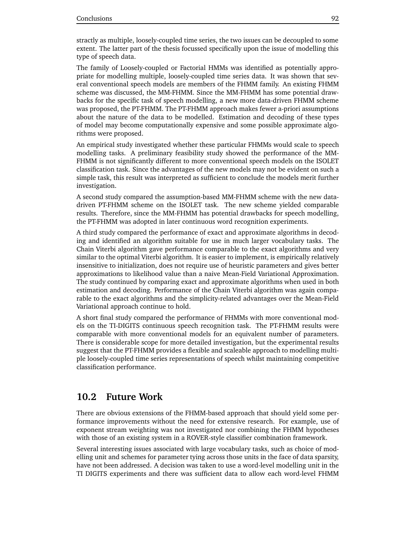stractly as multiple, loosely-coupled time series, the two issues can be decoupled to some extent. The latter part of the thesis focussed specifically upon the issue of modelling this type of speech data.

The family of Loosely-coupled or Factorial HMMs was identified as potentially appropriate for modelling multiple, loosely-coupled time series data. It was shown that several conventional speech models are members of the FHMM family. An existing FHMM scheme was discussed, the MM-FHMM. Since the MM-FHMM has some potential drawbacks for the specific task of speech modelling, a new more data-driven FHMM scheme was proposed, the PT-FHMM. The PT-FHMM approach makes fewer a-priori assumptions about the nature of the data to be modelled. Estimation and decoding of these types of model may become computationally expensive and some possible approximate algorithms were proposed.

An empirical study investigated whether these particular FHMMs would scale to speech modelling tasks. A preliminary feasibility study showed the performance of the MM-FHMM is not significantly different to more conventional speech models on the ISOLET classification task. Since the advantages of the new models may not be evident on such a simple task, this result was interpreted as sufficient to conclude the models merit further investigation.

A second study compared the assumption-based MM-FHMM scheme with the new datadriven PT-FHMM scheme on the ISOLET task. The new scheme yielded comparable results. Therefore, since the MM-FHMM has potential drawbacks for speech modelling, the PT-FHMM was adopted in later continuous word recognition experiments.

A third study compared the performance of exact and approximate algorithms in decoding and identified an algorithm suitable for use in much larger vocabulary tasks. The Chain Viterbi algorithm gave performance comparable to the exact algorithms and very similar to the optimal Viterbi algorithm. It is easier to implement, is empirically relatively insensitive to initialization, does not require use of heuristic parameters and gives better approximations to likelihood value than a naive Mean-Field Variational Approximation. The study continued by comparing exact and approximate algorithms when used in both estimation and decoding. Performance of the Chain Viterbi algorithm was again comparable to the exact algorithms and the simplicity-related advantages over the Mean-Field Variational approach continue to hold.

A short final study compared the performance of FHMMs with more conventional models on the TI-DIGITS continuous speech recognition task. The PT-FHMM results were comparable with more conventional models for an equivalent number of parameters. There is considerable scope for more detailed investigation, but the experimental results suggest that the PT-FHMM provides a flexible and scaleable approach to modelling multiple loosely-coupled time series representations of speech whilst maintaining competitive classification performance.

# **10.2 Future Work**

There are obvious extensions of the FHMM-based approach that should yield some performance improvements without the need for extensive research. For example, use of exponent stream weighting was not investigated nor combining the FHMM hypotheses with those of an existing system in a ROVER-style classifier combination framework.

Several interesting issues associated with large vocabulary tasks, such as choice of modelling unit and schemes for parameter tying across those units in the face of data sparsity, have not been addressed. A decision was taken to use a word-level modelling unit in the TI DIGITS experiments and there was sufficient data to allow each word-level FHMM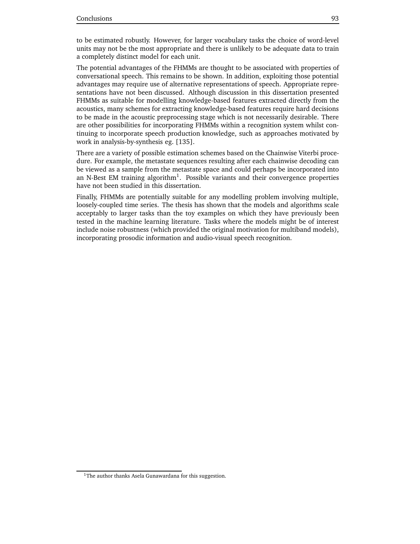to be estimated robustly. However, for larger vocabulary tasks the choice of word-level units may not be the most appropriate and there is unlikely to be adequate data to train a completely distinct model for each unit.

The potential advantages of the FHMMs are thought to be associated with properties of conversational speech. This remains to be shown. In addition, exploiting those potential advantages may require use of alternative representations of speech. Appropriate representations have not been discussed. Although discussion in this dissertation presented FHMMs as suitable for modelling knowledge-based features extracted directly from the acoustics, many schemes for extracting knowledge-based features require hard decisions to be made in the acoustic preprocessing stage which is not necessarily desirable. There are other possibilities for incorporating FHMMs within a recognition system whilst continuing to incorporate speech production knowledge, such as approaches motivated by work in analysis-by-synthesis eg. [135].

There are a variety of possible estimation schemes based on the Chainwise Viterbi procedure. For example, the metastate sequences resulting after each chainwise decoding can be viewed as a sample from the metastate space and could perhaps be incorporated into an N-Best EM training algorithm<sup>1</sup>. Possible variants and their convergence properties have not been studied in this dissertation.

Finally, FHMMs are potentially suitable for any modelling problem involving multiple, loosely-coupled time series. The thesis has shown that the models and algorithms scale acceptably to larger tasks than the toy examples on which they have previously been tested in the machine learning literature. Tasks where the models might be of interest include noise robustness (which provided the original motivation for multiband models), incorporating prosodic information and audio-visual speech recognition.

 $1$ The author thanks Asela Gunawardana for this suggestion.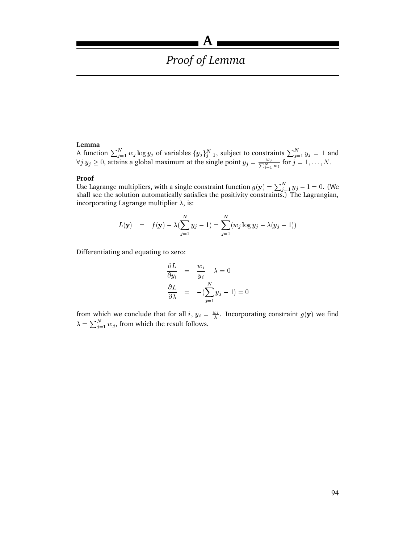# *Proof of Lemma*

**A**

#### **Lemma**

A function  $\sum_{i=1}^{N} w_j \log y_j$  of variables  $\{y_j\}_{j=1}^{N}$ , subject to constraints  $\sum_{i=1}^{N} y_j = 1$  and  $\forall j$ . $y_j \ge 0$ , attains a global maximum at the single point  $y_j = \frac{w_j}{\sum_{i=1}^N w_i}$  for  $j = 1, \ldots, N$ .

#### **Proof**

Use Lagrange multipliers, with a single constraint function  $g(y) = \sum_{i=1}^{N} y_i - 1 = 0$ . (We shall see the solution automatically satisfies the positivity constraints.) The Lagrangian, incorporating Lagrange multiplier  $\lambda$ , is:

$$
L(\mathbf{y}) = f(\mathbf{y}) - \lambda (\sum_{j=1}^{N} y_j - 1) = \sum_{j=1}^{N} (w_j \log y_j - \lambda (y_j - 1))
$$

Differentiating and equating to zero:

$$
\frac{\partial L}{\partial y_i} = \frac{w_i}{y_i} - \lambda = 0
$$
  

$$
\frac{\partial L}{\partial \lambda} = -(\sum_{j=1}^N y_j - 1) = 0
$$

from which we conclude that for all i,  $y_i = \frac{w_i}{\lambda}$ . Incorporating constraint  $g(y)$  we find  $\lambda = \sum_{j=1}^{N} w_j$ , from which the result follows.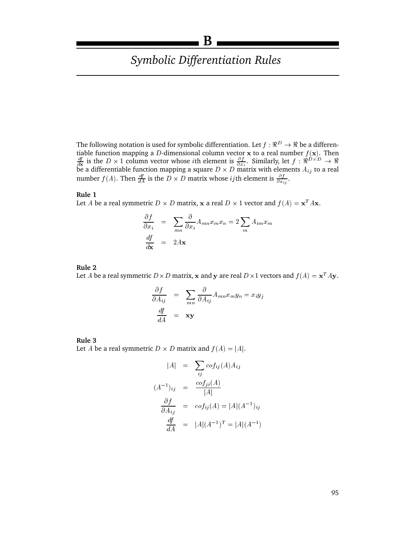# *Symbolic Differentiation Rules*

The following notation is used for symbolic differentiation. Let  $f : \mathbb{R}^D \to \mathbb{R}$  be a differentiable function mapping a *D*-dimensional column vector x to a real number  $f(\mathbf{x})$ . Then  $\frac{df}{d\mathbf{x}}$  is the  $D \times 1$  column vector whose *i*th element is  $\frac{\partial f}{\partial x_i}$ . Similarly, let  $f : \Re^{D \times D} \to \Re$ be a differentiable function mapping a square  $D \times D$  matrix with elements  $A_{ij}$  to a real number  $f(A)$ . Then  $\frac{df}{dA}$  is the  $D \times D$  matrix whose ijth element is  $\frac{\partial f}{\partial a_{ij}}$ .

#### **Rule 1**

Let A be a real symmetric  $D \times D$  matrix, x a real  $D \times 1$  vector and  $f(A) = \mathbf{x}^T A \mathbf{x}$ .

$$
\frac{\partial f}{\partial x_i} = \sum_{mn} \frac{\partial}{\partial x_i} A_{mn} x_m x_n = 2 \sum_m A_{im} x_m
$$
  

$$
\frac{df}{dx} = 2Ax
$$

#### **Rule 2**

Let  $A$  be a real symmetric  $D \times D$  matrix,  ${\bf x}$  and  ${\bf y}$  are real  $D \times 1$  vectors and  $f(A)={\bf x}^T A {\bf y}.$ 

$$
\frac{\partial f}{\partial A_{ij}} = \sum_{mn} \frac{\partial}{\partial A_{ij}} A_{mn} x_m y_n = x_i y_j
$$
  

$$
\frac{df}{dA} = xy
$$

#### **Rule 3**

Let A be a real symmetric  $D \times D$  matrix and  $f(A) = |A|$ .

$$
|A| = \sum_{ij} cof_{ij}(A)A_{ij}
$$
  
\n
$$
(A^{-1})_{ij} = \frac{cof_{ji}(A)}{|A|}
$$
  
\n
$$
\frac{\partial f}{\partial A_{ij}} = cof_{ij}(A) = |A|(A^{-1})_{ij}
$$
  
\n
$$
\frac{df}{dA} = |A|(A^{-1})^T = |A|(A^{-1})
$$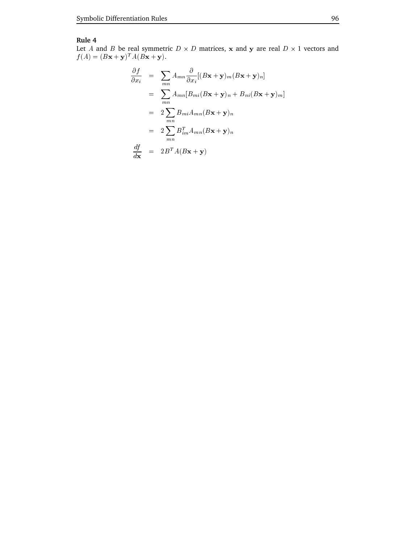### **Rule 4**

Let A and B be real symmetric  $D \times D$  matrices, x and y are real  $D \times 1$  vectors and  $f(A)=(B\mathbf{x} + \mathbf{y})^T A(B\mathbf{x} + \mathbf{y}).$ 

$$
\frac{\partial f}{\partial x_i} = \sum_{mn} A_{mn} \frac{\partial}{\partial x_i} [(B\mathbf{x} + \mathbf{y})_m (B\mathbf{x} + \mathbf{y})_n]
$$
  
\n
$$
= \sum_{mn} A_{mn} [B_{mi} (B\mathbf{x} + \mathbf{y})_n + B_{ni} (B\mathbf{x} + \mathbf{y})_m]
$$
  
\n
$$
= 2 \sum_{mn} B_{mi} A_{mn} (B\mathbf{x} + \mathbf{y})_n
$$
  
\n
$$
= 2 \sum_{mn} B_{im}^T A_{mn} (B\mathbf{x} + \mathbf{y})_n
$$
  
\n
$$
\frac{df}{d\mathbf{x}} = 2B^T A (B\mathbf{x} + \mathbf{y})
$$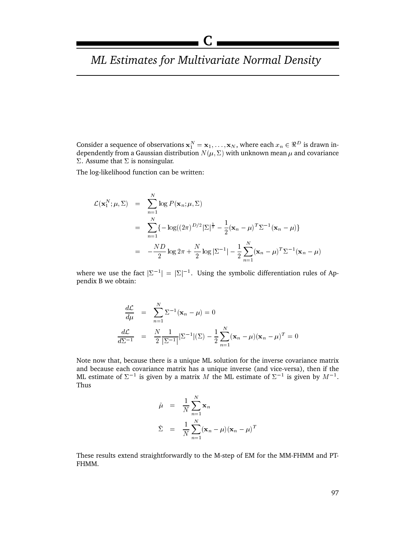# *ML Estimates for Multivariate Normal Density*

**C**

Consider a sequence of observations  $\mathbf{x}_1^N = \mathbf{x}_1, \dots, \mathbf{x}_N$ , where each  $x_n \in \Re^D$  is drawn independently from a Gaussian distribution  $N(\mu, \Sigma)$  with unknown mean  $\mu$  and covariance  $\Sigma$ . Assume that  $\Sigma$  is nonsingular.

The log-likelihood function can be written:

$$
\mathcal{L}(\mathbf{x}_1^N; \mu, \Sigma) = \sum_{n=1}^N \log P(\mathbf{x}_n; \mu, \Sigma)
$$
  
= 
$$
\sum_{n=1}^N \{-\log((2\pi)^{D/2}|\Sigma|^{\frac{1}{2}} - \frac{1}{2}(\mathbf{x}_n - \mu)^T \Sigma^{-1}(\mathbf{x}_n - \mu)\}
$$
  
= 
$$
-\frac{ND}{2} \log 2\pi + \frac{N}{2} \log |\Sigma^{-1}| - \frac{1}{2} \sum_{n=1}^N (\mathbf{x}_n - \mu)^T \Sigma^{-1}(\mathbf{x}_n - \mu)
$$

where we use the fact  $|\Sigma^{-1}| = |\Sigma|^{-1}$ . Using the symbolic differentiation rules of Appendix B we obtain:

$$
\frac{d\mathcal{L}}{d\mu} = \sum_{n=1}^{N} \Sigma^{-1} (\mathbf{x}_n - \mu) = 0
$$
  

$$
\frac{d\mathcal{L}}{d\Sigma^{-1}} = \frac{N}{2} \frac{1}{|\Sigma^{-1}|} |\Sigma^{-1}| (\Sigma) - \frac{1}{2} \sum_{n=1}^{N} (\mathbf{x}_n - \mu) (\mathbf{x}_n - \mu)^T = 0
$$

Note now that, because there is a unique ML solution for the inverse covariance matrix and because each covariance matrix has a unique inverse (and vice-versa), then if the ML estimate of  $\Sigma^{-1}$  is given by a matrix M the ML estimate of  $\Sigma^{-1}$  is given by  $M^{-1}$ . Thus

$$
\hat{\mu} = \frac{1}{N} \sum_{n=1}^{N} \mathbf{x}_n
$$
  

$$
\hat{\Sigma} = \frac{1}{N} \sum_{n=1}^{N} (\mathbf{x}_n - \mu)(\mathbf{x}_n - \mu)^T
$$

These results extend straightforwardly to the M-step of EM for the MM-FHMM and PT-FHMM.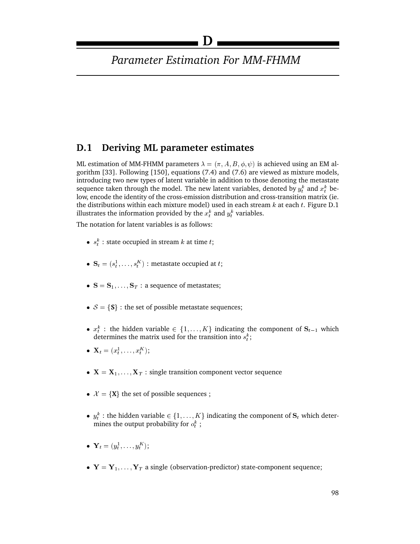# *Parameter Estimation For MM-FHMM*

# **D.1 Deriving ML parameter estimates**

ML estimation of MM-FHMM parameters  $\lambda = (\pi, A, B, \phi, \psi)$  is achieved using an EM algorithm [33]. Following [150], equations (7.4) and (7.6) are viewed as mixture models, introducing two new types of latent variable in addition to those denoting the metastate sequence taken through the model. The new latent variables, denoted by  $y_t^k$  and  $x_t^k$  below, encode the identity of the cross-emission distribution and cross-transition matrix (ie. the distributions within each mixture model) used in each stream  $k$  at each  $t$ . Figure D.1 illustrates the information provided by the  $x_t^k$  and  $y_t^k$  variables.

The notation for latent variables is as follows:

- $s_t^k$ : state occupied in stream k at time t;
- $S_t = (s_t^1, \ldots, s_t^K)$  : metastate occupied at t;
- $S = S_1, \ldots, S_T$ : a sequence of metastates;
- $\mathcal{S} = \{S\}$  : the set of possible metastate sequences;
- $x_i^k$ : the hidden variable  $\in \{1,\ldots,K\}$  indicating the component of  $S_{t-1}$  which determines the matrix used for the transition into  $s_t^k$ ;
- $X_t = (x_t^1, \ldots, x_t^K);$
- $X = X_1, \ldots, X_T$ : single transition component vector sequence
- $\mathcal{X} = \{X\}$  the set of possible sequences ;
- $y_t^k$ : the hidden variable  $\in \{1, \ldots, K\}$  indicating the component of  $\mathbf{S}_t$  which determines the output probability for  $o_t^k$  ;
- $Y_t = (y_t^1, \ldots, y_t^K);$
- $Y = Y_1, \ldots, Y_T$  a single (observation-predictor) state-component sequence;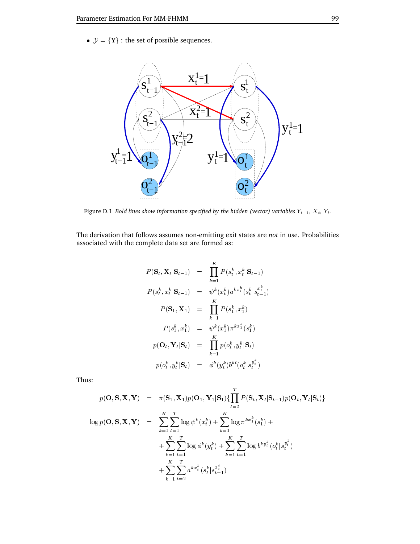•  $\mathcal{Y} = \{Y\}$ : the set of possible sequences.



Figure D.1 *Bold lines show information specified by the hidden (vector) variables*  $Y_{t-1}$ ,  $X_t$ ,  $Y_t$ .

The derivation that follows assumes non-emitting exit states are *not* in use. Probabilities associated with the complete data set are formed as:

$$
P(\mathbf{S}_{t}, \mathbf{X}_{t} | \mathbf{S}_{t-1}) = \prod_{k=1}^{K} P(s_{t}^{k}, x_{t}^{k} | \mathbf{S}_{t-1})
$$
  
\n
$$
P(s_{t}^{k}, x_{t}^{k} | \mathbf{S}_{t-1}) = \psi^{k}(x_{t}^{k}) a^{k x_{t}^{k}} (s_{t}^{k} | s_{t-1}^{x_{t}})
$$
  
\n
$$
P(\mathbf{S}_{1}, \mathbf{X}_{1}) = \prod_{k=1}^{K} P(s_{1}^{k}, x_{1}^{k})
$$
  
\n
$$
P(s_{1}^{k}, x_{1}^{k}) = \psi^{k}(x_{1}^{k}) \pi^{k x_{1}^{k}} (s_{1}^{k})
$$
  
\n
$$
p(\mathbf{O}_{t}, \mathbf{Y}_{t} | \mathbf{S}_{t}) = \prod_{k=1}^{K} p(o_{t}^{k}, y_{t}^{k} | \mathbf{S}_{t})
$$
  
\n
$$
p(o_{t}^{k}, y_{t}^{k} | \mathbf{S}_{t}) = \phi^{k}(y_{t}^{k}) b^{k l}(o_{t}^{k} | s_{t}^{y_{t}^{k}})
$$

Thus:

$$
p(\mathbf{O}, \mathbf{S}, \mathbf{X}, \mathbf{Y}) = \pi(\mathbf{S}_1, \mathbf{X}_1) p(\mathbf{O}_1, \mathbf{Y}_1 | \mathbf{S}_1) \{ \prod_{t=2}^T P(\mathbf{S}_t, \mathbf{X}_t | \mathbf{S}_{t-1}) p(\mathbf{O}_t, \mathbf{Y}_t | \mathbf{S}_t) \}
$$
  
\n
$$
\log p(\mathbf{O}, \mathbf{S}, \mathbf{X}, \mathbf{Y}) = \sum_{k=1}^K \sum_{t=1}^T \log \psi^k(x_t^k) + \sum_{k=1}^K \log \pi^{k x_1^k} (s_1^k) + \sum_{k=1}^K \sum_{t=1}^T \log \phi^k(y_t^k) + \sum_{k=1}^K \sum_{t=1}^T \log b^k y_t^k (o_t^k | s_t^{y_t^k}) + \sum_{k=1}^K \sum_{t=2}^T a^{k x_t^k} (s_t^k | s_{t-1}^{x_t^k})
$$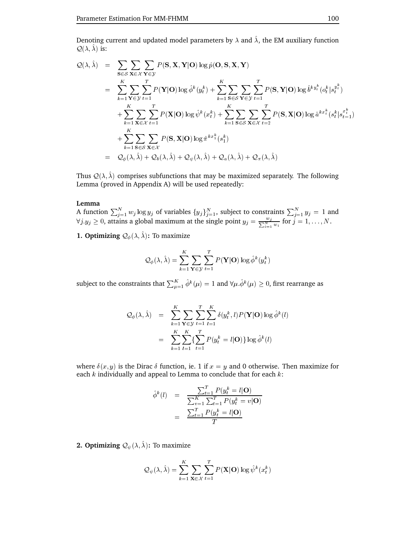Denoting current and updated model parameters by  $\lambda$  and  $\lambda$ , the EM auxiliary function  $\mathcal{Q}(\lambda, \lambda)$  is:

$$
Q(\lambda, \hat{\lambda}) = \sum_{\mathbf{S} \in \mathcal{S}} \sum_{\mathbf{X} \in \mathcal{X}} \sum_{\mathbf{Y} \in \mathcal{Y}} P(\mathbf{S}, \mathbf{X}, \mathbf{Y} | \mathbf{O}) \log \hat{p}(\mathbf{O}, \mathbf{S}, \mathbf{X}, \mathbf{Y})
$$
  
\n
$$
= \sum_{k=1}^{K} \sum_{\mathbf{Y} \in \mathcal{Y}} \sum_{t=1}^{T} P(\mathbf{Y} | \mathbf{O}) \log \hat{\phi}^{k} (y_{t}^{k}) + \sum_{k=1}^{K} \sum_{\mathbf{S} \in \mathcal{S}} \sum_{\mathbf{Y} \in \mathcal{Y}} \sum_{t=1}^{T} P(\mathbf{S}, \mathbf{Y} | \mathbf{O}) \log \hat{b}^{k y_{t}^{k}} (o_{t}^{k} | s_{t}^{y_{t}^{k}})
$$
  
\n
$$
+ \sum_{k=1}^{K} \sum_{\mathbf{X} \in \mathcal{X}} \sum_{t=1}^{T} P(\mathbf{X} | \mathbf{O}) \log \hat{\phi}^{k} (x_{t}^{k}) + \sum_{k=1}^{K} \sum_{\mathbf{S} \in \mathcal{S}} \sum_{\mathbf{X} \in \mathcal{X}} \sum_{t=2}^{T} P(\mathbf{S}, \mathbf{X} | \mathbf{O}) \log \hat{\alpha}^{k x_{t}^{k}} (s_{t}^{k} | s_{t-1}^{x_{t}})
$$
  
\n
$$
+ \sum_{k=1}^{K} \sum_{\mathbf{S} \in \mathcal{S}} \sum_{\mathbf{X} \in \mathcal{X}} P(\mathbf{S}, \mathbf{X} | \mathbf{O}) \log \hat{\pi}^{k x_{t}^{k}} (s_{1}^{k})
$$
  
\n
$$
= Q_{\phi}(\lambda, \hat{\lambda}) + Q_{b}(\lambda, \hat{\lambda}) + Q_{\psi}(\lambda, \hat{\lambda}) + Q_{a}(\lambda, \hat{\lambda}) + Q_{\pi}(\lambda, \hat{\lambda})
$$

Thus  $\mathcal{Q}(\lambda, \lambda)$  comprises subfunctions that may be maximized separately. The following Lemma (proved in Appendix A) will be used repeatedly:

#### **Lemma**

A function  $\sum_{i=1}^{N} w_j \log y_j$  of variables  $\{y_j\}_{j=1}^{N}$ , subject to constraints  $\sum_{i=1}^{N} y_j = 1$  and  $\forall j$ . $y_j \ge 0$ , attains a global maximum at the single point  $y_j = \frac{w_j}{\sum_{i=1}^N w_i}$  for  $j = 1, \ldots, N$ .

**1. Optimizing**  $\mathcal{Q}_{\phi}(\lambda, \lambda)$ : To maximize

$$
Q_{\phi}(\lambda, \hat{\lambda}) = \sum_{k=1}^{K} \sum_{\mathbf{Y} \in \mathcal{Y}} \sum_{t=1}^{T} P(\mathbf{Y} | \mathbf{O}) \log \hat{\phi}^{k}(y_{t}^{k})
$$

subject to the constraints that  $\sum_{\mu=1}^{\Lambda} \phi^k(\mu) = 1$  and  $\forall \mu \ldotp \phi^k(\mu) \geq 0$ , first rearrange as

$$
\mathcal{Q}_{\phi}(\lambda, \hat{\lambda}) = \sum_{k=1}^{K} \sum_{\mathbf{Y} \in \mathcal{Y}} \sum_{t=1}^{T} \sum_{l=1}^{K} \delta(y_t^k, l) P(\mathbf{Y}|\mathbf{O}) \log \hat{\phi}^k(l)
$$

$$
= \sum_{k=1}^{K} \sum_{l=1}^{K} \sum_{t=1}^{T} P(y_t^k = l|\mathbf{O}) \log \hat{\phi}^k(l)
$$

where  $\delta(x, y)$  is the Dirac  $\delta$  function, ie. 1 if  $x = y$  and 0 otherwise. Then maximize for each  $k$  individually and appeal to Lemma to conclude that for each  $k$ :

$$
\hat{\phi}^k(l) = \frac{\sum_{t=1}^T P(y_t^k = l | \mathbf{O})}{\sum_{v=1}^K \sum_{t=1}^T P(y_t^k = v | \mathbf{O})}
$$

$$
= \frac{\sum_{t=1}^T P(y_t^k = l | \mathbf{O})}{T}
$$

**2. Optimizing**  $\mathcal{Q}_{\psi}(\lambda,\lambda)$ : To maximize

$$
\mathcal{Q}_{\psi}(\lambda, \hat{\lambda}) = \sum_{k=1}^{K} \sum_{\mathbf{X} \in \mathcal{X}} \sum_{t=1}^{T} P(\mathbf{X} | \mathbf{O}) \log \hat{\psi}^{k}(x_{t}^{k})
$$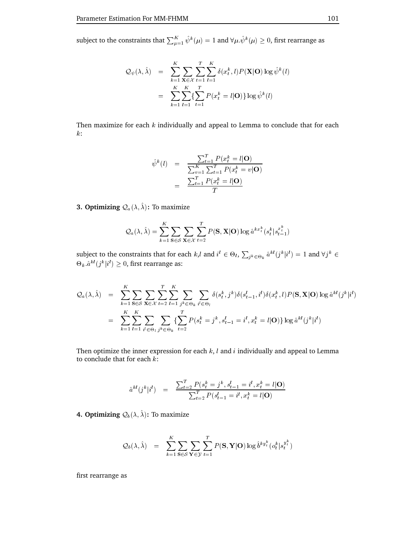subject to the constraints that  $\sum_{\mu=1}^{\mathbf{n}} \psi^k(\mu)=1$  and  $\forall \mu \psi^k(\mu)\geq 0,$  first rearrange as

$$
\mathcal{Q}_{\psi}(\lambda, \hat{\lambda}) = \sum_{k=1}^{K} \sum_{\mathbf{X} \in \mathcal{X}} \sum_{t=1}^{T} \sum_{l=1}^{K} \delta(x_t^k, l) P(\mathbf{X} | \mathbf{O}) \log \hat{\psi}^k(l)
$$

$$
= \sum_{k=1}^{K} \sum_{l=1}^{K} \sum_{t=1}^{T} P(x_t^k = l | \mathbf{O}) \log \hat{\psi}^k(l)
$$

Then maximize for each  $k$  individually and appeal to Lemma to conclude that for each  $k$ :

$$
\hat{\psi}^{k}(l) = \frac{\sum_{t=1}^{T} P(x_t^k = l | \mathbf{O})}{\sum_{v=1}^{K} \sum_{t=1}^{T} P(x_t^k = v | \mathbf{O})}
$$

$$
= \frac{\sum_{t=1}^{T} P(x_t^k = l | \mathbf{O})}{T}
$$

**3. Optimizing**  $\mathcal{Q}_a(\lambda, \lambda)$ : To maximize

$$
Q_a(\lambda, \hat{\lambda}) = \sum_{k=1}^K \sum_{\mathbf{S} \in \mathcal{S}} \sum_{\mathbf{X} \in \mathcal{X}} \sum_{t=2}^T P(\mathbf{S}, \mathbf{X} | \mathbf{O}) \log \hat{a}^{k x_t^k} (s_t^k | s_{t-1}^{x_t^k})
$$

subject to the constraints that for each  $k,l$  and  $i^l \in \Theta_l, \sum_{j^k \in \Theta_k} \hat{a}^{kl}(j^k|i^l)=1$  and  $\forall j^k \in \Theta_l$  $\Theta_k \cdot \hat{a}^{kl} (j^k | i^l) \geq 0$ , first rearrange as:

$$
Q_a(\lambda, \hat{\lambda}) = \sum_{k=1}^K \sum_{\mathbf{S} \in \mathcal{S}} \sum_{\mathbf{X} \in \mathcal{X}} \sum_{t=2}^T \sum_{l=1}^K \sum_{j^k \in \Theta_k} \sum_{i^l \in \Theta_l} \delta(s_t^k, j^k) \delta(s_{t-1}^l, i^l) \delta(x_t^k, l) P(\mathbf{S}, \mathbf{X} | \mathbf{O}) \log \hat{a}^{kl}(j^k | i^l)
$$
  
= 
$$
\sum_{k=1}^K \sum_{l=1}^K \sum_{i^l \in \Theta_l} \sum_{j^k \in \Theta_k} \sum_{t=2}^T P(s_t^k = j^k, s_{t-1}^l = i^l, x_t^k = l | \mathbf{O}) \} \log \hat{a}^{kl}(j^k | i^l)
$$

Then optimize the inner expression for each  $k$ ,  $l$  and  $i$  individually and appeal to Lemma to conclude that for each  $k$ :

$$
\hat{a}^{kl}(j^k|i^l) = \frac{\sum_{t=2}^T P(s_t^k = j^k, s_{t-1}^l = i^l, x_t^k = l | \mathbf{O})}{\sum_{t=2}^T P(s_{t-1}^l = i^l, x_t^k = l | \mathbf{O})}
$$

**4. Optimizing**  $\mathcal{Q}_b(\lambda, \lambda)$ : To maximize

$$
\mathcal{Q}_b(\lambda, \hat{\lambda}) = \sum_{k=1}^K \sum_{\mathbf{S} \in \mathcal{S}} \sum_{\mathbf{Y} \in \mathcal{Y}} \sum_{t=1}^T P(\mathbf{S}, \mathbf{Y} | \mathbf{O}) \log \hat{b}^{ky_t^k} (o_t^k | s_t^{y_t^k})
$$

first rearrange as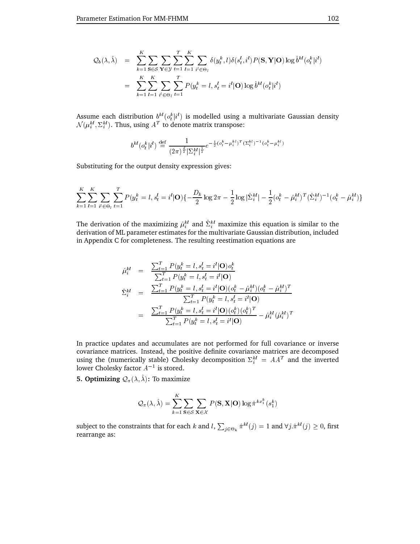$$
Q_b(\lambda, \hat{\lambda}) = \sum_{k=1}^K \sum_{\mathbf{S} \in \mathcal{S}} \sum_{\mathbf{Y} \in \mathcal{Y}} \sum_{t=1}^T \sum_{l=1}^K \sum_{i^l \in \Theta_l} \delta(y_t^k, l) \delta(s_t^l, i^l) P(\mathbf{S}, \mathbf{Y} | \mathbf{O}) \log \hat{b}^{kl}(o_t^k | i^l)
$$
  
= 
$$
\sum_{k=1}^K \sum_{l=1}^K \sum_{i^l \in \Theta_l} \sum_{t=1}^T P(y_t^k = l, s_t^l = i^l | \mathbf{O}) \log \hat{b}^{kl}(o_t^k | i^l)
$$

Assume each distribution  $b^{kl}(o_t^k|i^l)$  is modelled using a multivariate Gaussian density  $\mathcal{N}(\mu_i^{kl}, \Sigma_i^{kl}).$  Thus, using  $A^T$  to denote matrix transpose:

$$
b^{kl}(o^k_t|i^l) \stackrel{\text{def}}{=} \frac{1}{(2\pi)^{\frac{d}{2}}|\Sigma^{kl}_i|^{\frac{1}{2}}}e^{-\frac{1}{2}(o^k_t-\mu^{kl}_i)^T(\Sigma^{kl}_i)^{-1}(o^k_t-\mu^{kl}_i)}
$$

Substituting for the output density expression gives:

$$
\sum_{k=1}^K \sum_{l=1}^K \sum_{i^l \in \Theta_l} \sum_{t=1}^T P(y_t^k = l, s_t^l = i^l | \mathbf{O}) \{-\frac{D_k}{2} \log 2\pi - \frac{1}{2} \log |\hat{\Sigma}_i^{kl}| - \frac{1}{2} (o_t^k - \hat{\mu}_i^{kl})^T (\hat{\Sigma}_i^{kl})^{-1} (o_t^k - \hat{\mu}_i^{kl}) \}
$$

The derivation of the maximizing  $\hat{\mu}_i^{kl}$  and  $\Sigma_i^{kl}$  maximize this equation is similar to the derivation of ML parameter estimates for the multivariate Gaussian distribution, included in Appendix C for completeness. The resulting reestimation equations are

$$
\hat{\mu}_{i}^{kl} = \frac{\sum_{t=1}^{T} P(y_{t}^{k} = l, s_{t}^{l} = i^{l} | \mathbf{O}) o_{t}^{k}}{\sum_{t=1}^{T} P(y_{t}^{k} = l, s_{t}^{l} = i^{l} | \mathbf{O})}
$$
\n
$$
\hat{\Sigma}_{i}^{kl} = \frac{\sum_{t=1}^{T} P(y_{t}^{k} = l, s_{t}^{l} = i^{l} | \mathbf{O}) (o_{t}^{k} - \hat{\mu}_{i}^{kl}) (o_{t}^{k} - \hat{\mu}_{i}^{kl})^{T}}{\sum_{t=1}^{T} P(y_{t}^{k} = l, s_{t}^{l} = i^{l} | \mathbf{O})}
$$
\n
$$
= \frac{\sum_{t=1}^{T} P(y_{t}^{k} = l, s_{t}^{l} = i^{l} | \mathbf{O}) (o_{t}^{k}) (o_{t}^{k})^{T}}{\sum_{t=1}^{T} P(y_{t}^{k} = l, s_{t}^{l} = i^{l} | \mathbf{O})} - \hat{\mu}_{i}^{kl} (\hat{\mu}_{i}^{kl})^{T}
$$

In practice updates and accumulates are not performed for full covariance or inverse covariance matrices. Instead, the positive definite covariance matrices are decomposed using the (numerically stable) Cholesky decomposition  $\Sigma_i^{kl} = AA^T$  and the inverted lower Cholesky factor  $A^{-1}$  is stored.

**5. Optimizing**  $\mathcal{Q}_{\pi}(\lambda, \lambda)$ : To maximize

$$
\mathcal{Q}_{\pi}(\lambda, \hat{\lambda}) = \sum_{k=1}^{K} \sum_{\mathbf{S} \in \mathcal{S}} \sum_{\mathbf{X} \in \mathcal{X}} P(\mathbf{S}, \mathbf{X} | \mathbf{O}) \log \hat{\pi}^{k x_1^k}(s_1^k)
$$

subject to the constraints that for each  $k$  and  $l, \sum_{j\in\Theta_k} \hat{\pi}^{kl}(j)=1$  and  $\forall j.\hat{\pi}^{kl}(j)\geq 0,$  first rearrange as: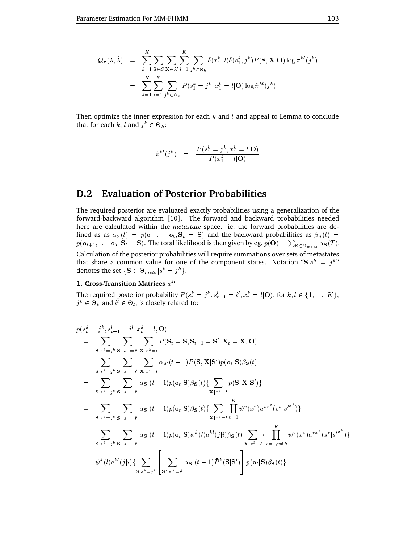$$
\mathcal{Q}_{\pi}(\lambda, \hat{\lambda}) = \sum_{k=1}^{K} \sum_{\mathbf{S} \in \mathcal{S}} \sum_{\mathbf{X} \in \mathcal{X}} \sum_{l=1}^{K} \sum_{j^{k} \in \Theta_{k}} \delta(x_{1}^{k}, l) \delta(s_{1}^{k}, j^{k}) P(\mathbf{S}, \mathbf{X} | \mathbf{O}) \log \hat{\pi}^{kl}(j^{k})
$$

$$
= \sum_{k=1}^{K} \sum_{l=1}^{K} \sum_{j^{k} \in \Theta_{k}} P(s_{1}^{k} = j^{k}, x_{1}^{k} = l | \mathbf{O}) \log \hat{\pi}^{kl}(j^{k})
$$

Then optimize the inner expression for each  $k$  and  $l$  and appeal to Lemma to conclude that for each  $k$ ,  $l$  and  $j^k \in \Theta_k$ :

$$
\hat{\pi}^{kl}(j^k) = \frac{P(s_1^k = j^k, x_1^k = l | \mathbf{O})}{P(x_1^k = l | \mathbf{O})}
$$

# **D.2 Evaluation of Posterior Probabilities**

The required posterior are evaluated exactly probabilities using a generalization of the forward-backward algorithm [10]. The forward and backward probabilities needed here are calculated within the *metastate* space. ie. the forward probabilities are defined as as  $\alpha_{\mathbf{S}}(t) = p(\mathbf{o}_1,\ldots,\mathbf{o}_t,\mathbf{S}_t = \mathbf{S})$  and the backward probabilities as  $\beta_{\mathbf{S}}(t) =$  $p(\mathbf{o}_{t+1},\ldots,\mathbf{o}_T|\mathbf{S}_t=\mathbf{S}).$  The total likelihood is then given by eg.  $p(\mathbf{O})=\sum_{\mathbf{S}\in\Theta_{meta}}\alpha_{\mathbf{S}}(T).$ Calculation of the posterior probabilities will require summations over sets of metastates that share a common value for one of the component states. Notation "S $|s^k = j^k$ "<br>denotes the set  $\{S \in \Theta_{meta} | s^k = j^k\}$ .

## **1. Cross-Transition Matrices**  $a^{kl}$

**1. Cross-Iransition Matrices**  $a^{kt}$ <br>The required posterior probability  $P(s_t^k = j^k, s_{t-1}^l = i^l, x_t^k = l | \mathbf{O})$ , for  $k, l \in \{1, ..., K\}$ ,  $j^k \in \Theta_k$  and  $i^l \in \Theta_l$ , is closely related to:

$$
p(s_t^k = j^k, s_{t-1}^l = i^l, x_t^k = l, \mathbf{O})
$$
  
\n
$$
= \sum_{\substack{\mathbf{S} | s^k = j^k \mathbf{S}' | s'^l = i^l \mathbf{X} | x^k = l}} \sum_{\substack{\mathbf{S} | s'^l = i^l \mathbf{X} | x^k = l}} P(\mathbf{S}_t = \mathbf{S}, \mathbf{S}_{t-1} = \mathbf{S}', \mathbf{X}_t = \mathbf{X}, \mathbf{O})
$$
  
\n
$$
= \sum_{\substack{\mathbf{S} | s^k = j^k \mathbf{S}' | s'^l = i^l \mathbf{X} | x^k = l}} \sum_{\substack{\mathbf{S} | s'^l = i^l \mathbf{X} | x^k = l}} \alpha_{\mathbf{S}'}(t-1) P(\mathbf{S}, \mathbf{X} | \mathbf{S}') p(\mathbf{o}_t | \mathbf{S}) \beta_{\mathbf{S}}(t)
$$
  
\n
$$
= \sum_{\substack{\mathbf{S} | s^k = j^k \mathbf{S}' | s'^l = i^l}} \sum_{\substack{\mathbf{S} | s'^l = i^l}} \alpha_{\mathbf{S}'}(t-1) p(\mathbf{o}_t | \mathbf{S}) \beta_{\mathbf{S}}(t) \{ \sum_{\substack{\mathbf{X} | x^k = l}} \prod_{v=1}^K \psi^v(x^v) a^{v x^v} (s^v | s'^x^v) \}
$$
  
\n
$$
= \sum_{\substack{\mathbf{S} | s^k = j^k \mathbf{S}' | s'^l = i^l}} \sum_{\substack{\mathbf{S} | s'^l = i^l}} \alpha_{\mathbf{S}'}(t-1) p(\mathbf{o}_t | \mathbf{S}) \psi^k(l) a^{kl}(j|i) \beta_{\mathbf{S}}(t) \sum_{\substack{\mathbf{X} | x^k = l}} \{\prod_{v=1, v \neq k}^K \psi^v(x^v) a^{v x^v} (s^v | s'^x^v) \}
$$
  
\n
$$
= \psi^k(l) a^{kl}(j|i) \{ \sum_{\substack{\mathbf{S} | s^k = j^k}} \left[ \sum_{\substack{\mathbf{S}' | s'^l = i^l}}
$$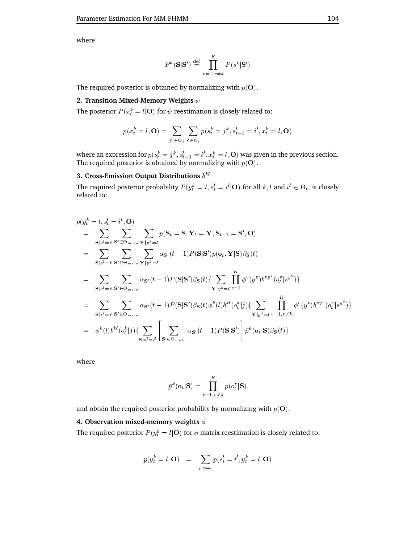where

$$
\bar{P}^k\left(\mathbf{S}\vert \mathbf{S'}\right) \stackrel{\mathrm{def}}{=} \prod_{v=1, v\neq k}^K P(s^v \vert \mathbf{S'})
$$

The required posterior is obtained by normalizing with  $p(\mathbf{O})$ .

#### **2. Transition Mixed-Memory Weights**

The posterior  $P(x_t^k = l | \mathbf{O})$  for  $\psi$  reestimation is closely related to:

$$
p(x_t^k = l, \mathbf{O}) = \sum_{j^k \in \Theta_k} \sum_{i^l \in \Theta_l} p(s_t^k = j^k, s_{t-1}^l = i^l, x_t^k = l, \mathbf{O})
$$

where an expression for  $p(s_t^k = j^k, s_{t-1}^l = i^l, x_t^k = l, \mathbf{O})$  was given in the previous section. The required posterior is obtained by normalizing with  $p(\mathbf{O}).$ 

#### **3. Cross-Emission Output Distributions** <sup>b</sup> kl

The required posterior probability  $P(y_t^k = l, s_t^l = i^l | \mathbf{O})$  for all  $k, l$  and  $i^l \in \Theta_l$ , is closely related to:

$$
p(y_t^k = l, s_t^l = i^l, \mathbf{O})
$$
  
\n
$$
= \sum_{\substack{S|s^l = i^l \ S' \in \Theta_{meta}}} \sum_{\substack{Y|y^k = l}} p(\mathbf{S}_t = \mathbf{S}, \mathbf{Y}_t = \mathbf{Y}, \mathbf{S}_{t-1} = \mathbf{S}', \mathbf{O})
$$
  
\n
$$
= \sum_{\substack{S|s^l = i^l \ S' \in \Theta_{meta}}} \sum_{\substack{Y|y^k = l}} \alpha_{\mathbf{S}'}(t-1) P(\mathbf{S}|\mathbf{S}')p(\mathbf{o}_t, \mathbf{Y}|\mathbf{S})\beta_{\mathbf{S}}(t)
$$
  
\n
$$
= \sum_{\substack{S|s^l = i^l \ S' \in \Theta_{meta}}} \sum_{\substack{S' \in \Theta_{meta}}} \alpha_{\mathbf{S}'}(t-1) P(\mathbf{S}|\mathbf{S}')\beta_{\mathbf{S}}(t) \{ \sum_{\substack{Y|y^k = l}} \prod_{v=1}^K \phi^v(y^v)b^{vy^v}(\mathbf{o}_t^v | s^{y^v}) \}
$$
  
\n
$$
= \sum_{\substack{S|s^l = i^l \ S' \in \Theta_{meta}}} \sum_{\substack{S' \in \Theta_{meta}}} \alpha_{\mathbf{S}'}(t-1) P(\mathbf{S}|\mathbf{S}')\beta_{\mathbf{S}}(t) \phi^k(l)b^{kl}(\mathbf{o}_t^k | j) \{ \sum_{\substack{Y|y^k = l}} \prod_{v=1, v \neq k} \phi^v(y^v)b^{vy^v}(\mathbf{o}_t^v | s^{y^v}) \}
$$

where

$$
\bar{p}^k(\mathbf{o}_t|\mathbf{S}) = \prod_{v=1, v \neq k}^K p(o_t^v|\mathbf{S})
$$

and obtain the required posterior probability by normalizing with  $p(\mathbf{O})$ .

#### **4. Observation mixed-memory weights**

The required posterior  $P(y_t^k = l | \mathbf{O})$  for  $\phi$  matrix reestimation is closely related to:

$$
p(y_t^k = l, \mathbf{O}) = \sum_{i^l \in \Theta_l} p(s_t^l = i^l, y_t^k = l, \mathbf{O})
$$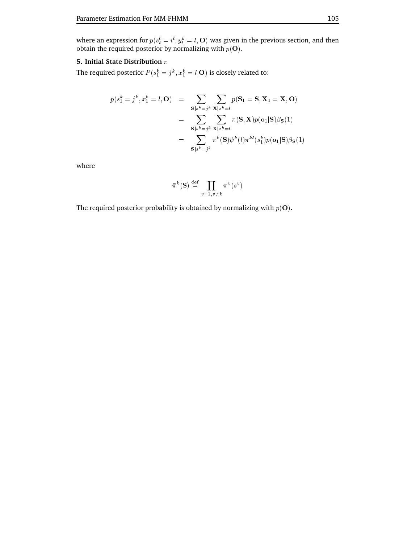where an expression for  $p(s_t^t = i^t, y_t^t = l, \mathbf{O})$  was given in the previous section, and then obtain the required posterior by normalizing with  $p(\mathbf{O})$ .

## **5. Initial State Distribution**

The required posterior  $P(s_1^k = j^k, x_1^k = l | \mathbf{O})$  is closely related to:

$$
p(s_1^k = j^k, x_1^k = l, \mathbf{O}) = \sum_{\substack{\mathbf{S} | s^k = j^k \\ \mathbf{S} | s^k = j^k}} \sum_{\substack{\mathbf{X} | x^k = l}} p(\mathbf{S}_1 = \mathbf{S}, \mathbf{X}_1 = \mathbf{X}, \mathbf{O})
$$

$$
= \sum_{\substack{\mathbf{S} | s^k = j^k \\ \mathbf{S} | s^k = j^k}} \sum_{\substack{\mathbf{X} | x^k = l}} \pi(\mathbf{S}, \mathbf{X}) p(\mathbf{o}_1 | \mathbf{S}) \beta_{\mathbf{S}}(1)
$$

where

$$
\bar{\pi}^k(\mathbf{S}) \stackrel{\text{def}}{=} \prod_{v=1, v \neq k} \pi^v(s^v)
$$

The required posterior probability is obtained by normalizing with  $p(O)$ .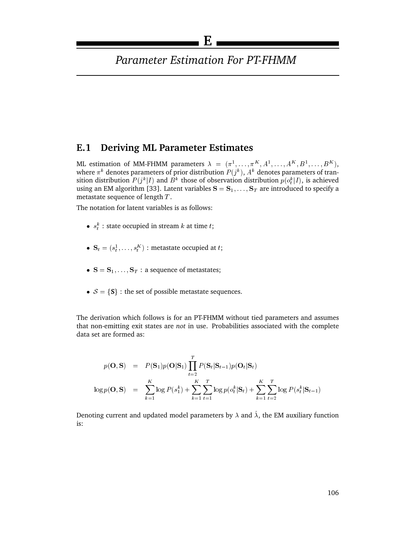# *Parameter Estimation For PT-FHMM*

# **E.1 Deriving ML Parameter Estimates**

ML estimation of MM-FHMM parameters  $\lambda = (\pi^1, \ldots, \pi^K, A^1, \ldots, A^K, B^1, \ldots, B^K)$ , where  $\pi^k$  denotes parameters of prior distribution  $P(j^k)$ ,  $A^k$  denotes parameters of transition distribution  $P(j^k|I)$  and  $B^k$  those of observation distribution  $p(o^k|I)$ , is achieved using an EM algorithm [33]. Latent variables  $S = S_1, \ldots, S_T$  are introduced to specify a metastate sequence of length  $T$ .

The notation for latent variables is as follows:

- $s_t^k$ : state occupied in stream k at time t;
- $S_t = (s_t^1, \ldots, s_t^K)$  : metastate occupied at t;
- $S = S_1, \ldots, S_T$ : a sequence of metastates;
- $\mathcal{S} = \{S\}$  : the set of possible metastate sequences.

The derivation which follows is for an PT-FHMM without tied parameters and assumes that non-emitting exit states are *not* in use. Probabilities associated with the complete data set are formed as:

$$
p(\mathbf{O}, \mathbf{S}) = P(\mathbf{S}_1) p(\mathbf{O} | \mathbf{S}_1) \prod_{t=2}^T P(\mathbf{S}_t | \mathbf{S}_{t-1}) p(\mathbf{O}_t | \mathbf{S}_t)
$$
  
\n
$$
\log p(\mathbf{O}, \mathbf{S}) = \sum_{k=1}^K \log P(s_1^k) + \sum_{k=1}^K \sum_{t=1}^T \log p(o_t^k | \mathbf{S}_t) + \sum_{k=1}^K \sum_{t=2}^T \log P(s_t^k | \mathbf{S}_{t-1})
$$

Denoting current and updated model parameters by  $\lambda$  and  $\lambda$ , the EM auxiliary function is: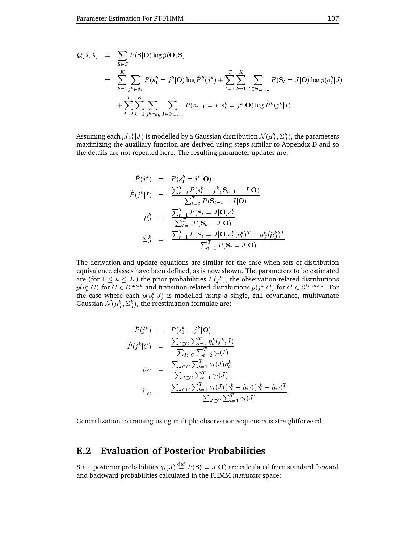$$
Q(\lambda, \hat{\lambda}) = \sum_{\mathbf{S} \in \mathcal{S}} P(\mathbf{S}|\mathbf{O}) \log \hat{p}(\mathbf{O}, \mathbf{S})
$$
  
\n
$$
= \sum_{k=1}^{K} \sum_{j^k \in \theta_k} P(s_1^k = j^k | \mathbf{O}) \log \hat{P}^k(j^k) + \sum_{t=1}^{T} \sum_{k=1}^{K} \sum_{J \in \Theta_{meta}} P(\mathbf{S}_t = J | \mathbf{O}) \log \hat{p}(o_t^k | J)
$$
  
\n
$$
+ \sum_{t=2}^{T} \sum_{k=1}^{K} \sum_{j^k \in \theta_k} \sum_{I \in \Theta_{meta}} P(s_{t-1} = I, s_t^k = j^k | \mathbf{O}) \log \hat{P}^k(j^k | I)
$$

Assuming each  $p(o_t^k | J)$  is modelled by a Gaussian distribution  $\mathcal{N}(\mu_J^k, \Sigma_J^k)$ , the parameters maximizing the auxiliary function are derived using steps similar to Appendix D and so the details are not repeated here. The resulting parameter updates are:

$$
\hat{P}(j^k) = P(s_1^k = j^k | \mathbf{O})
$$
\n
$$
\hat{P}(j^k | I) = \frac{\sum_{t=2}^T P(s_t^k = j^k, \mathbf{S}_{t-1} = I | \mathbf{O})}{\sum_{t=2}^T P(\mathbf{S}_{t-1} = I | \mathbf{O})}
$$
\n
$$
\hat{\mu}_J^k = \frac{\sum_{t=1}^T P(\mathbf{S}_t = J | \mathbf{O}) o_t^k}{\sum_{t=1}^T P(\mathbf{S}_t = J | \mathbf{O})}
$$
\n
$$
\hat{\Sigma}_J^k = \frac{\sum_{t=1}^T P(\mathbf{S}_t = J | \mathbf{O}) o_t^k (o_t^k)^T - \hat{\mu}_J^k (\hat{\mu}_J^k)^T}{\sum_{t=1}^T P(\mathbf{S}_t = J | \mathbf{O})}
$$

The derivation and update equations are similar for the case when sets of distribution equivalence classes have been defined, as is now shown. The parameters to be estimated are (for  $1 \le k \le K$ ) the prior probabilities  $P(j^k)$ , the observation-related distributions  $p(o_i^k|C)$  for  $C \in \mathcal{C}^{obs,k}$  and transition-related distributions  $p(j^k|C)$  for  $C \in \mathcal{C}^{trans,k}$ . For  $p(o_t^k|C)$  for  $C \in \mathcal{C}^{obs,k}$  and transition-related distributions  $p(j^k|C)$  for  $C \in \mathcal{C}^{trans,k}$ . For the case where each  $p(o_t^k | J)$  is modelled using a single, full covariance, multivariate Gaussian  $\mathcal{N}(\mu^k_J, \Sigma^k_J)$ , the reestimation formulae are:

$$
\hat{P}(j^k) = P(s_1^k = j^k | \mathbf{O})
$$
\n
$$
\hat{P}(j^k | C) = \frac{\sum_{I \in C} \sum_{t=2}^T \eta_t^k (j^k, I)}{\sum_{I \in C} \sum_{t=2}^T \gamma_t(I)}
$$
\n
$$
\hat{\mu}_C = \frac{\sum_{J \in C} \sum_{t=1}^T \gamma_t(J) o_t^k}{\sum_{J \in C} \sum_{t=1}^T \gamma_t(J)}
$$
\n
$$
\hat{\Sigma}_C = \frac{\sum_{J \in C} \sum_{t=1}^T \gamma_t(J) (o_t^k - \hat{\mu}_C) (o_t^k - \hat{\mu}_C)^T}{\sum_{J \in C} \sum_{t=1}^T \gamma_t(J)}
$$

Generalization to training using multiple observation sequences is straightforward.

# **E.2 Evaluation of Posterior Probabilities**

State posterior probabilities  $\gamma_t(J) \stackrel{\text{def}}{=} P(S_t^k = J | \mathbf{O})$  are calculated from standard forward and backward probabilities calculated in the FHMM *metastate* space: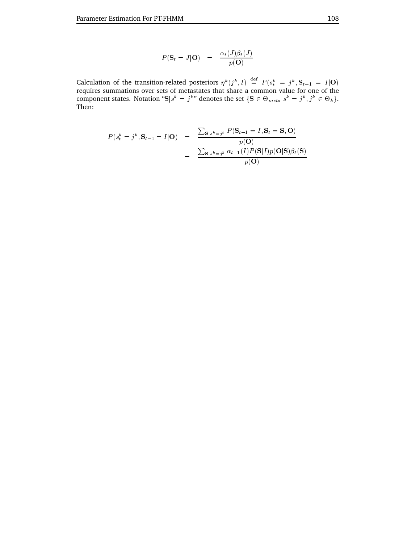$$
P(\mathbf{S}_t = J | \mathbf{O}) = \frac{\alpha_t(J)\beta_t(J)}{p(\mathbf{O})}
$$

Calculation of the transition-related posteriors  $\eta^k(j^k, I) \stackrel{\text{def}}{=} P(s^k_t = j^k, \mathbf{S}_{t-1} = I | \mathbf{O})$ <br>requires summations over sets of metastates that share a common value for one of the component states. Notation "S $|s^k = j^k$ " denotes the set  $\{S \in \Theta_{meta} | s^k = j^k, j^k \in \Theta_k \}$ . Then:

$$
P(s_t^k = j^k, \mathbf{S}_{t-1} = I | \mathbf{O}) = \frac{\sum_{\mathbf{S} | s^k = j^k} P(\mathbf{S}_{t-1} = I, \mathbf{S}_t = \mathbf{S}, \mathbf{O})}{p(\mathbf{O})}
$$

$$
= \frac{\sum_{\mathbf{S} | s^k = j^k} \alpha_{t-1}(I) P(\mathbf{S} | I) p(\mathbf{O} | \mathbf{S}) \beta_t(\mathbf{S})}{p(\mathbf{O})}
$$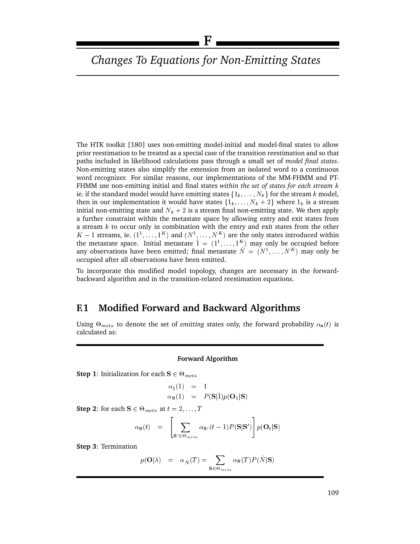### *Changes To Equations for Non-Emitting States*

The HTK toolkit [180] uses non-emitting model-initial and model-final states to allow prior reestimation to be treated as a special case of the transition reestimation and so that paths included in likelihood calculations pass through a small set of *model final states*. Non-emitting states also simplify the extension from an isolated word to a continuous word recognizer. For similar reasons, our implementations of the MM-FHMM and PT-FHMM use non-emitting initial and final states *within the set of states for each stream* <sup>k</sup> ie. if the standard model would have emitting states  $\{1_k,\ldots,N_k\}$  for the stream k model, then in our implementation it would have states  $\{1_k,\ldots,N_k + 2\}$  where  $1_k$  is a stream initial non-emitting state and  $N_k + 2$  is a stream final non-emitting state. We then apply a further constraint within the metastate space by allowing entry and exit states from a stream  $k$  to occur only in combination with the entry and exit states from the other  $K-1$  streams, ie.  $(1^1, \ldots, 1^K)$  and  $(N^1, \ldots, N^K)$  are the only states introduced within the metastate space. Initial metastate  $\hat{1} = (1^1, \ldots, 1^K)$  may only be occupied before any observations have been emitted; final metastate  $N = (N^1, \ldots, N^K)$  may only be occupied after all observations have been emitted.

To incorporate this modified model topology, changes are necessary in the forwardbackward algorithm and in the transition-related reestimation equations.

#### **F.1 Modified Forward and Backward Algorithms**

Using  $\Theta_{meta}$  to denote the set of *emitting* states only, the forward probability  $\alpha_{s}(t)$  is calculated as:

#### **Forward Algorithm**

**Step 1**: Initialization for each  $\mathbf{S} \in \Theta_{meta}$ 

$$
\alpha_{\hat{1}}(1) = 1 \n\alpha_{\mathbf{S}}(1) = P(\mathbf{S}|\hat{1})p(\mathbf{O}_1|\mathbf{S})
$$

**Step 2:** for each  $\mathbf{S} \in \Theta_{meta}$  at  $t = 2, \ldots, T$ 

$$
\alpha_{\mathbf{S}}(t) = \left[ \sum_{\mathbf{S}' \in \Theta_{meta}} \alpha_{\mathbf{S}'}(t-1) P(\mathbf{S}|\mathbf{S}') \right] p(\mathbf{O}_t|\mathbf{S})
$$

**Step 3**: Termination

$$
p(\mathbf{O}|\lambda) = \alpha_{\hat{N}}(T) = \sum_{\mathbf{S} \in \Theta_{meta}} \alpha_{\mathbf{S}}(T) P(\hat{N}|\mathbf{S})
$$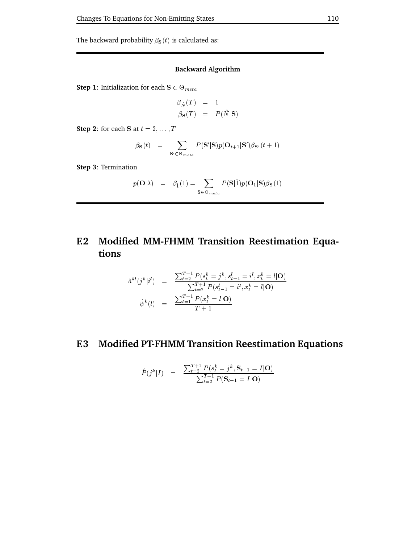The backward probability  $\beta_{\mathbf{S}}(t)$  is calculated as:

#### **Backward Algorithm**

**Step 1**: Initialization for each  $\mathbf{S} \in \Theta_{meta}$ 

$$
\begin{array}{rcl}\n\beta_{\hat{N}}(T) & = & 1 \\
\beta_{\mathbf{S}}(T) & = & P(\hat{N}|\mathbf{S})\n\end{array}
$$

**Step 2**: for each **S** at  $t = 2, \ldots, T$ 

$$
\beta_{\mathbf{S}}(t) = \sum_{\mathbf{S}' \in \Theta_{meta}} P(\mathbf{S}'|\mathbf{S}) p(\mathbf{O}_{t+1}|\mathbf{S}') \beta_{\mathbf{S}'}(t+1)
$$

**Step 3**: Termination

$$
p(\mathbf{O}|\lambda) = \beta_1(1) = \sum_{\mathbf{S} \in \Theta_{meta}} P(\mathbf{S}|\hat{1}) p(\mathbf{O}_1|\mathbf{S}) \beta_{\mathbf{S}}(1)
$$

### **F.2 Modified MM-FHMM Transition Reestimation Equations**

$$
\hat{a}^{kl}(j^k|i^l) = \frac{\sum_{t=2}^{T+1} P(s_t^k = j^k, s_{t-1}^l = i^l, x_t^k = l | \mathbf{O})}{\sum_{t=2}^{T+1} P(s_{t-1}^l = i^l, x_t^k = l | \mathbf{O})}
$$

$$
\hat{\psi}^k(l) = \frac{\sum_{t=1}^{T+1} P(x_t^k = l | \mathbf{O})}{T+1}
$$

### **F.3 Modified PT-FHMM Transition Reestimation Equations**

$$
\hat{P}(j^k|I) = \frac{\sum_{t=2}^{T+1} P(s_t^k = j^k, \mathbf{S}_{t-1} = I | \mathbf{O})}{\sum_{t=2}^{T+1} P(\mathbf{S}_{t-1} = I | \mathbf{O})}
$$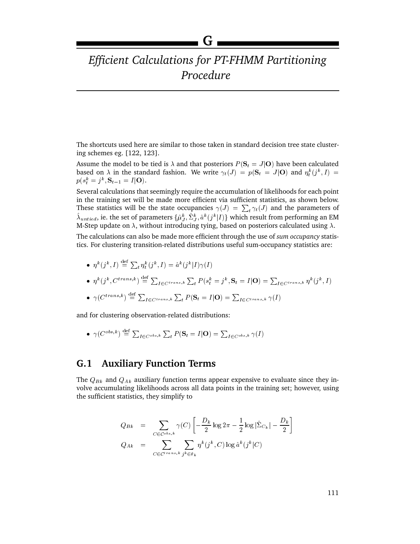# *Efficient Calculations for PT-FHMM Partitioning Procedure*

The shortcuts used here are similar to those taken in standard decision tree state clustering schemes eg. [122, 123].

Assume the model to be tied is  $\lambda$  and that posteriors  $P(S_t = J | O)$  have been calculated based on  $\lambda$  in the standard fashion. We write  $\gamma_t(J) = p(\mathbf{S}_t = J | \mathbf{O})$  and  $\eta_t^k(j^k, I) =$  $p(s_t^k = j^k, \mathbf{S}_{t-1} = I | \mathbf{O}).$ 

Several calculations that seemingly require the accumulation of likelihoods for each point in the training set will be made more efficient via sufficient statistics, as shown below. These statistics will be the state occupancies  $\gamma(J) \,=\, \sum_t \gamma_t(J)$  and the parameters of  $\lambda_{untied}$ , ie. the set of parameters  $\{\hat{\mu}^k_j, \Sigma^k_j, \hat{a}^k(j^k|I)\}$  which result from performing an EM M-Step update on  $\lambda$ , without introducing tying, based on posteriors calculated using  $\lambda$ .

The calculations can also be made more efficient through the use of *sum occupancy* statistics. For clustering transition-related distributions useful sum-occupancy statistics are:

 $\bullet \;\; \eta^k\left(j^k,I\right) \stackrel{\mathrm{def}}{=} \sum_{t} \eta^k_t\left(j^k,I\right) = \hat{a}^k\left(j^k|I\right) \gamma(I)$ 

$$
\bullet \ \ \eta^k(j^k,C^{trans,k}) \stackrel{\text{def}}{=} \textstyle \sum_{I \in C^{trans,k}} \sum_{t} P(s^k_t = j^k, \mathbf{S}_t = I | \mathbf{O}) = \sum_{I \in C^{trans,k}} \eta^k(j^k,I)
$$

• 
$$
\gamma(C^{trans,k}) \stackrel{\text{def}}{=} \sum_{I \in C^{trans,k}} \sum_{t} P(\mathbf{S}_t = I | \mathbf{O}) = \sum_{I \in C^{trans,k}} \gamma(I)
$$

and for clustering observation-related distributions:

 $\bullet$   $\gamma(C^{obs,k}) \stackrel{\text{def}}{=} \sum_{I \in C^{obs,k}} \sum_{t} P(S_t = I | \mathbf{O}) = \sum_{I \in C^{obs,k}} \gamma(I)$ 

#### **G.1 Auxiliary Function Terms**

The  $Q_{Bk}$  and  $Q_{Ak}$  auxiliary function terms appear expensive to evaluate since they involve accumulating likelihoods across all data points in the training set; however, using the sufficient statistics, they simplify to

$$
Q_{Bk} = \sum_{C \in \mathcal{C}^{obs,k}} \gamma(C) \left[ -\frac{D_k}{2} \log 2\pi - \frac{1}{2} \log |\hat{\Sigma}_{C_k}| - \frac{D_k}{2} \right]
$$
  

$$
Q_{Ak} = \sum_{C \in \mathcal{C}^{trans,k}} \sum_{j^k \in \theta_k} \eta^k(j^k, C) \log \hat{a}^k(j^k | C)
$$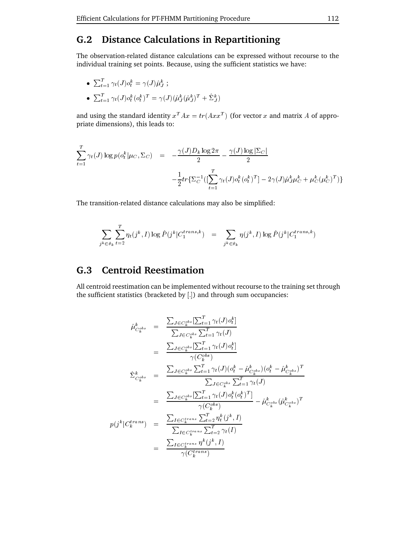### **G.2 Distance Calculations in Repartitioning**

The observation-related distance calculations can be expressed without recourse to the individual training set points. Because, using the sufficient statistics we have:

• 
$$
\sum_{t=1}^{T} \gamma_t(J) o_t^k = \gamma(J) \hat{\mu}_J^k ;
$$

$$
\bullet \;\textstyle\sum_{t=1}^T\gamma_t(J)o^k_t(o^k_t)^T=\gamma(J)(\hat\mu^k_J(\hat\mu^k_J)^T+\hat\Sigma^k_J)
$$

and using the standard identity  $x^T A x = tr(A x x^T)$  (for vector x and matrix A of appropriate dimensions), this leads to:

$$
\sum_{t=1}^{T} \gamma_t(J) \log p(o_t^k | \mu_C, \Sigma_C) = -\frac{\gamma(J) D_k \log 2\pi}{2} - \frac{\gamma(J) \log |\Sigma_C|}{2}
$$

$$
-\frac{1}{2} tr \{ \Sigma_C^{-1} ( [\sum_{t=1}^{T} \gamma_t(J) o_t^k (o_t^k)^T ] - 2\gamma(J) \hat{\mu}_J^k \mu_C^k + \mu_C^k(\mu_C^k)^T ) \}
$$

The transition-related distance calculations may also be simplified:

$$
\sum_{j^k \in \theta_k} \sum_{t=2}^T \eta_t(j^k, I) \log \hat{P}(j^k | C_1^{trans, k}) = \sum_{j^k \in \theta_k} \eta(j^k, I) \log \hat{P}(j^k | C_1^{trans, k})
$$

### **G.3 Centroid Reestimation**

All centroid reestimation can be implemented without recourse to the training set through the sufficient statistics (bracketed by [.]) and through sum occupancies:

$$
\hat{\mu}_{C_k^{obs}}^k = \frac{\sum_{J \in C_k^{obs}} [\sum_{t=1}^T \gamma_t(J) o_t^k]}{\sum_{J \in C_k^{obs}} \sum_{t=1}^T \gamma_t(J)} \n= \frac{\sum_{J \in C_k^{obs}} [\sum_{t=1}^T \gamma_t(J) o_t^k]}{\gamma(C_k^{obs})} \n\hat{\Sigma}_{C_k^{obs}}^k = \frac{\sum_{J \in C_k^{obs}} \sum_{t=1}^T \gamma_t(J) (o_t^k - \hat{\mu}_{C_k^{obs}}^k) (o_t^k - \hat{\mu}_{C_k^{obs}}^k)^T}{\sum_{J \in C_k^{obs}} \sum_{t=1}^T \gamma_t(J)} \n= \frac{\sum_{J \in C_k^{obs}} [\sum_{t=1}^T \gamma_t(J) o_t^k (o_t^k)^T]}{\gamma(C_k^{obs})} - \hat{\mu}_{C_k^{obs}}^k (\hat{\mu}_{C_k^{obs}}^k)^T \n\hat{\mu}_{C_k^{obs}}^k = \frac{\sum_{I \in C_k^{trans}} \sum_{t=2}^T \gamma_t(J) o_t^k (o_t^k)^T}{\sum_{I \in C_k^{trans}} \sum_{t=2}^T \gamma_t(I)} \n= \frac{\sum_{I \in C_k^{trans}} \sum_{t=2}^T \gamma_t(I)}{\gamma(C_k^{trans})}
$$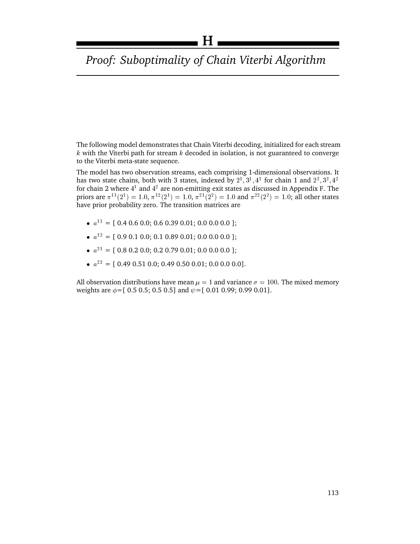# *Proof: Suboptimality of Chain Viterbi Algorithm*

The following model demonstrates that Chain Viterbi decoding, initialized for each stream  $k$  with the Viterbi path for stream  $k$  decoded in isolation, is not guaranteed to converge to the Viterbi meta-state sequence.

The model has two observation streams, each comprising 1-dimensional observations. It has two state chains, both with 3 states, indexed by  $2^1, 3^1, 4^1$  for chain 1 and  $2^2, 3^2, 4^2$ for chain 2 where  $4^1$  and  $4^2$  are non-emitting exit states as discussed in Appendix F. The priors are  $\pi^{11}(2^1) = 1.0$ ,  $\pi^{12}(2^1) = 1.0$ ,  $\pi^{21}(2^2) = 1.0$  and  $\pi^{22}(2^2) = 1.0$ ; all other states have prior probability zero. The transition matrices are

- $a^{11} = [ 0.4 \, 0.6 \, 0.0; 0.6 \, 0.39 \, 0.01; 0.0 \, 0.0 \, 0.0]$ ;
- $a^{12} = [ 0.9 \ 0.1 \ 0.0; 0.1 \ 0.89 \ 0.01; 0.0 \ 0.0 \ 0.0]$ ;
- $a^{21} = [ 0.8 \, 0.2 \, 0.0; 0.2 \, 0.79 \, 0.01; 0.0 \, 0.0 \, 0.0 ]$ ;
- $a^{22} = [ 0.49 \ 0.51 \ 0.0; 0.49 \ 0.50 \ 0.01; 0.0 \ 0.0 \ 0.0].$

All observation distributions have mean  $\mu = 1$  and variance  $\sigma = 100$ . The mixed memory weights are  $\phi$  = [ 0.5 0.5; 0.5 0.5] and  $\psi$  = [ 0.01 0.99; 0.99 0.01].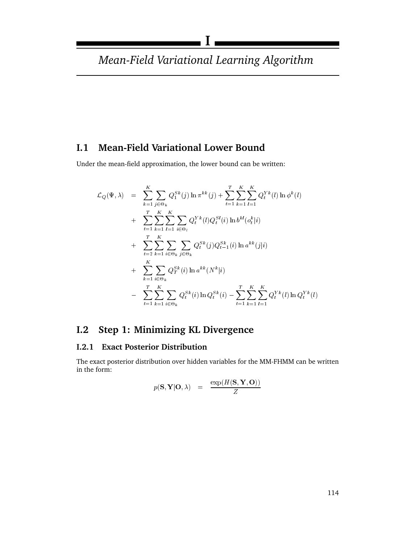**I**

#### **I.1 Mean-Field Variational Lower Bound**

Under the mean-field approximation, the lower bound can be written:

$$
\mathcal{L}_{Q}(\Psi,\lambda) = \sum_{k=1}^{K} \sum_{j \in \Theta_{k}} Q_{1}^{Sk}(j) \ln \pi^{kk}(j) + \sum_{t=1}^{T} \sum_{k=1}^{K} \sum_{l=1}^{K} Q_{t}^{Yk}(l) \ln \phi^{k}(l) \n+ \sum_{t=1}^{T} \sum_{k=1}^{K} \sum_{l=1}^{K} \sum_{i \in \Theta_{l}} Q_{t}^{Yk}(l) Q_{t}^{Sl}(i) \ln b^{kl}(o_{t}^{k}|i) \n+ \sum_{t=2}^{T} \sum_{k=1}^{K} \sum_{i \in \Theta_{k}} \sum_{j \in \Theta_{k}} Q_{t}^{Sk}(j) Q_{t-1}^{Sk}(i) \ln a^{kk}(j|i) \n+ \sum_{k=1}^{K} \sum_{i \in \Theta_{k}} Q_{T}^{Sk}(i) \ln a^{kk}(N^{k}|i) \n- \sum_{t=1}^{T} \sum_{k=1}^{K} \sum_{i \in \Theta_{k}} Q_{t}^{Sk}(i) \ln Q_{t}^{Sk}(i) - \sum_{t=1}^{T} \sum_{k=1}^{K} \sum_{l=1}^{K} Q_{t}^{Yk}(l) \ln Q_{t}^{Yk}(l)
$$

### **I.2 Step 1: Minimizing KL Divergence**

#### **I.2.1 Exact Posterior Distribution**

The exact posterior distribution over hidden variables for the MM-FHMM can be written in the form:

$$
p(\mathbf{S}, \mathbf{Y} | \mathbf{O}, \lambda) = \frac{\exp(H(\mathbf{S}, \mathbf{Y}, \mathbf{O}))}{Z}
$$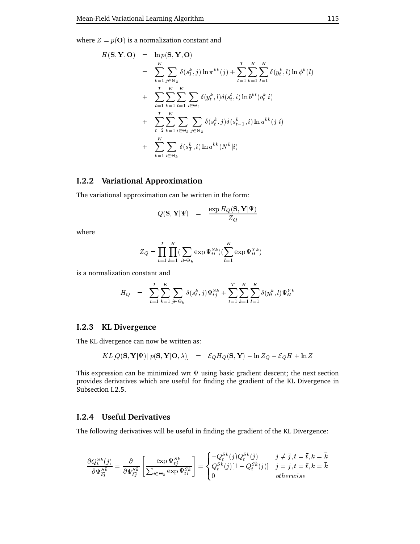where  $Z = p(O)$  is a normalization constant and

$$
H(\mathbf{S}, \mathbf{Y}, \mathbf{O}) = \ln p(\mathbf{S}, \mathbf{Y}, \mathbf{O})
$$
  
\n
$$
= \sum_{k=1}^{K} \sum_{j \in \Theta_k} \delta(s_1^k, j) \ln \pi^{kk}(j) + \sum_{t=1}^{T} \sum_{k=1}^{K} \sum_{l=1}^{K} \delta(y_t^k, l) \ln \phi^k(l)
$$
  
\n
$$
+ \sum_{t=1}^{T} \sum_{k=1}^{K} \sum_{l=1}^{K} \sum_{i \in \Theta_l} \delta(y_t^k, l) \delta(s_t^l, i) \ln b^{kl}(o_t^k|i)
$$
  
\n
$$
+ \sum_{t=2}^{T} \sum_{k=1}^{K} \sum_{i \in \Theta_k} \sum_{j \in \Theta_k} \delta(s_t^k, j) \delta(s_{t-1}^k, i) \ln a^{kk}(j|i)
$$
  
\n
$$
+ \sum_{k=1}^{K} \sum_{i \in \Theta_k} \delta(s_T^k, i) \ln a^{kk}(N^k|i)
$$

#### **I.2.2 Variational Approximation**

The variational approximation can be written in the form:

$$
Q\left(\mathbf{S},\mathbf{Y}|\Psi\right) \quad = \quad \frac{\exp\,H_Q(\mathbf{S},\mathbf{Y}|\Psi)}{Z_Q} \quad
$$

where

$$
Z_Q = \prod_{t=1}^T \prod_{k=1}^K (\sum_{i \in \Theta_k} \exp \Psi_{ti}^{Sk}) (\sum_{l=1}^K \exp \Psi_{tl}^{Yk})
$$

is a normalization constant and

$$
H_Q = \sum_{t=1}^{T} \sum_{k=1}^{K} \sum_{j \in \Theta_k} \delta(s_t^k, j) \Psi_{tj}^{Sk} + \sum_{t=1}^{T} \sum_{k=1}^{K} \sum_{l=1}^{K} \delta(y_t^k, l) \Psi_{tl}^{Yk}
$$

#### **I.2.3 KL Divergence**

The KL divergence can now be written as:

$$
KL[Q(\mathbf{S}, \mathbf{Y}|\Psi)||p(\mathbf{S}, \mathbf{Y}|\mathbf{O}, \lambda)] = \mathcal{E}_Q H_Q(\mathbf{S}, \mathbf{Y}) - \ln Z_Q - \mathcal{E}_Q H + \ln Z
$$

This expression can be minimized wrt  $\Psi$  using basic gradient descent; the next section provides derivatives which are useful for finding the gradient of the KL Divergence in Subsection I.2.5.

#### **I.2.4 Useful Derivatives**

The following derivatives will be useful in finding the gradient of the KL Divergence:

$$
\frac{\partial Q_t^{Sk}(j)}{\partial \Psi_{\bar{t}\bar{j}}^{S\bar{k}}} = \frac{\partial}{\partial \Psi_{\bar{t}\bar{j}}^{S\bar{k}}} \left[ \frac{\exp \Psi_{tj}^{Sk}}{\sum_{i \in \Theta_k} \exp \Psi_{ti}^{Sk}} \right] = \begin{cases} -Q_{\bar{t}}^{S\bar{k}}(j) Q_{\bar{t}}^{S\bar{k}}(\bar{j}) & j \neq \bar{j}, t = \bar{t}, k = \bar{k} \\ Q_{\bar{t}}^{S\bar{k}}(\bar{j}) [1 - Q_{\bar{t}}^{S\bar{k}}(\bar{j})] & j = \bar{j}, t = \bar{t}, k = \bar{k} \\ 0 & otherwise \end{cases}
$$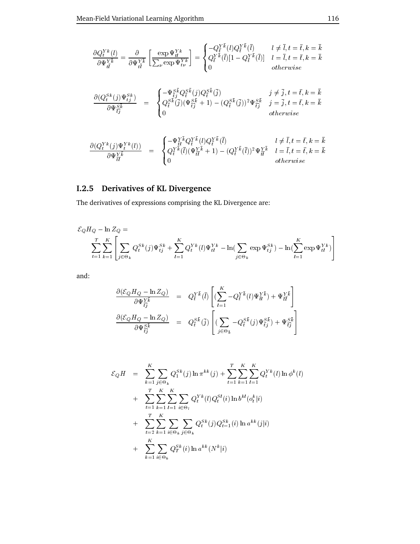$$
\frac{\partial Q_t^{Yk}(l)}{\partial \Psi_{t\overline{l}}^{Y\overline{k}}} = \frac{\partial}{\partial \Psi_{t\overline{l}}^{Y\overline{k}}} \left[ \frac{\exp \Psi_{t\overline{l}}^{Yk}}{\sum_{\nu} \exp \Psi_{t\nu}^{Yk}} \right] = \begin{cases} -Q_{\overline{l}}^{Y\overline{k}}(l)Q_{\overline{l}}^{Y\overline{k}}(\overline{l}) & l \neq \overline{l}, t = \overline{t}, k = \overline{k} \\ Q_{\overline{l}}^{Y\overline{k}}(\overline{l})[1 - Q_{\overline{l}}^{Y\overline{k}}(\overline{l})] & l = \overline{l}, t = \overline{t}, k = \overline{k} \\ 0 & otherwise \end{cases}
$$

$$
\frac{{\partial} (Q_t^{Sk}(j)\Psi^{Sk}_{tj})}{{\partial} \Psi^{S\bar{k}}_{\bar{t}\bar{j}}} \quad = \quad \begin{cases} -\Psi^{S\bar{k}}_{\bar{t}j}Q_{\bar{t}}^{S\bar{k}}(j)Q_{\bar{t}}^{S\bar{k}}(\bar{j}) & j \neq \bar{j}, t = \bar{t}, k = \bar{k} \\ Q_{\bar{t}}^{S\bar{k}}(\bar{j})(\Psi^{S\bar{k}}_{\bar{t}\bar{j}} + 1) - (Q_{\bar{t}}^{S\bar{k}}(\bar{j}))^2\Psi^{S\bar{k}}_{\bar{t}\bar{j}} & j = \bar{j}, t = \bar{t}, k = \bar{k} \\ 0 & otherwise \end{cases}
$$

$$
\frac{\partial (Q_t^{Yk}(j)\Psi_t^{Yk}(l))}{\partial \Psi_{\bar t\bar l}^{X\bar k}} \quad = \quad \begin{cases} -\Psi_{\bar t l}^{Y\bar k}Q_{\bar t}^{Y\bar k}(l)Q_{\bar t}^{Y\bar k}(\bar l) & l\neq \bar l, t=\bar t, k=\bar k\\ Q_t^{Y\bar k}(\bar l)(\Psi_{\bar t\bar l}^{Y\bar k}+1)-(Q_{\bar t}^{Y\bar k}(\bar l))^2\Psi_{\bar t\bar l}^{Y\bar k} & l=\bar l, t=\bar t, k=\bar k\\ 0 & otherwise \end{cases}
$$

### **I.2.5 Derivatives of KL Divergence**

The derivatives of expressions comprising the KL Divergence are:

$$
\mathcal{E}_{Q}H_{Q} - \ln Z_{Q} = \sum_{t=1}^{T} \sum_{k=1}^{K} \left[ \sum_{j \in \Theta_k} Q_t^{Sk}(j) \Psi_{tj}^{Sk} + \sum_{l=1}^{K} Q_t^{Yk}(l) \Psi_{tl}^{Yk} - \ln(\sum_{j \in \Theta_k} \exp \Psi_{tj}^{Sk}) - \ln(\sum_{l=1}^{K} \exp \Psi_{tl}^{Yk}) \right]
$$

and:

$$
\frac{\partial (\mathcal{E}_Q H_Q - \ln Z_Q)}{\partial \Psi_{\bar{t}j}^{Y\bar{k}}} = Q_{\bar{t}}^{Y\bar{k}}(\bar{l}) \left[ (\sum_{l=1}^K -Q_{\bar{t}}^{Y\bar{k}}(l) \Psi_{\bar{t}l}^{Y\bar{k}}) + \Psi_{\bar{t}l}^{Y\bar{k}} \right]
$$

$$
\frac{\partial (\mathcal{E}_Q H_Q - \ln Z_Q)}{\partial \Psi_{\bar{t}j}^{S\bar{k}}} = Q_{\bar{t}}^{S\bar{k}}(\bar{j}) \left[ (\sum_{j \in \Theta_{\bar{k}}} -Q_{\bar{t}}^{S\bar{k}}(j) \Psi_{\bar{t}j}^{S\bar{k}}) + \Psi_{\bar{t}j}^{S\bar{k}} \right]
$$

$$
\mathcal{E}_{Q}H = \sum_{k=1}^{K} \sum_{j \in \Theta_k} Q_1^{Sk}(j) \ln \pi^{kk}(j) + \sum_{t=1}^{T} \sum_{k=1}^{K} \sum_{l=1}^{K} Q_t^{Yk}(l) \ln \phi^k(l) + \sum_{t=1}^{T} \sum_{k=1}^{K} \sum_{l=1}^{K} \sum_{i \in \Theta_l} Q_t^{Yk}(l) Q_t^{Sl}(i) \ln b^{kl}(o_t^k|i) + \sum_{t=2}^{T} \sum_{k=1}^{K} \sum_{i \in \Theta_k} \sum_{j \in \Theta_k} Q_t^{Sk}(j) Q_{t-1}^{Sk}(i) \ln a^{kk}(j|i) + \sum_{k=1}^{K} \sum_{i \in \Theta_k} Q_T^{Sk}(i) \ln a^{kk}(N^k|i)
$$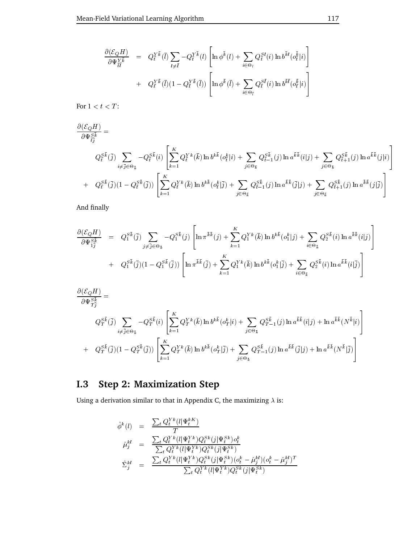$$
\frac{\partial (\mathcal{E}_Q H)}{\partial \Psi_{\bar{t}\bar{l}}^{\bar{Y}\bar{k}}} = Q_{\bar{t}}^{\bar{Y}\bar{k}}(\bar{l}) \sum_{l \neq \bar{l}} -Q_{\bar{t}}^{\bar{Y}\bar{k}}(l) \left[ \ln \phi^{\bar{k}}(l) + \sum_{i \in \Theta_l} Q_{\bar{t}}^{SI}(i) \ln b^{\bar{k}l} (o_{\bar{t}}^{\bar{k}} | i) \right] \n+ Q_{\bar{t}}^{\bar{Y}\bar{k}}(\bar{l}) (1 - Q_{\bar{t}}^{\bar{Y}\bar{k}}(\bar{l})) \left[ \ln \phi^{\bar{k}}(\bar{l}) + \sum_{i \in \Theta_{\bar{t}}} Q_{\bar{t}}^{SI}(i) \ln b^{\bar{k}\bar{l}} (o_{\bar{t}}^{\bar{k}} | i) \right]
$$

For  $1 < t < T$ :

$$
\frac{\partial (\mathcal{E}_{Q} H)}{\partial \Psi_{\tilde{t}\tilde{j}}^{\tilde{S}\tilde{k}}} =
$$
\n
$$
Q_{\tilde{t}}^{S\tilde{k}}(\tilde{j}) \sum_{i \neq \tilde{j} \in \Theta_{\tilde{k}}} -Q_{\tilde{t}}^{S\tilde{k}}(i) \left[ \sum_{k=1}^{K} Q_{\tilde{t}}^{Yk}(\bar{k}) \ln b^{k\tilde{k}}(o_{\tilde{t}}^{k}|i) + \sum_{j \in \Theta_{\tilde{k}}} Q_{\tilde{t}-1}^{S\tilde{k}}(j) \ln a^{\tilde{k}\tilde{k}}(i|j) + \sum_{j \in \Theta_{\tilde{k}}} Q_{\tilde{t}+1}^{S\tilde{k}}(j) \ln a^{\tilde{k}\tilde{k}}(j|i) \right]
$$
\n
$$
+ Q_{\tilde{t}}^{S\tilde{k}}(\tilde{j})(1 - Q_{\tilde{t}}^{S\tilde{k}}(\tilde{j})) \left[ \sum_{k=1}^{K} Q_{\tilde{t}}^{Yk}(\bar{k}) \ln b^{k\tilde{k}}(o_{\tilde{t}}^{k}|\tilde{j}) + \sum_{j \in \Theta_{\tilde{k}}} Q_{\tilde{t}-1}^{S\tilde{k}}(j) \ln a^{\tilde{k}\tilde{k}}(\tilde{j}|j) + \sum_{j \in \Theta_{\tilde{k}}} Q_{\tilde{t}+1}^{S\tilde{k}}(j) \ln a^{\tilde{k}\tilde{k}}(j|\tilde{j}) \right]
$$

And finally

$$
\frac{\partial (\mathcal{E}_Q H)}{\partial \Psi_{1\bar{j}}^{S\bar{k}}} = Q_1^{S\bar{k}}(\bar{j}) \sum_{j \neq \bar{j} \in \Theta_{\bar{k}}} -Q_1^{S\bar{k}}(j) \left[ \ln \pi^{\bar{k}\bar{k}}(j) + \sum_{k=1}^K Q_1^{Yk}(\bar{k}) \ln b^{k\bar{k}}(o_1^k|j) + \sum_{i \in \Theta_{\bar{k}}} Q_2^{S\bar{k}}(i) \ln a^{\bar{k}\bar{k}}(i|j) \right] + Q_1^{S\bar{k}}(\bar{j}) (1 - Q_1^{S\bar{k}}(\bar{j})) \left[ \ln \pi^{\bar{k}\bar{k}}(\bar{j}) + \sum_{k=1}^K Q_1^{Yk}(\bar{k}) \ln b^{k\bar{k}}(o_1^k|\bar{j}) + \sum_{i \in \Theta_{\bar{k}}} Q_2^{S\bar{k}}(i) \ln a^{\bar{k}\bar{k}}(i|\bar{j}) \right]
$$

$$
\frac{\partial (\mathcal{E}_{Q} H)}{\partial \Psi_{Tj}^{S\bar{k}}} = \frac{Q_{T}^{S\bar{k}}(\bar{j}) \sum_{i \neq \bar{j} \in \Theta_{\bar{k}}} -Q_{T}^{S\bar{k}}(i) \left[ \sum_{k=1}^{K} Q_{T}^{Yk}(\bar{k}) \ln b^{k\bar{k}} (o_{T}^{k}|i) + \sum_{j \in \Theta_{\bar{k}}} Q_{T-1}^{S\bar{k}}(j) \ln a^{\bar{k}\bar{k}}(i|j) + \ln a^{\bar{k}\bar{k}} (N^{\bar{k}}|i) \right] + Q_{T}^{S\bar{k}}(\bar{j}) (1 - Q_{T}^{S\bar{k}}(\bar{j})) \left[ \sum_{k=1}^{K} Q_{T}^{Yk}(\bar{k}) \ln b^{k\bar{k}} (o_{T}^{k}|\bar{j}) + \sum_{j \in \Theta_{\bar{k}}} Q_{T-1}^{S\bar{k}}(j) \ln a^{\bar{k}\bar{k}}(\bar{j}|j) + \ln a^{\bar{k}\bar{k}} (N^{\bar{k}}|\bar{j}) \right]
$$

### **I.3 Step 2: Maximization Step**

Using a derivation similar to that in Appendix C, the maximizing  $\lambda$  is:

$$
\hat{\phi}^{k}(l) = \frac{\sum_{t} Q_{t}^{Yk}(l|\Psi_{t}^{kK})}{T} \n\hat{\mu}_{j}^{kl} = \frac{\sum_{t} Q_{t}^{Yk}(l|\Psi_{t}^{Yk})Q_{t}^{Sk}(j|\Psi_{t}^{Sk})o_{t}^{k}}{\sum_{t} Q_{t}^{Yk}(l|\Psi_{t}^{Yk})Q_{t}^{Sk}(j|\Psi_{t}^{Sk})} \n\hat{\Sigma}_{j}^{kl} = \frac{\sum_{t} Q_{t}^{Yk}(l|\Psi_{t}^{Yk})Q_{t}^{Sk}(j|\Psi_{t}^{Sk}) (o_{t}^{k} - \hat{\mu}_{j}^{kl}) (o_{t}^{k} - \hat{\mu}_{j}^{kl})^{T}}{\sum_{t} Q_{t}^{Yk}(l|\Psi_{t}^{Yk})Q_{t}^{Sk}(j|\Psi_{t}^{Sk})}
$$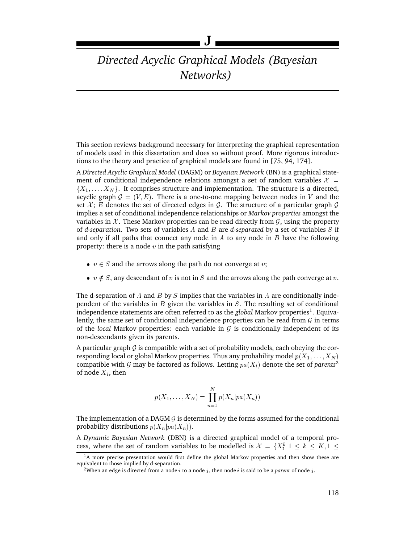# *Directed Acyclic Graphical Models (Bayesian Networks)*

**J**

This section reviews background necessary for interpreting the graphical representation of models used in this dissertation and does so without proof. More rigorous introductions to the theory and practice of graphical models are found in [75, 94, 174].

A *Directed Acyclic Graphical Model* (DAGM) or *Bayesian Network* (BN) is a graphical statement of conditional independence relations amongst a set of random variables  $\mathcal{X} =$  ${X_1, \ldots, X_N}$ . It comprises structure and implementation. The structure is a directed, acyclic graph  $G = (V, E)$ . There is a one-to-one mapping between nodes in V and the set X; E denotes the set of directed edges in G. The structure of a particular graph  $\mathcal G$ implies a set of conditional independence relationships or *Markov properties* amongst the variables in X. These Markov properties can be read directly from  $\mathcal{G}$ , using the property of *d-separation*. Two sets of variables <sup>A</sup> and <sup>B</sup> are *d-separated* by a set of variables <sup>S</sup> if and only if all paths that connect any node in  $A$  to any node in  $B$  have the following property: there is a node  $v$  in the path satisfying

- $v \in S$  and the arrows along the path do not converge at  $v$ ;
- $v \notin S$ , any descendant of v is not in S and the arrows along the path converge at v.

The d-separation of A and B by S implies that the variables in A are conditionally independent of the variables in  $B$  given the variables in  $S$ . The resulting set of conditional independence statements are often referred to as the *global* Markov properties<sup>1</sup>. Equivalently, the same set of conditional independence properties can be read from  $\mathcal G$  in terms of the *local* Markov properties: each variable in  $G$  is conditionally independent of its non-descendants given its parents.

A particular graph  $\mathcal G$  is compatible with a set of probability models, each obeying the corresponding local or global Markov properties. Thus any probability model  $p(X_1, \ldots, X_N)$ compatible with G may be factored as follows. Letting  $pa(X_i)$  denote the set of *parents*<sup>2</sup> of node  $X_i$ , then

$$
p(X_1,\ldots,X_N)=\prod_{n=1}^N p(X_n|pa(X_n))
$$

The implementation of a DAGM  $\mathcal G$  is determined by the forms assumed for the conditional probability distributions  $p(X_n|pa(X_n))$ .

A *Dynamic Bayesian Network* (DBN) is a directed graphical model of a temporal process, where the set of random variables to be modelled is  $\mathcal{X} = \{X_t^k | 1 \leq k \leq K, 1 \leq k \}$ 

the contract of the contract of the contract of the contract of the contract of the contract of the contract of

 $1A$  more precise presentation would first define the global Markov properties and then show these are equivalent to those implied by d-separation.

<sup>&</sup>lt;sup>2</sup>When an edge is directed from a node  $i$  to a node  $j$ , then node  $i$  is said to be a *parent* of node  $j$ .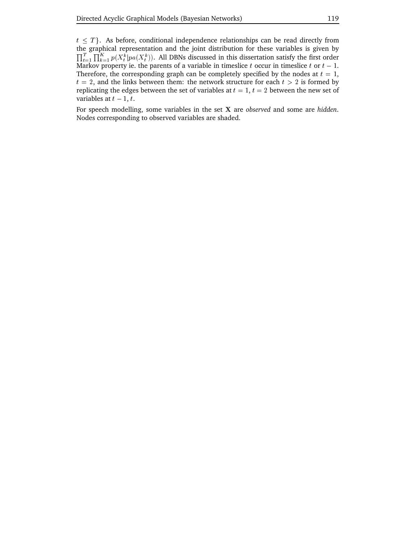$t \leq T$ . As before, conditional independence relationships can be read directly from the graphical representation and the joint distribution for these variables is given by  $\prod_{t=1}^{T} \prod_{k=1}^{K} p(X_t^k|pa(X_t^k))$ . All DBNs discussed in this dissertation satisfy the first order Markov property ie. the parents of a variable in timeslice  $t$  occur in timeslice  $t$  or  $t-1$ . Therefore, the corresponding graph can be completely specified by the nodes at  $t = 1$ ,  $t = 2$ , and the links between them: the network structure for each  $t > 2$  is formed by replicating the edges between the set of variables at  $t = 1$ ,  $t = 2$  between the new set of variables at  $t - 1$ ,  $t$ .

For speech modelling, some variables in the set <sup>X</sup> are *observed* and some are *hidden*. Nodes corresponding to observed variables are shaded.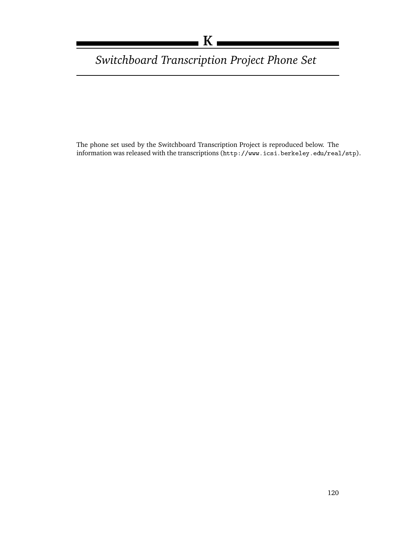## **K**

# *Switchboard Transcription Project Phone Set*

The phone set used by the Switchboard Transcription Project is reproduced below. The information was released with the transcriptions (http://www.icsi.berkeley.edu/real/stp).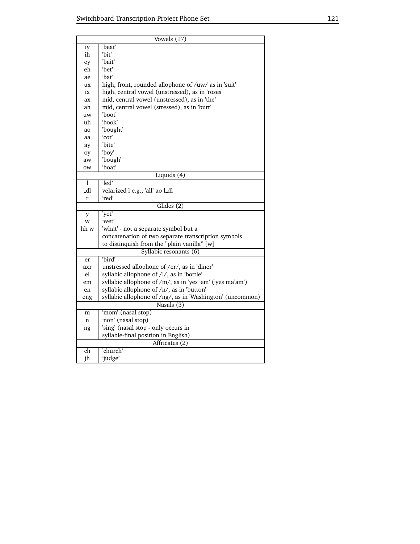| Vowels (17)            |                                                           |  |
|------------------------|-----------------------------------------------------------|--|
| iy                     | 'beat'                                                    |  |
| ih                     | 'bit'                                                     |  |
| ey                     | 'bait'                                                    |  |
| eh                     | 'bet'                                                     |  |
| ae                     | 'bat'                                                     |  |
| ux                     | high, front, rounded allophone of /uw/ as in 'suit'       |  |
| ix                     | high, central vowel (unstressed), as in 'roses'           |  |
| ax                     | mid, central vowel (unstressed), as in 'the'              |  |
| ah                     | mid, central vowel (stressed), as in 'butt'               |  |
| uw                     | 'boot'                                                    |  |
| uh                     | 'book'                                                    |  |
| ao                     | 'bought'                                                  |  |
| aa                     | 'cot'                                                     |  |
| ay                     | 'bite'                                                    |  |
| oy                     | 'boy'                                                     |  |
| aw                     | 'bough'                                                   |  |
| <b>OW</b>              | 'boat'                                                    |  |
| Liquids (4)            |                                                           |  |
| 1                      | 'led'                                                     |  |
| _dl                    | velarized l e.g., 'all' ao l_dl                           |  |
| r                      | 'red'                                                     |  |
| Glides $(2)$           |                                                           |  |
| y                      | 'yet'                                                     |  |
| W                      | 'wet'                                                     |  |
| hh w                   | 'what' - not a separate symbol but a                      |  |
|                        | concatenation of two separate transcription symbols       |  |
|                        | to distinquish from the "plain vanilla" [w]               |  |
| Syllabic resonants (6) |                                                           |  |
| er                     | 'bird'                                                    |  |
| axr                    | unstressed allophone of /er/, as in 'diner'               |  |
| el                     | syllabic allophone of /l/, as in 'bottle'                 |  |
| em                     | syllabic allophone of /m/, as in 'yes 'em' ('yes ma'am')  |  |
| en                     | syllabic allophone of /n/, as in 'button'                 |  |
| eng                    | syllabic allophone of /ng/, as in 'Washington' (uncommon) |  |
| Nasals (3)             |                                                           |  |
| m                      | 'mom' (nasal stop)                                        |  |
| n                      | 'non' (nasal stop)                                        |  |
| ng                     | 'sing' (nasal stop - only occurs in                       |  |
|                        | syllable-final position in English)                       |  |
| Affricates (2)         |                                                           |  |
| ch                     | 'church'                                                  |  |
| jh                     | 'judge'                                                   |  |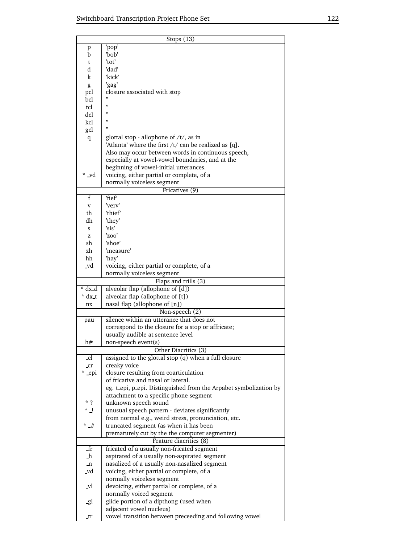| Stops $(13)$                                               |                                                                   |
|------------------------------------------------------------|-------------------------------------------------------------------|
| p                                                          | 'pop'                                                             |
| b                                                          | 'bob'                                                             |
| t                                                          | 'tot'                                                             |
| d                                                          | 'dad'                                                             |
| k                                                          | 'kick'                                                            |
| g                                                          | 'gag'                                                             |
| pcl                                                        | closure associated with stop                                      |
| bcl                                                        |                                                                   |
| tcl                                                        | "                                                                 |
| dcl                                                        | "                                                                 |
| kcl                                                        | ,,                                                                |
| gcl                                                        |                                                                   |
| q                                                          | glottal stop - allophone of $/t/$ , as in                         |
|                                                            | 'Atlanta' where the first /t/ can be realized as [q].             |
|                                                            | Also may occur between words in continuous speech,                |
|                                                            | especially at vowel-vowel boundaries, and at the                  |
|                                                            | beginning of vowel-initial utterances.                            |
| $*$ vd                                                     | voicing, either partial or complete, of a                         |
|                                                            | normally voiceless segment                                        |
|                                                            | Fricatives (9)                                                    |
| f                                                          | 'fief'                                                            |
| V                                                          | 'verv'                                                            |
| th                                                         | 'thief'                                                           |
| dh                                                         | 'they'                                                            |
| S                                                          | 'sis'                                                             |
| z                                                          | 'zoo'                                                             |
| sh                                                         | 'shoe'                                                            |
| zh                                                         | 'measure'                                                         |
| hh                                                         | 'hay'                                                             |
| vd                                                         | voicing, either partial or complete, of a                         |
|                                                            | normally voiceless segment                                        |
|                                                            | Flaps and trills (3)                                              |
| * dx d                                                     | alveolar flap (allophone of [d])                                  |
| $* dx_t$                                                   | alveolar flap (allophone of [t])                                  |
| nx                                                         | nasal flap (allophone of [n])                                     |
|                                                            | Non-speech (2)                                                    |
| silence within an utterance that does not<br>pau           |                                                                   |
|                                                            | correspond to the closure for a stop or affricate;                |
|                                                            | usually audible at sentence level                                 |
| h#                                                         | non-speech event(s)                                               |
|                                                            | Other Diacritics (3)                                              |
| assigned to the glottal stop (q) when a full closure<br>cl |                                                                   |
|                                                            | creaky voice                                                      |
| <sub>c</sub> r<br>* epi                                    | closure resulting from coarticulation                             |
|                                                            | of fricative and nasal or lateral.                                |
|                                                            | eg. t_epi, p_epi. Distinguished from the Arpabet symbolization by |
|                                                            | attachment to a specific phone segment                            |
| $*$ ?                                                      | unknown speech sound                                              |
| $*$ $\overline{\phantom{a}}$                               | unusual speech pattern - deviates significantly                   |
|                                                            | from normal e.g., weird stress, pronunciation, etc.               |
| * $#$                                                      | truncated segment (as when it has been                            |
|                                                            | prematurely cut by the the computer segmenter)                    |
|                                                            | Feature diacritics (8)                                            |
| _fr                                                        | fricated of a usually non-fricated segment                        |
| h                                                          | aspirated of a usually non-aspirated segment                      |
|                                                            |                                                                   |
| $\mathbf n$                                                | nasalized of a usually non-nasalized segment                      |
| <sub>vd</sub>                                              | voicing, either partial or complete, of a                         |
|                                                            | normally voiceless segment                                        |
| _vl                                                        | devoicing, either partial or complete, of a                       |
|                                                            | normally voiced segment                                           |
| -gl                                                        | glide portion of a dipthong (used when                            |
|                                                            | adjacent vowel nucleus)                                           |
| tr                                                         | vowel transition between preceeding and following vowel           |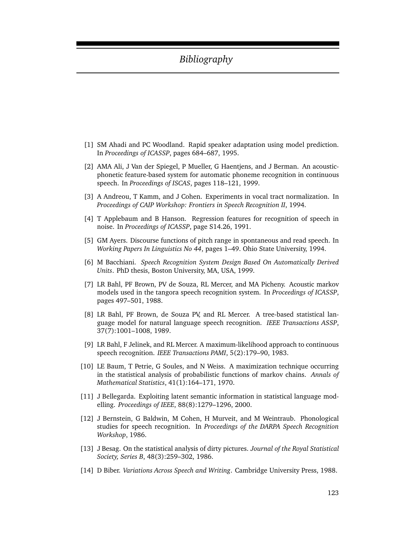### *Bibliography*

- [1] SM Ahadi and PC Woodland. Rapid speaker adaptation using model prediction. In *Proceedings of ICASSP*, pages 684–687, 1995.
- [2] AMA Ali, J Van der Spiegel, P Mueller, G Haentjens, and J Berman. An acousticphonetic feature-based system for automatic phoneme recognition in continuous speech. In *Proceedings of ISCAS*, pages 118–121, 1999.
- [3] A Andreou, T Kamm, and J Cohen. Experiments in vocal tract normalization. In *Proceedings of CAIP Workshop: Frontiers in Speech Recognition II*, 1994.
- [4] T Applebaum and B Hanson. Regression features for recognition of speech in noise. In *Proceedings of ICASSP*, page S14.26, 1991.
- [5] GM Ayers. Discourse functions of pitch range in spontaneous and read speech. In *Working Papers In Linguistics No 44*, pages 1–49. Ohio State University, 1994.
- [6] M Bacchiani. *Speech Recognition System Design Based On Automatically Derived Units*. PhD thesis, Boston University, MA, USA, 1999.
- [7] LR Bahl, PF Brown, PV de Souza, RL Mercer, and MA Picheny. Acoustic markov models used in the tangora speech recognition system. In *Proceedings of ICASSP*, pages 497–501, 1988.
- [8] LR Bahl, PF Brown, de Souza PV, and RL Mercer. A tree-based statistical language model for natural language speech recognition. *IEEE Transactions ASSP*, 37(7):1001–1008, 1989.
- [9] LR Bahl, F Jelinek, and RL Mercer. A maximum-likelihood approach to continuous speech recognition. *IEEE Transactions PAMI*, 5(2):179–90, 1983.
- [10] LE Baum, T Petrie, G Soules, and N Weiss. A maximization technique occurring in the statistical analysis of probabilistic functions of markov chains. *Annals of Mathematical Statistics*, 41(1):164–171, 1970.
- [11] J Bellegarda. Exploiting latent semantic information in statistical language modelling. *Proceedings of IEEE*, 88(8):1279–1296, 2000.
- [12] J Bernstein, G Baldwin, M Cohen, H Murveit, and M Weintraub. Phonological studies for speech recognition. In *Proceedings of the DARPA Speech Recognition Workshop*, 1986.
- [13] J Besag. On the statistical analysis of dirty pictures. *Journal of the Royal Statistical Society, Series B*, 48(3):259–302, 1986.
- [14] D Biber. *Variations Across Speech and Writing*. Cambridge University Press, 1988.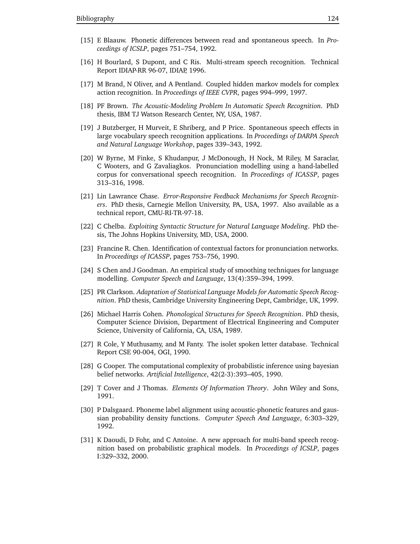- [15] E Blaauw. Phonetic differences between read and spontaneous speech. In *Proceedings of ICSLP*, pages 751–754, 1992.
- [16] H Bourlard, S Dupont, and C Ris. Multi-stream speech recognition. Technical Report IDIAP-RR 96-07, IDIAP, 1996.
- [17] M Brand, N Oliver, and A Pentland. Coupled hidden markov models for complex action recognition. In *Proceedings of IEEE CVPR*, pages 994–999, 1997.
- [18] PF Brown. *The Acoustic-Modeling Problem In Automatic Speech Recognition*. PhD thesis, IBM TJ Watson Research Center, NY, USA, 1987.
- [19] J Butzberger, H Murveit, E Shriberg, and P Price. Spontaneous speech effects in large vocabulary speech recognition applications. In *Proceedings of DARPA Speech and Natural Language Workshop*, pages 339–343, 1992.
- [20] W Byrne, M Finke, S Khudanpur, J McDonough, H Nock, M Riley, M Saraclar, C Wooters, and G Zavaliagkos. Pronunciation modelling using a hand-labelled corpus for conversational speech recognition. In *Proceedings of ICASSP*, pages 313–316, 1998.
- [21] Lin Lawrance Chase. *Error-Responsive Feedback Mechanisms for Speech Recognizers*. PhD thesis, Carnegie Mellon University, PA, USA, 1997. Also available as a technical report, CMU-RI-TR-97-18.
- [22] C Chelba. *Exploiting Syntactic Structure for Natural Language Modeling*. PhD thesis, The Johns Hopkins University, MD, USA, 2000.
- [23] Francine R. Chen. Identification of contextual factors for pronunciation networks. In *Proceedings of ICASSP*, pages 753–756, 1990.
- [24] S Chen and J Goodman. An empirical study of smoothing techniques for language modelling. *Computer Speech and Language*, 13(4):359–394, 1999.
- [25] PR Clarkson. *Adaptation of Statistical Language Models for Automatic Speech Recognition*. PhD thesis, Cambridge University Engineering Dept, Cambridge, UK, 1999.
- [26] Michael Harris Cohen. *Phonological Structures for Speech Recognition*. PhD thesis, Computer Science Division, Department of Electrical Engineering and Computer Science, University of California, CA, USA, 1989.
- [27] R Cole, Y Muthusamy, and M Fanty. The isolet spoken letter database. Technical Report CSE 90-004, OGI, 1990.
- [28] G Cooper. The computational complexity of probabilistic inference using bayesian belief networks. *Artificial Intelligence*, 42(2-3):393–405, 1990.
- [29] T Cover and J Thomas. *Elements Of Information Theory*. John Wiley and Sons, 1991.
- [30] P Dalsgaard. Phoneme label alignment using acoustic-phonetic features and gaussian probability density functions. *Computer Speech And Language*, 6:303–329, 1992.
- [31] K Daoudi, D Fohr, and C Antoine. A new approach for multi-band speech recognition based on probabilistic graphical models. In *Proceedings of ICSLP*, pages I:329–332, 2000.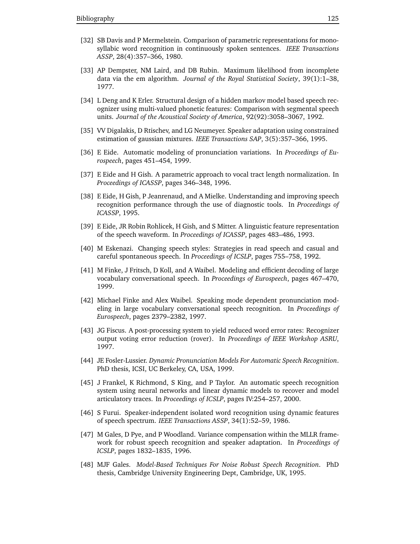- [32] SB Davis and P Mermelstein. Comparison of parametric representations for monosyllabic word recognition in continuously spoken sentences. *IEEE Transactions ASSP*, 28(4):357–366, 1980.
- [33] AP Dempster, NM Laird, and DB Rubin. Maximum likelihood from incomplete data via the em algorithm. *Journal of the Royal Statistical Society*, 39(1):1–38, 1977.
- [34] L Deng and K Erler. Structural design of a hidden markov model based speech recognizer using multi-valued phonetic features: Comparison with segmental speech units. *Journal of the Acoustical Society of America*, 92(92):3058–3067, 1992.
- [35] VV Digalakis, D Rtischev, and LG Neumeyer. Speaker adaptation using constrained estimation of gaussian mixtures. *IEEE Transactions SAP*, 3(5):357–366, 1995.
- [36] E Eide. Automatic modeling of pronunciation variations. In *Proceedings of Eurospeech*, pages 451–454, 1999.
- [37] E Eide and H Gish. A parametric approach to vocal tract length normalization. In *Proceedings of ICASSP*, pages 346–348, 1996.
- [38] E Eide, H Gish, P Jeanrenaud, and A Mielke. Understanding and improving speech recognition performance through the use of diagnostic tools. In *Proceedings of ICASSP*, 1995.
- [39] E Eide, JR Robin Rohlicek, H Gish, and S Mitter. A linguistic feature representation of the speech waveform. In *Proceedings of ICASSP*, pages 483–486, 1993.
- [40] M Eskenazi. Changing speech styles: Strategies in read speech and casual and careful spontaneous speech. In *Proceedings of ICSLP*, pages 755–758, 1992.
- [41] M Finke, J Fritsch, D Koll, and A Waibel. Modeling and efficient decoding of large vocabulary conversational speech. In *Proceedings of Eurospeech*, pages 467–470, 1999.
- [42] Michael Finke and Alex Waibel. Speaking mode dependent pronunciation modeling in large vocabulary conversational speech recognition. In *Proceedings of Eurospeech*, pages 2379–2382, 1997.
- [43] JG Fiscus. A post-processing system to yield reduced word error rates: Recognizer output voting error reduction (rover). In *Proceedings of IEEE Workshop ASRU*, 1997.
- [44] JE Fosler-Lussier. *Dynamic Pronunciation Models For Automatic Speech Recognition*. PhD thesis, ICSI, UC Berkeley, CA, USA, 1999.
- [45] J Frankel, K Richmond, S King, and P Taylor. An automatic speech recognition system using neural networks and linear dynamic models to recover and model articulatory traces. In *Proceedings of ICSLP*, pages IV:254–257, 2000.
- [46] S Furui. Speaker-independent isolated word recognition using dynamic features of speech spectrum. *IEEE Transactions ASSP*, 34(1):52–59, 1986.
- [47] M Gales, D Pye, and P Woodland. Variance compensation within the MLLR framework for robust speech recognition and speaker adaptation. In *Proceedings of ICSLP*, pages 1832–1835, 1996.
- [48] MJF Gales. *Model-Based Techniques For Noise Robust Speech Recognition*. PhD thesis, Cambridge University Engineering Dept, Cambridge, UK, 1995.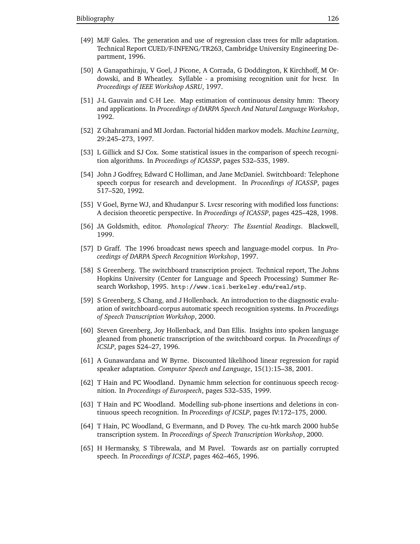- [49] MJF Gales. The generation and use of regression class trees for mllr adaptation. Technical Report CUED/F-INFENG/TR263, Cambridge University Engineering Department, 1996.
- [50] A Ganapathiraju, V Goel, J Picone, A Corrada, G Doddington, K Kirchhoff, M Ordowski, and B Wheatley. Syllable - a promising recognition unit for lvcsr. In *Proceedings of IEEE Workshop ASRU*, 1997.
- [51] J-L Gauvain and C-H Lee. Map estimation of continuous density hmm: Theory and applications. In *Proceedings of DARPA Speech And Natural Language Workshop*, 1992.
- [52] Z Ghahramani and MI Jordan. Factorial hidden markov models. *Machine Learning*, 29:245–273, 1997.
- [53] L Gillick and SJ Cox. Some statistical issues in the comparison of speech recognition algorithms. In *Proceedings of ICASSP*, pages 532–535, 1989.
- [54] John J Godfrey, Edward C Holliman, and Jane McDaniel. Switchboard: Telephone speech corpus for research and development. In *Proceedings of ICASSP*, pages 517–520, 1992.
- [55] V Goel, Byrne WJ, and Khudanpur S. Lvcsr rescoring with modified loss functions: A decision theoretic perspective. In *Proceedings of ICASSP*, pages 425–428, 1998.
- [56] JA Goldsmith, editor. *Phonological Theory: The Essential Readings*. Blackwell, 1999.
- [57] D Graff. The 1996 broadcast news speech and language-model corpus. In *Proceedings of DARPA Speech Recognition Workshop*, 1997.
- [58] S Greenberg. The switchboard transcription project. Technical report, The Johns Hopkins University (Center for Language and Speech Processing) Summer Research Workshop, 1995. http://www.icsi.berkeley.edu/real/stp.
- [59] S Greenberg, S Chang, and J Hollenback. An introduction to the diagnostic evaluation of switchboard-corpus automatic speech recognition systems. In *Proceedings of Speech Transcription Workshop*, 2000.
- [60] Steven Greenberg, Joy Hollenback, and Dan Ellis. Insights into spoken language gleaned from phonetic transcription of the switchboard corpus. In *Proceedings of ICSLP*, pages S24–27, 1996.
- [61] A Gunawardana and W Byrne. Discounted likelihood linear regression for rapid speaker adaptation. *Computer Speech and Language*, 15(1):15–38, 2001.
- [62] T Hain and PC Woodland. Dynamic hmm selection for continuous speech recognition. In *Proceedings of Eurospeech*, pages 532–535, 1999.
- [63] T Hain and PC Woodland. Modelling sub-phone insertions and deletions in continuous speech recognition. In *Proceedings of ICSLP*, pages IV:172–175, 2000.
- [64] T Hain, PC Woodland, G Evermann, and D Povey. The cu-htk march 2000 hub5e transcription system. In *Proceedings of Speech Transcription Workshop*, 2000.
- [65] H Hermansky, S Tibrewala, and M Pavel. Towards asr on partially corrupted speech. In *Proceedings of ICSLP*, pages 462–465, 1996.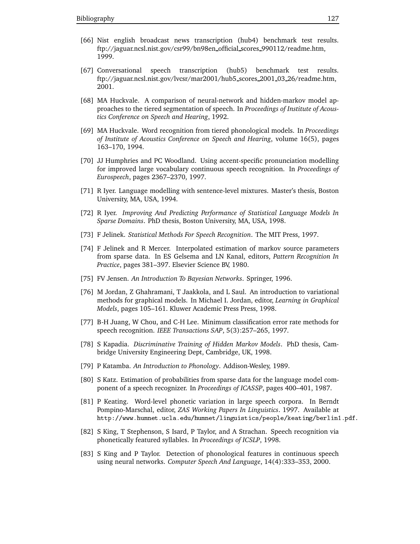- [66] Nist english broadcast news transcription (hub4) benchmark test results. ftp://jaguar.ncsl.nist.gov/csr99/bn98en official scores 990112/readme.htm, 1999.
- [67] Conversational speech transcription (hub5) benchmark test results. ftp://jaguar.ncsl.nist.gov/lvcsr/mar2001/hub5 scores 2001 03 26/readme.htm, 2001.
- [68] MA Huckvale. A comparison of neural-network and hidden-markov model approaches to the tiered segmentation of speech. In *Proceedings of Institute of Acoustics Conference on Speech and Hearing*, 1992.
- [69] MA Huckvale. Word recognition from tiered phonological models. In *Proceedings of Institute of Acoustics Conference on Speech and Hearing*, volume 16(5), pages 163–170, 1994.
- [70] JJ Humphries and PC Woodland. Using accent-specific pronunciation modelling for improved large vocabulary continuous speech recognition. In *Proceedings of Eurospeech*, pages 2367–2370, 1997.
- [71] R Iyer. Language modelling with sentence-level mixtures. Master's thesis, Boston University, MA, USA, 1994.
- [72] R Iyer. *Improving And Predicting Performance of Statistical Language Models In Sparse Domains*. PhD thesis, Boston University, MA, USA, 1998.
- [73] F Jelinek. *Statistical Methods For Speech Recognition*. The MIT Press, 1997.
- [74] F Jelinek and R Mercer. Interpolated estimation of markov source parameters from sparse data. In ES Gelsema and LN Kanal, editors, *Pattern Recognition In Practice*, pages 381–397. Elsevier Science BV, 1980.
- [75] FV Jensen. *An Introduction To Bayesian Networks*. Springer, 1996.
- [76] M Jordan, Z Ghahramani, T Jaakkola, and L Saul. An introduction to variational methods for graphical models. In Michael I. Jordan, editor, *Learning in Graphical Models*, pages 105–161. Kluwer Academic Press Press, 1998.
- [77] B-H Juang, W Chou, and C-H Lee. Minimum classification error rate methods for speech recognition. *IEEE Transactions SAP*, 5(3):257–265, 1997.
- [78] S Kapadia. *Discriminative Training of Hidden Markov Models*. PhD thesis, Cambridge University Engineering Dept, Cambridge, UK, 1998.
- [79] P Katamba. *An Introduction to Phonology*. Addison-Wesley, 1989.
- [80] S Katz. Estimation of probabilities from sparse data for the language model component of a speech recognizer. In *Proceedings of ICASSP*, pages 400–401, 1987.
- [81] P Keating. Word-level phonetic variation in large speech corpora. In Berndt Pompino-Marschal, editor, *ZAS Working Papers In Linguistics*. 1997. Available at http://www.humnet.ucla.edu/humnet/linguistics/people/keating/berlin1.pdf.
- [82] S King, T Stephenson, S Isard, P Taylor, and A Strachan. Speech recognition via phonetically featured syllables. In *Proceedings of ICSLP*, 1998.
- [83] S King and P Taylor. Detection of phonological features in continuous speech using neural networks. *Computer Speech And Language*, 14(4):333–353, 2000.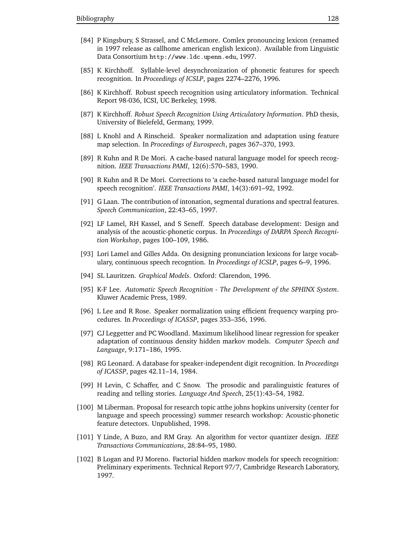- [84] P Kingsbury, S Strassel, and C McLemore. Comlex pronouncing lexicon (renamed in 1997 release as callhome american english lexicon). Available from Linguistic Data Consortium http://www.ldc.upenn.edu, 1997.
- [85] K Kirchhoff. Syllable-level desynchronization of phonetic features for speech recognition. In *Proceedings of ICSLP*, pages 2274–2276, 1996.
- [86] K Kirchhoff. Robust speech recognition using articulatory information. Technical Report 98-036, ICSI, UC Berkeley, 1998.
- [87] K Kirchhoff. *Robust Speech Recognition Using Articulatory Information*. PhD thesis, University of Bielefeld, Germany, 1999.
- [88] L Knohl and A Rinscheid. Speaker normalization and adaptation using feature map selection. In *Proceedings of Eurospeech*, pages 367–370, 1993.
- [89] R Kuhn and R De Mori. A cache-based natural language model for speech recognition. *IEEE Transactions PAMI*, 12(6):570–583, 1990.
- [90] R Kuhn and R De Mori. Corrections to 'a cache-based natural language model for speech recognition'. *IEEE Transactions PAMI*, 14(3):691–92, 1992.
- [91] G Laan. The contribution of intonation, segmental durations and spectral features. *Speech Communication*, 22:43–65, 1997.
- [92] LF Lamel, RH Kassel, and S Seneff. Speech database development: Design and analysis of the acoustic-phonetic corpus. In *Proceedings of DARPA Speech Recognition Workshop*, pages 100–109, 1986.
- [93] Lori Lamel and Gilles Adda. On designing pronunciation lexicons for large vocabulary, continuous speech recogntion. In *Proceedings of ICSLP*, pages 6–9, 1996.
- [94] SL Lauritzen. *Graphical Models*. Oxford: Clarendon, 1996.
- [95] K-F Lee. *Automatic Speech Recognition The Development of the SPHINX System*. Kluwer Academic Press, 1989.
- [96] L Lee and R Rose. Speaker normalization using efficient frequency warping procedures. In *Proceedings of ICASSP*, pages 353–356, 1996.
- [97] CJ Leggetter and PC Woodland. Maximum likelihood linear regression for speaker adaptation of continuous density hidden markov models. *Computer Speech and Language*, 9:171–186, 1995.
- [98] RG Leonard. A database for speaker-independent digit recognition. In *Proceedings of ICASSP*, pages 42.11–14, 1984.
- [99] H Levin, C Schaffer, and C Snow. The prosodic and paralinguistic features of reading and telling stories. *Language And Speech*, 25(1):43–54, 1982.
- [100] M Liberman. Proposal for research topic atthe johns hopkins university (center for language and speech processing) summer research workshop: Acoustic-phonetic feature detectors. Unpublished, 1998.
- [101] Y Linde, A Buzo, and RM Gray. An algorithm for vector quantizer design. *IEEE Transactions Communications*, 28:84–95, 1980.
- [102] B Logan and PJ Moreno. Factorial hidden markov models for speech recognition: Preliminary experiments. Technical Report 97/7, Cambridge Research Laboratory, 1997.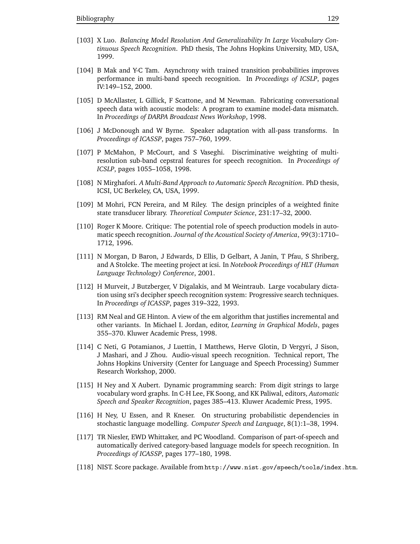- [103] X Luo. *Balancing Model Resolution And Generalizability In Large Vocabulary Continuous Speech Recognition*. PhD thesis, The Johns Hopkins University, MD, USA, 1999.
- [104] B Mak and Y-C Tam. Asynchrony with trained transition probabilities improves performance in multi-band speech recognition. In *Proceedings of ICSLP*, pages IV:149–152, 2000.
- [105] D McAllaster, L Gillick, F Scattone, and M Newman. Fabricating conversational speech data with acoustic models: A program to examine model-data mismatch. In *Proceedings of DARPA Broadcast News Workshop*, 1998.
- [106] J McDonough and W Byrne. Speaker adaptation with all-pass transforms. In *Proceedings of ICASSP*, pages 757–760, 1999.
- [107] P McMahon, P McCourt, and S Vaseghi. Discriminative weighting of multiresolution sub-band cepstral features for speech recognition. In *Proceedings of ICSLP*, pages 1055–1058, 1998.
- [108] N Mirghafori. *A Multi-Band Approach to Automatic Speech Recognition*. PhD thesis, ICSI, UC Berkeley, CA, USA, 1999.
- [109] M Mohri, FCN Pereira, and M Riley. The design principles of a weighted finite state transducer library. *Theoretical Computer Science*, 231:17–32, 2000.
- [110] Roger K Moore. Critique: The potential role of speech production models in automatic speech recognition. *Journal of the Acoustical Society of America*, 99(3):1710– 1712, 1996.
- [111] N Morgan, D Baron, J Edwards, D Ellis, D Gelbart, A Janin, T Pfau, S Shriberg, and A Stolcke. The meeting project at icsi. In *Notebook Proceedings of HLT (Human Language Technology) Conference*, 2001.
- [112] H Murveit, J Butzberger, V Digalakis, and M Weintraub. Large vocabulary dictation using sri's decipher speech recognition system: Progressive search techniques. In *Proceedings of ICASSP*, pages 319–322, 1993.
- [113] RM Neal and GE Hinton. A view of the em algorithm that justifies incremental and other variants. In Michael I. Jordan, editor, *Learning in Graphical Models*, pages 355–370. Kluwer Academic Press, 1998.
- [114] C Neti, G Potamianos, J Luettin, I Matthews, Herve Glotin, D Vergyri, J Sison, J Mashari, and J Zhou. Audio-visual speech recognition. Technical report, The Johns Hopkins University (Center for Language and Speech Processing) Summer Research Workshop, 2000.
- [115] H Ney and X Aubert. Dynamic programming search: From digit strings to large vocabulary word graphs. In C-H Lee, FK Soong, and KK Paliwal, editors, *Automatic Speech and Speaker Recognition*, pages 385–413. Kluwer Academic Press, 1995.
- [116] H Ney, U Essen, and R Kneser. On structuring probabilistic dependencies in stochastic language modelling. *Computer Speech and Language*, 8(1):1–38, 1994.
- [117] TR Niesler, EWD Whittaker, and PC Woodland. Comparison of part-of-speech and automatically derived category-based language models for speech recognition. In *Proceedings of ICASSP*, pages 177–180, 1998.
- [118] NIST. Score package. Available from http://www.nist.gov/speech/tools/index.htm.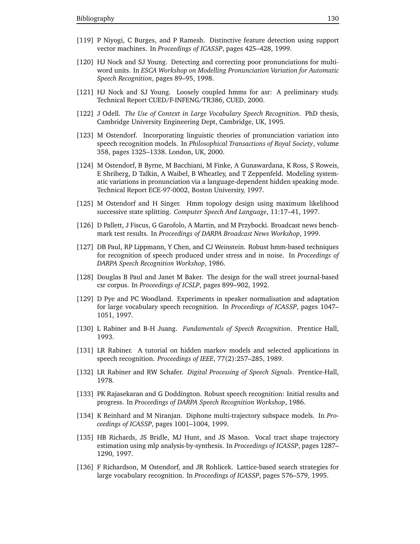- [119] P Niyogi, C Burges, and P Ramesh. Distinctive feature detection using support vector machines. In *Proceedings of ICASSP*, pages 425–428, 1999.
- [120] HJ Nock and SJ Young. Detecting and correcting poor pronunciations for multiword units. In *ESCA Workshop on Modelling Pronunciation Variation for Automatic Speech Recognition*, pages 89–95, 1998.
- [121] HJ Nock and SJ Young. Loosely coupled hmms for asr: A preliminary study. Technical Report CUED/F-INFENG/TR386, CUED, 2000.
- [122] J Odell. *The Use of Context in Large Vocabulary Speech Recognition*. PhD thesis, Cambridge University Engineering Dept, Cambridge, UK, 1995.
- [123] M Ostendorf. Incorporating linguistic theories of pronunciation variation into speech recognition models. In *Philosophical Transactions of Royal Society*, volume 358, pages 1325–1338. London, UK, 2000.
- [124] M Ostendorf, B Byrne, M Bacchiani, M Finke, A Gunawardana, K Ross, S Roweis, E Shriberg, D Talkin, A Waibel, B Wheatley, and T Zeppenfeld. Modeling systematic variations in pronunciation via a language-dependent hidden speaking mode. Technical Report ECE-97-0002, Boston University, 1997.
- [125] M Ostendorf and H Singer. Hmm topology design using maximum likelihood successive state splitting. *Computer Speech And Language*, 11:17–41, 1997.
- [126] D Pallett, J Fiscus, G Garofolo, A Martin, and M Przybocki. Broadcast news benchmark test results. In *Proceedings of DARPA Broadcast News Workshop*, 1999.
- [127] DB Paul, RP Lippmann, Y Chen, and CJ Weinstein. Robust hmm-based techniques for recognition of speech produced under stress and in noise. In *Proceedings of DARPA Speech Recognition Workshop*, 1986.
- [128] Douglas B Paul and Janet M Baker. The design for the wall street journal-based csr corpus. In *Proceedings of ICSLP*, pages 899–902, 1992.
- [129] D Pye and PC Woodland. Experiments in speaker normalisation and adaptation for large vocabulary speech recognition. In *Proceedings of ICASSP*, pages 1047– 1051, 1997.
- [130] L Rabiner and B-H Juang. *Fundamentals of Speech Recognition*. Prentice Hall, 1993.
- [131] LR Rabiner. A tutorial on hidden markov models and selected applications in speech recognition. *Proceedings of IEEE*, 77(2):257–285, 1989.
- [132] LR Rabiner and RW Schafer. *Digital Processing of Speech Signals*. Prentice-Hall, 1978.
- [133] PK Rajasekaran and G Doddington. Robust speech recognition: Initial results and progress. In *Proceedings of DARPA Speech Recognition Workshop*, 1986.
- [134] K Reinhard and M Niranjan. Diphone multi-trajectory subspace models. In *Proceedings of ICASSP*, pages 1001–1004, 1999.
- [135] HB Richards, JS Bridle, MJ Hunt, and JS Mason. Vocal tract shape trajectory estimation using mlp analysis-by-synthesis. In *Proceedings of ICASSP*, pages 1287– 1290, 1997.
- [136] F Richardson, M Ostendorf, and JR Rohlicek. Lattice-based search strategies for large vocabulary recognition. In *Proceedings of ICASSP*, pages 576–579, 1995.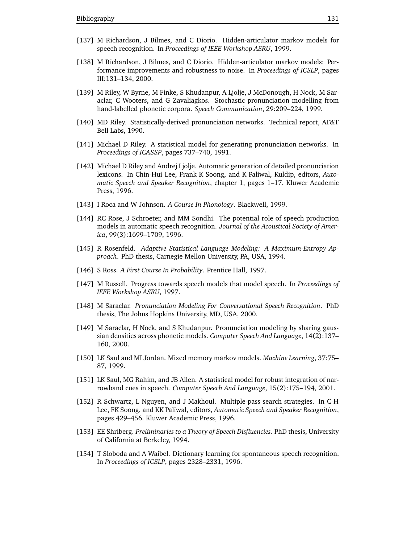- [137] M Richardson, J Bilmes, and C Diorio. Hidden-articulator markov models for speech recognition. In *Proceedings of IEEE Workshop ASRU*, 1999.
- [138] M Richardson, J Bilmes, and C Diorio. Hidden-articulator markov models: Performance improvements and robustness to noise. In *Proceedings of ICSLP*, pages III:131–134, 2000.
- [139] M Riley, W Byrne, M Finke, S Khudanpur, A Ljolje, J McDonough, H Nock, M Saraclar, C Wooters, and G Zavaliagkos. Stochastic pronunciation modelling from hand-labelled phonetic corpora. *Speech Communication*, 29:209–224, 1999.
- [140] MD Riley. Statistically-derived pronunciation networks. Technical report, AT&T Bell Labs, 1990.
- [141] Michael D Riley. A statistical model for generating pronunciation networks. In *Proceedings of ICASSP*, pages 737–740, 1991.
- [142] Michael D Riley and Andrej Ljolje. Automatic generation of detailed pronunciation lexicons. In Chin-Hui Lee, Frank K Soong, and K Paliwal, Kuldip, editors, *Automatic Speech and Speaker Recognition*, chapter 1, pages 1–17. Kluwer Academic Press, 1996.
- [143] I Roca and W Johnson. *A Course In Phonology*. Blackwell, 1999.
- [144] RC Rose, J Schroeter, and MM Sondhi. The potential role of speech production models in automatic speech recognition. *Journal of the Acoustical Society of America*, 99(3):1699–1709, 1996.
- [145] R Rosenfeld. *Adaptive Statistical Language Modeling: A Maximum-Entropy Approach*. PhD thesis, Carnegie Mellon University, PA, USA, 1994.
- [146] S Ross. *A First Course In Probability*. Prentice Hall, 1997.
- [147] M Russell. Progress towards speech models that model speech. In *Proceedings of IEEE Workshop ASRU*, 1997.
- [148] M Saraclar. *Pronunciation Modeling For Conversational Speech Recognition*. PhD thesis, The Johns Hopkins University, MD, USA, 2000.
- [149] M Saraclar, H Nock, and S Khudanpur. Pronunciation modeling by sharing gaussian densities across phonetic models. *Computer Speech And Language*, 14(2):137– 160, 2000.
- [150] LK Saul and MI Jordan. Mixed memory markov models. *Machine Learning*, 37:75– 87, 1999.
- [151] LK Saul, MG Rahim, and JB Allen. A statistical model for robust integration of narrowband cues in speech. *Computer Speech And Language*, 15(2):175–194, 2001.
- [152] R Schwartz, L Nguyen, and J Makhoul. Multiple-pass search strategies. In C-H Lee, FK Soong, and KK Paliwal, editors, *Automatic Speech and Speaker Recognition*, pages 429–456. Kluwer Academic Press, 1996.
- [153] EE Shriberg. *Preliminaries to a Theory of Speech Disfluencies*. PhD thesis, University of California at Berkeley, 1994.
- [154] T Sloboda and A Waibel. Dictionary learning for spontaneous speech recognition. In *Proceedings of ICSLP*, pages 2328–2331, 1996.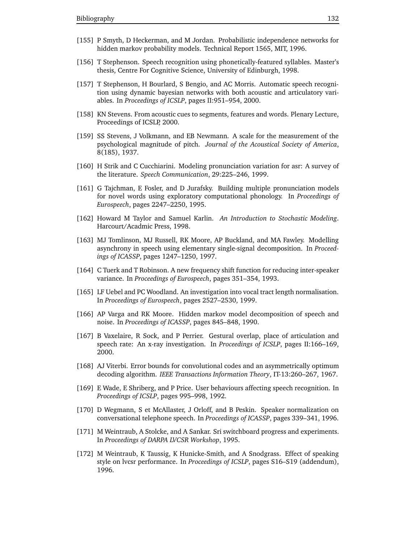- [155] P Smyth, D Heckerman, and M Jordan. Probabilistic independence networks for hidden markov probability models. Technical Report 1565, MIT, 1996.
- [156] T Stephenson. Speech recognition using phonetically-featured syllables. Master's thesis, Centre For Cognitive Science, University of Edinburgh, 1998.
- [157] T Stephenson, H Bourlard, S Bengio, and AC Morris. Automatic speech recognition using dynamic bayesian networks with both acoustic and articulatory variables. In *Proceedings of ICSLP*, pages II:951–954, 2000.
- [158] KN Stevens. From acoustic cues to segments, features and words. Plenary Lecture, Proceedings of ICSLP, 2000.
- [159] SS Stevens, J Volkmann, and EB Newmann. A scale for the measurement of the psychological magnitude of pitch. *Journal of the Acoustical Society of America*, 8(185), 1937.
- [160] H Strik and C Cucchiarini. Modeling pronunciation variation for asr: A survey of the literature. *Speech Communication*, 29:225–246, 1999.
- [161] G Tajchman, E Fosler, and D Jurafsky. Building multiple pronunciation models for novel words using exploratory computational phonology. In *Proceedings of Eurospeech*, pages 2247–2250, 1995.
- [162] Howard M Taylor and Samuel Karlin. *An Introduction to Stochastic Modeling*. Harcourt/Acadmic Press, 1998.
- [163] MJ Tomlinson, MJ Russell, RK Moore, AP Buckland, and MA Fawley. Modelling asynchrony in speech using elementary single-signal decomposition. In *Proceedings of ICASSP*, pages 1247–1250, 1997.
- [164] C Tuerk and T Robinson. A new frequency shift function for reducing inter-speaker variance. In *Proceedings of Eurospeech*, pages 351–354, 1993.
- [165] LF Uebel and PC Woodland. An investigation into vocal tract length normalisation. In *Proceedings of Eurospeech*, pages 2527–2530, 1999.
- [166] AP Varga and RK Moore. Hidden markov model decomposition of speech and noise. In *Proceedings of ICASSP*, pages 845–848, 1990.
- [167] B Vaxelaire, R Sock, and P Perrier. Gestural overlap, place of articulation and speech rate: An x-ray investigation. In *Proceedings of ICSLP*, pages II:166–169, 2000.
- [168] AJ Viterbi. Error bounds for convolutional codes and an asymmetrically optimum decoding algorithm. *IEEE Transactions Information Theory*, IT-13:260–267, 1967.
- [169] E Wade, E Shriberg, and P Price. User behaviours affecting speech recognition. In *Proceedings of ICSLP*, pages 995–998, 1992.
- [170] D Wegmann, S et McAllaster, J Orloff, and B Peskin. Speaker normalization on conversational telephone speech. In *Proceedings of ICASSP*, pages 339–341, 1996.
- [171] M Weintraub, A Stolcke, and A Sankar. Sri switchboard progress and experiments. In *Proceedings of DARPA LVCSR Workshop*, 1995.
- [172] M Weintraub, K Taussig, K Hunicke-Smith, and A Snodgrass. Effect of speaking style on lvcsr performance. In *Proceedings of ICSLP*, pages S16–S19 (addendum), 1996.